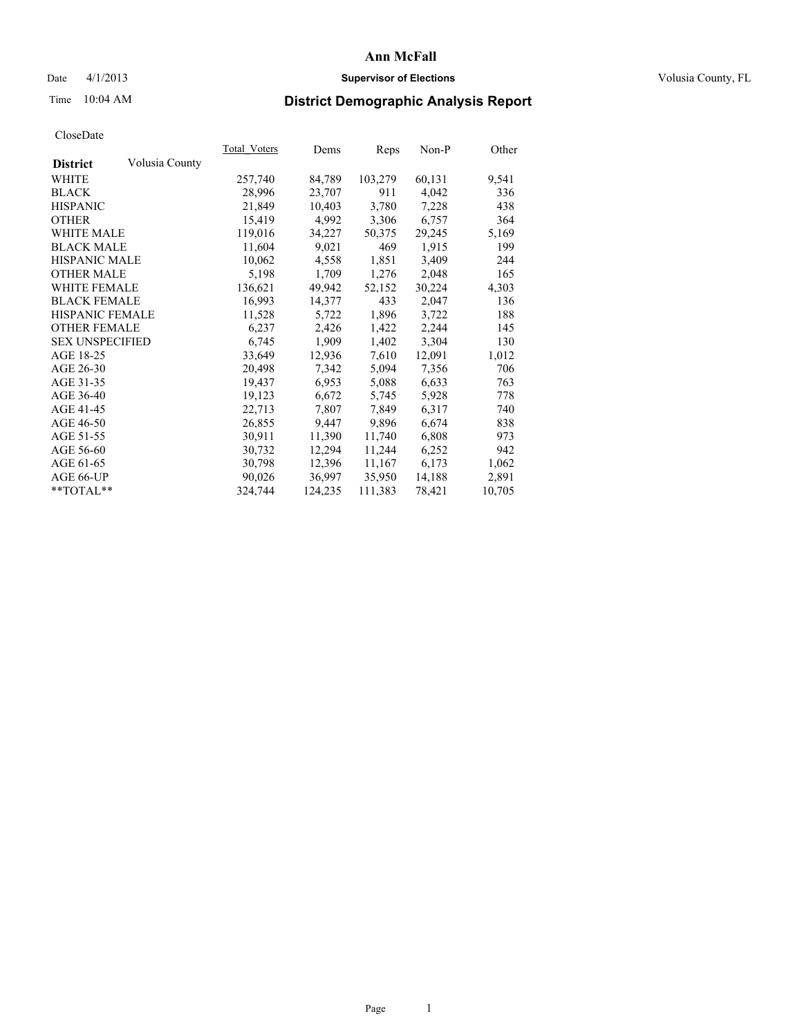#### Date 4/1/2013 **Supervisor of Elections Supervisor of Elections** Volusia County, FL

# Time 10:04 AM **District Demographic Analysis Report**

|                        |                | Total Voters | Dems    | <b>Reps</b> | Non-P  | Other  |
|------------------------|----------------|--------------|---------|-------------|--------|--------|
| <b>District</b>        | Volusia County |              |         |             |        |        |
| WHITE                  |                | 257,740      | 84,789  | 103,279     | 60,131 | 9,541  |
| <b>BLACK</b>           |                | 28,996       | 23,707  | 911         | 4,042  | 336    |
| <b>HISPANIC</b>        |                | 21,849       | 10,403  | 3,780       | 7,228  | 438    |
| <b>OTHER</b>           |                | 15,419       | 4,992   | 3,306       | 6,757  | 364    |
| <b>WHITE MALE</b>      |                | 119,016      | 34,227  | 50,375      | 29,245 | 5,169  |
| <b>BLACK MALE</b>      |                | 11,604       | 9,021   | 469         | 1,915  | 199    |
| <b>HISPANIC MALE</b>   |                | 10,062       | 4,558   | 1,851       | 3,409  | 244    |
| <b>OTHER MALE</b>      |                | 5,198        | 1,709   | 1,276       | 2,048  | 165    |
| <b>WHITE FEMALE</b>    |                | 136,621      | 49,942  | 52,152      | 30,224 | 4,303  |
| <b>BLACK FEMALE</b>    |                | 16,993       | 14,377  | 433         | 2,047  | 136    |
| HISPANIC FEMALE        |                | 11,528       | 5,722   | 1,896       | 3,722  | 188    |
| <b>OTHER FEMALE</b>    |                | 6,237        | 2,426   | 1,422       | 2,244  | 145    |
| <b>SEX UNSPECIFIED</b> |                | 6,745        | 1,909   | 1,402       | 3,304  | 130    |
| AGE 18-25              |                | 33,649       | 12,936  | 7,610       | 12,091 | 1,012  |
| AGE 26-30              |                | 20,498       | 7,342   | 5,094       | 7,356  | 706    |
| AGE 31-35              |                | 19,437       | 6,953   | 5,088       | 6,633  | 763    |
| AGE 36-40              |                | 19,123       | 6,672   | 5,745       | 5,928  | 778    |
| AGE 41-45              |                | 22,713       | 7,807   | 7,849       | 6,317  | 740    |
| AGE 46-50              |                | 26,855       | 9,447   | 9,896       | 6,674  | 838    |
| AGE 51-55              |                | 30,911       | 11,390  | 11,740      | 6,808  | 973    |
| AGE 56-60              |                | 30,732       | 12,294  | 11,244      | 6,252  | 942    |
| AGE 61-65              |                | 30,798       | 12,396  | 11,167      | 6,173  | 1,062  |
| AGE 66-UP              |                | 90,026       | 36,997  | 35,950      | 14,188 | 2,891  |
| $*$ TOTAL $*$          |                | 324,744      | 124,235 | 111,383     | 78,421 | 10,705 |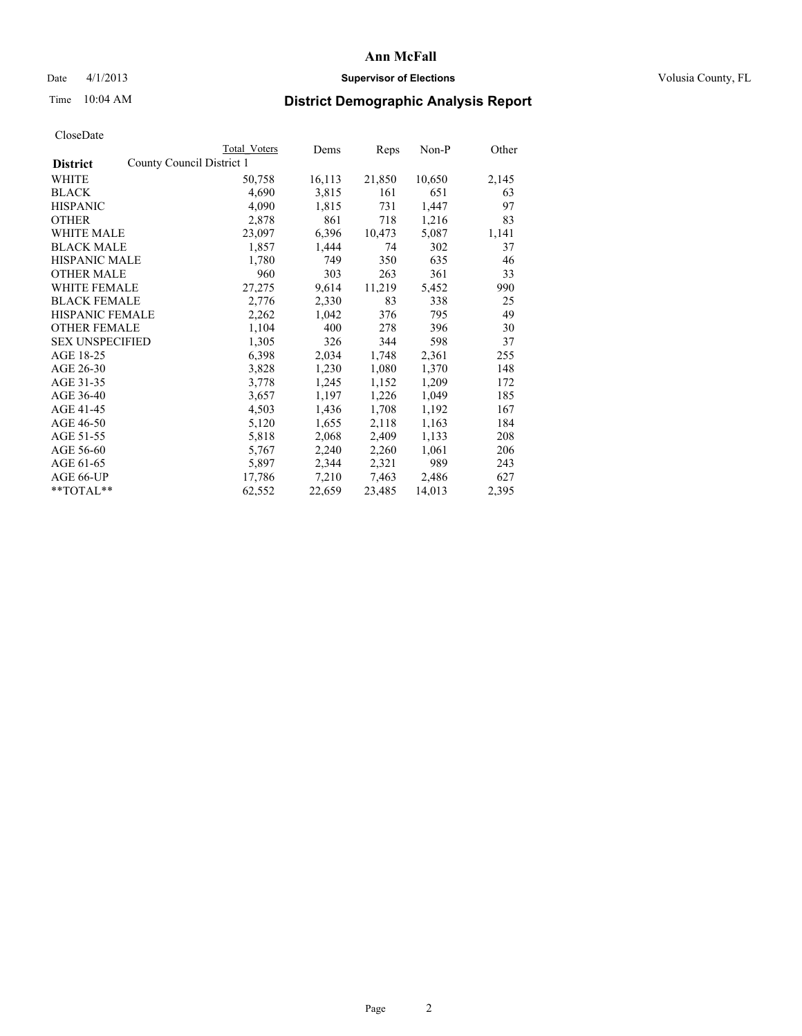#### Date 4/1/2013 **Supervisor of Elections Supervisor of Elections** Volusia County, FL

## Time 10:04 AM **District Demographic Analysis Report**

|                                              | Total Voters | Dems   | <b>Reps</b> | $Non-P$ | Other |
|----------------------------------------------|--------------|--------|-------------|---------|-------|
| County Council District 1<br><b>District</b> |              |        |             |         |       |
| <b>WHITE</b>                                 | 50,758       | 16,113 | 21,850      | 10,650  | 2,145 |
| <b>BLACK</b>                                 | 4,690        | 3,815  | 161         | 651     | 63    |
| <b>HISPANIC</b>                              | 4,090        | 1,815  | 731         | 1,447   | 97    |
| <b>OTHER</b>                                 | 2,878        | 861    | 718         | 1,216   | 83    |
| <b>WHITE MALE</b>                            | 23,097       | 6,396  | 10,473      | 5,087   | 1,141 |
| <b>BLACK MALE</b>                            | 1,857        | 1,444  | 74          | 302     | 37    |
| <b>HISPANIC MALE</b>                         | 1,780        | 749    | 350         | 635     | 46    |
| <b>OTHER MALE</b>                            | 960          | 303    | 263         | 361     | 33    |
| WHITE FEMALE                                 | 27,275       | 9,614  | 11,219      | 5,452   | 990   |
| <b>BLACK FEMALE</b>                          | 2,776        | 2,330  | 83          | 338     | 25    |
| HISPANIC FEMALE                              | 2,262        | 1,042  | 376         | 795     | 49    |
| <b>OTHER FEMALE</b>                          | 1,104        | 400    | 278         | 396     | 30    |
| <b>SEX UNSPECIFIED</b>                       | 1,305        | 326    | 344         | 598     | 37    |
| AGE 18-25                                    | 6,398        | 2,034  | 1,748       | 2,361   | 255   |
| AGE 26-30                                    | 3,828        | 1,230  | 1,080       | 1,370   | 148   |
| AGE 31-35                                    | 3,778        | 1,245  | 1,152       | 1,209   | 172   |
| AGE 36-40                                    | 3,657        | 1,197  | 1,226       | 1,049   | 185   |
| AGE 41-45                                    | 4,503        | 1,436  | 1,708       | 1,192   | 167   |
| AGE 46-50                                    | 5,120        | 1,655  | 2,118       | 1,163   | 184   |
| AGE 51-55                                    | 5,818        | 2,068  | 2,409       | 1,133   | 208   |
| AGE 56-60                                    | 5,767        | 2,240  | 2,260       | 1,061   | 206   |
| AGE 61-65                                    | 5,897        | 2,344  | 2,321       | 989     | 243   |
| AGE 66-UP                                    | 17,786       | 7,210  | 7,463       | 2,486   | 627   |
| $*$ TOTAL $*$                                | 62,552       | 22,659 | 23,485      | 14,013  | 2,395 |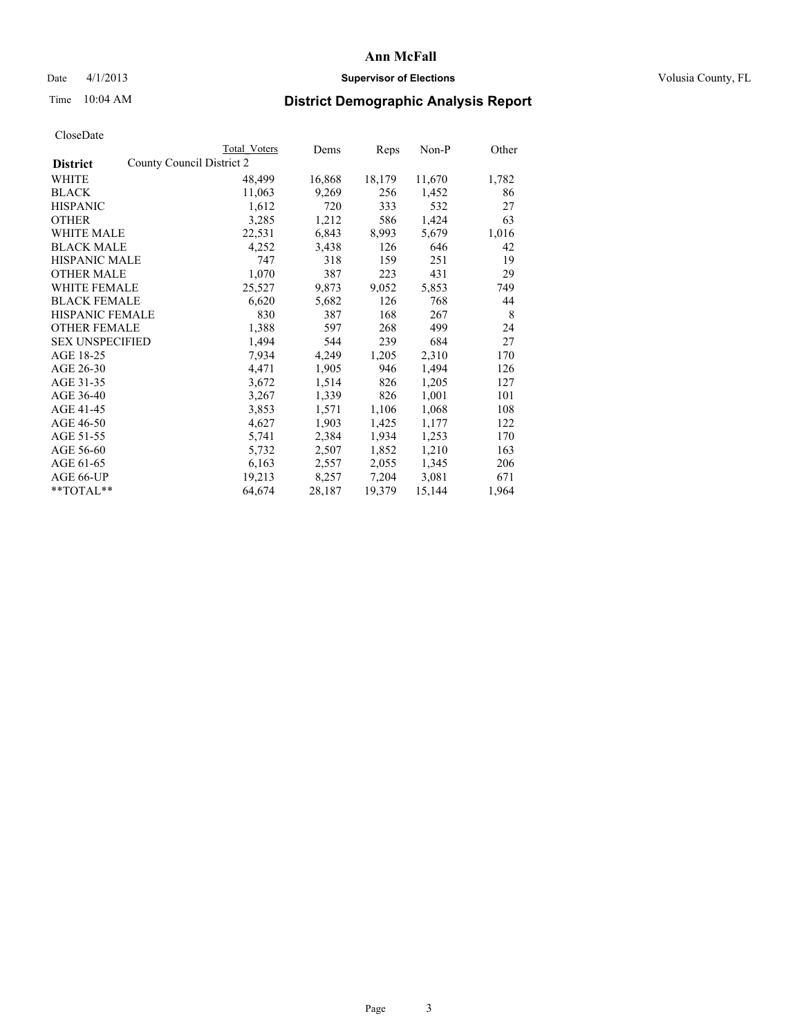#### Date 4/1/2013 **Supervisor of Elections Supervisor of Elections** Volusia County, FL

# Time 10:04 AM **District Demographic Analysis Report**

|        | Dems                                             | Reps   | Non-P  | Other |
|--------|--------------------------------------------------|--------|--------|-------|
|        |                                                  |        |        |       |
| 48,499 | 16,868                                           | 18,179 | 11,670 | 1,782 |
| 11,063 | 9,269                                            | 256    | 1,452  | 86    |
| 1,612  | 720                                              | 333    | 532    | 27    |
| 3,285  | 1,212                                            | 586    | 1,424  | 63    |
| 22,531 | 6,843                                            | 8,993  | 5,679  | 1,016 |
| 4,252  | 3,438                                            | 126    | 646    | 42    |
| 747    | 318                                              | 159    | 251    | 19    |
| 1,070  | 387                                              | 223    | 431    | 29    |
| 25,527 | 9,873                                            | 9,052  | 5,853  | 749   |
| 6,620  | 5,682                                            | 126    | 768    | 44    |
| 830    | 387                                              | 168    | 267    | 8     |
| 1,388  | 597                                              | 268    | 499    | 24    |
| 1,494  | 544                                              | 239    | 684    | 27    |
| 7,934  | 4,249                                            | 1,205  | 2,310  | 170   |
| 4,471  | 1,905                                            | 946    | 1,494  | 126   |
| 3,672  | 1,514                                            | 826    | 1,205  | 127   |
| 3,267  | 1,339                                            | 826    | 1,001  | 101   |
| 3,853  | 1,571                                            | 1,106  | 1,068  | 108   |
| 4,627  | 1,903                                            | 1,425  | 1,177  | 122   |
| 5,741  | 2,384                                            | 1,934  | 1,253  | 170   |
| 5,732  | 2,507                                            | 1,852  | 1,210  | 163   |
| 6,163  | 2,557                                            | 2,055  | 1,345  | 206   |
| 19,213 | 8,257                                            | 7,204  | 3,081  | 671   |
| 64,674 | 28,187                                           | 19,379 | 15,144 | 1,964 |
|        | <b>Total Voters</b><br>County Council District 2 |        |        |       |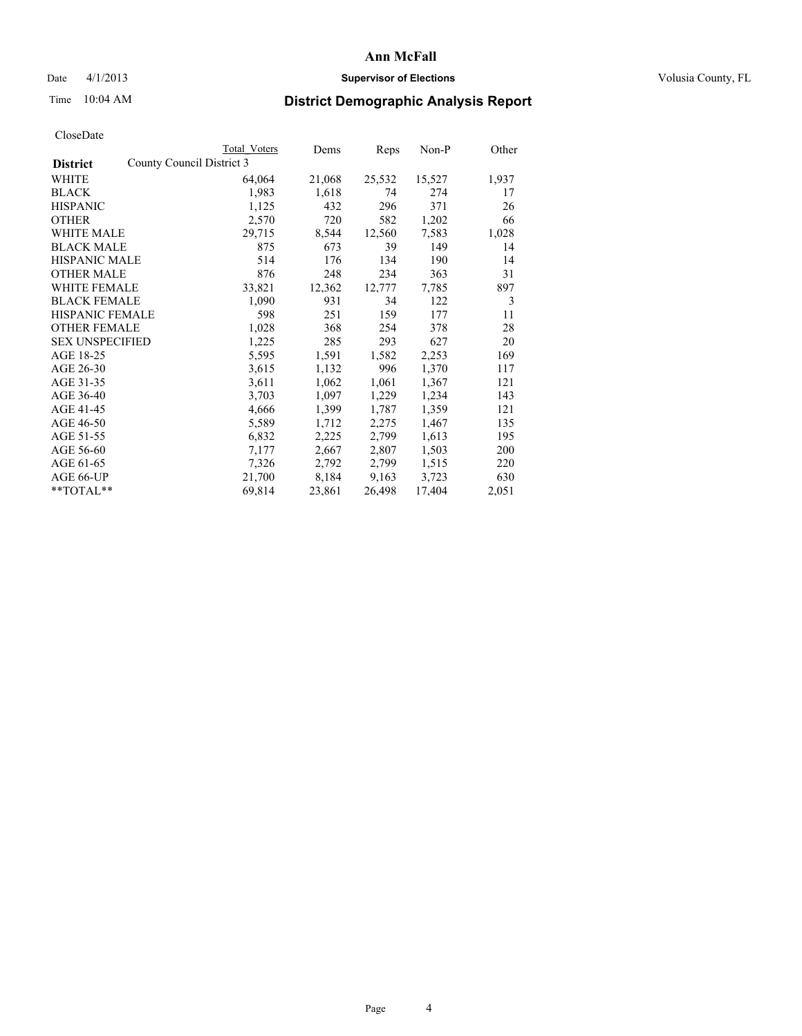#### Date 4/1/2013 **Supervisor of Elections Supervisor of Elections** Volusia County, FL

## Time 10:04 AM **District Demographic Analysis Report**

|                                              | Total Voters | Dems   | Reps   | $Non-P$ | Other |
|----------------------------------------------|--------------|--------|--------|---------|-------|
| County Council District 3<br><b>District</b> |              |        |        |         |       |
| WHITE                                        | 64,064       | 21,068 | 25,532 | 15,527  | 1,937 |
| <b>BLACK</b>                                 | 1,983        | 1,618  | 74     | 274     | 17    |
| <b>HISPANIC</b>                              | 1,125        | 432    | 296    | 371     | 26    |
| <b>OTHER</b>                                 | 2,570        | 720    | 582    | 1,202   | 66    |
| <b>WHITE MALE</b>                            | 29,715       | 8,544  | 12,560 | 7,583   | 1,028 |
| <b>BLACK MALE</b>                            | 875          | 673    | 39     | 149     | 14    |
| <b>HISPANIC MALE</b>                         | 514          | 176    | 134    | 190     | 14    |
| <b>OTHER MALE</b>                            | 876          | 248    | 234    | 363     | 31    |
| WHITE FEMALE                                 | 33,821       | 12,362 | 12,777 | 7.785   | 897   |
| <b>BLACK FEMALE</b>                          | 1,090        | 931    | 34     | 122     | 3     |
| <b>HISPANIC FEMALE</b>                       | 598          | 251    | 159    | 177     | 11    |
| <b>OTHER FEMALE</b>                          | 1,028        | 368    | 254    | 378     | 28    |
| <b>SEX UNSPECIFIED</b>                       | 1,225        | 285    | 293    | 627     | 20    |
| AGE 18-25                                    | 5,595        | 1,591  | 1,582  | 2,253   | 169   |
| AGE 26-30                                    | 3,615        | 1,132  | 996    | 1,370   | 117   |
| AGE 31-35                                    | 3,611        | 1,062  | 1,061  | 1,367   | 121   |
| AGE 36-40                                    | 3,703        | 1,097  | 1,229  | 1,234   | 143   |
| AGE 41-45                                    | 4,666        | 1,399  | 1,787  | 1,359   | 121   |
| AGE 46-50                                    | 5,589        | 1,712  | 2,275  | 1,467   | 135   |
| AGE 51-55                                    | 6,832        | 2,225  | 2,799  | 1,613   | 195   |
| AGE 56-60                                    | 7,177        | 2,667  | 2,807  | 1,503   | 200   |
| AGE 61-65                                    | 7,326        | 2,792  | 2,799  | 1,515   | 220   |
| AGE 66-UP                                    | 21,700       | 8,184  | 9,163  | 3,723   | 630   |
| $*$ $TOTAI.**$                               | 69,814       | 23,861 | 26,498 | 17,404  | 2,051 |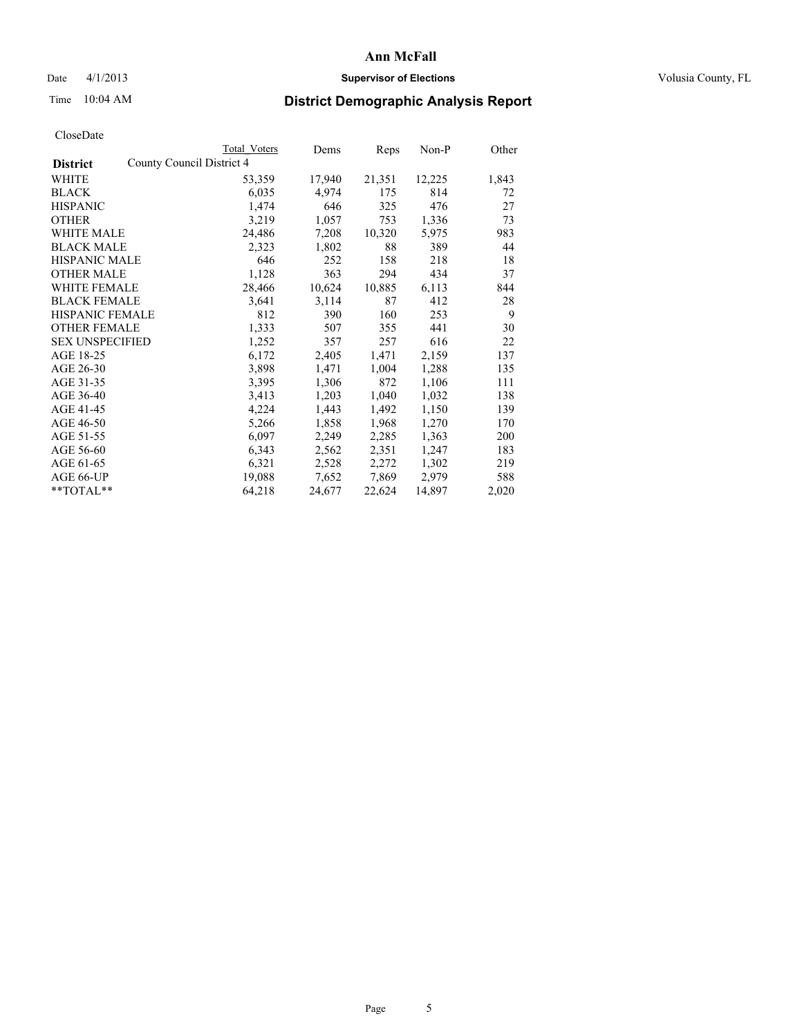#### Date 4/1/2013 **Supervisor of Elections Supervisor of Elections** Volusia County, FL

## Time 10:04 AM **District Demographic Analysis Report**

|                        | Total Voters              | Dems   | <b>Reps</b> | $Non-P$ | Other |
|------------------------|---------------------------|--------|-------------|---------|-------|
| <b>District</b>        | County Council District 4 |        |             |         |       |
| WHITE                  | 53,359                    | 17,940 | 21,351      | 12,225  | 1,843 |
| <b>BLACK</b>           | 6,035                     | 4,974  | 175         | 814     | 72    |
| <b>HISPANIC</b>        | 1,474                     | 646    | 325         | 476     | 27    |
| <b>OTHER</b>           | 3,219                     | 1,057  | 753         | 1,336   | 73    |
| <b>WHITE MALE</b>      | 24,486                    | 7,208  | 10,320      | 5,975   | 983   |
| <b>BLACK MALE</b>      | 2,323                     | 1,802  | 88          | 389     | 44    |
| <b>HISPANIC MALE</b>   | 646                       | 252    | 158         | 218     | 18    |
| <b>OTHER MALE</b>      | 1,128                     | 363    | 294         | 434     | 37    |
| WHITE FEMALE           | 28,466                    | 10,624 | 10,885      | 6,113   | 844   |
| <b>BLACK FEMALE</b>    | 3,641                     | 3,114  | 87          | 412     | 28    |
| <b>HISPANIC FEMALE</b> | 812                       | 390    | 160         | 253     | 9     |
| <b>OTHER FEMALE</b>    | 1,333                     | 507    | 355         | 441     | 30    |
| <b>SEX UNSPECIFIED</b> | 1,252                     | 357    | 257         | 616     | 22    |
| AGE 18-25              | 6,172                     | 2,405  | 1,471       | 2,159   | 137   |
| AGE 26-30              | 3,898                     | 1,471  | 1,004       | 1,288   | 135   |
| AGE 31-35              | 3,395                     | 1,306  | 872         | 1,106   | 111   |
| AGE 36-40              | 3,413                     | 1,203  | 1,040       | 1,032   | 138   |
| AGE 41-45              | 4,224                     | 1,443  | 1,492       | 1,150   | 139   |
| AGE 46-50              | 5,266                     | 1,858  | 1,968       | 1,270   | 170   |
| AGE 51-55              | 6,097                     | 2,249  | 2,285       | 1,363   | 200   |
| AGE 56-60              | 6,343                     | 2,562  | 2,351       | 1,247   | 183   |
| AGE 61-65              | 6,321                     | 2,528  | 2,272       | 1,302   | 219   |
| AGE 66-UP              | 19,088                    | 7,652  | 7,869       | 2,979   | 588   |
| $*$ $TOTAI.**$         | 64,218                    | 24,677 | 22,624      | 14,897  | 2,020 |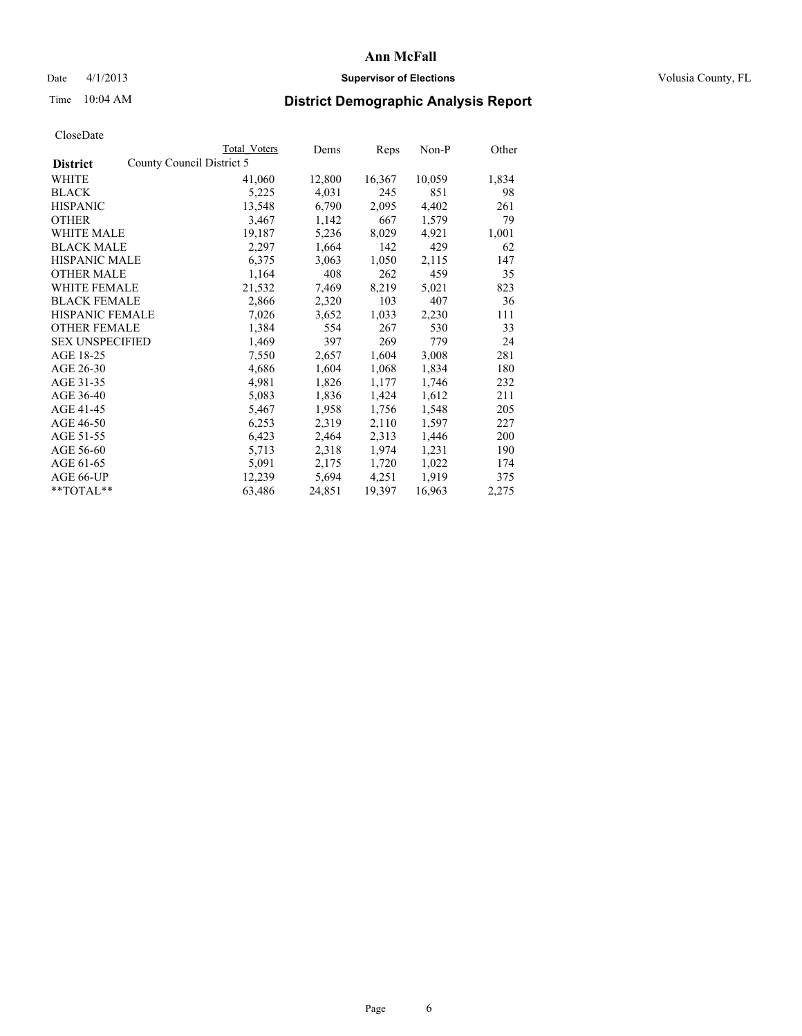#### Date 4/1/2013 **Supervisor of Elections Supervisor of Elections** Volusia County, FL

# Time 10:04 AM **District Demographic Analysis Report**

|                                              | Total Voters | Dems   | Reps   | Non-P  | Other |
|----------------------------------------------|--------------|--------|--------|--------|-------|
| County Council District 5<br><b>District</b> |              |        |        |        |       |
| WHITE                                        | 41,060       | 12,800 | 16,367 | 10,059 | 1,834 |
| <b>BLACK</b>                                 | 5,225        | 4,031  | 245    | 851    | 98    |
| <b>HISPANIC</b>                              | 13,548       | 6,790  | 2,095  | 4,402  | 261   |
| <b>OTHER</b>                                 | 3,467        | 1,142  | 667    | 1,579  | 79    |
| WHITE MALE                                   | 19,187       | 5,236  | 8,029  | 4,921  | 1,001 |
| <b>BLACK MALE</b>                            | 2,297        | 1,664  | 142    | 429    | 62    |
| <b>HISPANIC MALE</b>                         | 6,375        | 3,063  | 1,050  | 2,115  | 147   |
| <b>OTHER MALE</b>                            | 1,164        | 408    | 262    | 459    | 35    |
| <b>WHITE FEMALE</b>                          | 21,532       | 7,469  | 8,219  | 5,021  | 823   |
| <b>BLACK FEMALE</b>                          | 2,866        | 2,320  | 103    | 407    | 36    |
| HISPANIC FEMALE                              | 7,026        | 3,652  | 1,033  | 2,230  | 111   |
| <b>OTHER FEMALE</b>                          | 1,384        | 554    | 267    | 530    | 33    |
| <b>SEX UNSPECIFIED</b>                       | 1,469        | 397    | 269    | 779    | 24    |
| AGE 18-25                                    | 7,550        | 2,657  | 1,604  | 3,008  | 281   |
| AGE 26-30                                    | 4,686        | 1,604  | 1,068  | 1,834  | 180   |
| AGE 31-35                                    | 4,981        | 1,826  | 1,177  | 1,746  | 232   |
| AGE 36-40                                    | 5,083        | 1,836  | 1,424  | 1,612  | 211   |
| AGE 41-45                                    | 5,467        | 1,958  | 1,756  | 1,548  | 205   |
| AGE 46-50                                    | 6,253        | 2,319  | 2,110  | 1,597  | 227   |
| AGE 51-55                                    | 6,423        | 2,464  | 2,313  | 1,446  | 200   |
| AGE 56-60                                    | 5,713        | 2,318  | 1,974  | 1,231  | 190   |
| AGE 61-65                                    | 5,091        | 2,175  | 1,720  | 1,022  | 174   |
| AGE 66-UP                                    | 12,239       | 5,694  | 4,251  | 1,919  | 375   |
| $*$ $TOTAL**$                                | 63,486       | 24,851 | 19,397 | 16,963 | 2,275 |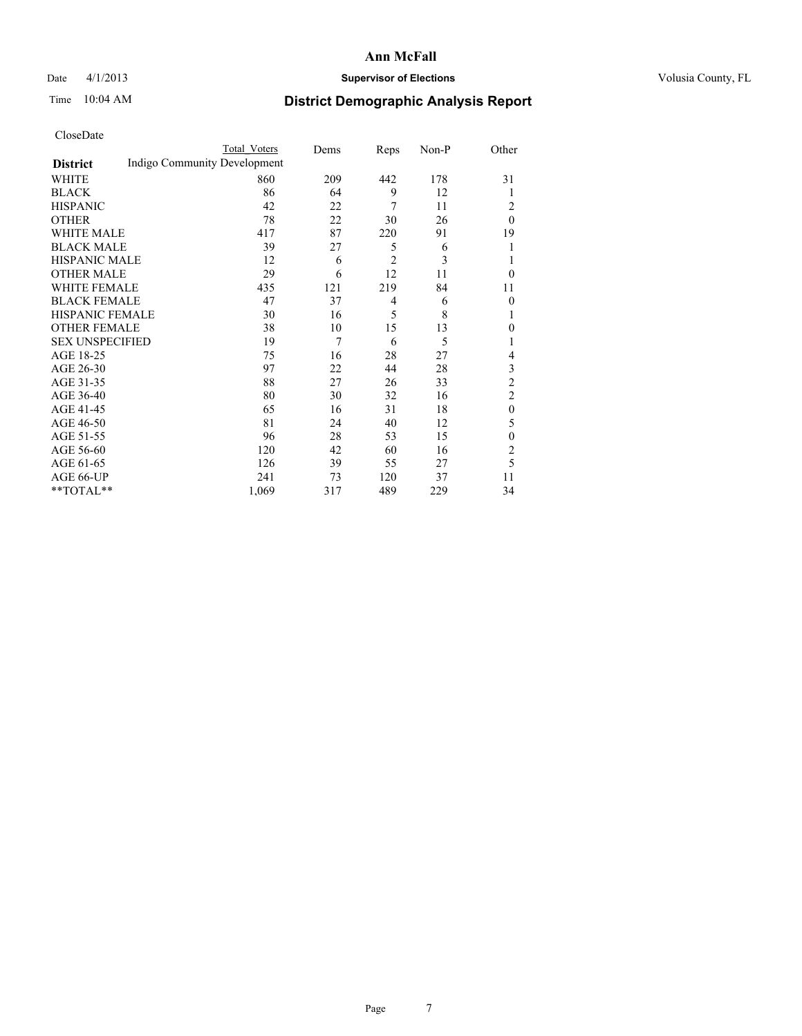#### Date 4/1/2013 **Supervisor of Elections Supervisor of Elections** Volusia County, FL

# Time 10:04 AM **District Demographic Analysis Report**

|                        |                              | <b>Total Voters</b> | Dems | Reps           | Non-P | Other            |
|------------------------|------------------------------|---------------------|------|----------------|-------|------------------|
| <b>District</b>        | Indigo Community Development |                     |      |                |       |                  |
| WHITE                  |                              | 860                 | 209  | 442            | 178   | 31               |
| <b>BLACK</b>           |                              | 86                  | 64   | 9              | 12    | 1                |
| <b>HISPANIC</b>        |                              | 42                  | 22   | 7              | 11    | 2                |
| <b>OTHER</b>           |                              | 78                  | 22   | 30             | 26    | $\theta$         |
| WHITE MALE             |                              | 417                 | 87   | 220            | 91    | 19               |
| <b>BLACK MALE</b>      |                              | 39                  | 27   | 5              | 6     | 1                |
| <b>HISPANIC MALE</b>   |                              | 12                  | 6    | $\overline{2}$ | 3     | 1                |
| <b>OTHER MALE</b>      |                              | 29                  | 6    | 12             | 11    | $\theta$         |
| WHITE FEMALE           |                              | 435                 | 121  | 219            | 84    | 11               |
| <b>BLACK FEMALE</b>    |                              | 47                  | 37   | $\overline{4}$ | 6     | $\overline{0}$   |
| <b>HISPANIC FEMALE</b> |                              | 30                  | 16   | 5              | 8     | 1                |
| <b>OTHER FEMALE</b>    |                              | 38                  | 10   | 15             | 13    | $\theta$         |
| <b>SEX UNSPECIFIED</b> |                              | 19                  | 7    | 6              | 5     | 1                |
| AGE 18-25              |                              | 75                  | 16   | 28             | 27    | 4                |
| AGE 26-30              |                              | 97                  | 22   | 44             | 28    | 3                |
| AGE 31-35              |                              | 88                  | 27   | 26             | 33    | $\overline{c}$   |
| AGE 36-40              |                              | 80                  | 30   | 32             | 16    | $\overline{2}$   |
| AGE 41-45              |                              | 65                  | 16   | 31             | 18    | $\boldsymbol{0}$ |
| AGE 46-50              |                              | 81                  | 24   | 40             | 12    | 5                |
| AGE 51-55              |                              | 96                  | 28   | 53             | 15    | $\theta$         |
| AGE 56-60              |                              | 120                 | 42   | 60             | 16    | $\overline{2}$   |
| AGE 61-65              |                              | 126                 | 39   | 55             | 27    | 5                |
| AGE 66-UP              |                              | 241                 | 73   | 120            | 37    | 11               |
| **TOTAL**              |                              | 1,069               | 317  | 489            | 229   | 34               |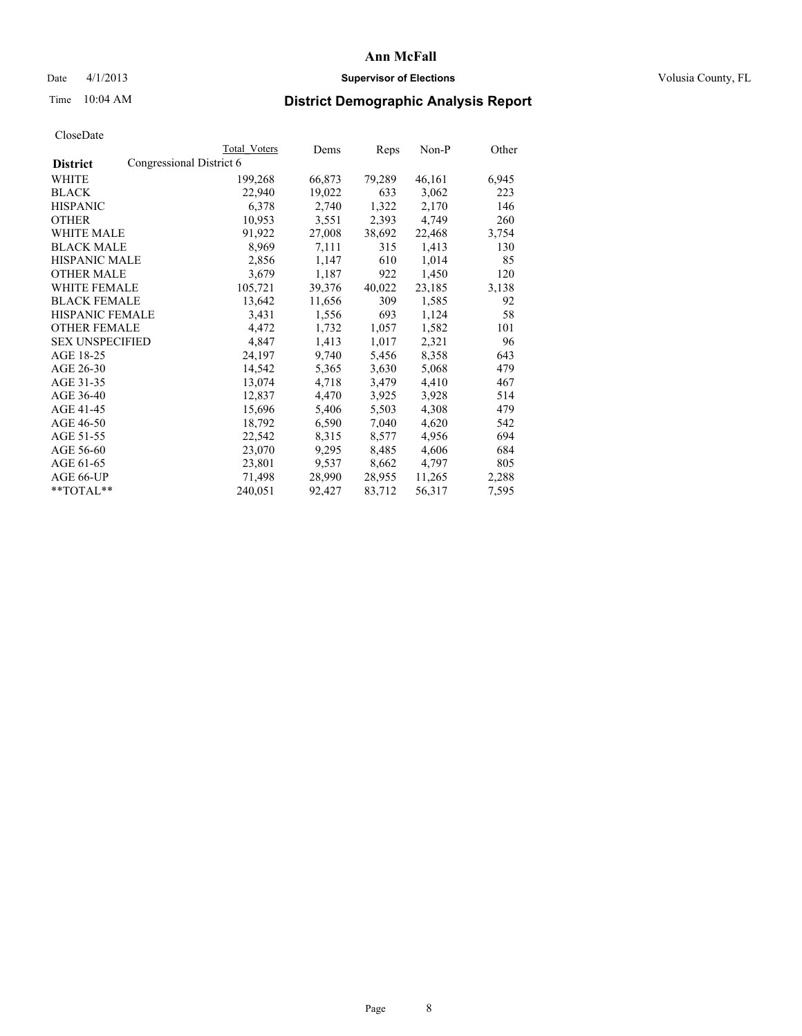#### Date 4/1/2013 **Supervisor of Elections Supervisor of Elections** Volusia County, FL

## Time 10:04 AM **District Demographic Analysis Report**

| <b>Total Voters</b>      | Dems   | Reps   | Non-P  | Other |
|--------------------------|--------|--------|--------|-------|
| Congressional District 6 |        |        |        |       |
| 199,268                  | 66,873 | 79,289 | 46,161 | 6,945 |
| 22,940                   | 19,022 | 633    | 3,062  | 223   |
| 6,378                    | 2,740  | 1,322  | 2,170  | 146   |
| 10,953                   | 3,551  | 2,393  | 4,749  | 260   |
| 91,922                   | 27,008 | 38,692 | 22,468 | 3,754 |
| 8,969                    | 7,111  | 315    | 1,413  | 130   |
| 2,856                    | 1,147  | 610    | 1,014  | 85    |
| 3,679                    | 1,187  | 922    | 1,450  | 120   |
| 105,721                  | 39,376 | 40,022 | 23,185 | 3,138 |
| 13,642                   | 11,656 | 309    | 1,585  | 92    |
| 3,431                    | 1,556  | 693    | 1,124  | 58    |
| 4,472                    | 1,732  | 1,057  | 1,582  | 101   |
| 4,847                    | 1,413  | 1,017  | 2,321  | 96    |
| 24,197                   | 9,740  | 5,456  | 8,358  | 643   |
| 14,542                   | 5,365  | 3,630  | 5,068  | 479   |
| 13,074                   | 4,718  | 3,479  | 4,410  | 467   |
| 12,837                   | 4,470  | 3,925  | 3,928  | 514   |
| 15,696                   | 5,406  | 5,503  | 4,308  | 479   |
| 18,792                   | 6,590  | 7,040  | 4,620  | 542   |
| 22,542                   | 8,315  | 8,577  | 4,956  | 694   |
| 23,070                   | 9,295  | 8,485  | 4,606  | 684   |
| 23,801                   | 9,537  | 8,662  | 4,797  | 805   |
| 71,498                   | 28,990 | 28,955 | 11,265 | 2,288 |
| 240,051                  | 92,427 | 83,712 | 56,317 | 7,595 |
|                          |        |        |        |       |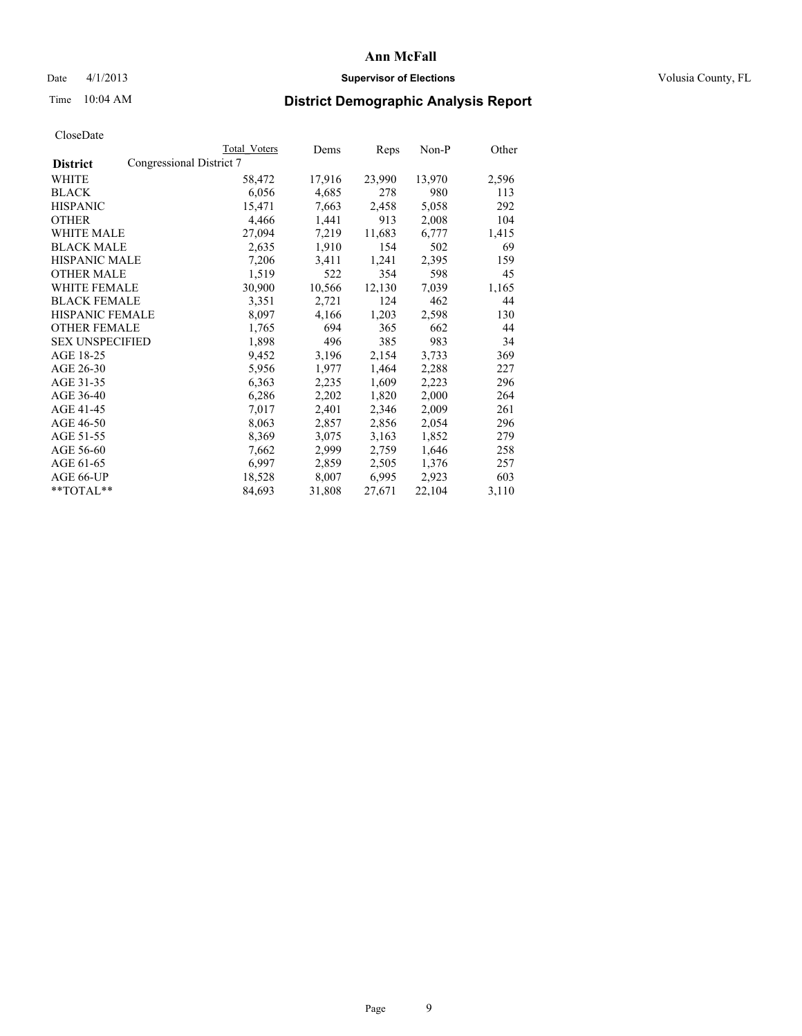#### Date 4/1/2013 **Supervisor of Elections Supervisor of Elections** Volusia County, FL

## Time 10:04 AM **District Demographic Analysis Report**

| <b>Total Voters</b> | Dems                     | Reps   | Non-P  | Other |
|---------------------|--------------------------|--------|--------|-------|
|                     |                          |        |        |       |
| 58,472              | 17,916                   | 23,990 | 13,970 | 2,596 |
| 6,056               | 4,685                    | 278    | 980    | 113   |
| 15,471              | 7,663                    | 2,458  | 5,058  | 292   |
| 4,466               | 1,441                    | 913    | 2,008  | 104   |
| 27,094              | 7,219                    | 11,683 | 6,777  | 1,415 |
| 2,635               | 1,910                    | 154    | 502    | 69    |
| 7,206               | 3,411                    | 1,241  | 2,395  | 159   |
| 1,519               | 522                      | 354    | 598    | 45    |
| 30,900              | 10,566                   | 12,130 | 7,039  | 1,165 |
| 3,351               | 2,721                    | 124    | 462    | 44    |
| 8,097               | 4,166                    | 1,203  | 2,598  | 130   |
| 1,765               | 694                      | 365    | 662    | 44    |
| 1,898               | 496                      | 385    | 983    | 34    |
| 9,452               | 3,196                    | 2,154  | 3,733  | 369   |
| 5,956               | 1,977                    | 1,464  | 2,288  | 227   |
| 6,363               | 2,235                    | 1,609  | 2,223  | 296   |
| 6,286               | 2,202                    | 1,820  | 2,000  | 264   |
| 7,017               | 2,401                    | 2,346  | 2,009  | 261   |
| 8,063               | 2,857                    | 2,856  | 2,054  | 296   |
| 8,369               | 3,075                    | 3,163  | 1,852  | 279   |
| 7,662               | 2,999                    | 2,759  | 1,646  | 258   |
| 6,997               | 2,859                    | 2,505  | 1,376  | 257   |
| 18,528              | 8,007                    | 6,995  | 2,923  | 603   |
| 84,693              | 31,808                   | 27,671 | 22,104 | 3,110 |
|                     | Congressional District 7 |        |        |       |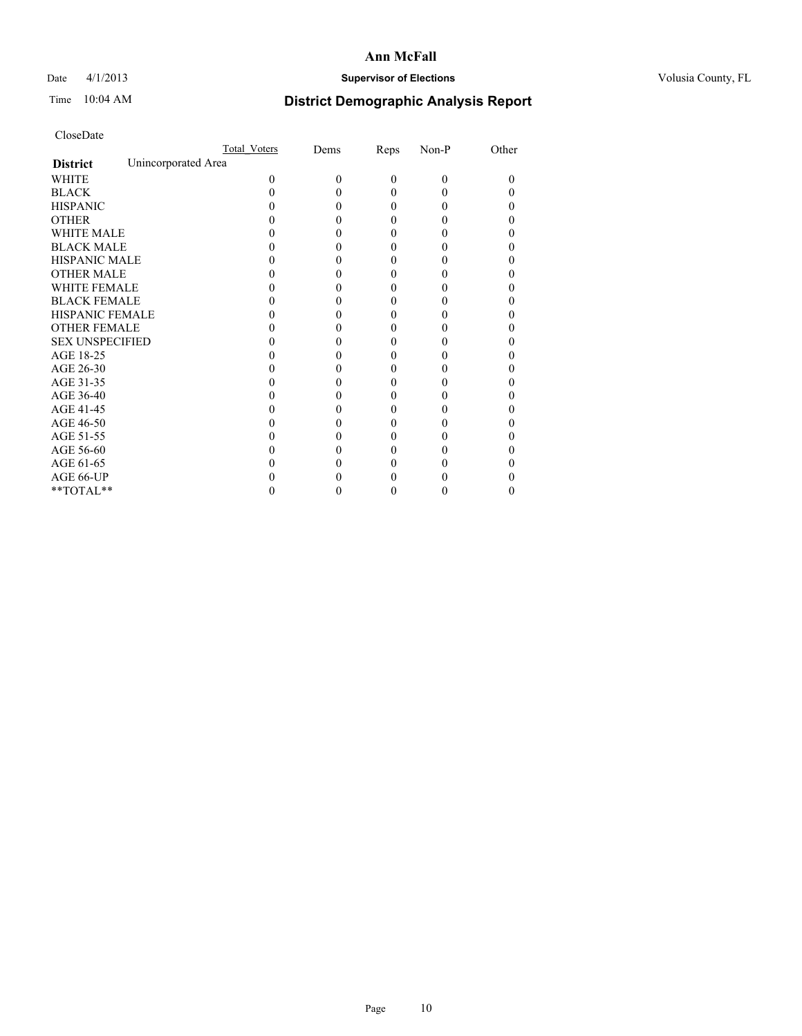### Date 4/1/2013 **Supervisor of Elections Supervisor of Elections** Volusia County, FL

# Time 10:04 AM **District Demographic Analysis Report**

|                        |                     | <b>Total Voters</b> | Dems     | Reps     | Non-P    | Other |
|------------------------|---------------------|---------------------|----------|----------|----------|-------|
| <b>District</b>        | Unincorporated Area |                     |          |          |          |       |
| <b>WHITE</b>           |                     | 0                   | $\theta$ | $\theta$ | $\Omega$ | 0     |
| <b>BLACK</b>           |                     |                     |          | 0        | 0        |       |
| <b>HISPANIC</b>        |                     |                     |          | 0        | 0        |       |
| <b>OTHER</b>           |                     |                     |          |          |          |       |
| <b>WHITE MALE</b>      |                     |                     |          |          |          |       |
| <b>BLACK MALE</b>      |                     |                     |          |          |          |       |
| <b>HISPANIC MALE</b>   |                     |                     |          |          |          |       |
| <b>OTHER MALE</b>      |                     |                     |          |          |          |       |
| <b>WHITE FEMALE</b>    |                     |                     |          |          |          |       |
| <b>BLACK FEMALE</b>    |                     |                     |          | 0        |          |       |
| <b>HISPANIC FEMALE</b> |                     |                     |          |          |          |       |
| <b>OTHER FEMALE</b>    |                     |                     |          |          |          |       |
| <b>SEX UNSPECIFIED</b> |                     |                     |          |          |          |       |
| AGE 18-25              |                     |                     |          |          |          |       |
| AGE 26-30              |                     |                     |          |          |          |       |
| AGE 31-35              |                     |                     |          |          |          |       |
| AGE 36-40              |                     |                     |          | 0        |          |       |
| AGE 41-45              |                     |                     |          |          |          |       |
| AGE 46-50              |                     |                     |          | 0        |          |       |
| AGE 51-55              |                     |                     |          |          |          |       |
| AGE 56-60              |                     |                     |          |          |          |       |
| AGE 61-65              |                     |                     |          |          |          |       |
| AGE 66-UP              |                     |                     |          |          |          |       |
| **TOTAL**              |                     |                     |          | 0        | 0        | 0     |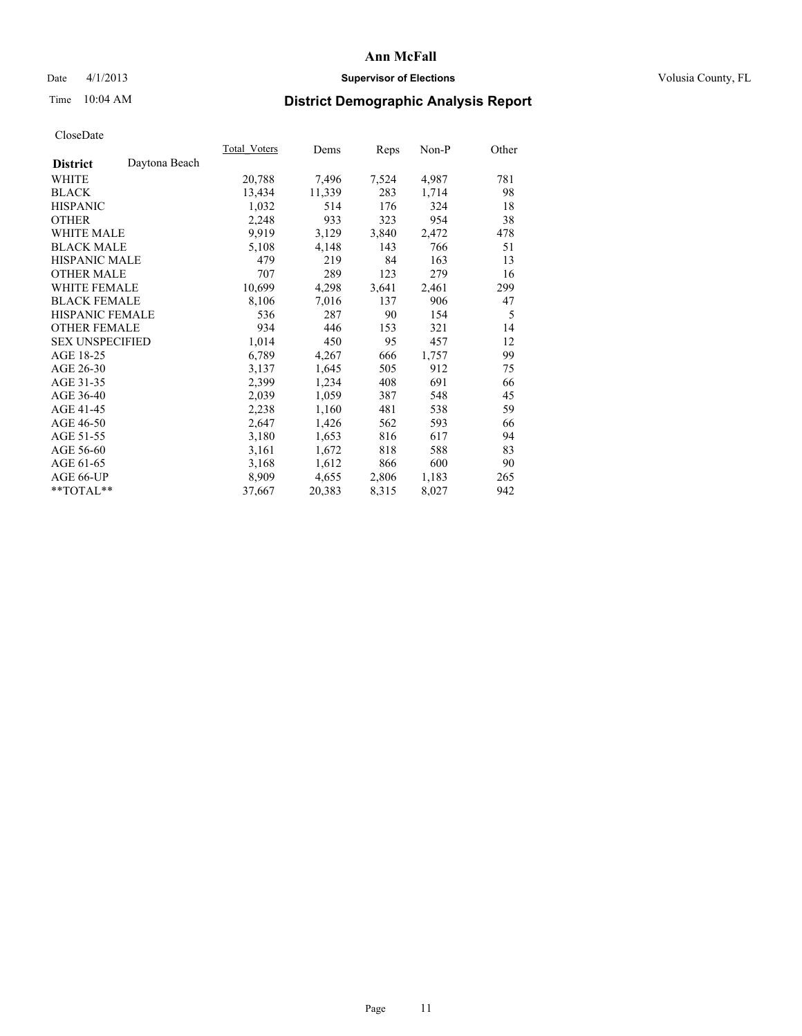#### Date 4/1/2013 **Supervisor of Elections Supervisor of Elections** Volusia County, FL

# Time 10:04 AM **District Demographic Analysis Report**

|                        |               | Total Voters | Dems   | Reps  | Non-P | Other |
|------------------------|---------------|--------------|--------|-------|-------|-------|
| <b>District</b>        | Daytona Beach |              |        |       |       |       |
| <b>WHITE</b>           |               | 20,788       | 7,496  | 7,524 | 4,987 | 781   |
| <b>BLACK</b>           |               | 13,434       | 11,339 | 283   | 1,714 | 98    |
| <b>HISPANIC</b>        |               | 1,032        | 514    | 176   | 324   | 18    |
| <b>OTHER</b>           |               | 2,248        | 933    | 323   | 954   | 38    |
| <b>WHITE MALE</b>      |               | 9.919        | 3,129  | 3,840 | 2,472 | 478   |
| <b>BLACK MALE</b>      |               | 5,108        | 4,148  | 143   | 766   | 51    |
| <b>HISPANIC MALE</b>   |               | 479          | 219    | 84    | 163   | 13    |
| <b>OTHER MALE</b>      |               | 707          | 289    | 123   | 279   | 16    |
| <b>WHITE FEMALE</b>    |               | 10,699       | 4,298  | 3,641 | 2,461 | 299   |
| <b>BLACK FEMALE</b>    |               | 8,106        | 7,016  | 137   | 906   | 47    |
| HISPANIC FEMALE        |               | 536          | 287    | 90    | 154   | 5     |
| <b>OTHER FEMALE</b>    |               | 934          | 446    | 153   | 321   | 14    |
| <b>SEX UNSPECIFIED</b> |               | 1,014        | 450    | 95    | 457   | 12    |
| AGE 18-25              |               | 6,789        | 4,267  | 666   | 1,757 | 99    |
| AGE 26-30              |               | 3,137        | 1,645  | 505   | 912   | 75    |
| AGE 31-35              |               | 2,399        | 1,234  | 408   | 691   | 66    |
| AGE 36-40              |               | 2,039        | 1,059  | 387   | 548   | 45    |
| AGE 41-45              |               | 2,238        | 1,160  | 481   | 538   | 59    |
| AGE 46-50              |               | 2,647        | 1,426  | 562   | 593   | 66    |
| AGE 51-55              |               | 3,180        | 1,653  | 816   | 617   | 94    |
| AGE 56-60              |               | 3,161        | 1,672  | 818   | 588   | 83    |
| AGE 61-65              |               | 3,168        | 1,612  | 866   | 600   | 90    |
| AGE 66-UP              |               | 8,909        | 4,655  | 2,806 | 1,183 | 265   |
| $*$ $TOTAL**$          |               | 37,667       | 20,383 | 8,315 | 8,027 | 942   |
|                        |               |              |        |       |       |       |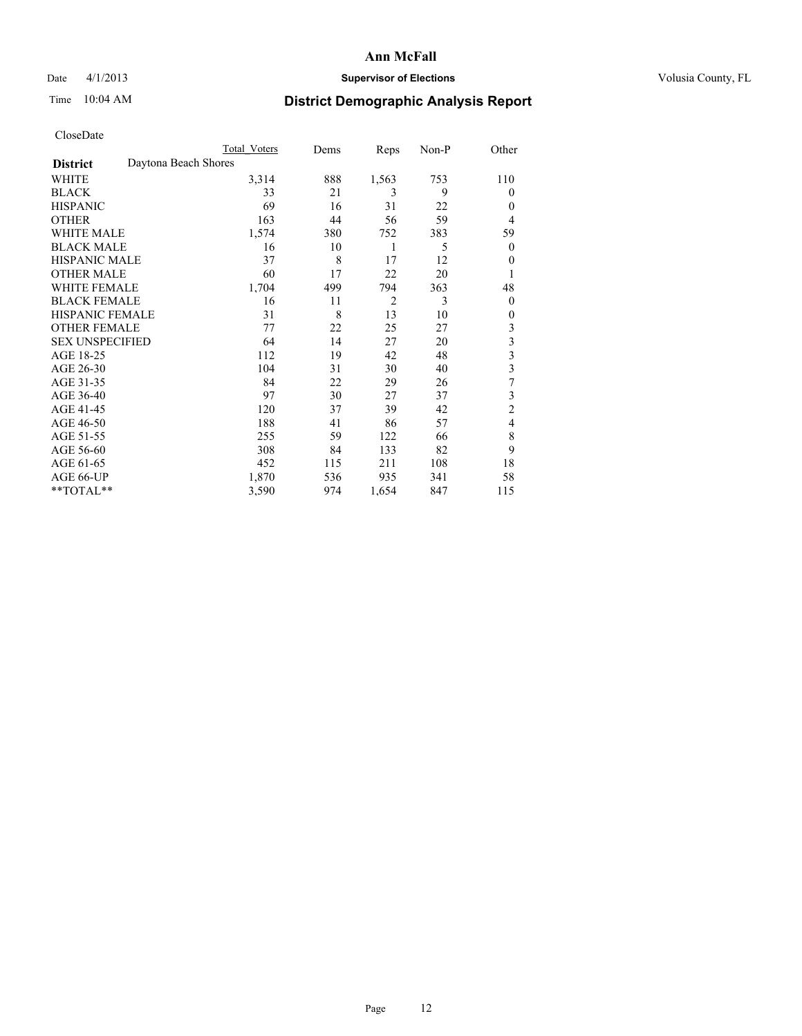### Date 4/1/2013 **Supervisor of Elections Supervisor of Elections** Volusia County, FL

## Time 10:04 AM **District Demographic Analysis Report**

|                        | <b>Total Voters</b>  | Dems | Reps           | Non-P | Other                   |
|------------------------|----------------------|------|----------------|-------|-------------------------|
| <b>District</b>        | Daytona Beach Shores |      |                |       |                         |
| WHITE                  | 3,314                | 888  | 1,563          | 753   | 110                     |
| <b>BLACK</b>           | 33                   | 21   | 3              | 9     | $\Omega$                |
| <b>HISPANIC</b>        | 69                   | 16   | 31             | 22    | $\Omega$                |
| <b>OTHER</b>           | 163                  | 44   | 56             | 59    | $\overline{4}$          |
| WHITE MALE             | 1,574                | 380  | 752            | 383   | 59                      |
| <b>BLACK MALE</b>      | 16                   | 10   | 1              | 5     | $\overline{0}$          |
| <b>HISPANIC MALE</b>   | 37                   | 8    | 17             | 12    | 0                       |
| <b>OTHER MALE</b>      | 60                   | 17   | 22             | 20    | 1                       |
| <b>WHITE FEMALE</b>    | 1,704                | 499  | 794            | 363   | 48                      |
| <b>BLACK FEMALE</b>    | 16                   | 11   | $\overline{2}$ | 3     | $\overline{0}$          |
| <b>HISPANIC FEMALE</b> | 31                   | 8    | 13             | 10    | $\Omega$                |
| <b>OTHER FEMALE</b>    | 77                   | 22   | 25             | 27    | 3                       |
| <b>SEX UNSPECIFIED</b> | 64                   | 14   | 27             | 20    | 3                       |
| AGE 18-25              | 112                  | 19   | 42             | 48    | $\overline{\mathbf{3}}$ |
| AGE 26-30              | 104                  | 31   | 30             | 40    | $\overline{\mathbf{3}}$ |
| AGE 31-35              | 84                   | 22   | 29             | 26    | 7                       |
| AGE 36-40              | 97                   | 30   | 27             | 37    | 3                       |
| AGE 41-45              | 120                  | 37   | 39             | 42    | $\overline{c}$          |
| AGE 46-50              | 188                  | 41   | 86             | 57    | $\overline{4}$          |
| AGE 51-55              | 255                  | 59   | 122            | 66    | 8                       |
| AGE 56-60              | 308                  | 84   | 133            | 82    | 9                       |
| AGE 61-65              | 452                  | 115  | 211            | 108   | 18                      |
| AGE 66-UP              | 1,870                | 536  | 935            | 341   | 58                      |
| **TOTAL**              | 3,590                | 974  | 1,654          | 847   | 115                     |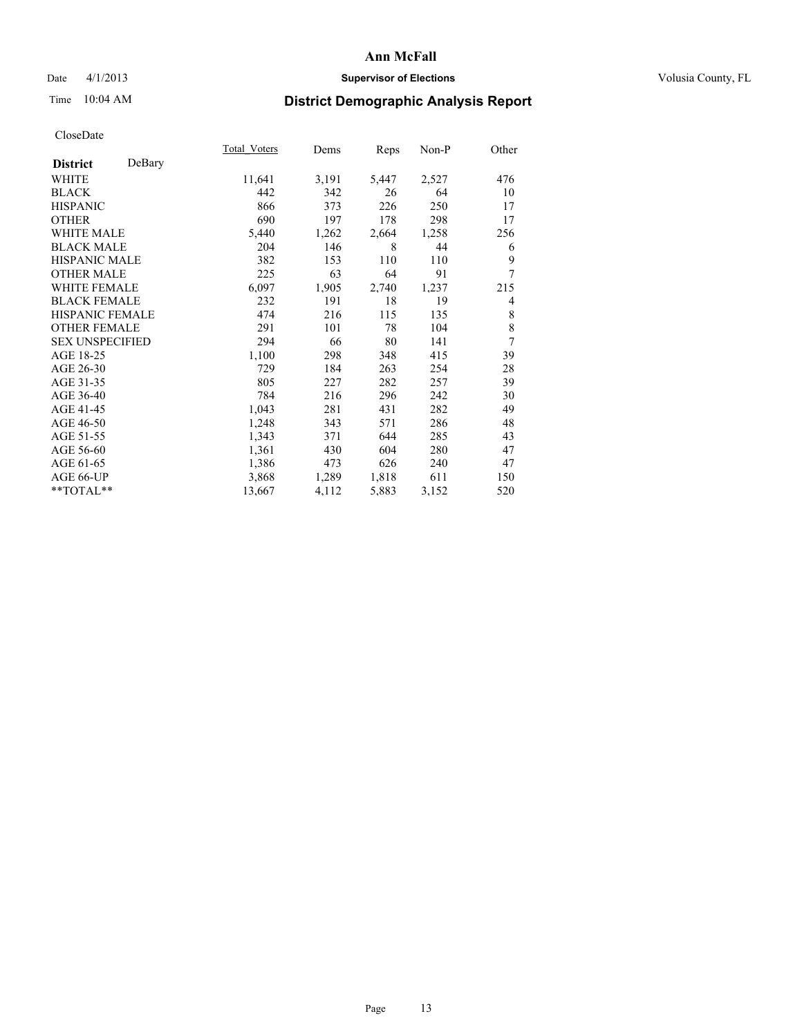### Date 4/1/2013 **Supervisor of Elections Supervisor of Elections** Volusia County, FL

# Time 10:04 AM **District Demographic Analysis Report**

|                        |        | <b>Total Voters</b> | Dems  | Reps  | $Non-P$ | Other |
|------------------------|--------|---------------------|-------|-------|---------|-------|
| <b>District</b>        | DeBary |                     |       |       |         |       |
| WHITE                  |        | 11,641              | 3,191 | 5,447 | 2,527   | 476   |
| <b>BLACK</b>           |        | 442                 | 342   | 26    | 64      | 10    |
| <b>HISPANIC</b>        |        | 866                 | 373   | 226   | 250     | 17    |
| <b>OTHER</b>           |        | 690                 | 197   | 178   | 298     | 17    |
| <b>WHITE MALE</b>      |        | 5,440               | 1,262 | 2,664 | 1,258   | 256   |
| <b>BLACK MALE</b>      |        | 204                 | 146   | 8     | 44      | 6     |
| <b>HISPANIC MALE</b>   |        | 382                 | 153   | 110   | 110     | 9     |
| <b>OTHER MALE</b>      |        | 225                 | 63    | 64    | 91      | 7     |
| WHITE FEMALE           |        | 6,097               | 1,905 | 2,740 | 1,237   | 215   |
| <b>BLACK FEMALE</b>    |        | 232                 | 191   | 18    | 19      | 4     |
| HISPANIC FEMALE        |        | 474                 | 216   | 115   | 135     | 8     |
| <b>OTHER FEMALE</b>    |        | 291                 | 101   | 78    | 104     | 8     |
| <b>SEX UNSPECIFIED</b> |        | 294                 | 66    | 80    | 141     | 7     |
| AGE 18-25              |        | 1,100               | 298   | 348   | 415     | 39    |
| AGE 26-30              |        | 729                 | 184   | 263   | 254     | 28    |
| AGE 31-35              |        | 805                 | 227   | 282   | 257     | 39    |
| AGE 36-40              |        | 784                 | 216   | 296   | 242     | 30    |
| AGE 41-45              |        | 1,043               | 281   | 431   | 282     | 49    |
| AGE 46-50              |        | 1,248               | 343   | 571   | 286     | 48    |
| AGE 51-55              |        | 1,343               | 371   | 644   | 285     | 43    |
| AGE 56-60              |        | 1,361               | 430   | 604   | 280     | 47    |
| AGE 61-65              |        | 1,386               | 473   | 626   | 240     | 47    |
| AGE 66-UP              |        | 3,868               | 1,289 | 1,818 | 611     | 150   |
| **TOTAL**              |        | 13,667              | 4,112 | 5,883 | 3,152   | 520   |
|                        |        |                     |       |       |         |       |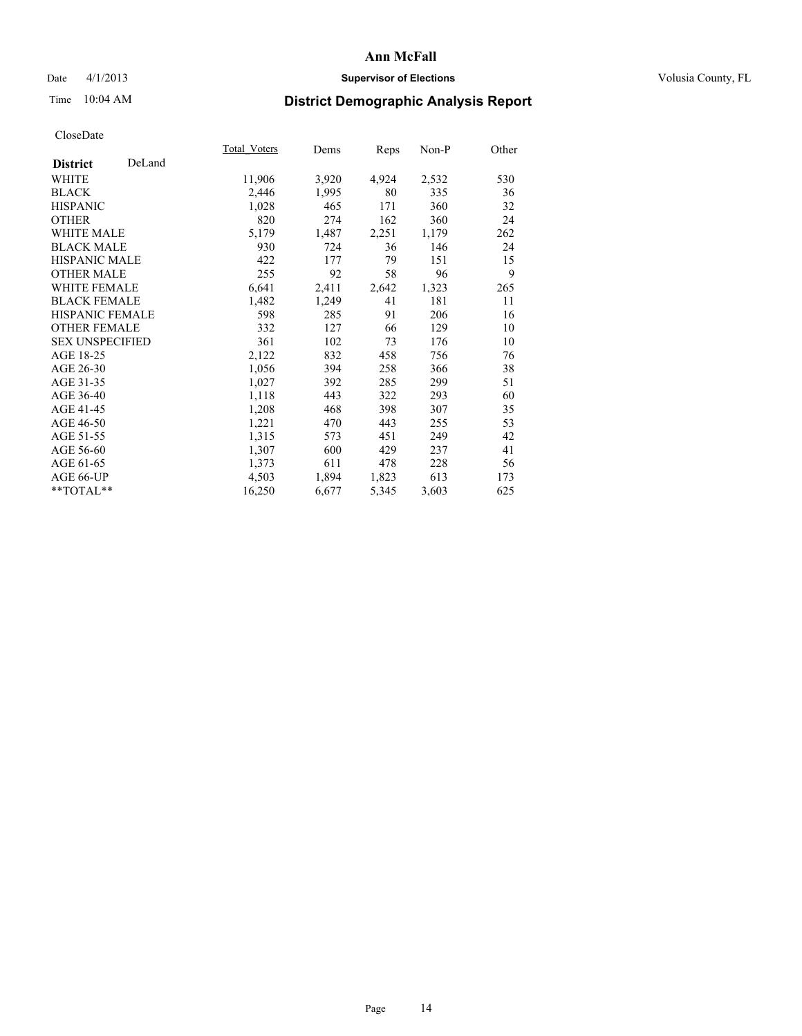### Date 4/1/2013 **Supervisor of Elections Supervisor of Elections** Volusia County, FL

# Time 10:04 AM **District Demographic Analysis Report**

| Total Voters | Dems  |       | Non-P | Other |
|--------------|-------|-------|-------|-------|
|              |       |       |       |       |
| 11,906       | 3,920 | 4,924 | 2,532 | 530   |
| 2,446        | 1,995 | 80    | 335   | 36    |
| 1,028        | 465   | 171   | 360   | 32    |
| 820          | 274   | 162   | 360   | 24    |
| 5,179        | 1,487 | 2,251 | 1,179 | 262   |
| 930          | 724   | 36    | 146   | 24    |
| 422          | 177   | 79    | 151   | 15    |
| 255          | 92    | 58    | 96    | 9     |
| 6,641        | 2,411 | 2,642 | 1,323 | 265   |
| 1,482        | 1,249 | 41    | 181   | 11    |
| 598          | 285   | 91    | 206   | 16    |
| 332          | 127   | 66    | 129   | 10    |
| 361          | 102   | 73    | 176   | 10    |
| 2,122        | 832   | 458   | 756   | 76    |
| 1,056        | 394   | 258   | 366   | 38    |
| 1,027        | 392   | 285   | 299   | 51    |
| 1,118        | 443   | 322   | 293   | 60    |
| 1,208        | 468   | 398   | 307   | 35    |
| 1,221        | 470   | 443   | 255   | 53    |
| 1,315        | 573   | 451   | 249   | 42    |
| 1,307        | 600   | 429   | 237   | 41    |
| 1,373        | 611   | 478   | 228   | 56    |
| 4,503        | 1,894 | 1,823 | 613   | 173   |
| 16,250       | 6,677 | 5,345 | 3,603 | 625   |
|              |       |       | Reps  |       |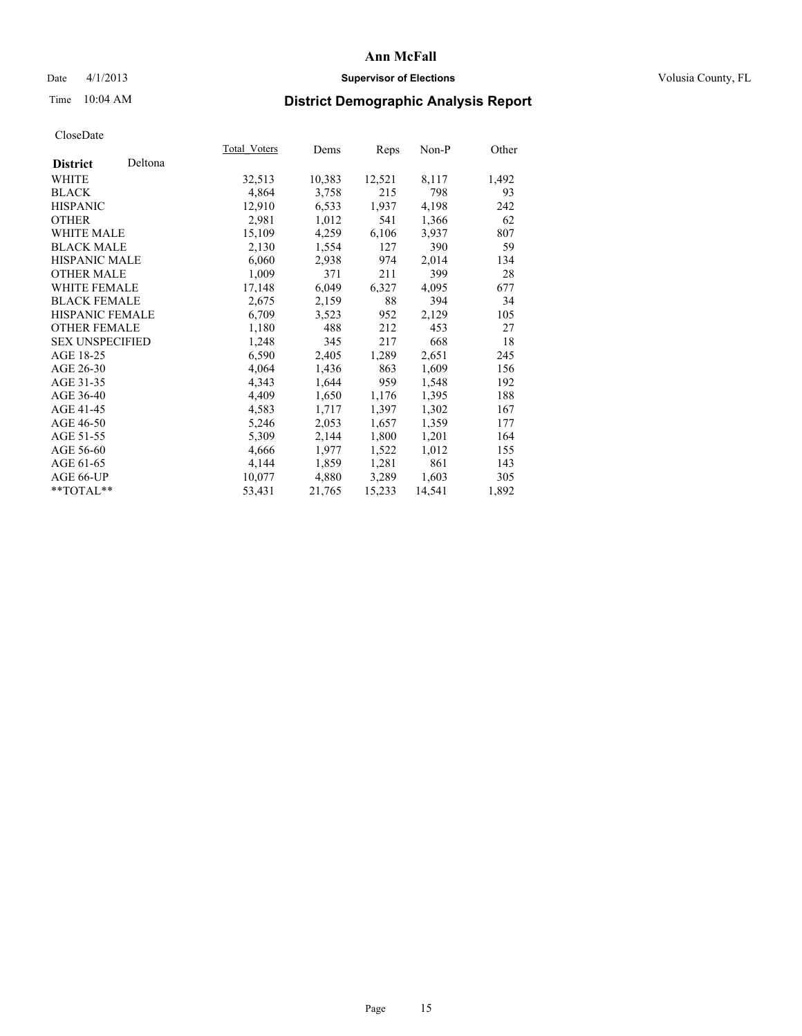### Date 4/1/2013 **Supervisor of Elections Supervisor of Elections** Volusia County, FL

# Time 10:04 AM **District Demographic Analysis Report**

| Total Voters | Dems   |        | Non-P  | Other |
|--------------|--------|--------|--------|-------|
|              |        |        |        |       |
| 32,513       | 10,383 | 12,521 | 8,117  | 1,492 |
| 4,864        | 3,758  | 215    | 798    | 93    |
| 12,910       | 6,533  | 1,937  | 4,198  | 242   |
| 2,981        | 1,012  | 541    | 1,366  | 62    |
| 15,109       | 4,259  | 6,106  | 3,937  | 807   |
| 2,130        | 1,554  | 127    | 390    | 59    |
| 6,060        | 2,938  | 974    | 2,014  | 134   |
| 1,009        | 371    | 211    | 399    | 28    |
| 17,148       | 6,049  | 6,327  | 4,095  | 677   |
| 2,675        | 2,159  | 88     | 394    | 34    |
| 6,709        | 3,523  | 952    | 2,129  | 105   |
| 1,180        | 488    | 212    | 453    | 27    |
| 1,248        | 345    | 217    | 668    | 18    |
| 6,590        | 2,405  | 1,289  | 2,651  | 245   |
|              | 1,436  | 863    | 1,609  | 156   |
| 4,343        | 1,644  | 959    | 1,548  | 192   |
| 4,409        | 1,650  | 1,176  | 1,395  | 188   |
| 4,583        | 1,717  | 1,397  | 1,302  | 167   |
| 5,246        | 2,053  | 1,657  | 1,359  | 177   |
| 5,309        | 2,144  | 1,800  | 1,201  | 164   |
| 4,666        | 1,977  | 1,522  | 1,012  | 155   |
| 4,144        | 1,859  | 1,281  | 861    | 143   |
| 10,077       | 4,880  | 3,289  | 1,603  | 305   |
| 53,431       | 21,765 | 15,233 | 14,541 | 1,892 |
|              | 4,064  |        | Reps   |       |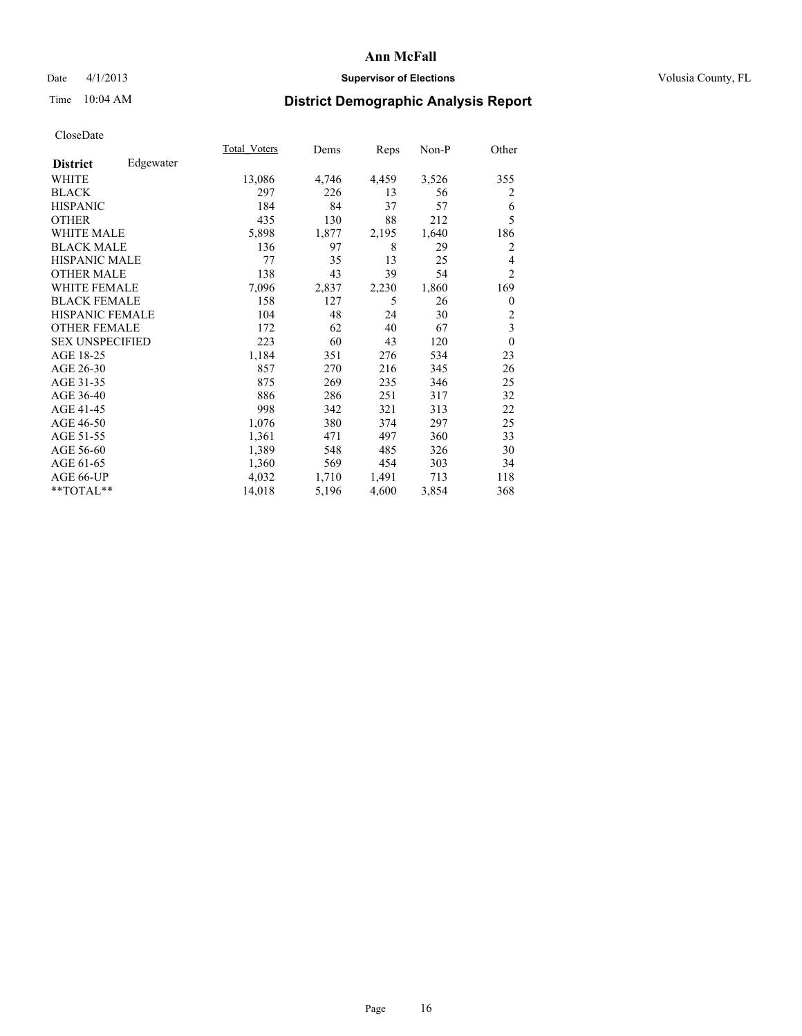### Date 4/1/2013 **Supervisor of Elections Supervisor of Elections** Volusia County, FL

## Time 10:04 AM **District Demographic Analysis Report**

|                        |           | Total Voters | Dems  | Reps  | Non-P | Other          |
|------------------------|-----------|--------------|-------|-------|-------|----------------|
| <b>District</b>        | Edgewater |              |       |       |       |                |
| WHITE                  |           | 13,086       | 4,746 | 4,459 | 3,526 | 355            |
| <b>BLACK</b>           |           | 297          | 226   | 13    | 56    | 2              |
| <b>HISPANIC</b>        |           | 184          | 84    | 37    | 57    | 6              |
| <b>OTHER</b>           |           | 435          | 130   | 88    | 212   | 5              |
| WHITE MALE             |           | 5,898        | 1,877 | 2,195 | 1,640 | 186            |
| <b>BLACK MALE</b>      |           | 136          | 97    | 8     | 29    | 2              |
| <b>HISPANIC MALE</b>   |           | 77           | 35    | 13    | 25    | 4              |
| <b>OTHER MALE</b>      |           | 138          | 43    | 39    | 54    | $\overline{c}$ |
| <b>WHITE FEMALE</b>    |           | 7,096        | 2,837 | 2,230 | 1,860 | 169            |
| <b>BLACK FEMALE</b>    |           | 158          | 127   | 5     | 26    | $\theta$       |
| <b>HISPANIC FEMALE</b> |           | 104          | 48    | 24    | 30    | $\overline{c}$ |
| <b>OTHER FEMALE</b>    |           | 172          | 62    | 40    | 67    | 3              |
| <b>SEX UNSPECIFIED</b> |           | 223          | 60    | 43    | 120   | $\theta$       |
| AGE 18-25              |           | 1,184        | 351   | 276   | 534   | 23             |
| AGE 26-30              |           | 857          | 270   | 216   | 345   | 26             |
| AGE 31-35              |           | 875          | 269   | 235   | 346   | 25             |
| AGE 36-40              |           | 886          | 286   | 251   | 317   | 32             |
| AGE 41-45              |           | 998          | 342   | 321   | 313   | 22             |
| AGE 46-50              |           | 1,076        | 380   | 374   | 297   | 25             |
| AGE 51-55              |           | 1,361        | 471   | 497   | 360   | 33             |
| AGE 56-60              |           | 1,389        | 548   | 485   | 326   | 30             |
| AGE 61-65              |           | 1,360        | 569   | 454   | 303   | 34             |
| AGE 66-UP              |           | 4,032        | 1,710 | 1,491 | 713   | 118            |
| **TOTAL**              |           | 14,018       | 5,196 | 4,600 | 3,854 | 368            |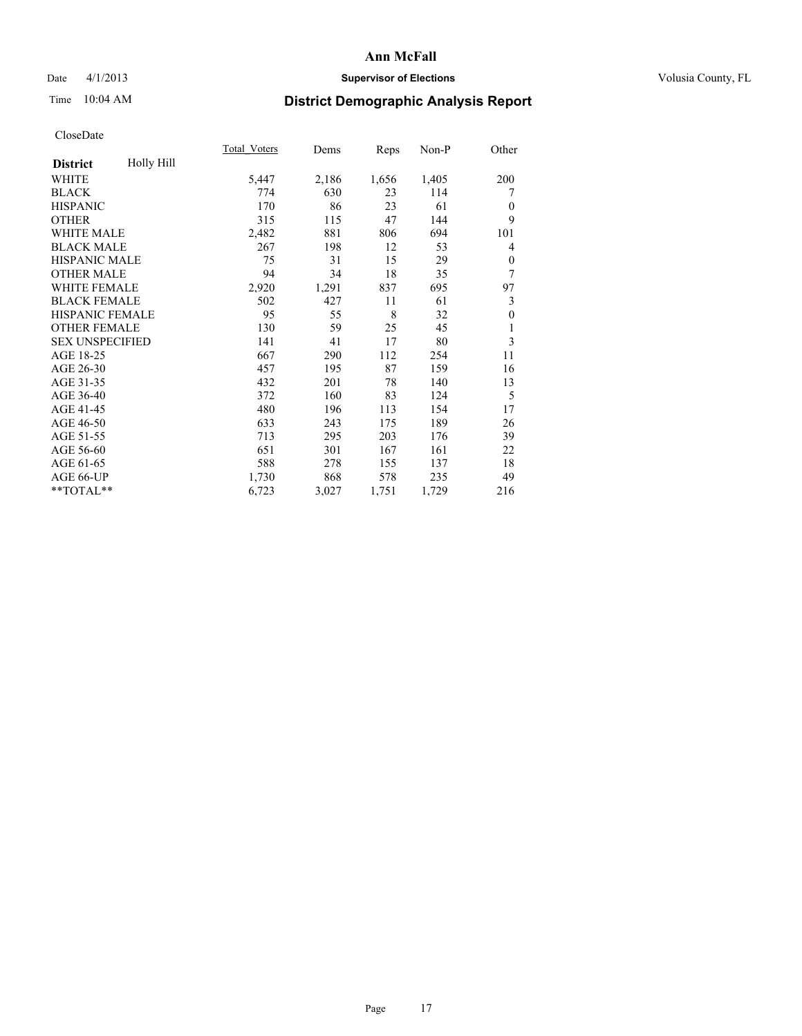### Date 4/1/2013 **Supervisor of Elections Supervisor of Elections** Volusia County, FL

# Time 10:04 AM **District Demographic Analysis Report**

|                        |            | <b>Total Voters</b> | Dems  | Reps  | Non-P | Other    |
|------------------------|------------|---------------------|-------|-------|-------|----------|
| <b>District</b>        | Holly Hill |                     |       |       |       |          |
| WHITE                  |            | 5,447               | 2,186 | 1,656 | 1,405 | 200      |
| <b>BLACK</b>           |            | 774                 | 630   | 23    | 114   | 7        |
| <b>HISPANIC</b>        |            | 170                 | 86    | 23    | 61    | $\Omega$ |
| <b>OTHER</b>           |            | 315                 | 115   | 47    | 144   | 9        |
| <b>WHITE MALE</b>      |            | 2,482               | 881   | 806   | 694   | 101      |
| <b>BLACK MALE</b>      |            | 267                 | 198   | 12    | 53    | 4        |
| <b>HISPANIC MALE</b>   |            | 75                  | 31    | 15    | 29    | $\theta$ |
| <b>OTHER MALE</b>      |            | 94                  | 34    | 18    | 35    | 7        |
| <b>WHITE FEMALE</b>    |            | 2,920               | 1,291 | 837   | 695   | 97       |
| <b>BLACK FEMALE</b>    |            | 502                 | 427   | 11    | 61    | 3        |
| <b>HISPANIC FEMALE</b> |            | 95                  | 55    | 8     | 32    | $\theta$ |
| <b>OTHER FEMALE</b>    |            | 130                 | 59    | 25    | 45    | 1        |
| <b>SEX UNSPECIFIED</b> |            | 141                 | 41    | 17    | 80    | 3        |
| AGE 18-25              |            | 667                 | 290   | 112   | 254   | 11       |
| AGE 26-30              |            | 457                 | 195   | 87    | 159   | 16       |
| AGE 31-35              |            | 432                 | 201   | 78    | 140   | 13       |
| AGE 36-40              |            | 372                 | 160   | 83    | 124   | 5        |
| AGE 41-45              |            | 480                 | 196   | 113   | 154   | 17       |
| AGE 46-50              |            | 633                 | 243   | 175   | 189   | 26       |
| AGE 51-55              |            | 713                 | 295   | 203   | 176   | 39       |
| AGE 56-60              |            | 651                 | 301   | 167   | 161   | 22       |
| AGE 61-65              |            | 588                 | 278   | 155   | 137   | 18       |
| AGE 66-UP              |            | 1,730               | 868   | 578   | 235   | 49       |
| **TOTAL**              |            | 6,723               | 3,027 | 1,751 | 1,729 | 216      |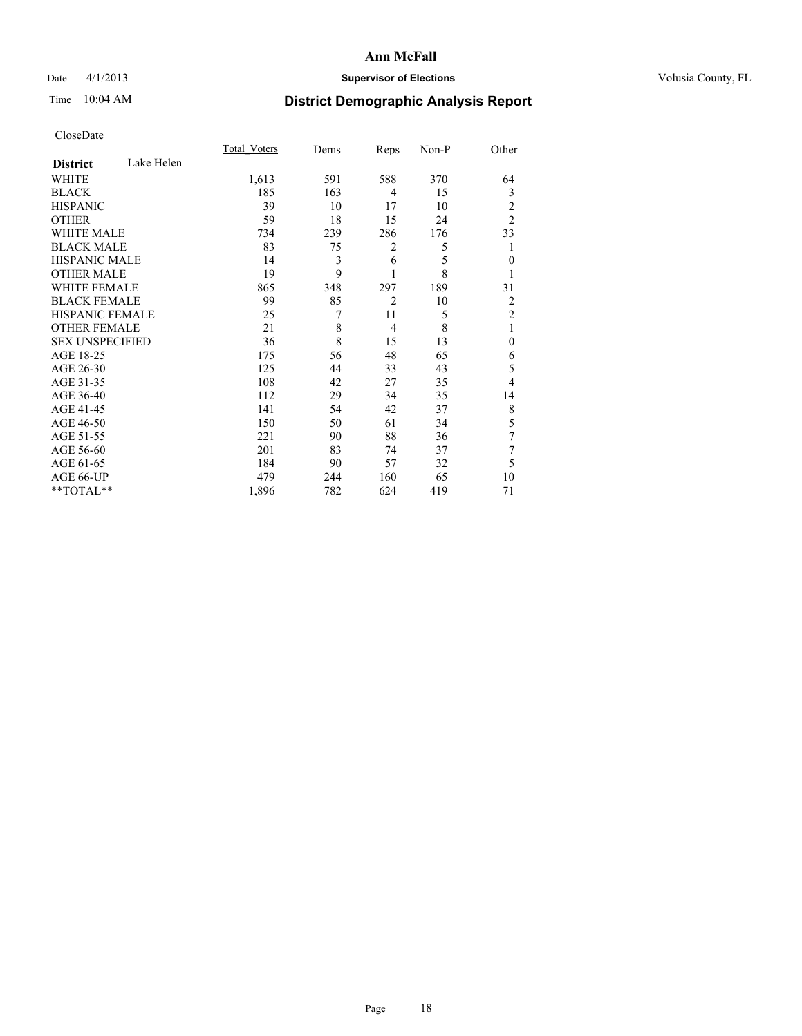### Date 4/1/2013 **Supervisor of Elections Supervisor of Elections** Volusia County, FL

# Time 10:04 AM **District Demographic Analysis Report**

|                        |            | Total Voters | Dems | Reps           | Non-P | Other          |
|------------------------|------------|--------------|------|----------------|-------|----------------|
| <b>District</b>        | Lake Helen |              |      |                |       |                |
| WHITE                  |            | 1,613        | 591  | 588            | 370   | 64             |
| <b>BLACK</b>           |            | 185          | 163  | 4              | 15    | 3              |
| <b>HISPANIC</b>        |            | 39           | 10   | 17             | 10    | 2              |
| <b>OTHER</b>           |            | 59           | 18   | 15             | 24    | $\overline{2}$ |
| WHITE MALE             |            | 734          | 239  | 286            | 176   | 33             |
| <b>BLACK MALE</b>      |            | 83           | 75   | $\overline{c}$ | 5     | 1              |
| <b>HISPANIC MALE</b>   |            | 14           | 3    | 6              | 5     | $\mathbf{0}$   |
| <b>OTHER MALE</b>      |            | 19           | 9    | 1              | 8     |                |
| WHITE FEMALE           |            | 865          | 348  | 297            | 189   | 31             |
| <b>BLACK FEMALE</b>    |            | 99           | 85   | $\overline{2}$ | 10    | 2              |
| HISPANIC FEMALE        |            | 25           | 7    | 11             | 5     | $\overline{2}$ |
| <b>OTHER FEMALE</b>    |            | 21           | 8    | $\overline{4}$ | 8     | 1              |
| <b>SEX UNSPECIFIED</b> |            | 36           | 8    | 15             | 13    | $\theta$       |
| AGE 18-25              |            | 175          | 56   | 48             | 65    | 6              |
| AGE 26-30              |            | 125          | 44   | 33             | 43    | 5              |
| AGE 31-35              |            | 108          | 42   | 27             | 35    | 4              |
| AGE 36-40              |            | 112          | 29   | 34             | 35    | 14             |
| AGE 41-45              |            | 141          | 54   | 42             | 37    | 8              |
| AGE 46-50              |            | 150          | 50   | 61             | 34    | 5              |
| AGE 51-55              |            | 221          | 90   | 88             | 36    | 7              |
| AGE 56-60              |            | 201          | 83   | 74             | 37    | 7              |
| AGE 61-65              |            | 184          | 90   | 57             | 32    | 5              |
| AGE 66-UP              |            | 479          | 244  | 160            | 65    | 10             |
| **TOTAL**              |            | 1,896        | 782  | 624            | 419   | 71             |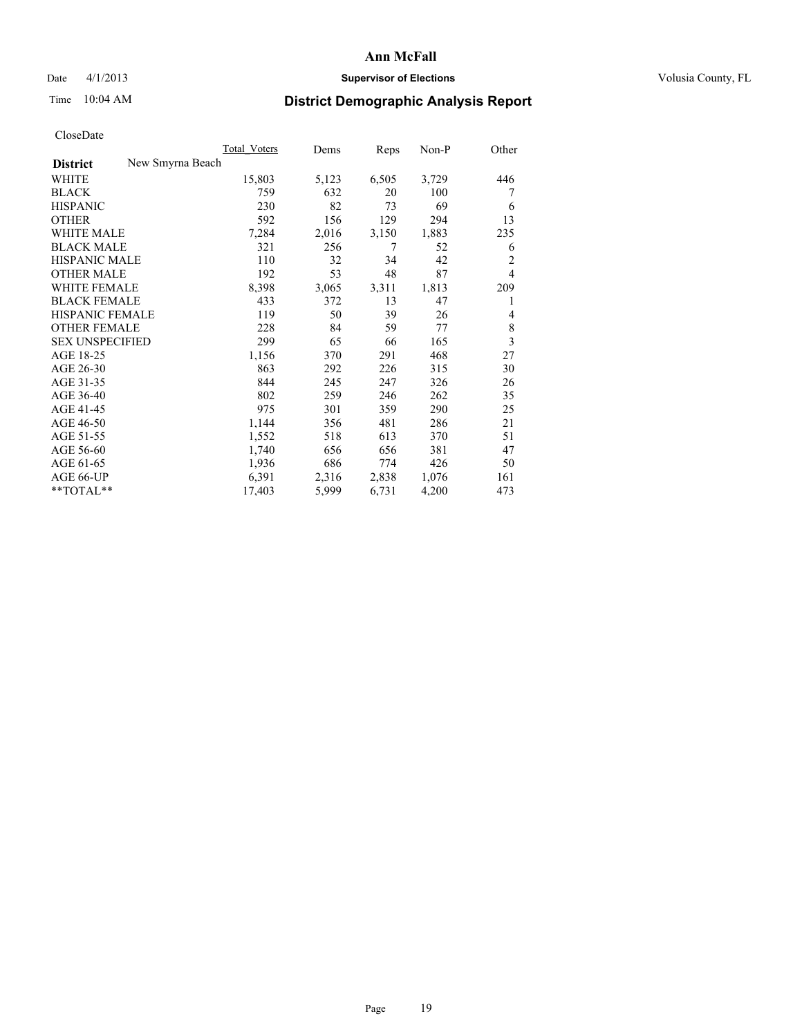#### Date 4/1/2013 **Supervisor of Elections Supervisor of Elections** Volusia County, FL

## Time 10:04 AM **District Demographic Analysis Report**

|                                     | <b>Total Voters</b> | Dems  | Reps  | Non-P | Other                   |
|-------------------------------------|---------------------|-------|-------|-------|-------------------------|
| New Smyrna Beach<br><b>District</b> |                     |       |       |       |                         |
| <b>WHITE</b>                        | 15,803              | 5,123 | 6,505 | 3,729 | 446                     |
| <b>BLACK</b>                        | 759                 | 632   | 20    | 100   | 7                       |
| <b>HISPANIC</b>                     | 230                 | 82    | 73    | 69    | 6                       |
| <b>OTHER</b>                        | 592                 | 156   | 129   | 294   | 13                      |
| <b>WHITE MALE</b>                   | 7,284               | 2,016 | 3,150 | 1,883 | 235                     |
| <b>BLACK MALE</b>                   | 321                 | 256   | 7     | 52    | 6                       |
| <b>HISPANIC MALE</b>                | 110                 | 32    | 34    | 42    | $\overline{c}$          |
| <b>OTHER MALE</b>                   | 192                 | 53    | 48    | 87    | $\overline{4}$          |
| <b>WHITE FEMALE</b>                 | 8,398               | 3,065 | 3,311 | 1,813 | 209                     |
| <b>BLACK FEMALE</b>                 | 433                 | 372   | 13    | 47    | 1                       |
| <b>HISPANIC FEMALE</b>              | 119                 | 50    | 39    | 26    | 4                       |
| <b>OTHER FEMALE</b>                 | 228                 | 84    | 59    | 77    | 8                       |
| <b>SEX UNSPECIFIED</b>              | 299                 | 65    | 66    | 165   | $\overline{\mathbf{3}}$ |
| AGE 18-25                           | 1,156               | 370   | 291   | 468   | 27                      |
| AGE 26-30                           | 863                 | 292   | 226   | 315   | 30                      |
| AGE 31-35                           | 844                 | 245   | 247   | 326   | 26                      |
| AGE 36-40                           | 802                 | 259   | 246   | 262   | 35                      |
| AGE 41-45                           | 975                 | 301   | 359   | 290   | 25                      |
| AGE 46-50                           | 1,144               | 356   | 481   | 286   | 21                      |
| AGE 51-55                           | 1,552               | 518   | 613   | 370   | 51                      |
| AGE 56-60                           | 1,740               | 656   | 656   | 381   | 47                      |
| AGE 61-65                           | 1,936               | 686   | 774   | 426   | 50                      |
| AGE 66-UP                           | 6,391               | 2,316 | 2,838 | 1,076 | 161                     |
| **TOTAL**                           | 17,403              | 5,999 | 6,731 | 4,200 | 473                     |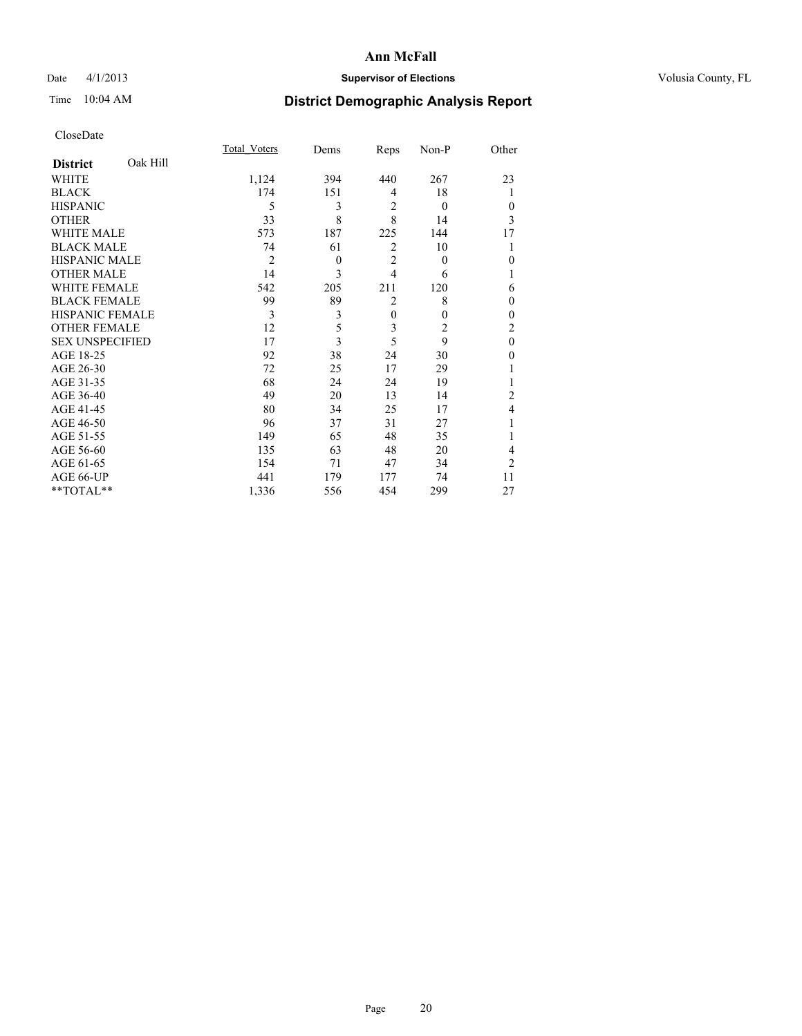### Date 4/1/2013 **Supervisor of Elections Supervisor of Elections** Volusia County, FL

## Time 10:04 AM **District Demographic Analysis Report**

|                        |          | <b>Total Voters</b> | Dems     | Reps           | Non-P        | Other            |
|------------------------|----------|---------------------|----------|----------------|--------------|------------------|
| <b>District</b>        | Oak Hill |                     |          |                |              |                  |
| <b>WHITE</b>           |          | 1,124               | 394      | 440            | 267          | 23               |
| <b>BLACK</b>           |          | 174                 | 151      | $\overline{4}$ | 18           |                  |
| <b>HISPANIC</b>        |          | 5                   | 3        | $\overline{2}$ | $\theta$     | $\theta$         |
| <b>OTHER</b>           |          | 33                  | 8        | 8              | 14           | 3                |
| WHITE MALE             |          | 573                 | 187      | 225            | 144          | 17               |
| <b>BLACK MALE</b>      |          | 74                  | 61       | $\overline{2}$ | 10           |                  |
| <b>HISPANIC MALE</b>   |          | $\overline{2}$      | $\theta$ | $\overline{2}$ | $\theta$     | $\boldsymbol{0}$ |
| <b>OTHER MALE</b>      |          | 14                  | 3        | $\overline{4}$ | 6            | 1                |
| WHITE FEMALE           |          | 542                 | 205      | 211            | 120          | 6                |
| <b>BLACK FEMALE</b>    |          | 99                  | 89       | $\overline{2}$ | 8            | $\theta$         |
| <b>HISPANIC FEMALE</b> |          | 3                   | 3        | $\mathbf{0}$   | $\mathbf{0}$ | $\theta$         |
| <b>OTHER FEMALE</b>    |          | 12                  | 5        | 3              | 2            | $\overline{c}$   |
| <b>SEX UNSPECIFIED</b> |          | 17                  | 3        | 5              | 9            | $\mathbf{0}$     |
| AGE 18-25              |          | 92                  | 38       | 24             | 30           | $\theta$         |
| AGE 26-30              |          | 72                  | 25       | 17             | 29           |                  |
| AGE 31-35              |          | 68                  | 24       | 24             | 19           |                  |
| AGE 36-40              |          | 49                  | 20       | 13             | 14           | $\overline{c}$   |
| AGE 41-45              |          | 80                  | 34       | 25             | 17           | 4                |
| AGE 46-50              |          | 96                  | 37       | 31             | 27           | 1                |
| AGE 51-55              |          | 149                 | 65       | 48             | 35           |                  |
| AGE 56-60              |          | 135                 | 63       | 48             | 20           | 4                |
| AGE 61-65              |          | 154                 | 71       | 47             | 34           | $\overline{c}$   |
| AGE 66-UP              |          | 441                 | 179      | 177            | 74           | 11               |
| **TOTAL**              |          | 1,336               | 556      | 454            | 299          | 27               |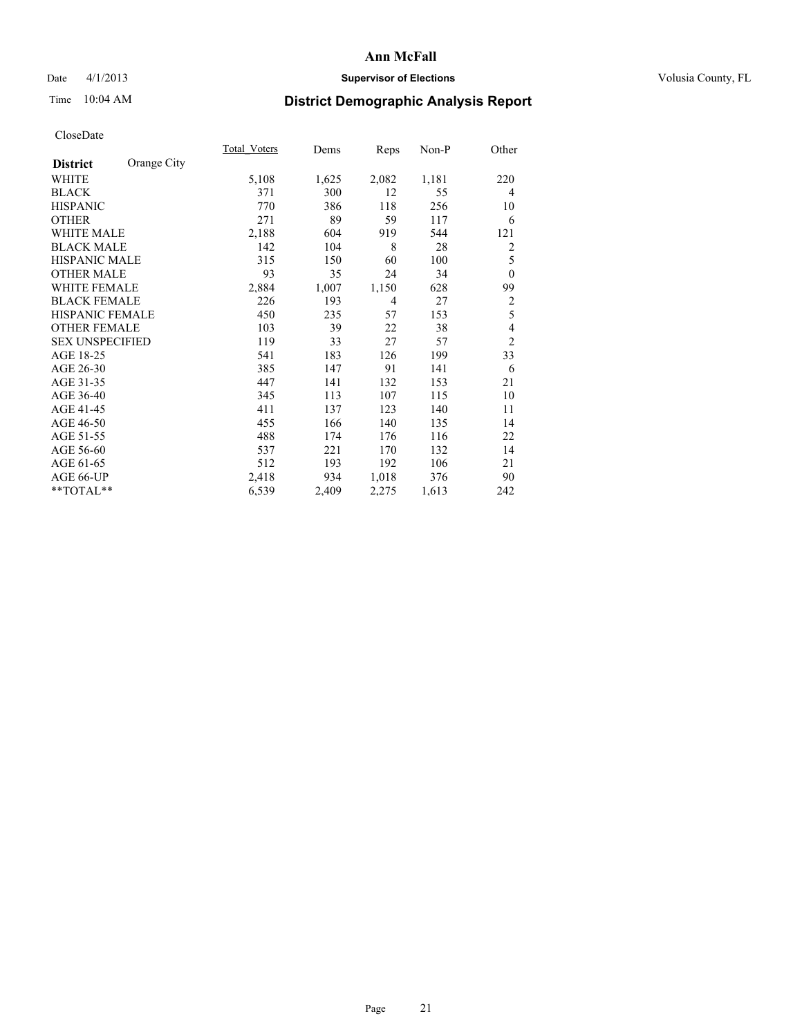### Date 4/1/2013 **Supervisor of Elections Supervisor of Elections** Volusia County, FL

# Time 10:04 AM **District Demographic Analysis Report**

|                        |             | <b>Total Voters</b> | Dems  | Reps           | $Non-P$ | Other          |
|------------------------|-------------|---------------------|-------|----------------|---------|----------------|
| <b>District</b>        | Orange City |                     |       |                |         |                |
| WHITE                  |             | 5,108               | 1,625 | 2,082          | 1,181   | 220            |
| <b>BLACK</b>           |             | 371                 | 300   | 12             | 55      | $\overline{4}$ |
| <b>HISPANIC</b>        |             | 770                 | 386   | 118            | 256     | 10             |
| <b>OTHER</b>           |             | 271                 | 89    | 59             | 117     | 6              |
| <b>WHITE MALE</b>      |             | 2,188               | 604   | 919            | 544     | 121            |
| <b>BLACK MALE</b>      |             | 142                 | 104   | 8              | 28      | 2              |
| HISPANIC MALE          |             | 315                 | 150   | 60             | 100     | 5              |
| <b>OTHER MALE</b>      |             | 93                  | 35    | 24             | 34      | $\mathbf{0}$   |
| <b>WHITE FEMALE</b>    |             | 2,884               | 1,007 | 1,150          | 628     | 99             |
| <b>BLACK FEMALE</b>    |             | 226                 | 193   | $\overline{4}$ | 27      | $\overline{c}$ |
| <b>HISPANIC FEMALE</b> |             | 450                 | 235   | 57             | 153     | 5              |
| <b>OTHER FEMALE</b>    |             | 103                 | 39    | 22             | 38      | 4              |
| <b>SEX UNSPECIFIED</b> |             | 119                 | 33    | 27             | 57      | $\overline{c}$ |
| AGE 18-25              |             | 541                 | 183   | 126            | 199     | 33             |
| AGE 26-30              |             | 385                 | 147   | 91             | 141     | 6              |
| AGE 31-35              |             | 447                 | 141   | 132            | 153     | 21             |
| AGE 36-40              |             | 345                 | 113   | 107            | 115     | 10             |
| AGE 41-45              |             | 411                 | 137   | 123            | 140     | 11             |
| AGE 46-50              |             | 455                 | 166   | 140            | 135     | 14             |
| AGE 51-55              |             | 488                 | 174   | 176            | 116     | 22             |
| AGE 56-60              |             | 537                 | 221   | 170            | 132     | 14             |
| AGE 61-65              |             | 512                 | 193   | 192            | 106     | 21             |
| AGE 66-UP              |             | 2,418               | 934   | 1,018          | 376     | 90             |
| **TOTAL**              |             | 6,539               | 2,409 | 2,275          | 1,613   | 242            |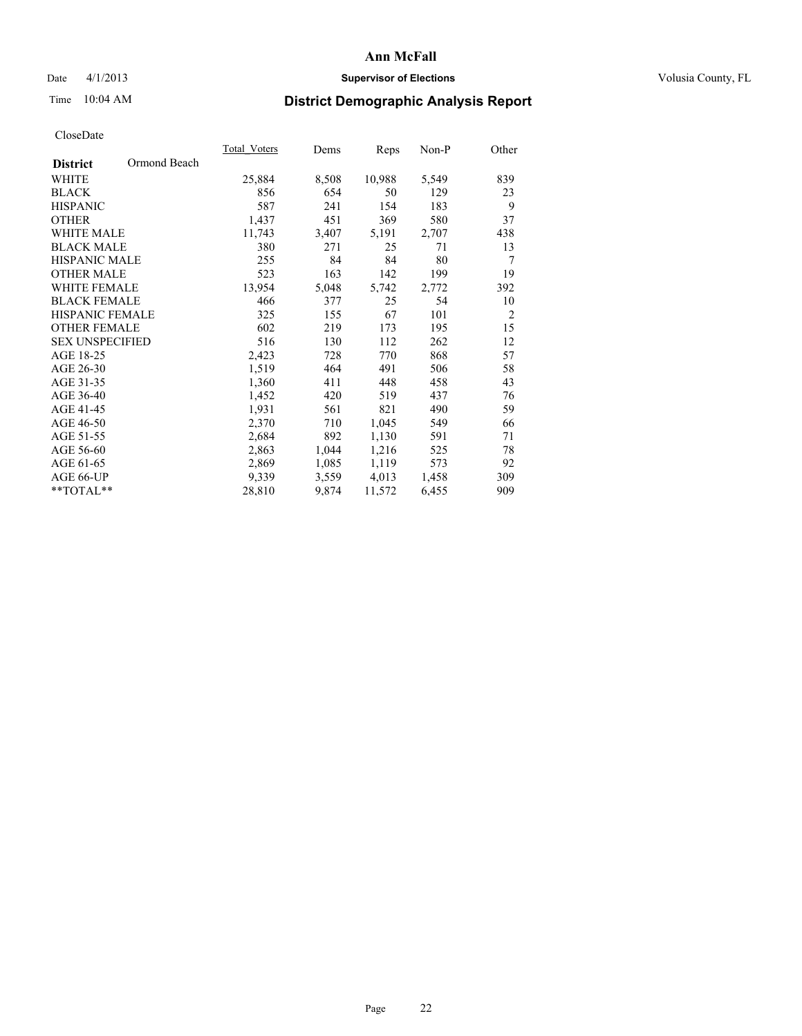### Date 4/1/2013 **Supervisor of Elections Supervisor of Elections** Volusia County, FL

## Time 10:04 AM **District Demographic Analysis Report**

| 25,884 | 8,508 | 10,988 | 5,549 | 839            |
|--------|-------|--------|-------|----------------|
| 856    | 654   | 50     | 129   | 23             |
| 587    | 241   | 154    | 183   | 9              |
| 1,437  | 451   | 369    | 580   | 37             |
| 11,743 | 3,407 | 5,191  | 2,707 | 438            |
| 380    | 271   | 25     | 71    | 13             |
| 255    | 84    | 84     | 80    | 7              |
| 523    | 163   | 142    | 199   | 19             |
| 13,954 | 5,048 | 5,742  | 2,772 | 392            |
| 466    | 377   | 25     | 54    | 10             |
| 325    | 155   | 67     | 101   | $\overline{2}$ |
| 602    | 219   | 173    | 195   | 15             |
| 516    | 130   | 112    | 262   | 12             |
| 2,423  | 728   | 770    | 868   | 57             |
| 1,519  | 464   | 491    | 506   | 58             |
| 1,360  | 411   | 448    | 458   | 43             |
| 1,452  | 420   | 519    | 437   | 76             |
| 1,931  | 561   | 821    | 490   | 59             |
| 2,370  | 710   | 1,045  | 549   | 66             |
| 2,684  | 892   | 1,130  | 591   | 71             |
| 2,863  | 1,044 | 1,216  | 525   | 78             |
| 2,869  | 1,085 | 1,119  | 573   | 92             |
| 9,339  | 3,559 | 4,013  | 1,458 | 309            |
| 28,810 | 9,874 | 11,572 | 6,455 | 909            |
|        |       |        |       |                |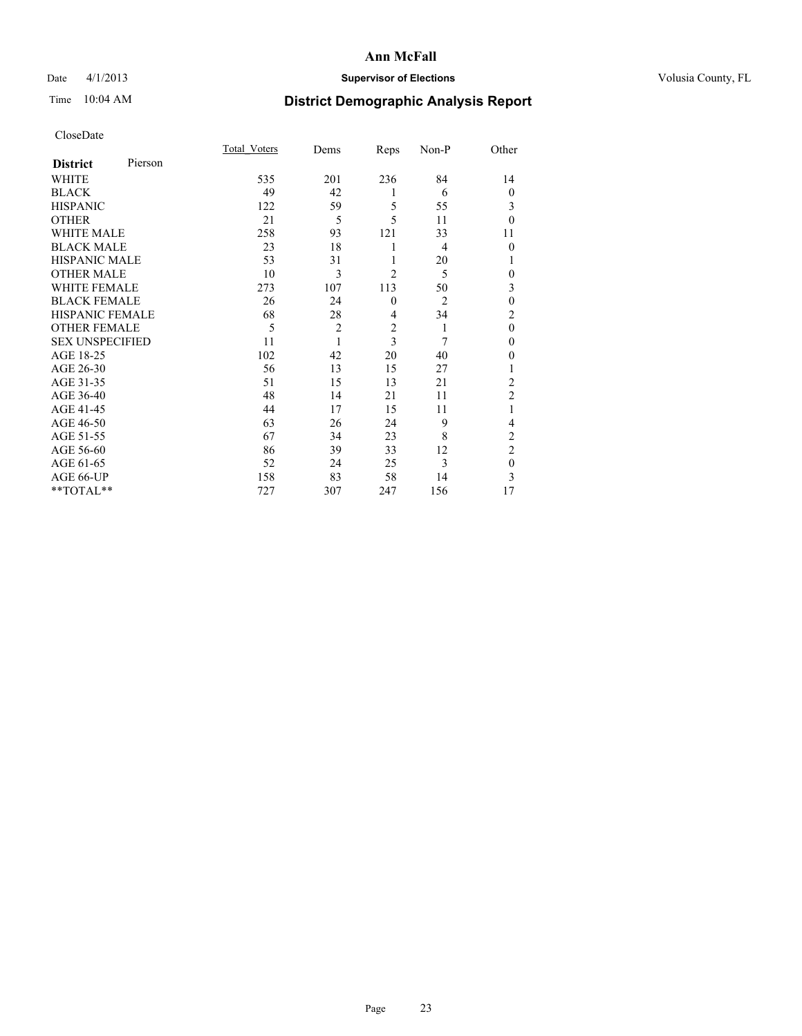### Date 4/1/2013 **Supervisor of Elections Supervisor of Elections** Volusia County, FL

## Time 10:04 AM **District Demographic Analysis Report**

|                        |         | <b>Total Voters</b> | Dems           | Reps           | Non-P          | Other          |
|------------------------|---------|---------------------|----------------|----------------|----------------|----------------|
| <b>District</b>        | Pierson |                     |                |                |                |                |
| WHITE                  |         | 535                 | 201            | 236            | 84             | 14             |
| <b>BLACK</b>           |         | 49                  | 42             | 1              | 6              | $\overline{0}$ |
| <b>HISPANIC</b>        |         | 122                 | 59             | 5              | 55             | 3              |
| <b>OTHER</b>           |         | 21                  | 5              | 5              | 11             | $\theta$       |
| WHITE MALE             |         | 258                 | 93             | 121            | 33             | 11             |
| <b>BLACK MALE</b>      |         | 23                  | 18             | 1              | $\overline{4}$ | $\theta$       |
| <b>HISPANIC MALE</b>   |         | 53                  | 31             | 1              | 20             | 1              |
| <b>OTHER MALE</b>      |         | 10                  | 3              | $\overline{2}$ | 5              | 0              |
| <b>WHITE FEMALE</b>    |         | 273                 | 107            | 113            | 50             | 3              |
| <b>BLACK FEMALE</b>    |         | 26                  | 24             | $\mathbf{0}$   | $\overline{2}$ | $\mathbf{0}$   |
| <b>HISPANIC FEMALE</b> |         | 68                  | 28             | 4              | 34             | $\overline{c}$ |
| <b>OTHER FEMALE</b>    |         | 5                   | $\overline{c}$ | $\overline{c}$ | 1              | $\theta$       |
| <b>SEX UNSPECIFIED</b> |         | 11                  | 1              | $\overline{3}$ | 7              | $\mathbf{0}$   |
| AGE 18-25              |         | 102                 | 42             | 20             | 40             | $\theta$       |
| AGE 26-30              |         | 56                  | 13             | 15             | 27             | 1              |
| AGE 31-35              |         | 51                  | 15             | 13             | 21             | $\overline{c}$ |
| AGE 36-40              |         | 48                  | 14             | 21             | 11             | $\overline{2}$ |
| AGE 41-45              |         | 44                  | 17             | 15             | 11             |                |
| AGE 46-50              |         | 63                  | 26             | 24             | 9              | 4              |
| AGE 51-55              |         | 67                  | 34             | 23             | 8              | $\overline{c}$ |
| AGE 56-60              |         | 86                  | 39             | 33             | 12             | $\overline{c}$ |
| AGE 61-65              |         | 52                  | 24             | 25             | 3              | $\mathbf{0}$   |
| AGE 66-UP              |         | 158                 | 83             | 58             | 14             | 3              |
| **TOTAL**              |         | 727                 | 307            | 247            | 156            | 17             |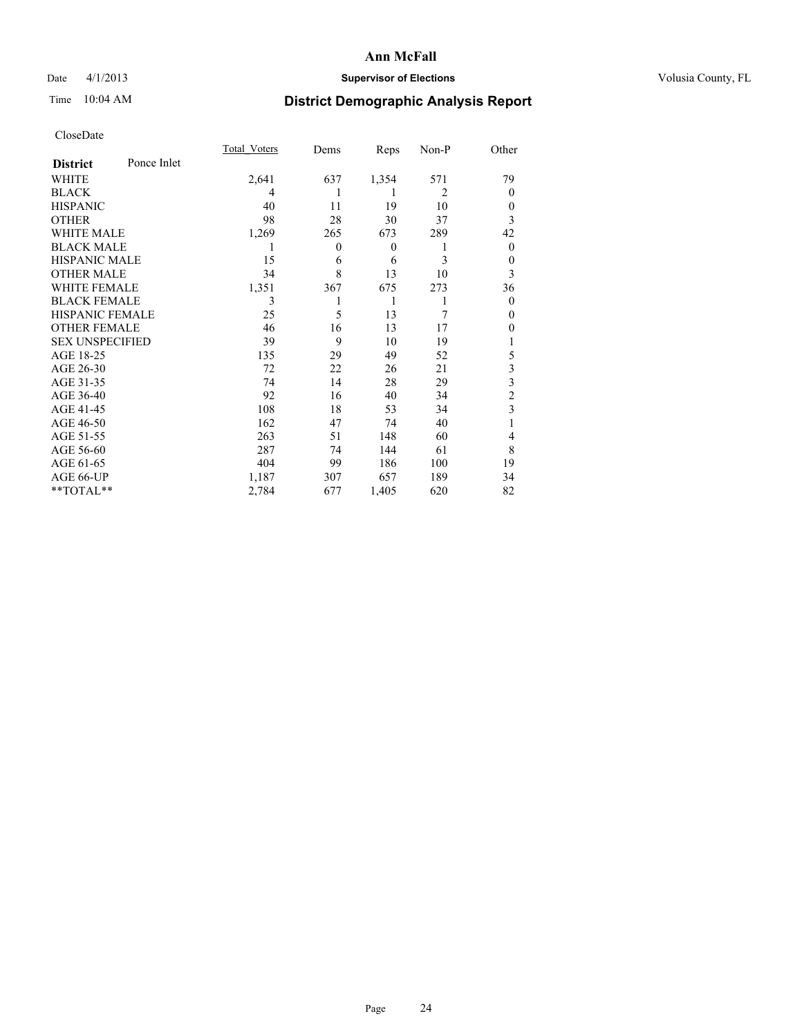### Date 4/1/2013 **Supervisor of Elections Supervisor of Elections** Volusia County, FL

## Time 10:04 AM **District Demographic Analysis Report**

|                        |             | <b>Total Voters</b> | Dems           | Reps     | Non-P          | Other                   |
|------------------------|-------------|---------------------|----------------|----------|----------------|-------------------------|
| <b>District</b>        | Ponce Inlet |                     |                |          |                |                         |
| WHITE                  |             | 2,641               | 637            | 1,354    | 571            | 79                      |
| <b>BLACK</b>           |             | 4                   |                | 1        | $\overline{2}$ | $\Omega$                |
| <b>HISPANIC</b>        |             | 40                  | 11             | 19       | 10             | $\Omega$                |
| <b>OTHER</b>           |             | 98                  | 28             | 30       | 37             | 3                       |
| WHITE MALE             |             | 1,269               | 265            | 673      | 289            | 42                      |
| <b>BLACK MALE</b>      |             | 1                   | $\overline{0}$ | $\theta$ | 1              | $\overline{0}$          |
| <b>HISPANIC MALE</b>   |             | 15                  | 6              | 6        | 3              | $\overline{0}$          |
| <b>OTHER MALE</b>      |             | 34                  | 8              | 13       | 10             | 3                       |
| <b>WHITE FEMALE</b>    |             | 1,351               | 367            | 675      | 273            | 36                      |
| <b>BLACK FEMALE</b>    |             | 3                   |                | 1        | 1              | $\overline{0}$          |
| <b>HISPANIC FEMALE</b> |             | 25                  | 5              | 13       | 7              | $\Omega$                |
| <b>OTHER FEMALE</b>    |             | 46                  | 16             | 13       | 17             | $\theta$                |
| <b>SEX UNSPECIFIED</b> |             | 39                  | 9              | 10       | 19             |                         |
| AGE 18-25              |             | 135                 | 29             | 49       | 52             | 5                       |
| AGE 26-30              |             | 72                  | 22             | 26       | 21             | $\overline{\mathbf{3}}$ |
| AGE 31-35              |             | 74                  | 14             | 28       | 29             | $\overline{\mathbf{3}}$ |
| AGE 36-40              |             | 92                  | 16             | 40       | 34             | $\overline{c}$          |
| AGE 41-45              |             | 108                 | 18             | 53       | 34             | 3                       |
| AGE 46-50              |             | 162                 | 47             | 74       | 40             | 1                       |
| AGE 51-55              |             | 263                 | 51             | 148      | 60             | $\overline{4}$          |
| AGE 56-60              |             | 287                 | 74             | 144      | 61             | 8                       |
| AGE 61-65              |             | 404                 | 99             | 186      | 100            | 19                      |
| AGE 66-UP              |             | 1,187               | 307            | 657      | 189            | 34                      |
| **TOTAL**              |             | 2,784               | 677            | 1,405    | 620            | 82                      |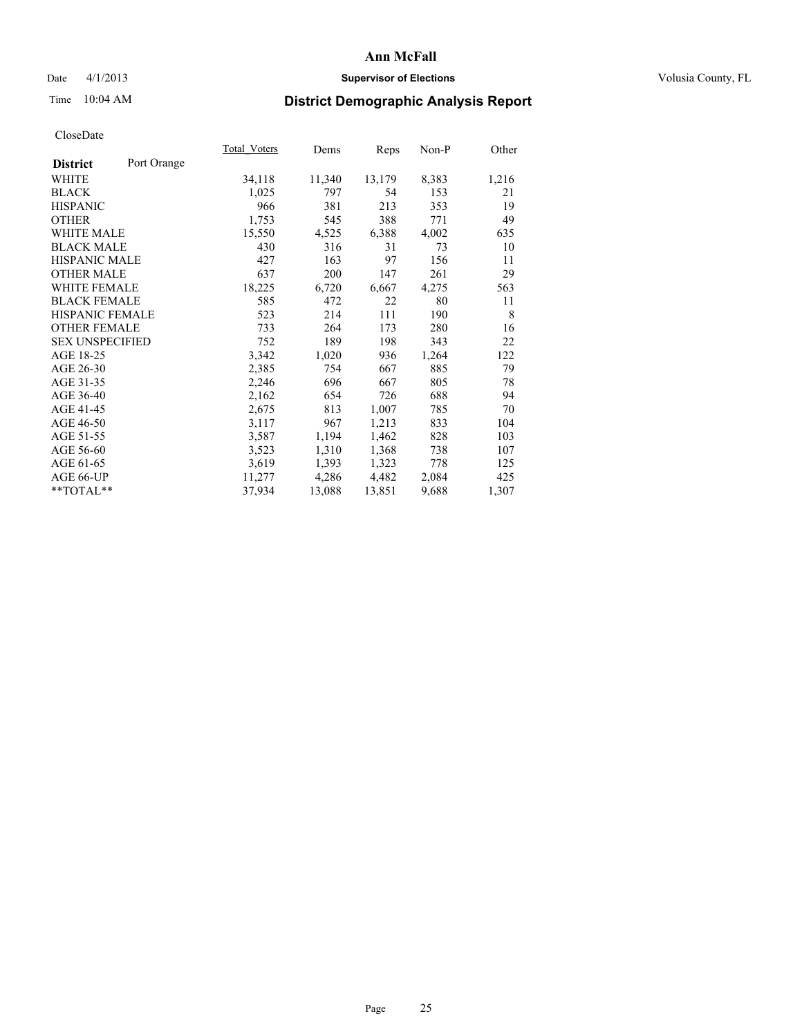### Date 4/1/2013 **Supervisor of Elections Supervisor of Elections** Volusia County, FL

# Time 10:04 AM **District Demographic Analysis Report**

| Total Voters | Dems   | <b>Reps</b> | Non-P | Other |
|--------------|--------|-------------|-------|-------|
|              |        |             |       |       |
| 34,118       | 11,340 | 13,179      | 8,383 | 1,216 |
| 1,025        | 797    | 54          | 153   | 21    |
| 966          | 381    | 213         | 353   | 19    |
| 1,753        | 545    | 388         | 771   | 49    |
| 15,550       | 4,525  | 6,388       | 4,002 | 635   |
| 430          | 316    | 31          | 73    | 10    |
| 427          | 163    | 97          | 156   | 11    |
| 637          | 200    | 147         | 261   | 29    |
| 18,225       | 6,720  | 6,667       | 4,275 | 563   |
| 585          | 472    | 22          | 80    | 11    |
| 523          | 214    | 111         | 190   | 8     |
| 733          | 264    | 173         | 280   | 16    |
| 752          | 189    | 198         | 343   | 22    |
| 3,342        | 1,020  | 936         | 1,264 | 122   |
| 2,385        | 754    | 667         | 885   | 79    |
| 2,246        | 696    | 667         | 805   | 78    |
| 2,162        | 654    | 726         | 688   | 94    |
| 2,675        | 813    | 1,007       | 785   | 70    |
| 3,117        | 967    | 1,213       | 833   | 104   |
| 3,587        | 1,194  | 1,462       | 828   | 103   |
| 3,523        | 1,310  | 1,368       | 738   | 107   |
| 3,619        | 1,393  | 1,323       | 778   | 125   |
| 11,277       | 4,286  | 4,482       | 2,084 | 425   |
| 37,934       | 13,088 | 13,851      | 9,688 | 1,307 |
|              |        |             |       |       |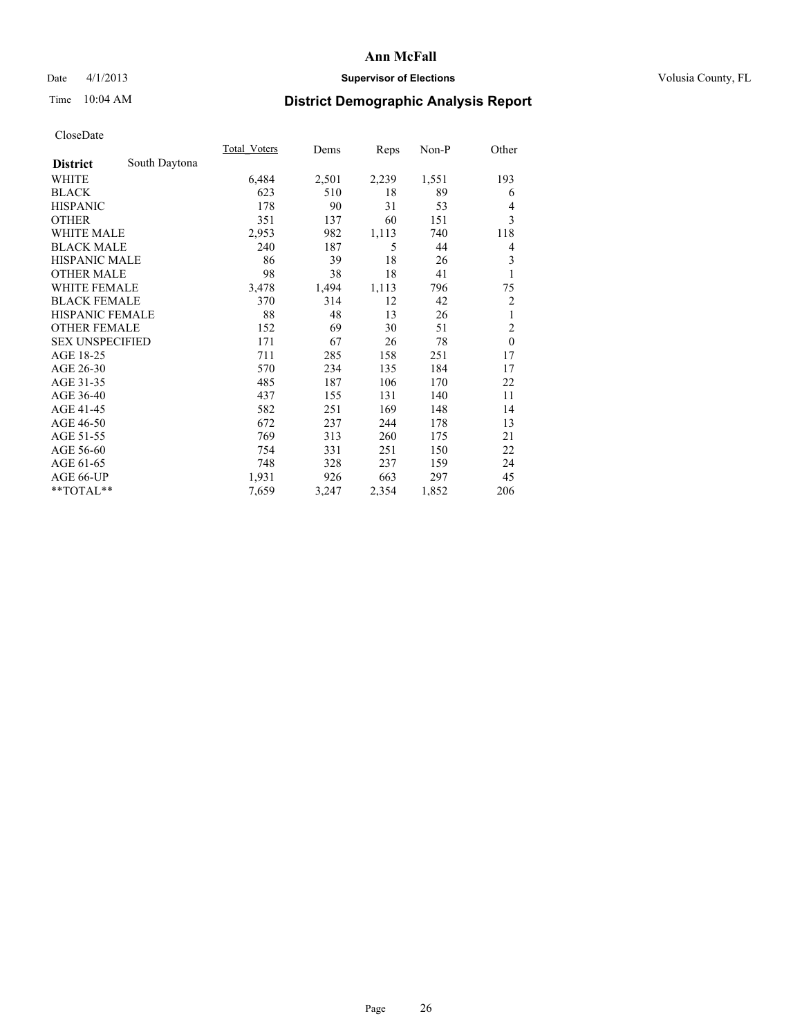### Date 4/1/2013 **Supervisor of Elections Supervisor of Elections** Volusia County, FL

## Time 10:04 AM **District Demographic Analysis Report**

|                        |               | <b>Total Voters</b> | Dems  | Reps  | $Non-P$ | Other          |
|------------------------|---------------|---------------------|-------|-------|---------|----------------|
| <b>District</b>        | South Daytona |                     |       |       |         |                |
| WHITE                  |               | 6,484               | 2,501 | 2,239 | 1,551   | 193            |
| <b>BLACK</b>           |               | 623                 | 510   | 18    | 89      | 6              |
| <b>HISPANIC</b>        |               | 178                 | 90    | 31    | 53      | $\overline{4}$ |
| <b>OTHER</b>           |               | 351                 | 137   | 60    | 151     | 3              |
| <b>WHITE MALE</b>      |               | 2,953               | 982   | 1,113 | 740     | 118            |
| <b>BLACK MALE</b>      |               | 240                 | 187   | 5     | 44      | 4              |
| <b>HISPANIC MALE</b>   |               | 86                  | 39    | 18    | 26      | 3              |
| <b>OTHER MALE</b>      |               | 98                  | 38    | 18    | 41      | 1              |
| WHITE FEMALE           |               | 3,478               | 1,494 | 1,113 | 796     | 75             |
| <b>BLACK FEMALE</b>    |               | 370                 | 314   | 12    | 42      | $\overline{2}$ |
| <b>HISPANIC FEMALE</b> |               | 88                  | 48    | 13    | 26      | 1              |
| <b>OTHER FEMALE</b>    |               | 152                 | 69    | 30    | 51      | $\overline{2}$ |
| <b>SEX UNSPECIFIED</b> |               | 171                 | 67    | 26    | 78      | $\mathbf{0}$   |
| AGE 18-25              |               | 711                 | 285   | 158   | 251     | 17             |
| AGE 26-30              |               | 570                 | 234   | 135   | 184     | 17             |
| AGE 31-35              |               | 485                 | 187   | 106   | 170     | 22             |
| AGE 36-40              |               | 437                 | 155   | 131   | 140     | 11             |
| AGE 41-45              |               | 582                 | 251   | 169   | 148     | 14             |
| AGE 46-50              |               | 672                 | 237   | 244   | 178     | 13             |
| AGE 51-55              |               | 769                 | 313   | 260   | 175     | 21             |
| AGE 56-60              |               | 754                 | 331   | 251   | 150     | 22             |
| AGE 61-65              |               | 748                 | 328   | 237   | 159     | 24             |
| AGE 66-UP              |               | 1,931               | 926   | 663   | 297     | 45             |
| **TOTAL**              |               | 7,659               | 3,247 | 2,354 | 1,852   | 206            |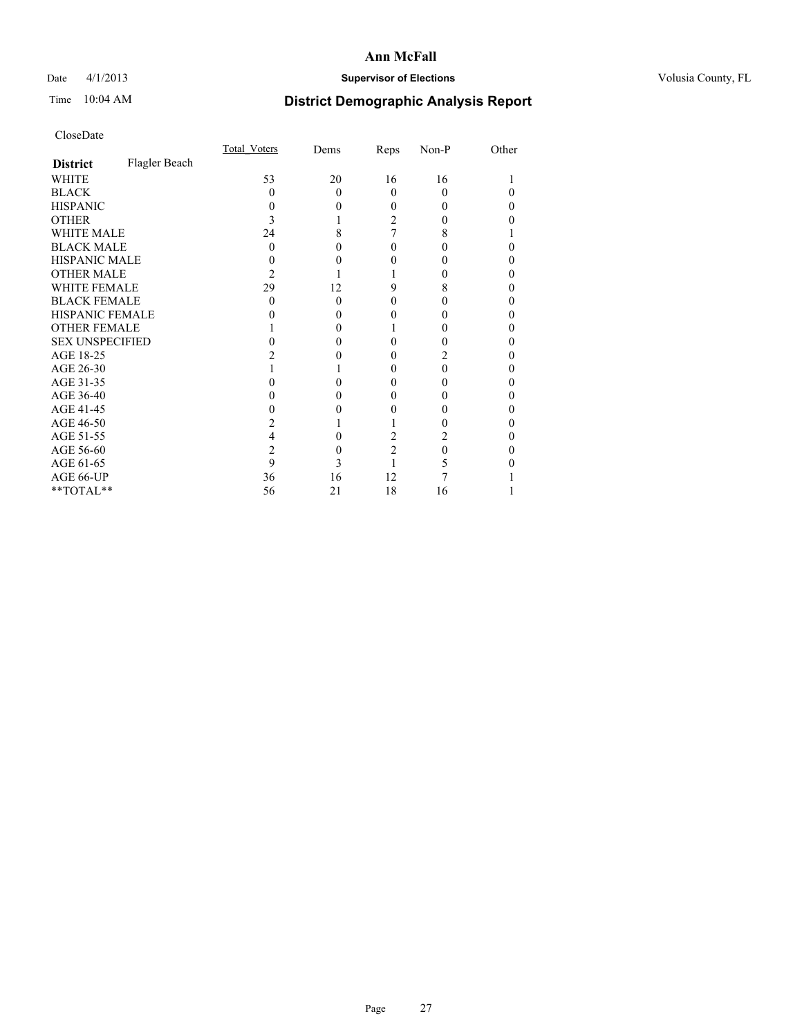### Date 4/1/2013 **Supervisor of Elections Supervisor of Elections** Volusia County, FL

# Time 10:04 AM **District Demographic Analysis Report**

|                        |               | <b>Total Voters</b> | Dems     | Reps           | Non-P    | Other |
|------------------------|---------------|---------------------|----------|----------------|----------|-------|
| <b>District</b>        | Flagler Beach |                     |          |                |          |       |
| <b>WHITE</b>           |               | 53                  | 20       | 16             | 16       |       |
| <b>BLACK</b>           |               | 0                   | $\Omega$ | $\theta$       | $\Omega$ |       |
| <b>HISPANIC</b>        |               | 0                   | 0        | 0              | $\theta$ | 0     |
| <b>OTHER</b>           |               |                     |          | 2              | 0        |       |
| <b>WHITE MALE</b>      |               | 24                  | 8        |                | 8        |       |
| <b>BLACK MALE</b>      |               | 0                   |          | 0              | 0        |       |
| <b>HISPANIC MALE</b>   |               |                     |          |                |          |       |
| <b>OTHER MALE</b>      |               | 2                   |          |                | 0        | 0     |
| <b>WHITE FEMALE</b>    |               | 29                  | 12       | 9              | 8        |       |
| <b>BLACK FEMALE</b>    |               | 0                   | $\Omega$ | 0              | 0        | 0     |
| <b>HISPANIC FEMALE</b> |               |                     |          |                |          |       |
| <b>OTHER FEMALE</b>    |               |                     | 0        |                | 0        | 0     |
| <b>SEX UNSPECIFIED</b> |               |                     |          |                |          |       |
| AGE 18-25              |               |                     |          | 0              |          | 0     |
| AGE 26-30              |               |                     |          | 0              | 0        | 0     |
| AGE 31-35              |               |                     |          |                |          |       |
| AGE 36-40              |               |                     |          | 0              | 0        | 0     |
| AGE 41-45              |               |                     |          |                |          |       |
| AGE 46-50              |               |                     |          |                |          | 0     |
| AGE 51-55              |               |                     |          | 2              |          |       |
| AGE 56-60              |               | 2                   |          | $\overline{c}$ | 0        |       |
| AGE 61-65              |               | 9                   | 3        |                |          |       |
| AGE 66-UP              |               | 36                  | 16       | 12             |          |       |
| **TOTAL**              |               | 56                  | 21       | 18             | 16       |       |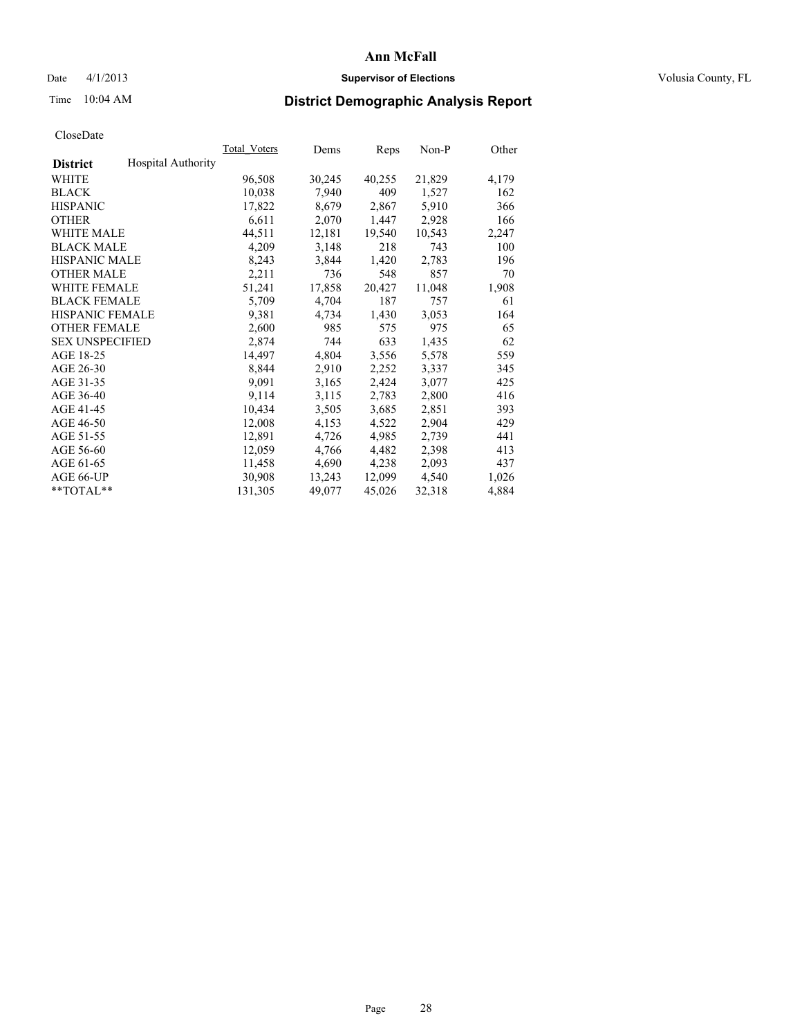#### Date 4/1/2013 **Supervisor of Elections Supervisor of Elections** Volusia County, FL

# Time 10:04 AM **District Demographic Analysis Report**

|                        |                           | Total Voters | Dems   | Reps   | Non-P  | Other |
|------------------------|---------------------------|--------------|--------|--------|--------|-------|
| <b>District</b>        | <b>Hospital Authority</b> |              |        |        |        |       |
| <b>WHITE</b>           |                           | 96,508       | 30,245 | 40,255 | 21,829 | 4,179 |
| <b>BLACK</b>           |                           | 10,038       | 7,940  | 409    | 1,527  | 162   |
| <b>HISPANIC</b>        |                           | 17,822       | 8,679  | 2,867  | 5,910  | 366   |
| <b>OTHER</b>           |                           | 6,611        | 2,070  | 1,447  | 2,928  | 166   |
| <b>WHITE MALE</b>      |                           | 44,511       | 12,181 | 19,540 | 10,543 | 2,247 |
| <b>BLACK MALE</b>      |                           | 4,209        | 3,148  | 218    | 743    | 100   |
| <b>HISPANIC MALE</b>   |                           | 8,243        | 3,844  | 1,420  | 2,783  | 196   |
| <b>OTHER MALE</b>      |                           | 2,211        | 736    | 548    | 857    | 70    |
| <b>WHITE FEMALE</b>    |                           | 51,241       | 17,858 | 20,427 | 11,048 | 1,908 |
| <b>BLACK FEMALE</b>    |                           | 5,709        | 4,704  | 187    | 757    | 61    |
| <b>HISPANIC FEMALE</b> |                           | 9.381        | 4,734  | 1,430  | 3,053  | 164   |
| <b>OTHER FEMALE</b>    |                           | 2,600        | 985    | 575    | 975    | 65    |
| <b>SEX UNSPECIFIED</b> |                           | 2,874        | 744    | 633    | 1,435  | 62    |
| AGE 18-25              |                           | 14,497       | 4,804  | 3,556  | 5,578  | 559   |
| AGE 26-30              |                           | 8,844        | 2,910  | 2,252  | 3,337  | 345   |
| AGE 31-35              |                           | 9,091        | 3,165  | 2,424  | 3,077  | 425   |
| AGE 36-40              |                           | 9,114        | 3,115  | 2,783  | 2,800  | 416   |
| AGE 41-45              |                           | 10,434       | 3,505  | 3,685  | 2,851  | 393   |
| AGE 46-50              |                           | 12,008       | 4,153  | 4,522  | 2,904  | 429   |
| AGE 51-55              |                           | 12,891       | 4,726  | 4,985  | 2,739  | 441   |
| AGE 56-60              |                           | 12,059       | 4,766  | 4,482  | 2,398  | 413   |
| AGE 61-65              |                           | 11,458       | 4,690  | 4,238  | 2,093  | 437   |
| AGE 66-UP              |                           | 30,908       | 13,243 | 12,099 | 4,540  | 1,026 |
| $*$ $TOTAL**$          |                           | 131,305      | 49,077 | 45,026 | 32,318 | 4,884 |
|                        |                           |              |        |        |        |       |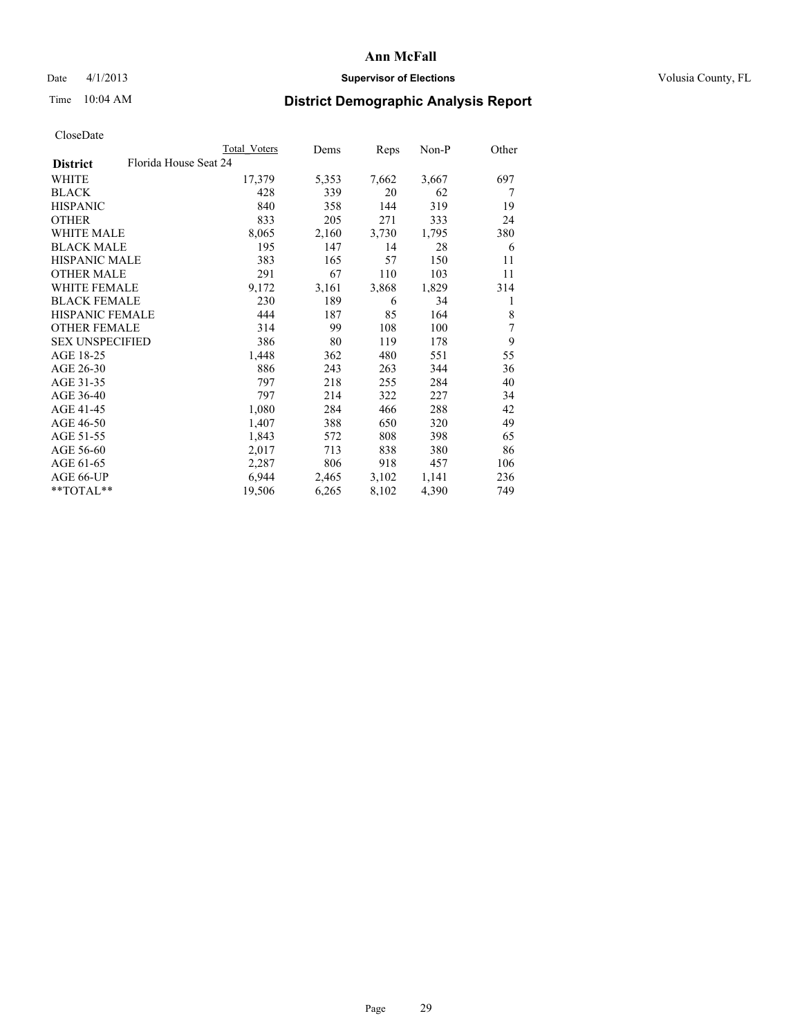### Date 4/1/2013 **Supervisor of Elections Supervisor of Elections** Volusia County, FL

# Time 10:04 AM **District Demographic Analysis Report**

|                        |                       | Total Voters | Dems  | <b>Reps</b> | $Non-P$ | Other |
|------------------------|-----------------------|--------------|-------|-------------|---------|-------|
| <b>District</b>        | Florida House Seat 24 |              |       |             |         |       |
| WHITE                  |                       | 17,379       | 5,353 | 7,662       | 3,667   | 697   |
| <b>BLACK</b>           |                       | 428          | 339   | 20          | 62      | 7     |
| <b>HISPANIC</b>        |                       | 840          | 358   | 144         | 319     | 19    |
| <b>OTHER</b>           |                       | 833          | 205   | 271         | 333     | 24    |
| <b>WHITE MALE</b>      |                       | 8,065        | 2,160 | 3,730       | 1,795   | 380   |
| <b>BLACK MALE</b>      |                       | 195          | 147   | 14          | 28      | 6     |
| <b>HISPANIC MALE</b>   |                       | 383          | 165   | 57          | 150     | 11    |
| <b>OTHER MALE</b>      |                       | 291          | 67    | 110         | 103     | 11    |
| <b>WHITE FEMALE</b>    |                       | 9,172        | 3,161 | 3,868       | 1,829   | 314   |
| <b>BLACK FEMALE</b>    |                       | 230          | 189   | 6           | 34      | 1     |
| HISPANIC FEMALE        |                       | 444          | 187   | 85          | 164     | 8     |
| <b>OTHER FEMALE</b>    |                       | 314          | 99    | 108         | 100     | 7     |
| <b>SEX UNSPECIFIED</b> |                       | 386          | 80    | 119         | 178     | 9     |
| AGE 18-25              |                       | 1,448        | 362   | 480         | 551     | 55    |
| AGE 26-30              |                       | 886          | 243   | 263         | 344     | 36    |
| AGE 31-35              |                       | 797          | 218   | 255         | 284     | 40    |
| AGE 36-40              |                       | 797          | 214   | 322         | 227     | 34    |
| AGE 41-45              |                       | 1,080        | 284   | 466         | 288     | 42    |
| AGE 46-50              |                       | 1,407        | 388   | 650         | 320     | 49    |
| AGE 51-55              |                       | 1,843        | 572   | 808         | 398     | 65    |
| AGE 56-60              |                       | 2,017        | 713   | 838         | 380     | 86    |
| AGE 61-65              |                       | 2,287        | 806   | 918         | 457     | 106   |
| AGE 66-UP              |                       | 6,944        | 2,465 | 3,102       | 1,141   | 236   |
| $*$ $TOTAL**$          |                       | 19,506       | 6,265 | 8,102       | 4,390   | 749   |
|                        |                       |              |       |             |         |       |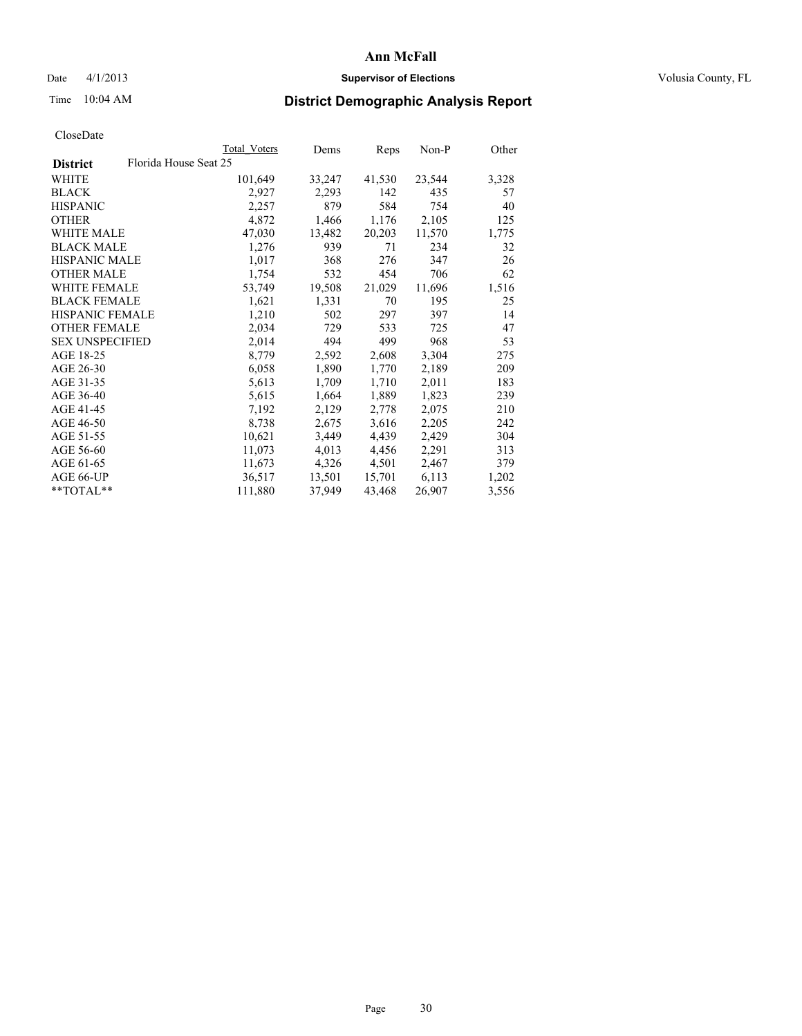#### Date 4/1/2013 **Supervisor of Elections Supervisor of Elections** Volusia County, FL

# Time 10:04 AM **District Demographic Analysis Report**

| Total Voters | Dems                  | Reps   | Non-P  | Other |
|--------------|-----------------------|--------|--------|-------|
|              |                       |        |        |       |
| 101,649      | 33,247                | 41,530 | 23,544 | 3,328 |
| 2,927        | 2,293                 | 142    | 435    | 57    |
| 2,257        | 879                   | 584    | 754    | 40    |
| 4,872        | 1,466                 | 1,176  | 2,105  | 125   |
| 47,030       | 13,482                | 20,203 | 11,570 | 1,775 |
| 1,276        | 939                   | 71     | 234    | 32    |
| 1,017        | 368                   | 276    | 347    | 26    |
| 1,754        | 532                   | 454    | 706    | 62    |
| 53,749       | 19,508                | 21,029 | 11,696 | 1,516 |
| 1,621        | 1,331                 | 70     | 195    | 25    |
| 1,210        | 502                   | 297    | 397    | 14    |
| 2,034        | 729                   | 533    | 725    | 47    |
| 2,014        | 494                   | 499    | 968    | 53    |
| 8,779        | 2,592                 | 2,608  | 3,304  | 275   |
| 6,058        | 1,890                 | 1,770  | 2,189  | 209   |
| 5,613        | 1,709                 | 1,710  | 2,011  | 183   |
| 5,615        | 1,664                 | 1,889  | 1,823  | 239   |
| 7,192        | 2,129                 | 2,778  | 2,075  | 210   |
| 8,738        | 2,675                 | 3,616  | 2,205  | 242   |
| 10,621       | 3,449                 | 4,439  | 2,429  | 304   |
| 11,073       | 4,013                 | 4,456  | 2,291  | 313   |
| 11,673       | 4,326                 | 4,501  | 2,467  | 379   |
| 36,517       | 13,501                | 15,701 | 6,113  | 1,202 |
| 111,880      | 37,949                | 43,468 | 26,907 | 3,556 |
|              | Florida House Seat 25 |        |        |       |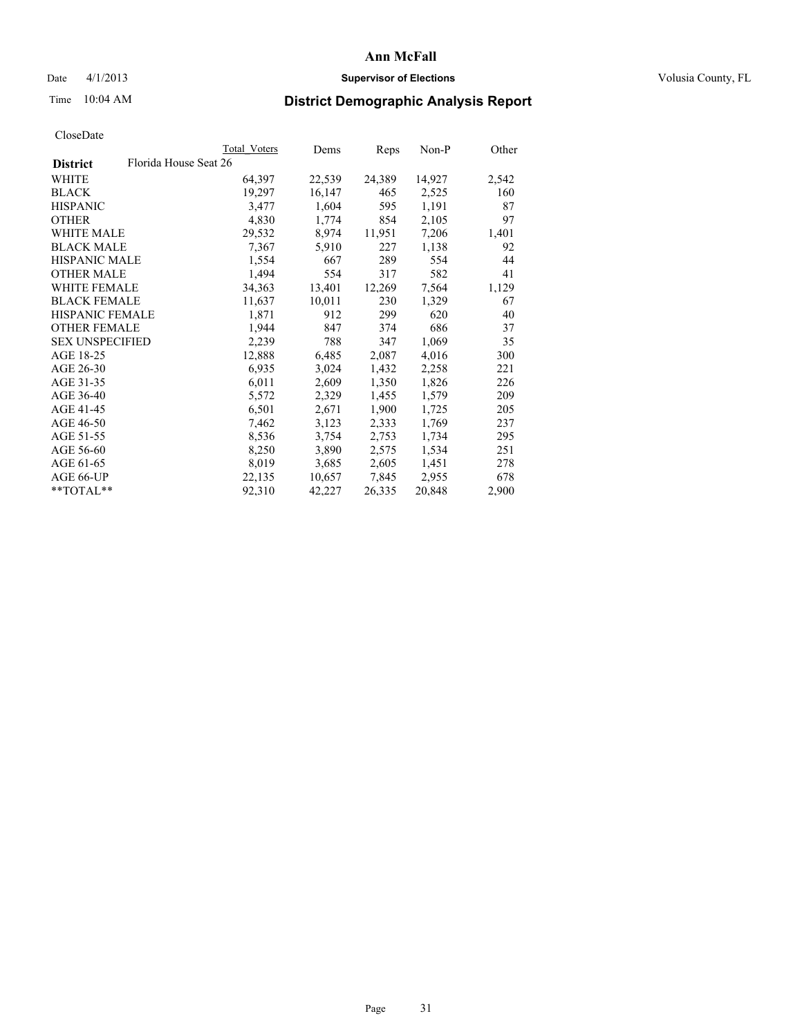#### Date 4/1/2013 **Supervisor of Elections Supervisor of Elections** Volusia County, FL

# Time 10:04 AM **District Demographic Analysis Report**

|                        |                       | Total Voters | Dems   | Reps   | Non-P  | Other |
|------------------------|-----------------------|--------------|--------|--------|--------|-------|
| <b>District</b>        | Florida House Seat 26 |              |        |        |        |       |
| <b>WHITE</b>           |                       | 64,397       | 22,539 | 24,389 | 14,927 | 2,542 |
| <b>BLACK</b>           |                       | 19,297       | 16,147 | 465    | 2,525  | 160   |
| <b>HISPANIC</b>        |                       | 3,477        | 1,604  | 595    | 1,191  | 87    |
| <b>OTHER</b>           |                       | 4,830        | 1,774  | 854    | 2,105  | 97    |
| <b>WHITE MALE</b>      |                       | 29,532       | 8,974  | 11,951 | 7,206  | 1,401 |
| <b>BLACK MALE</b>      |                       | 7,367        | 5,910  | 227    | 1,138  | 92    |
| <b>HISPANIC MALE</b>   |                       | 1,554        | 667    | 289    | 554    | 44    |
| <b>OTHER MALE</b>      |                       | 1,494        | 554    | 317    | 582    | 41    |
| <b>WHITE FEMALE</b>    |                       | 34,363       | 13,401 | 12,269 | 7,564  | 1,129 |
| <b>BLACK FEMALE</b>    |                       | 11,637       | 10,011 | 230    | 1,329  | 67    |
| <b>HISPANIC FEMALE</b> |                       | 1,871        | 912    | 299    | 620    | 40    |
| <b>OTHER FEMALE</b>    |                       | 1,944        | 847    | 374    | 686    | 37    |
| <b>SEX UNSPECIFIED</b> |                       | 2,239        | 788    | 347    | 1,069  | 35    |
| AGE 18-25              |                       | 12,888       | 6,485  | 2,087  | 4,016  | 300   |
| AGE 26-30              |                       | 6,935        | 3,024  | 1,432  | 2,258  | 221   |
| AGE 31-35              |                       | 6,011        | 2,609  | 1,350  | 1,826  | 226   |
| AGE 36-40              |                       | 5,572        | 2,329  | 1,455  | 1,579  | 209   |
| AGE 41-45              |                       | 6,501        | 2,671  | 1,900  | 1,725  | 205   |
| AGE 46-50              |                       | 7,462        | 3,123  | 2,333  | 1,769  | 237   |
| AGE 51-55              |                       | 8,536        | 3,754  | 2,753  | 1,734  | 295   |
| AGE 56-60              |                       | 8,250        | 3,890  | 2,575  | 1,534  | 251   |
| AGE 61-65              |                       | 8,019        | 3,685  | 2,605  | 1,451  | 278   |
| AGE 66-UP              |                       | 22,135       | 10,657 | 7,845  | 2,955  | 678   |
| $*$ $TOTAL**$          |                       | 92,310       | 42,227 | 26,335 | 20,848 | 2,900 |
|                        |                       |              |        |        |        |       |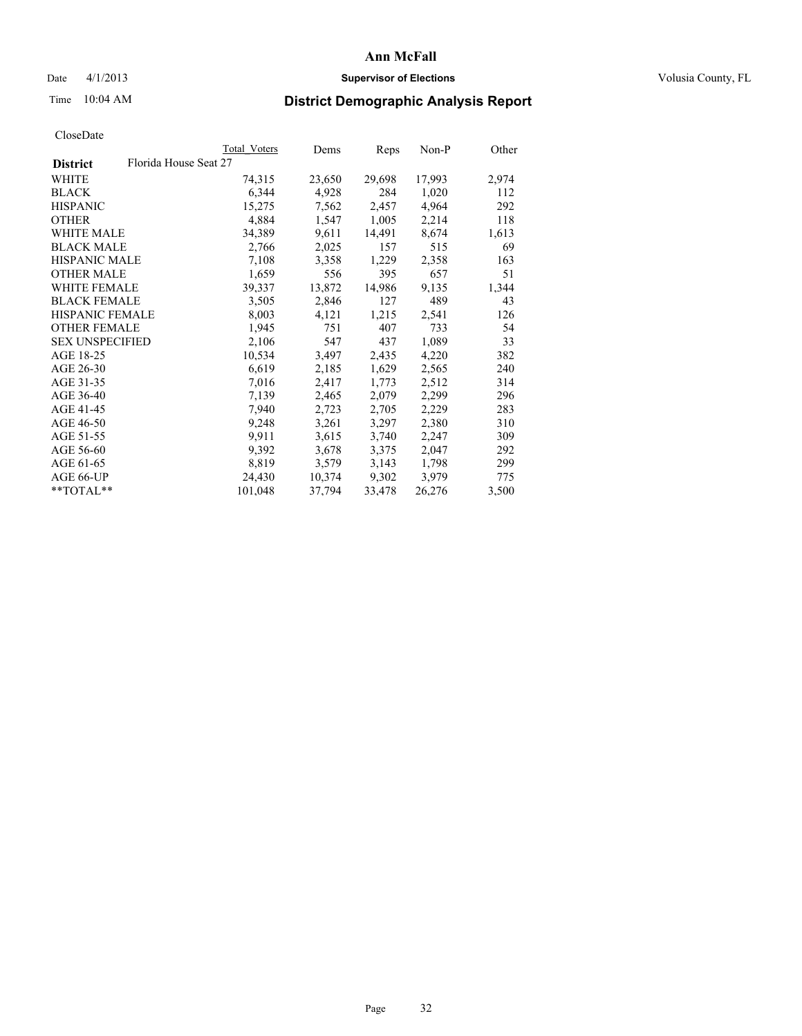#### Date 4/1/2013 **Supervisor of Elections Supervisor of Elections** Volusia County, FL

## Time 10:04 AM **District Demographic Analysis Report**

|                                          | <b>Total Voters</b> | Dems   | Reps   | Non-P  | Other |
|------------------------------------------|---------------------|--------|--------|--------|-------|
| Florida House Seat 27<br><b>District</b> |                     |        |        |        |       |
| WHITE                                    | 74,315              | 23,650 | 29,698 | 17,993 | 2,974 |
| <b>BLACK</b>                             | 6,344               | 4,928  | 284    | 1,020  | 112   |
| <b>HISPANIC</b>                          | 15,275              | 7,562  | 2,457  | 4,964  | 292   |
| <b>OTHER</b>                             | 4,884               | 1,547  | 1,005  | 2,214  | 118   |
| WHITE MALE                               | 34,389              | 9,611  | 14,491 | 8,674  | 1,613 |
| <b>BLACK MALE</b>                        | 2,766               | 2,025  | 157    | 515    | 69    |
| <b>HISPANIC MALE</b>                     | 7,108               | 3,358  | 1,229  | 2,358  | 163   |
| <b>OTHER MALE</b>                        | 1,659               | 556    | 395    | 657    | 51    |
| <b>WHITE FEMALE</b>                      | 39,337              | 13,872 | 14,986 | 9,135  | 1,344 |
| <b>BLACK FEMALE</b>                      | 3,505               | 2,846  | 127    | 489    | 43    |
| <b>HISPANIC FEMALE</b>                   | 8,003               | 4,121  | 1,215  | 2,541  | 126   |
| <b>OTHER FEMALE</b>                      | 1,945               | 751    | 407    | 733    | 54    |
| <b>SEX UNSPECIFIED</b>                   | 2,106               | 547    | 437    | 1,089  | 33    |
| AGE 18-25                                | 10,534              | 3,497  | 2,435  | 4,220  | 382   |
| AGE 26-30                                | 6,619               | 2,185  | 1,629  | 2,565  | 240   |
| AGE 31-35                                | 7,016               | 2,417  | 1,773  | 2,512  | 314   |
| AGE 36-40                                | 7,139               | 2,465  | 2,079  | 2,299  | 296   |
| AGE 41-45                                | 7,940               | 2,723  | 2,705  | 2,229  | 283   |
| AGE 46-50                                | 9,248               | 3,261  | 3,297  | 2,380  | 310   |
| AGE 51-55                                | 9.911               | 3,615  | 3,740  | 2,247  | 309   |
| AGE 56-60                                | 9,392               | 3,678  | 3,375  | 2,047  | 292   |
| AGE 61-65                                | 8,819               | 3,579  | 3,143  | 1,798  | 299   |
| AGE 66-UP                                | 24,430              | 10,374 | 9,302  | 3,979  | 775   |
| **TOTAL**                                | 101,048             | 37,794 | 33,478 | 26,276 | 3,500 |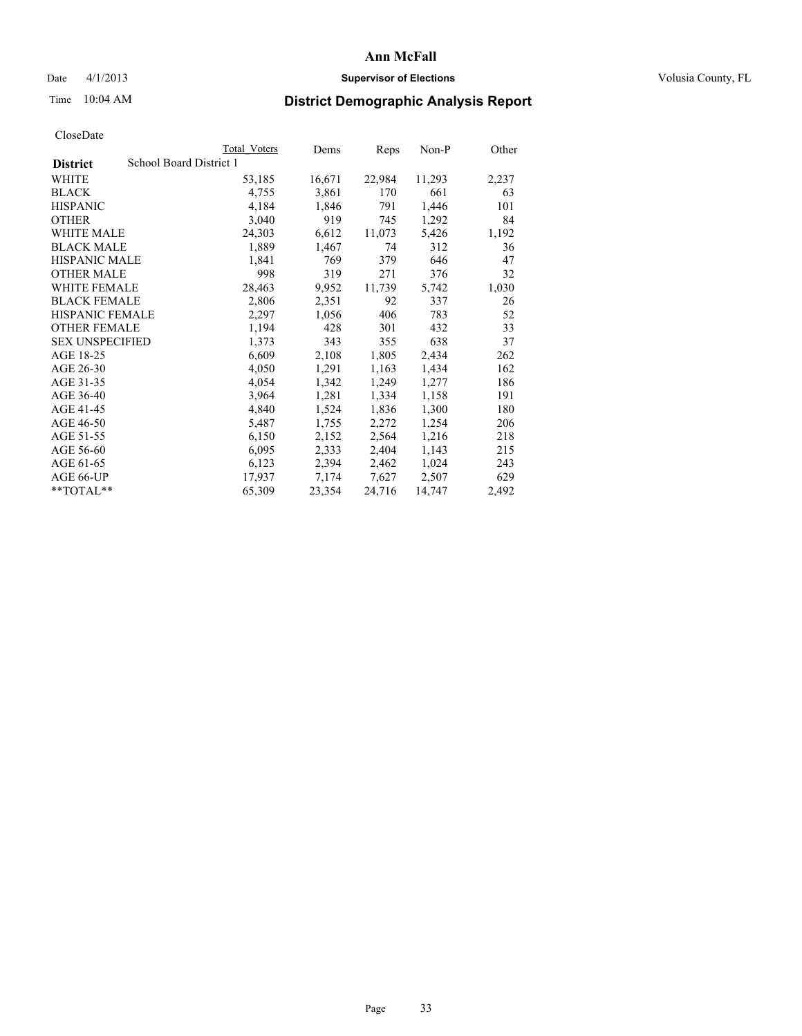#### Date 4/1/2013 **Supervisor of Elections Supervisor of Elections** Volusia County, FL

# Time 10:04 AM **District Demographic Analysis Report**

|                        |                         | Total Voters | Dems   | <b>Reps</b> | Non-P  | Other |
|------------------------|-------------------------|--------------|--------|-------------|--------|-------|
| <b>District</b>        | School Board District 1 |              |        |             |        |       |
| <b>WHITE</b>           |                         | 53,185       | 16,671 | 22,984      | 11,293 | 2,237 |
| <b>BLACK</b>           |                         | 4,755        | 3,861  | 170         | 661    | 63    |
| <b>HISPANIC</b>        |                         | 4,184        | 1,846  | 791         | 1,446  | 101   |
| <b>OTHER</b>           |                         | 3,040        | 919    | 745         | 1,292  | 84    |
| WHITE MALE             |                         | 24,303       | 6,612  | 11,073      | 5,426  | 1,192 |
| <b>BLACK MALE</b>      |                         | 1,889        | 1,467  | 74          | 312    | 36    |
| <b>HISPANIC MALE</b>   |                         | 1,841        | 769    | 379         | 646    | 47    |
| <b>OTHER MALE</b>      |                         | 998          | 319    | 271         | 376    | 32    |
| WHITE FEMALE           |                         | 28,463       | 9,952  | 11,739      | 5,742  | 1,030 |
| <b>BLACK FEMALE</b>    |                         | 2,806        | 2,351  | 92          | 337    | 26    |
| HISPANIC FEMALE        |                         | 2,297        | 1,056  | 406         | 783    | 52    |
| <b>OTHER FEMALE</b>    |                         | 1,194        | 428    | 301         | 432    | 33    |
| <b>SEX UNSPECIFIED</b> |                         | 1,373        | 343    | 355         | 638    | 37    |
| AGE 18-25              |                         | 6,609        | 2,108  | 1,805       | 2,434  | 262   |
| AGE 26-30              |                         | 4,050        | 1,291  | 1,163       | 1,434  | 162   |
| AGE 31-35              |                         | 4,054        | 1,342  | 1,249       | 1,277  | 186   |
| AGE 36-40              |                         | 3,964        | 1,281  | 1,334       | 1,158  | 191   |
| AGE 41-45              |                         | 4,840        | 1,524  | 1,836       | 1,300  | 180   |
| AGE 46-50              |                         | 5,487        | 1,755  | 2,272       | 1,254  | 206   |
| AGE 51-55              |                         | 6,150        | 2,152  | 2,564       | 1,216  | 218   |
| AGE 56-60              |                         | 6,095        | 2,333  | 2,404       | 1,143  | 215   |
| AGE 61-65              |                         | 6,123        | 2,394  | 2,462       | 1,024  | 243   |
| AGE 66-UP              |                         | 17,937       | 7,174  | 7,627       | 2,507  | 629   |
| **TOTAL**              |                         | 65,309       | 23,354 | 24,716      | 14,747 | 2,492 |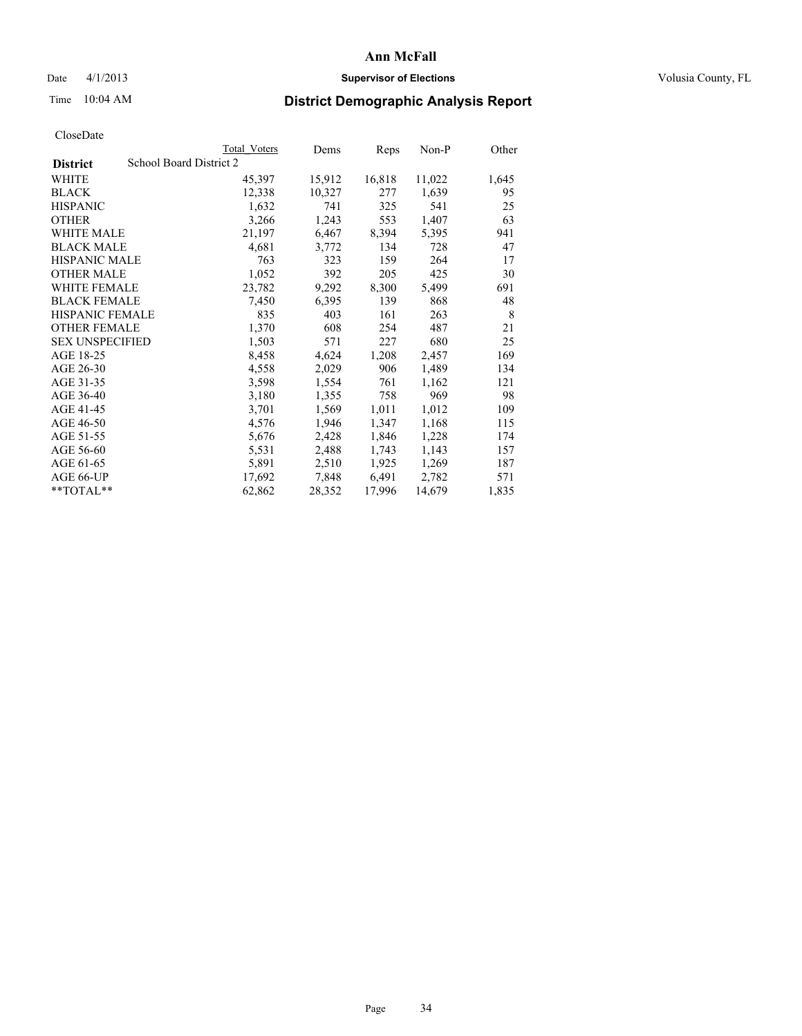### Date 4/1/2013 **Supervisor of Elections Supervisor of Elections** Volusia County, FL

# Time 10:04 AM **District Demographic Analysis Report**

| <b>Total Voters</b> | Dems                    | Reps   | Non-P  | Other |
|---------------------|-------------------------|--------|--------|-------|
|                     |                         |        |        |       |
| 45,397              | 15,912                  | 16,818 | 11,022 | 1,645 |
| 12,338              | 10,327                  | 277    | 1,639  | 95    |
| 1,632               | 741                     | 325    | 541    | 25    |
| 3,266               | 1,243                   | 553    | 1,407  | 63    |
| 21,197              | 6,467                   | 8,394  | 5,395  | 941   |
| 4,681               | 3,772                   | 134    | 728    | 47    |
| 763                 | 323                     | 159    | 264    | 17    |
| 1,052               | 392                     | 205    | 425    | 30    |
| 23,782              | 9,292                   | 8,300  | 5,499  | 691   |
| 7,450               | 6,395                   | 139    | 868    | 48    |
| 835                 | 403                     | 161    | 263    | 8     |
| 1,370               | 608                     | 254    | 487    | 21    |
| 1,503               | 571                     | 227    | 680    | 25    |
| 8,458               | 4,624                   | 1,208  | 2,457  | 169   |
| 4,558               | 2,029                   | 906    | 1,489  | 134   |
| 3,598               | 1,554                   | 761    | 1,162  | 121   |
| 3,180               | 1,355                   | 758    | 969    | 98    |
| 3,701               | 1,569                   | 1,011  | 1,012  | 109   |
| 4,576               | 1,946                   | 1,347  | 1,168  | 115   |
| 5,676               | 2,428                   | 1,846  | 1,228  | 174   |
| 5,531               | 2,488                   | 1,743  | 1,143  | 157   |
| 5,891               | 2,510                   | 1,925  | 1,269  | 187   |
| 17,692              | 7,848                   | 6,491  | 2,782  | 571   |
| 62,862              | 28,352                  | 17,996 | 14,679 | 1,835 |
|                     | School Board District 2 |        |        |       |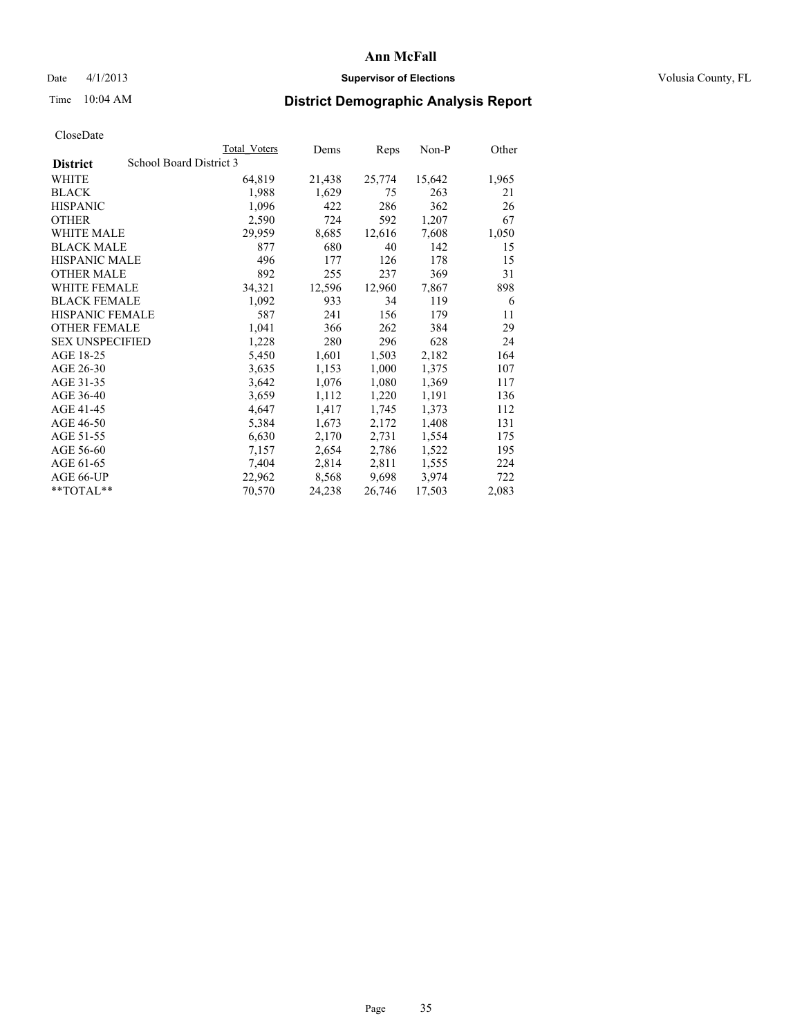#### Date 4/1/2013 **Supervisor of Elections Supervisor of Elections** Volusia County, FL

# Time 10:04 AM **District Demographic Analysis Report**

|                                            | Total Voters | Dems   | Reps   | $Non-P$ | Other |
|--------------------------------------------|--------------|--------|--------|---------|-------|
| School Board District 3<br><b>District</b> |              |        |        |         |       |
| WHITE                                      | 64,819       | 21,438 | 25,774 | 15,642  | 1,965 |
| <b>BLACK</b>                               | 1,988        | 1,629  | 75     | 263     | 21    |
| <b>HISPANIC</b>                            | 1,096        | 422    | 286    | 362     | 26    |
| <b>OTHER</b>                               | 2,590        | 724    | 592    | 1,207   | 67    |
| WHITE MALE                                 | 29,959       | 8,685  | 12,616 | 7,608   | 1,050 |
| <b>BLACK MALE</b>                          | 877          | 680    | 40     | 142     | 15    |
| <b>HISPANIC MALE</b>                       | 496          | 177    | 126    | 178     | 15    |
| <b>OTHER MALE</b>                          | 892          | 255    | 237    | 369     | 31    |
| <b>WHITE FEMALE</b>                        | 34,321       | 12,596 | 12,960 | 7,867   | 898   |
| <b>BLACK FEMALE</b>                        | 1,092        | 933    | 34     | 119     | 6     |
| <b>HISPANIC FEMALE</b>                     | 587          | 241    | 156    | 179     | 11    |
| <b>OTHER FEMALE</b>                        | 1,041        | 366    | 262    | 384     | 29    |
| <b>SEX UNSPECIFIED</b>                     | 1,228        | 280    | 296    | 628     | 24    |
| AGE 18-25                                  | 5,450        | 1,601  | 1,503  | 2,182   | 164   |
| AGE 26-30                                  | 3,635        | 1,153  | 1,000  | 1,375   | 107   |
| AGE 31-35                                  | 3,642        | 1,076  | 1,080  | 1,369   | 117   |
| AGE 36-40                                  | 3,659        | 1,112  | 1,220  | 1,191   | 136   |
| AGE 41-45                                  | 4,647        | 1,417  | 1,745  | 1,373   | 112   |
| AGE 46-50                                  | 5,384        | 1,673  | 2,172  | 1,408   | 131   |
| AGE 51-55                                  | 6,630        | 2,170  | 2,731  | 1,554   | 175   |
| AGE 56-60                                  | 7,157        | 2,654  | 2,786  | 1,522   | 195   |
| AGE 61-65                                  | 7,404        | 2,814  | 2,811  | 1,555   | 224   |
| AGE 66-UP                                  | 22,962       | 8,568  | 9,698  | 3,974   | 722   |
| $*$ $TOTAL**$                              | 70,570       | 24,238 | 26,746 | 17,503  | 2,083 |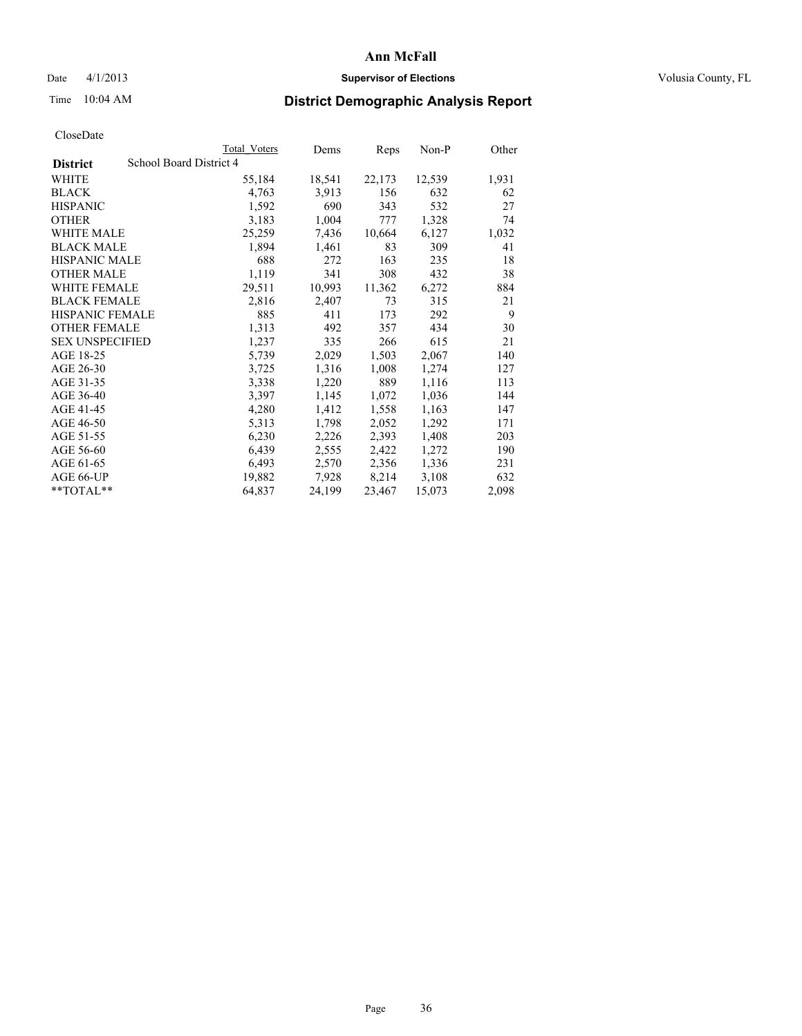#### Date 4/1/2013 **Supervisor of Elections Supervisor of Elections** Volusia County, FL

## Time 10:04 AM **District Demographic Analysis Report**

|                        | Total Voters            | Dems   | <b>Reps</b> | $Non-P$ | Other |
|------------------------|-------------------------|--------|-------------|---------|-------|
| <b>District</b>        | School Board District 4 |        |             |         |       |
| <b>WHITE</b>           | 55,184                  | 18,541 | 22,173      | 12,539  | 1,931 |
| <b>BLACK</b>           | 4,763                   | 3,913  | 156         | 632     | 62    |
| <b>HISPANIC</b>        | 1,592                   | 690    | 343         | 532     | 27    |
| <b>OTHER</b>           | 3,183                   | 1,004  | 777         | 1,328   | 74    |
| <b>WHITE MALE</b>      | 25,259                  | 7.436  | 10,664      | 6,127   | 1,032 |
| <b>BLACK MALE</b>      | 1,894                   | 1,461  | 83          | 309     | 41    |
| <b>HISPANIC MALE</b>   | 688                     | 272    | 163         | 235     | 18    |
| <b>OTHER MALE</b>      | 1,119                   | 341    | 308         | 432     | 38    |
| WHITE FEMALE           | 29,511                  | 10,993 | 11,362      | 6,272   | 884   |
| <b>BLACK FEMALE</b>    | 2,816                   | 2,407  | 73          | 315     | 21    |
| HISPANIC FEMALE        | 885                     | 411    | 173         | 292     | 9     |
| <b>OTHER FEMALE</b>    | 1,313                   | 492    | 357         | 434     | 30    |
| <b>SEX UNSPECIFIED</b> | 1,237                   | 335    | 266         | 615     | 21    |
| AGE 18-25              | 5,739                   | 2,029  | 1,503       | 2,067   | 140   |
| AGE 26-30              | 3,725                   | 1,316  | 1,008       | 1,274   | 127   |
| AGE 31-35              | 3,338                   | 1,220  | 889         | 1,116   | 113   |
| AGE 36-40              | 3,397                   | 1,145  | 1,072       | 1,036   | 144   |
| AGE 41-45              | 4,280                   | 1,412  | 1,558       | 1,163   | 147   |
| AGE 46-50              | 5,313                   | 1,798  | 2,052       | 1,292   | 171   |
| AGE 51-55              | 6,230                   | 2,226  | 2,393       | 1,408   | 203   |
| AGE 56-60              | 6,439                   | 2,555  | 2,422       | 1,272   | 190   |
| AGE 61-65              | 6,493                   | 2,570  | 2,356       | 1,336   | 231   |
| AGE 66-UP              | 19,882                  | 7,928  | 8,214       | 3,108   | 632   |
| $*$ TOTAL $*$          | 64,837                  | 24,199 | 23,467      | 15,073  | 2,098 |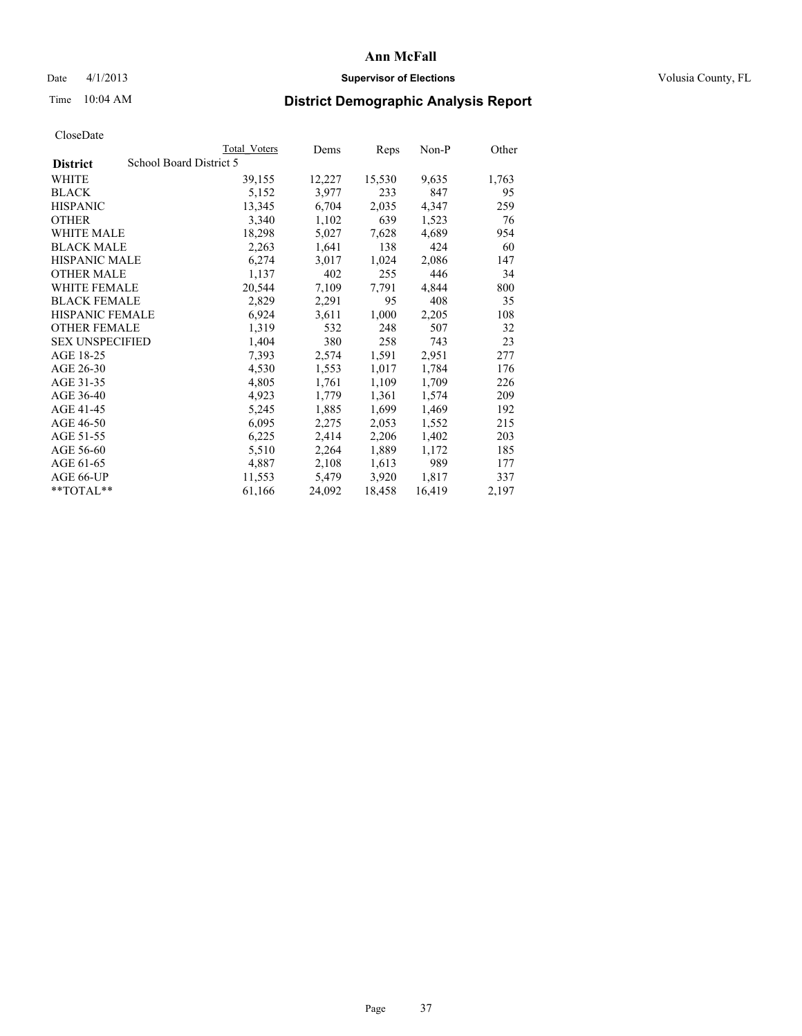### Date 4/1/2013 **Supervisor of Elections Supervisor of Elections** Volusia County, FL

# Time 10:04 AM **District Demographic Analysis Report**

|                                            | Total Voters | Dems   | Reps   | Non-P  | Other |
|--------------------------------------------|--------------|--------|--------|--------|-------|
| School Board District 5<br><b>District</b> |              |        |        |        |       |
| <b>WHITE</b>                               | 39,155       | 12,227 | 15,530 | 9,635  | 1,763 |
| <b>BLACK</b>                               | 5,152        | 3,977  | 233    | 847    | 95    |
| <b>HISPANIC</b>                            | 13,345       | 6,704  | 2,035  | 4,347  | 259   |
| <b>OTHER</b>                               | 3,340        | 1,102  | 639    | 1,523  | 76    |
| <b>WHITE MALE</b>                          | 18,298       | 5,027  | 7,628  | 4,689  | 954   |
| <b>BLACK MALE</b>                          | 2,263        | 1,641  | 138    | 424    | 60    |
| <b>HISPANIC MALE</b>                       | 6,274        | 3,017  | 1,024  | 2,086  | 147   |
| <b>OTHER MALE</b>                          | 1,137        | 402    | 255    | 446    | 34    |
| <b>WHITE FEMALE</b>                        | 20,544       | 7,109  | 7.791  | 4,844  | 800   |
| <b>BLACK FEMALE</b>                        | 2,829        | 2,291  | 95     | 408    | 35    |
| HISPANIC FEMALE                            | 6,924        | 3,611  | 1,000  | 2,205  | 108   |
| <b>OTHER FEMALE</b>                        | 1,319        | 532    | 248    | 507    | 32    |
| <b>SEX UNSPECIFIED</b>                     | 1,404        | 380    | 258    | 743    | 23    |
| AGE 18-25                                  | 7,393        | 2,574  | 1,591  | 2,951  | 277   |
| AGE 26-30                                  | 4,530        | 1,553  | 1,017  | 1,784  | 176   |
| AGE 31-35                                  | 4,805        | 1,761  | 1,109  | 1,709  | 226   |
| AGE 36-40                                  | 4,923        | 1,779  | 1,361  | 1,574  | 209   |
| AGE 41-45                                  | 5,245        | 1,885  | 1,699  | 1,469  | 192   |
| AGE 46-50                                  | 6,095        | 2,275  | 2,053  | 1,552  | 215   |
| AGE 51-55                                  | 6,225        | 2,414  | 2,206  | 1,402  | 203   |
| AGE 56-60                                  | 5,510        | 2,264  | 1,889  | 1,172  | 185   |
| AGE 61-65                                  | 4,887        | 2,108  | 1,613  | 989    | 177   |
| AGE 66-UP                                  | 11,553       | 5,479  | 3,920  | 1,817  | 337   |
| $*$ $TOTAL**$                              | 61,166       | 24,092 | 18,458 | 16,419 | 2,197 |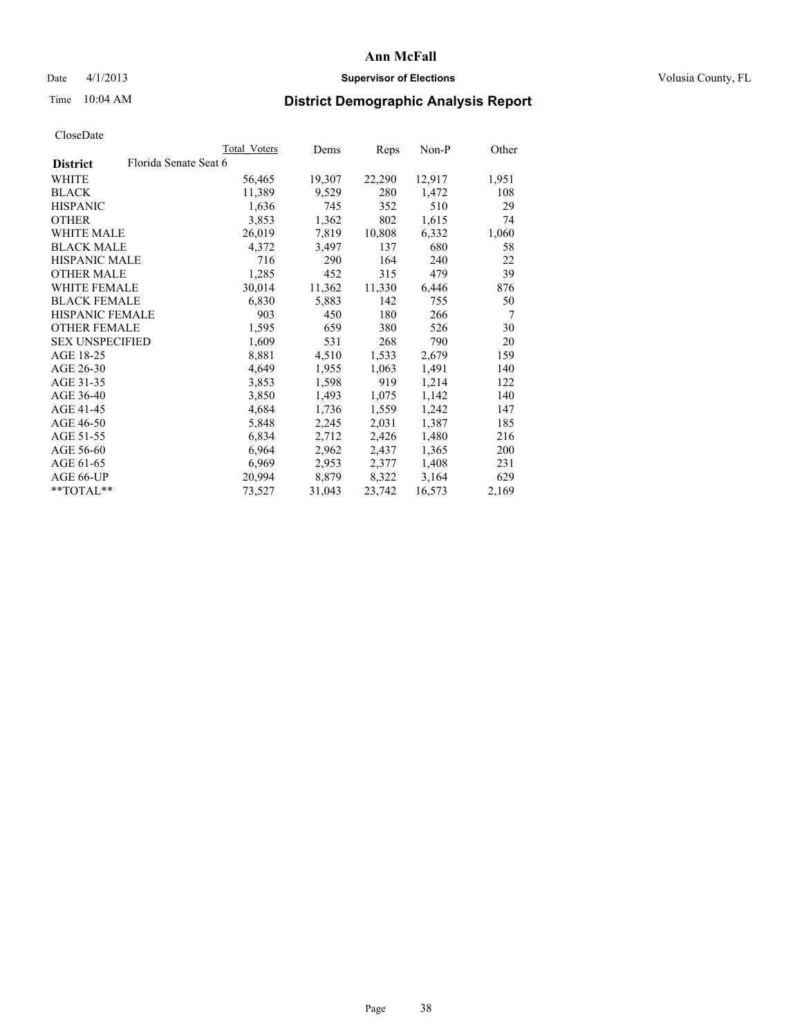### Date 4/1/2013 **Supervisor of Elections Supervisor of Elections** Volusia County, FL

# Time 10:04 AM **District Demographic Analysis Report**

|                        |                       | Total Voters | Dems   | Reps   | Non-P  | Other          |
|------------------------|-----------------------|--------------|--------|--------|--------|----------------|
| <b>District</b>        | Florida Senate Seat 6 |              |        |        |        |                |
| WHITE                  |                       | 56,465       | 19,307 | 22,290 | 12,917 | 1,951          |
| <b>BLACK</b>           |                       | 11,389       | 9,529  | 280    | 1,472  | 108            |
| <b>HISPANIC</b>        |                       | 1,636        | 745    | 352    | 510    | 29             |
| <b>OTHER</b>           |                       | 3,853        | 1,362  | 802    | 1,615  | 74             |
| WHITE MALE             |                       | 26,019       | 7,819  | 10,808 | 6,332  | 1,060          |
| <b>BLACK MALE</b>      |                       | 4,372        | 3,497  | 137    | 680    | 58             |
| <b>HISPANIC MALE</b>   |                       | 716          | 290    | 164    | 240    | 22             |
| <b>OTHER MALE</b>      |                       | 1,285        | 452    | 315    | 479    | 39             |
| <b>WHITE FEMALE</b>    |                       | 30,014       | 11,362 | 11,330 | 6,446  | 876            |
| <b>BLACK FEMALE</b>    |                       | 6,830        | 5,883  | 142    | 755    | 50             |
| <b>HISPANIC FEMALE</b> |                       | 903          | 450    | 180    | 266    | $\overline{7}$ |
| <b>OTHER FEMALE</b>    |                       | 1,595        | 659    | 380    | 526    | 30             |
| <b>SEX UNSPECIFIED</b> |                       | 1,609        | 531    | 268    | 790    | 20             |
| AGE 18-25              |                       | 8,881        | 4,510  | 1,533  | 2,679  | 159            |
| AGE 26-30              |                       | 4,649        | 1,955  | 1,063  | 1,491  | 140            |
| AGE 31-35              |                       | 3,853        | 1,598  | 919    | 1,214  | 122            |
| AGE 36-40              |                       | 3,850        | 1,493  | 1,075  | 1,142  | 140            |
| AGE 41-45              |                       | 4,684        | 1,736  | 1,559  | 1,242  | 147            |
| AGE 46-50              |                       | 5,848        | 2,245  | 2,031  | 1,387  | 185            |
| AGE 51-55              |                       | 6,834        | 2,712  | 2,426  | 1,480  | 216            |
| AGE 56-60              |                       | 6,964        | 2,962  | 2,437  | 1,365  | 200            |
| AGE 61-65              |                       | 6,969        | 2,953  | 2,377  | 1,408  | 231            |
| AGE 66-UP              |                       | 20,994       | 8,879  | 8,322  | 3,164  | 629            |
| **TOTAL**              |                       | 73,527       | 31,043 | 23,742 | 16,573 | 2,169          |
|                        |                       |              |        |        |        |                |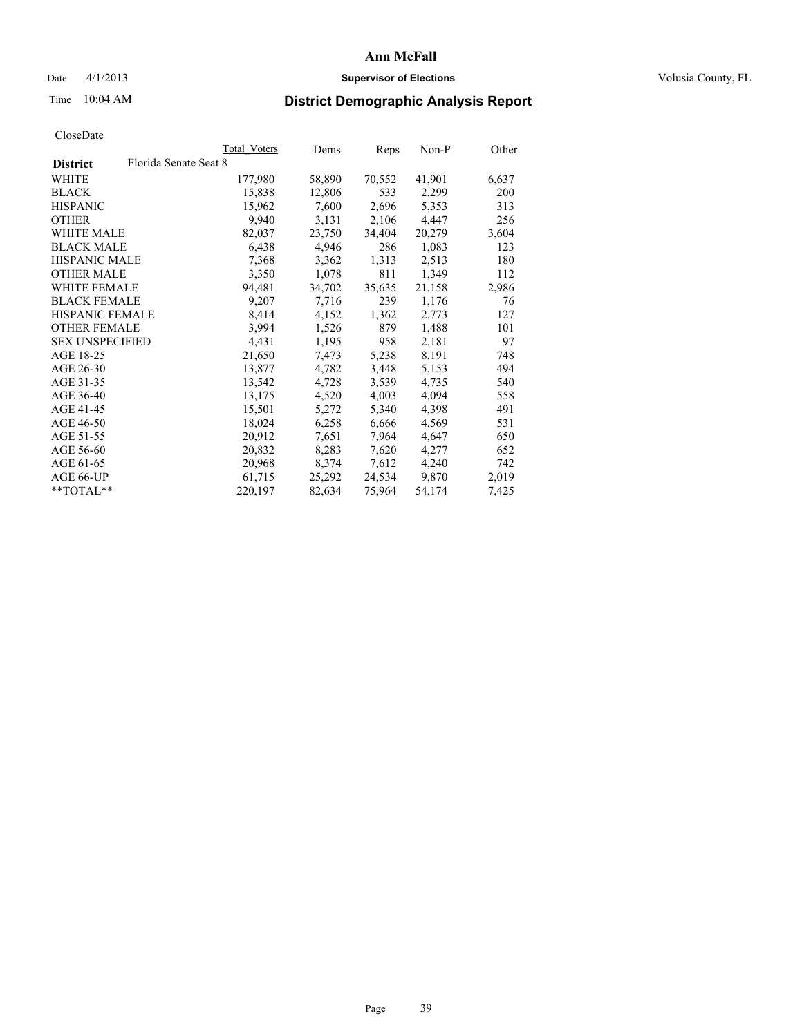### Date 4/1/2013 **Supervisor of Elections Supervisor of Elections** Volusia County, FL

# Time 10:04 AM **District Demographic Analysis Report**

|                        |                       | Total Voters | Dems   | <b>Reps</b> | Non-P  | Other |
|------------------------|-----------------------|--------------|--------|-------------|--------|-------|
| <b>District</b>        | Florida Senate Seat 8 |              |        |             |        |       |
| <b>WHITE</b>           |                       | 177,980      | 58,890 | 70,552      | 41,901 | 6,637 |
| <b>BLACK</b>           |                       | 15,838       | 12,806 | 533         | 2,299  | 200   |
| <b>HISPANIC</b>        |                       | 15,962       | 7,600  | 2,696       | 5,353  | 313   |
| <b>OTHER</b>           |                       | 9,940        | 3,131  | 2,106       | 4,447  | 256   |
| <b>WHITE MALE</b>      |                       | 82,037       | 23,750 | 34,404      | 20,279 | 3,604 |
| <b>BLACK MALE</b>      |                       | 6,438        | 4,946  | 286         | 1,083  | 123   |
| <b>HISPANIC MALE</b>   |                       | 7,368        | 3,362  | 1,313       | 2,513  | 180   |
| <b>OTHER MALE</b>      |                       | 3,350        | 1,078  | 811         | 1,349  | 112   |
| <b>WHITE FEMALE</b>    |                       | 94,481       | 34,702 | 35,635      | 21,158 | 2,986 |
| <b>BLACK FEMALE</b>    |                       | 9,207        | 7.716  | 239         | 1,176  | 76    |
| <b>HISPANIC FEMALE</b> |                       | 8,414        | 4,152  | 1,362       | 2,773  | 127   |
| <b>OTHER FEMALE</b>    |                       | 3,994        | 1,526  | 879         | 1,488  | 101   |
| <b>SEX UNSPECIFIED</b> |                       | 4,431        | 1,195  | 958         | 2,181  | 97    |
| AGE 18-25              |                       | 21,650       | 7,473  | 5,238       | 8,191  | 748   |
| AGE 26-30              |                       | 13,877       | 4,782  | 3,448       | 5,153  | 494   |
| AGE 31-35              |                       | 13,542       | 4,728  | 3.539       | 4,735  | 540   |
| AGE 36-40              |                       | 13,175       | 4,520  | 4,003       | 4,094  | 558   |
| AGE 41-45              |                       | 15,501       | 5,272  | 5,340       | 4,398  | 491   |
| AGE 46-50              |                       | 18,024       | 6,258  | 6,666       | 4,569  | 531   |
| AGE 51-55              |                       | 20,912       | 7,651  | 7,964       | 4,647  | 650   |
| AGE 56-60              |                       | 20,832       | 8,283  | 7,620       | 4,277  | 652   |
| AGE 61-65              |                       | 20,968       | 8,374  | 7,612       | 4,240  | 742   |
| AGE 66-UP              |                       | 61,715       | 25,292 | 24,534      | 9,870  | 2,019 |
| $*$ $TOTAL**$          |                       | 220,197      | 82,634 | 75,964      | 54,174 | 7,425 |
|                        |                       |              |        |             |        |       |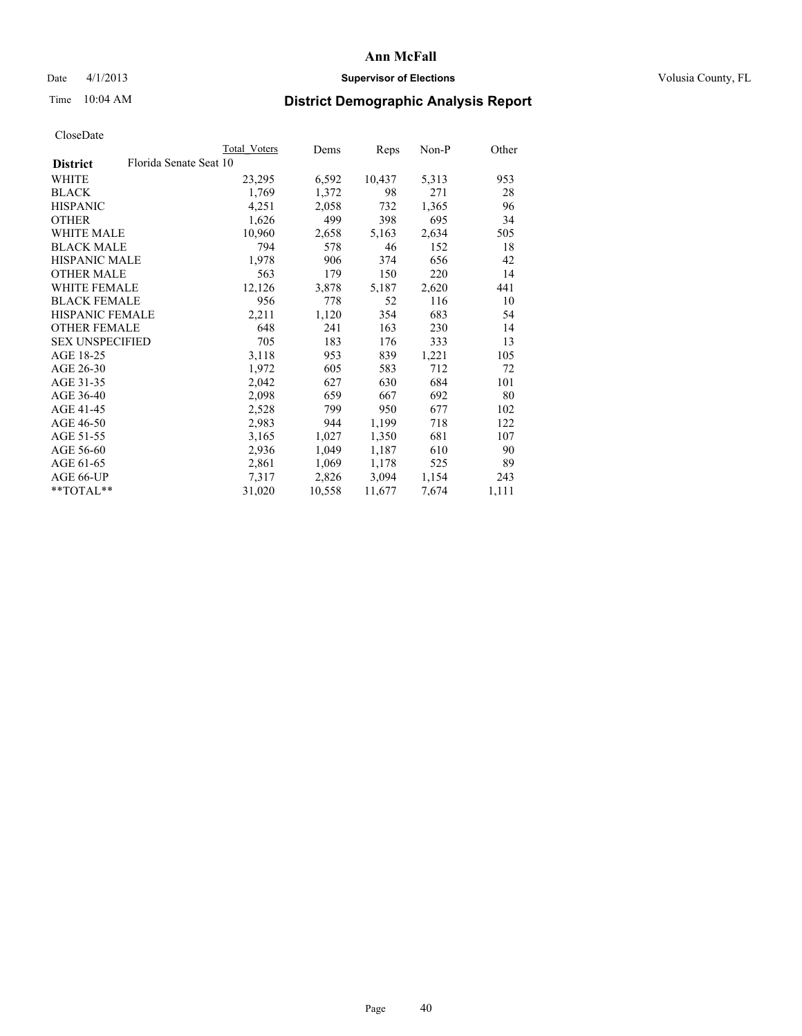### Date 4/1/2013 **Supervisor of Elections Supervisor of Elections** Volusia County, FL

# Time 10:04 AM **District Demographic Analysis Report**

|                        |                        | Total Voters | Dems   | Reps   | Non-P | Other |
|------------------------|------------------------|--------------|--------|--------|-------|-------|
| <b>District</b>        | Florida Senate Seat 10 |              |        |        |       |       |
| <b>WHITE</b>           |                        | 23,295       | 6,592  | 10,437 | 5,313 | 953   |
| <b>BLACK</b>           |                        | 1,769        | 1,372  | 98     | 271   | 28    |
| <b>HISPANIC</b>        |                        | 4,251        | 2,058  | 732    | 1,365 | 96    |
| <b>OTHER</b>           |                        | 1,626        | 499    | 398    | 695   | 34    |
| WHITE MALE             |                        | 10,960       | 2,658  | 5,163  | 2,634 | 505   |
| <b>BLACK MALE</b>      |                        | 794          | 578    | 46     | 152   | 18    |
| <b>HISPANIC MALE</b>   |                        | 1,978        | 906    | 374    | 656   | 42    |
| <b>OTHER MALE</b>      |                        | 563          | 179    | 150    | 220   | 14    |
| <b>WHITE FEMALE</b>    |                        | 12,126       | 3,878  | 5,187  | 2,620 | 441   |
| <b>BLACK FEMALE</b>    |                        | 956          | 778    | 52     | 116   | 10    |
| <b>HISPANIC FEMALE</b> |                        | 2,211        | 1,120  | 354    | 683   | 54    |
| <b>OTHER FEMALE</b>    |                        | 648          | 241    | 163    | 230   | 14    |
| <b>SEX UNSPECIFIED</b> |                        | 705          | 183    | 176    | 333   | 13    |
| AGE 18-25              |                        | 3,118        | 953    | 839    | 1,221 | 105   |
| AGE 26-30              |                        | 1,972        | 605    | 583    | 712   | 72    |
| AGE 31-35              |                        | 2,042        | 627    | 630    | 684   | 101   |
| AGE 36-40              |                        | 2,098        | 659    | 667    | 692   | 80    |
| AGE 41-45              |                        | 2,528        | 799    | 950    | 677   | 102   |
| AGE 46-50              |                        | 2,983        | 944    | 1,199  | 718   | 122   |
| AGE 51-55              |                        | 3,165        | 1,027  | 1,350  | 681   | 107   |
| AGE 56-60              |                        | 2,936        | 1,049  | 1,187  | 610   | 90    |
| AGE 61-65              |                        | 2,861        | 1,069  | 1,178  | 525   | 89    |
| AGE 66-UP              |                        | 7,317        | 2,826  | 3,094  | 1,154 | 243   |
| $*$ $TOTAL**$          |                        | 31,020       | 10,558 | 11,677 | 7,674 | 1,111 |
|                        |                        |              |        |        |       |       |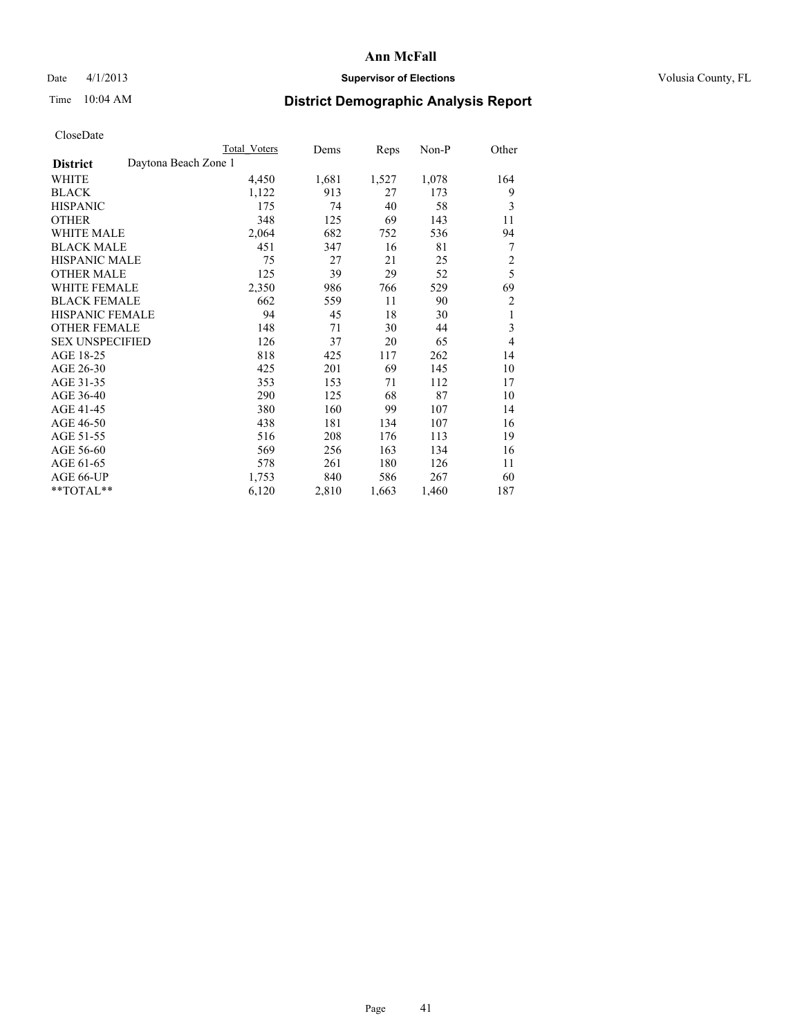### Date 4/1/2013 **Supervisor of Elections Supervisor of Elections** Volusia County, FL

## Time 10:04 AM **District Demographic Analysis Report**

|                        |                      | <b>Total Voters</b> | Dems  | Reps  | Non-P | Other          |
|------------------------|----------------------|---------------------|-------|-------|-------|----------------|
| <b>District</b>        | Daytona Beach Zone 1 |                     |       |       |       |                |
| WHITE                  |                      | 4,450               | 1,681 | 1,527 | 1,078 | 164            |
| <b>BLACK</b>           |                      | 1,122               | 913   | 27    | 173   | 9              |
| <b>HISPANIC</b>        |                      | 175                 | 74    | 40    | 58    | 3              |
| <b>OTHER</b>           |                      | 348                 | 125   | 69    | 143   | 11             |
| WHITE MALE             |                      | 2,064               | 682   | 752   | 536   | 94             |
| <b>BLACK MALE</b>      |                      | 451                 | 347   | 16    | 81    | 7              |
| <b>HISPANIC MALE</b>   |                      | 75                  | 27    | 21    | 25    | $\overline{c}$ |
| <b>OTHER MALE</b>      |                      | 125                 | 39    | 29    | 52    | 5              |
| <b>WHITE FEMALE</b>    |                      | 2,350               | 986   | 766   | 529   | 69             |
| <b>BLACK FEMALE</b>    |                      | 662                 | 559   | 11    | 90    | $\overline{c}$ |
| <b>HISPANIC FEMALE</b> |                      | 94                  | 45    | 18    | 30    | 1              |
| <b>OTHER FEMALE</b>    |                      | 148                 | 71    | 30    | 44    | 3              |
| <b>SEX UNSPECIFIED</b> |                      | 126                 | 37    | 20    | 65    | 4              |
| AGE 18-25              |                      | 818                 | 425   | 117   | 262   | 14             |
| AGE 26-30              |                      | 425                 | 201   | 69    | 145   | 10             |
| AGE 31-35              |                      | 353                 | 153   | 71    | 112   | 17             |
| AGE 36-40              |                      | 290                 | 125   | 68    | 87    | 10             |
| AGE 41-45              |                      | 380                 | 160   | 99    | 107   | 14             |
| AGE 46-50              |                      | 438                 | 181   | 134   | 107   | 16             |
| AGE 51-55              |                      | 516                 | 208   | 176   | 113   | 19             |
| AGE 56-60              |                      | 569                 | 256   | 163   | 134   | 16             |
| AGE 61-65              |                      | 578                 | 261   | 180   | 126   | 11             |
| AGE 66-UP              |                      | 1,753               | 840   | 586   | 267   | 60             |
| **TOTAL**              |                      | 6,120               | 2,810 | 1,663 | 1,460 | 187            |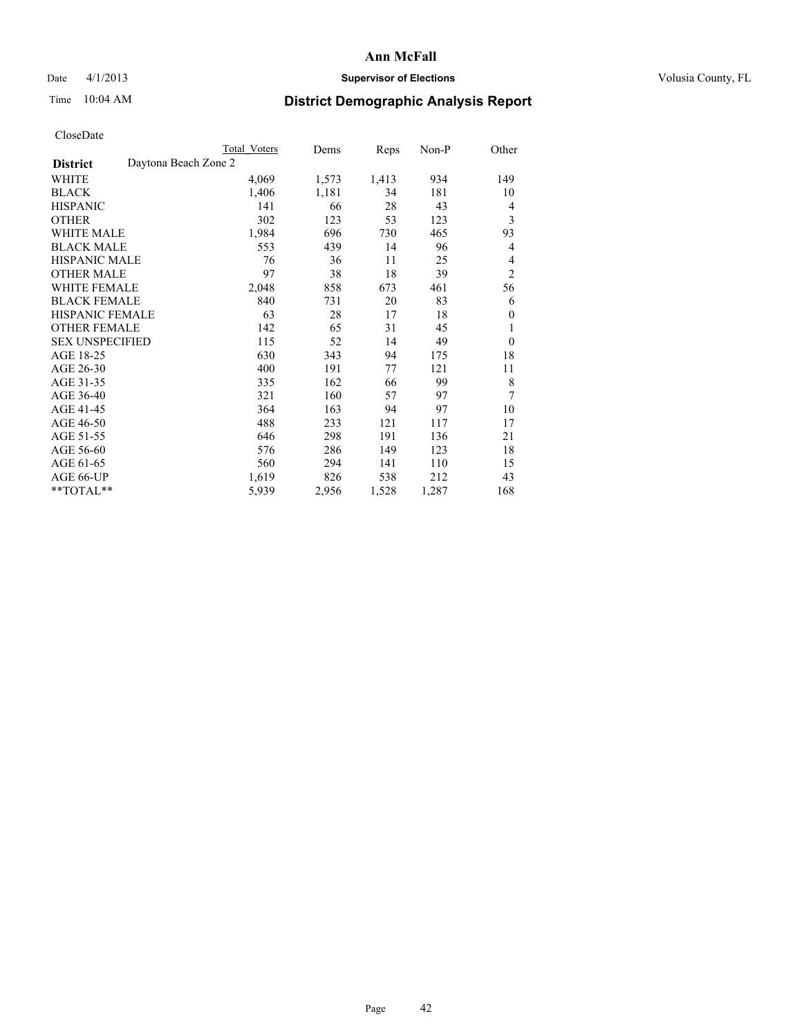### Date 4/1/2013 **Supervisor of Elections Supervisor of Elections** Volusia County, FL

# Time 10:04 AM **District Demographic Analysis Report**

|                                         | Total Voters | Dems  | Reps  | Non-P | Other          |
|-----------------------------------------|--------------|-------|-------|-------|----------------|
| Daytona Beach Zone 2<br><b>District</b> |              |       |       |       |                |
| WHITE                                   | 4,069        | 1,573 | 1,413 | 934   | 149            |
| <b>BLACK</b>                            | 1,406        | 1,181 | 34    | 181   | 10             |
| <b>HISPANIC</b>                         | 141          | 66    | 28    | 43    | 4              |
| <b>OTHER</b>                            | 302          | 123   | 53    | 123   | 3              |
| <b>WHITE MALE</b>                       | 1,984        | 696   | 730   | 465   | 93             |
| <b>BLACK MALE</b>                       | 553          | 439   | 14    | 96    | 4              |
| HISPANIC MALE                           | 76           | 36    | 11    | 25    | $\overline{4}$ |
| <b>OTHER MALE</b>                       | 97           | 38    | 18    | 39    | $\overline{2}$ |
| <b>WHITE FEMALE</b>                     | 2,048        | 858   | 673   | 461   | 56             |
| <b>BLACK FEMALE</b>                     | 840          | 731   | 20    | 83    | 6              |
| <b>HISPANIC FEMALE</b>                  | 63           | 28    | 17    | 18    | $\theta$       |
| <b>OTHER FEMALE</b>                     | 142          | 65    | 31    | 45    | 1              |
| <b>SEX UNSPECIFIED</b>                  | 115          | 52    | 14    | 49    | $\mathbf{0}$   |
| AGE 18-25                               | 630          | 343   | 94    | 175   | 18             |
| AGE 26-30                               | 400          | 191   | 77    | 121   | 11             |
| AGE 31-35                               | 335          | 162   | 66    | 99    | 8              |
| AGE 36-40                               | 321          | 160   | 57    | 97    | 7              |
| AGE 41-45                               | 364          | 163   | 94    | 97    | 10             |
| AGE 46-50                               | 488          | 233   | 121   | 117   | 17             |
| AGE 51-55                               | 646          | 298   | 191   | 136   | 21             |
| AGE 56-60                               | 576          | 286   | 149   | 123   | 18             |
| AGE 61-65                               | 560          | 294   | 141   | 110   | 15             |
| AGE 66-UP                               | 1,619        | 826   | 538   | 212   | 43             |
| **TOTAL**                               | 5,939        | 2,956 | 1,528 | 1,287 | 168            |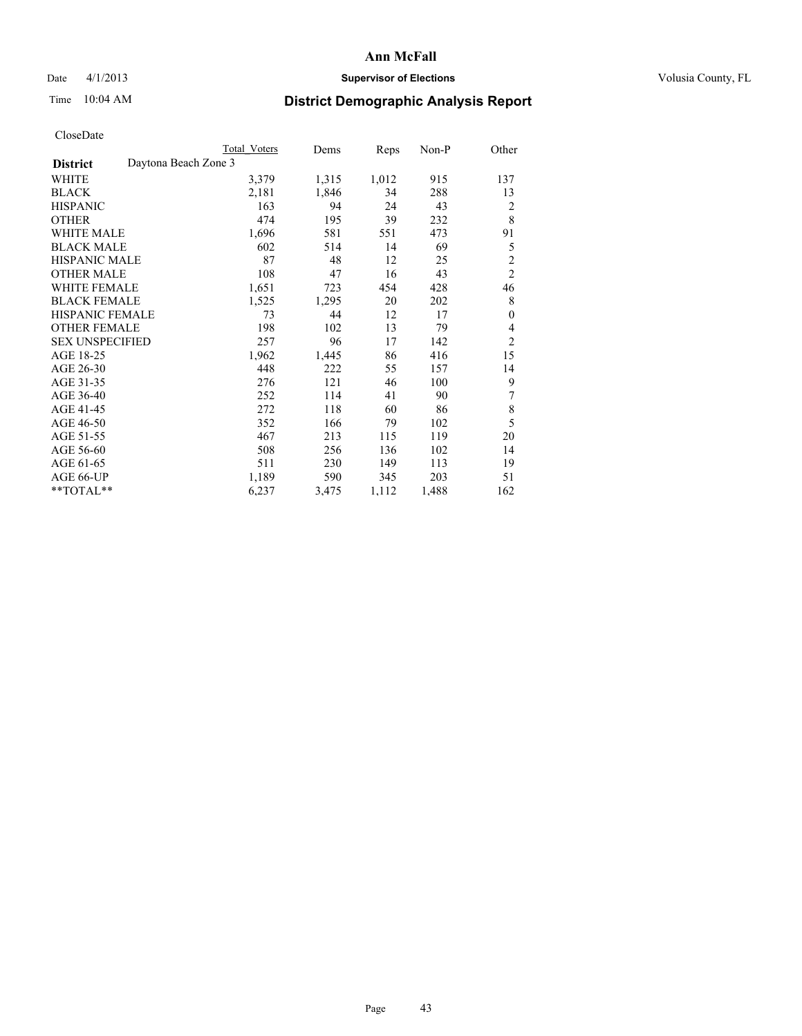### Date 4/1/2013 **Supervisor of Elections Supervisor of Elections** Volusia County, FL

# Time 10:04 AM **District Demographic Analysis Report**

|                                         | Total Voters | Dems  | Reps  | Non-P | Other          |
|-----------------------------------------|--------------|-------|-------|-------|----------------|
| Daytona Beach Zone 3<br><b>District</b> |              |       |       |       |                |
| WHITE                                   | 3,379        | 1,315 | 1,012 | 915   | 137            |
| <b>BLACK</b>                            | 2,181        | 1,846 | 34    | 288   | 13             |
| <b>HISPANIC</b>                         | 163          | 94    | 24    | 43    | $\overline{2}$ |
| <b>OTHER</b>                            | 474          | 195   | 39    | 232   | 8              |
| <b>WHITE MALE</b>                       | 1,696        | 581   | 551   | 473   | 91             |
| <b>BLACK MALE</b>                       | 602          | 514   | 14    | 69    | 5              |
| <b>HISPANIC MALE</b>                    | 87           | 48    | 12    | 25    | $\overline{c}$ |
| <b>OTHER MALE</b>                       | 108          | 47    | 16    | 43    | $\overline{c}$ |
| <b>WHITE FEMALE</b>                     | 1,651        | 723   | 454   | 428   | 46             |
| <b>BLACK FEMALE</b>                     | 1,525        | 1,295 | 20    | 202   | 8              |
| <b>HISPANIC FEMALE</b>                  | 73           | 44    | 12    | 17    | $\theta$       |
| <b>OTHER FEMALE</b>                     | 198          | 102   | 13    | 79    | 4              |
| <b>SEX UNSPECIFIED</b>                  | 257          | 96    | 17    | 142   | $\overline{2}$ |
| AGE 18-25                               | 1,962        | 1,445 | 86    | 416   | 15             |
| AGE 26-30                               | 448          | 222   | 55    | 157   | 14             |
| AGE 31-35                               | 276          | 121   | 46    | 100   | 9              |
| AGE 36-40                               | 252          | 114   | 41    | 90    | 7              |
| AGE 41-45                               | 272          | 118   | 60    | 86    | 8              |
| AGE 46-50                               | 352          | 166   | 79    | 102   | 5              |
| AGE 51-55                               | 467          | 213   | 115   | 119   | 20             |
| AGE 56-60                               | 508          | 256   | 136   | 102   | 14             |
| AGE 61-65                               | 511          | 230   | 149   | 113   | 19             |
| AGE 66-UP                               | 1,189        | 590   | 345   | 203   | 51             |
| **TOTAL**                               | 6,237        | 3,475 | 1,112 | 1,488 | 162            |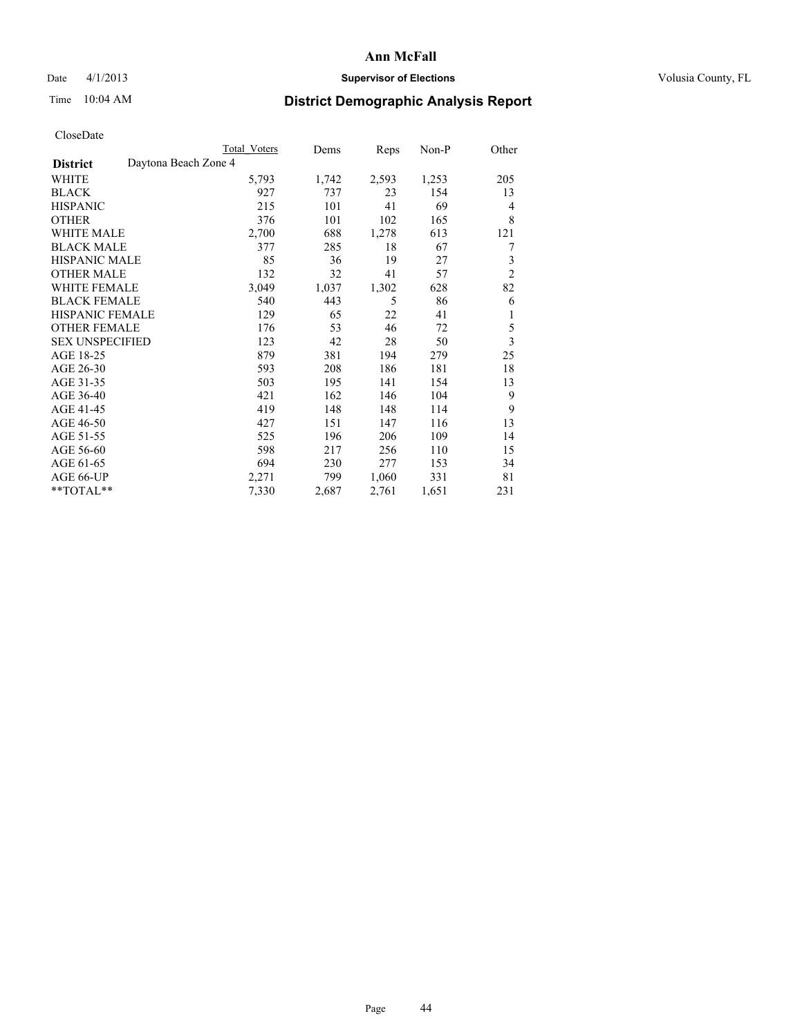### Date 4/1/2013 **Supervisor of Elections Supervisor of Elections** Volusia County, FL

## Time 10:04 AM **District Demographic Analysis Report**

|                        | <b>Total Voters</b>  | Dems  | Reps  | Non-P | Other          |
|------------------------|----------------------|-------|-------|-------|----------------|
| <b>District</b>        | Daytona Beach Zone 4 |       |       |       |                |
| WHITE                  | 5,793                | 1,742 | 2,593 | 1,253 | 205            |
| <b>BLACK</b>           | 927                  | 737   | 23    | 154   | 13             |
| <b>HISPANIC</b>        | 215                  | 101   | 41    | 69    | $\overline{4}$ |
| <b>OTHER</b>           | 376                  | 101   | 102   | 165   | 8              |
| WHITE MALE             | 2,700                | 688   | 1,278 | 613   | 121            |
| <b>BLACK MALE</b>      | 377                  | 285   | 18    | 67    | 7              |
| <b>HISPANIC MALE</b>   | 85                   | 36    | 19    | 27    | 3              |
| <b>OTHER MALE</b>      | 132                  | 32    | 41    | 57    | $\overline{2}$ |
| WHITE FEMALE           | 3,049                | 1,037 | 1,302 | 628   | 82             |
| <b>BLACK FEMALE</b>    | 540                  | 443   | 5     | 86    | 6              |
| <b>HISPANIC FEMALE</b> | 129                  | 65    | 22    | 41    | 1              |
| <b>OTHER FEMALE</b>    | 176                  | 53    | 46    | 72    | 5              |
| <b>SEX UNSPECIFIED</b> | 123                  | 42    | 28    | 50    | 3              |
| AGE 18-25              | 879                  | 381   | 194   | 279   | 25             |
| AGE 26-30              | 593                  | 208   | 186   | 181   | 18             |
| AGE 31-35              | 503                  | 195   | 141   | 154   | 13             |
| AGE 36-40              | 421                  | 162   | 146   | 104   | 9              |
| AGE 41-45              | 419                  | 148   | 148   | 114   | 9              |
| AGE 46-50              | 427                  | 151   | 147   | 116   | 13             |
| AGE 51-55              | 525                  | 196   | 206   | 109   | 14             |
| AGE 56-60              | 598                  | 217   | 256   | 110   | 15             |
| AGE 61-65              | 694                  | 230   | 277   | 153   | 34             |
| AGE 66-UP              | 2,271                | 799   | 1,060 | 331   | 81             |
| **TOTAL**              | 7,330                | 2,687 | 2,761 | 1,651 | 231            |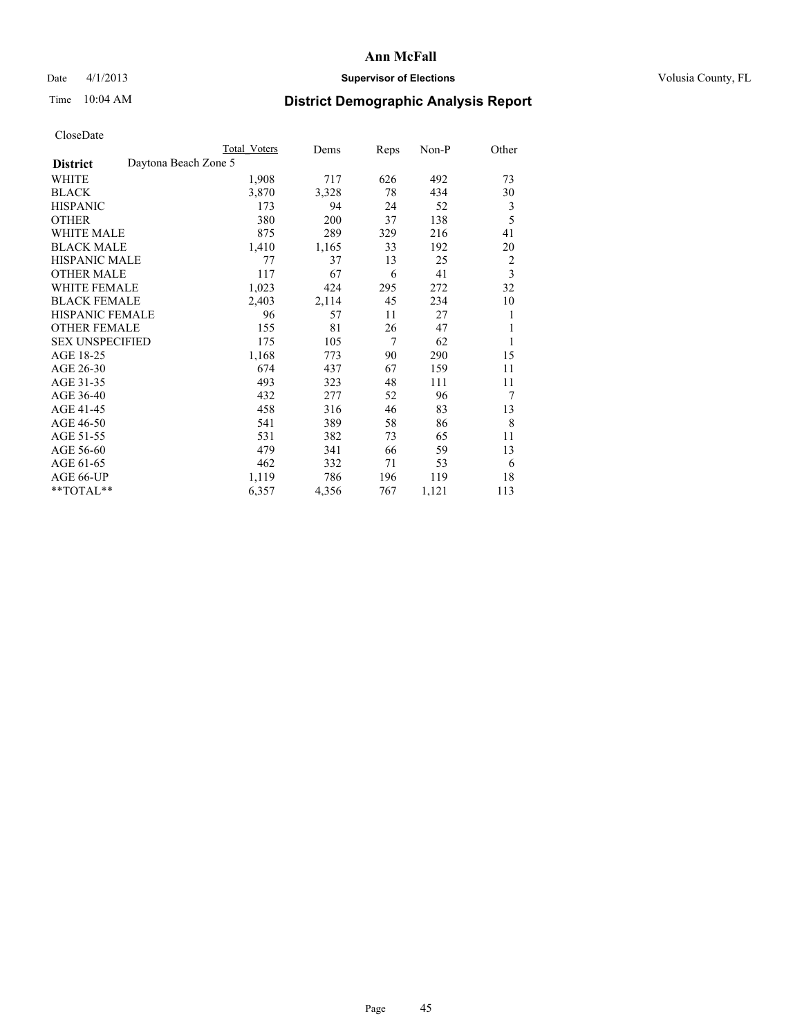### Date 4/1/2013 **Supervisor of Elections Supervisor of Elections** Volusia County, FL

# Time 10:04 AM **District Demographic Analysis Report**

|                                         | Total Voters | Dems  | Reps | Non-P | Other |
|-----------------------------------------|--------------|-------|------|-------|-------|
| Daytona Beach Zone 5<br><b>District</b> |              |       |      |       |       |
| WHITE                                   | 1,908        | 717   | 626  | 492   | 73    |
| <b>BLACK</b>                            | 3,870        | 3,328 | 78   | 434   | 30    |
| <b>HISPANIC</b>                         | 173          | 94    | 24   | 52    | 3     |
| <b>OTHER</b>                            | 380          | 200   | 37   | 138   | 5     |
| <b>WHITE MALE</b>                       | 875          | 289   | 329  | 216   | 41    |
| <b>BLACK MALE</b>                       | 1,410        | 1,165 | 33   | 192   | 20    |
| <b>HISPANIC MALE</b>                    | 77           | 37    | 13   | 25    | 2     |
| <b>OTHER MALE</b>                       | 117          | 67    | 6    | 41    | 3     |
| <b>WHITE FEMALE</b>                     | 1,023        | 424   | 295  | 272   | 32    |
| <b>BLACK FEMALE</b>                     | 2,403        | 2,114 | 45   | 234   | 10    |
| <b>HISPANIC FEMALE</b>                  | 96           | 57    | 11   | 27    | 1     |
| <b>OTHER FEMALE</b>                     | 155          | 81    | 26   | 47    | 1     |
| <b>SEX UNSPECIFIED</b>                  | 175          | 105   | 7    | 62    | 1     |
| AGE 18-25                               | 1,168        | 773   | 90   | 290   | 15    |
| AGE 26-30                               | 674          | 437   | 67   | 159   | 11    |
| AGE 31-35                               | 493          | 323   | 48   | 111   | 11    |
| AGE 36-40                               | 432          | 277   | 52   | 96    | 7     |
| AGE 41-45                               | 458          | 316   | 46   | 83    | 13    |
| AGE 46-50                               | 541          | 389   | 58   | 86    | 8     |
| AGE 51-55                               | 531          | 382   | 73   | 65    | 11    |
| AGE 56-60                               | 479          | 341   | 66   | 59    | 13    |
| AGE 61-65                               | 462          | 332   | 71   | 53    | 6     |
| AGE 66-UP                               | 1,119        | 786   | 196  | 119   | 18    |
| **TOTAL**                               | 6,357        | 4,356 | 767  | 1,121 | 113   |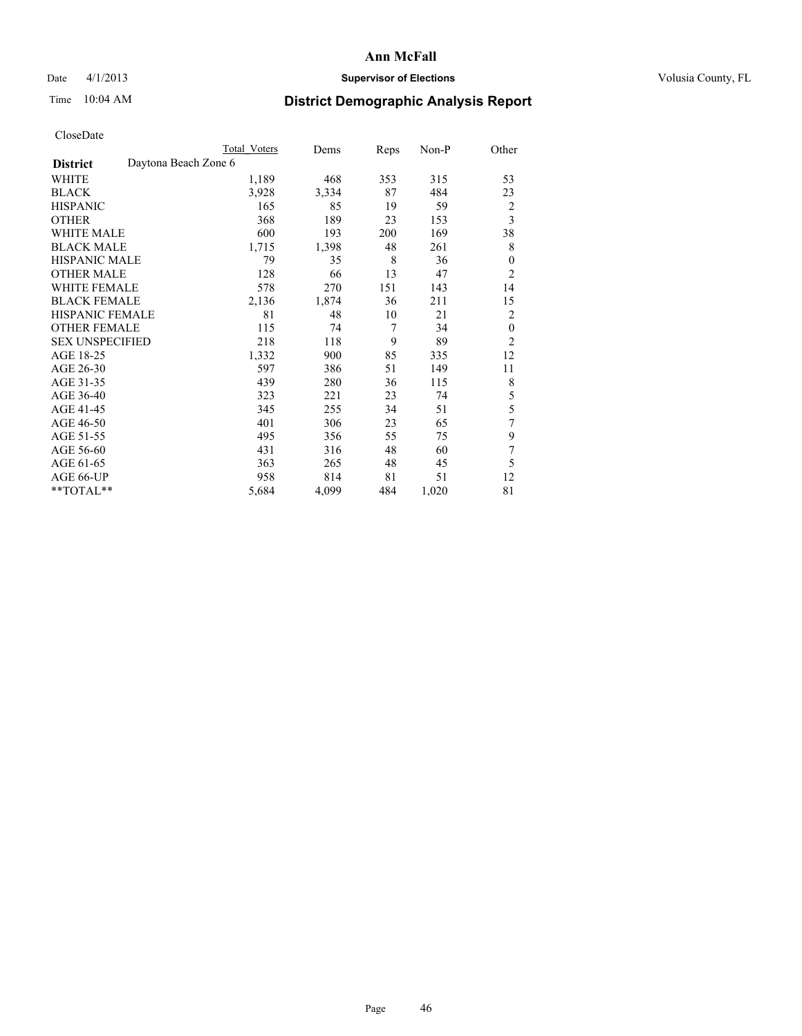### Date 4/1/2013 **Supervisor of Elections Supervisor of Elections** Volusia County, FL

## Time 10:04 AM **District Demographic Analysis Report**

|                        |                      | <b>Total Voters</b> | Dems  | Reps | Non-P | Other          |
|------------------------|----------------------|---------------------|-------|------|-------|----------------|
| <b>District</b>        | Daytona Beach Zone 6 |                     |       |      |       |                |
| WHITE                  |                      | 1,189               | 468   | 353  | 315   | 53             |
| <b>BLACK</b>           |                      | 3,928               | 3,334 | 87   | 484   | 23             |
| <b>HISPANIC</b>        |                      | 165                 | 85    | 19   | 59    | $\overline{c}$ |
| <b>OTHER</b>           |                      | 368                 | 189   | 23   | 153   | $\overline{3}$ |
| WHITE MALE             |                      | 600                 | 193   | 200  | 169   | 38             |
| <b>BLACK MALE</b>      |                      | 1,715               | 1,398 | 48   | 261   | 8              |
| <b>HISPANIC MALE</b>   |                      | 79                  | 35    | 8    | 36    | $\mathbf{0}$   |
| <b>OTHER MALE</b>      |                      | 128                 | 66    | 13   | 47    | $\overline{c}$ |
| WHITE FEMALE           |                      | 578                 | 270   | 151  | 143   | 14             |
| <b>BLACK FEMALE</b>    |                      | 2,136               | 1,874 | 36   | 211   | 15             |
| <b>HISPANIC FEMALE</b> |                      | 81                  | 48    | 10   | 21    | 2              |
| <b>OTHER FEMALE</b>    |                      | 115                 | 74    | 7    | 34    | $\theta$       |
| <b>SEX UNSPECIFIED</b> |                      | 218                 | 118   | 9    | 89    | $\overline{2}$ |
| AGE 18-25              |                      | 1,332               | 900   | 85   | 335   | 12             |
| AGE 26-30              |                      | 597                 | 386   | 51   | 149   | 11             |
| AGE 31-35              |                      | 439                 | 280   | 36   | 115   | 8              |
| AGE 36-40              |                      | 323                 | 221   | 23   | 74    | 5              |
| AGE 41-45              |                      | 345                 | 255   | 34   | 51    | 5              |
| AGE 46-50              |                      | 401                 | 306   | 23   | 65    | 7              |
| AGE 51-55              |                      | 495                 | 356   | 55   | 75    | 9              |
| AGE 56-60              |                      | 431                 | 316   | 48   | 60    | 7              |
| AGE 61-65              |                      | 363                 | 265   | 48   | 45    | 5              |
| AGE 66-UP              |                      | 958                 | 814   | 81   | 51    | 12             |
| **TOTAL**              |                      | 5,684               | 4,099 | 484  | 1,020 | 81             |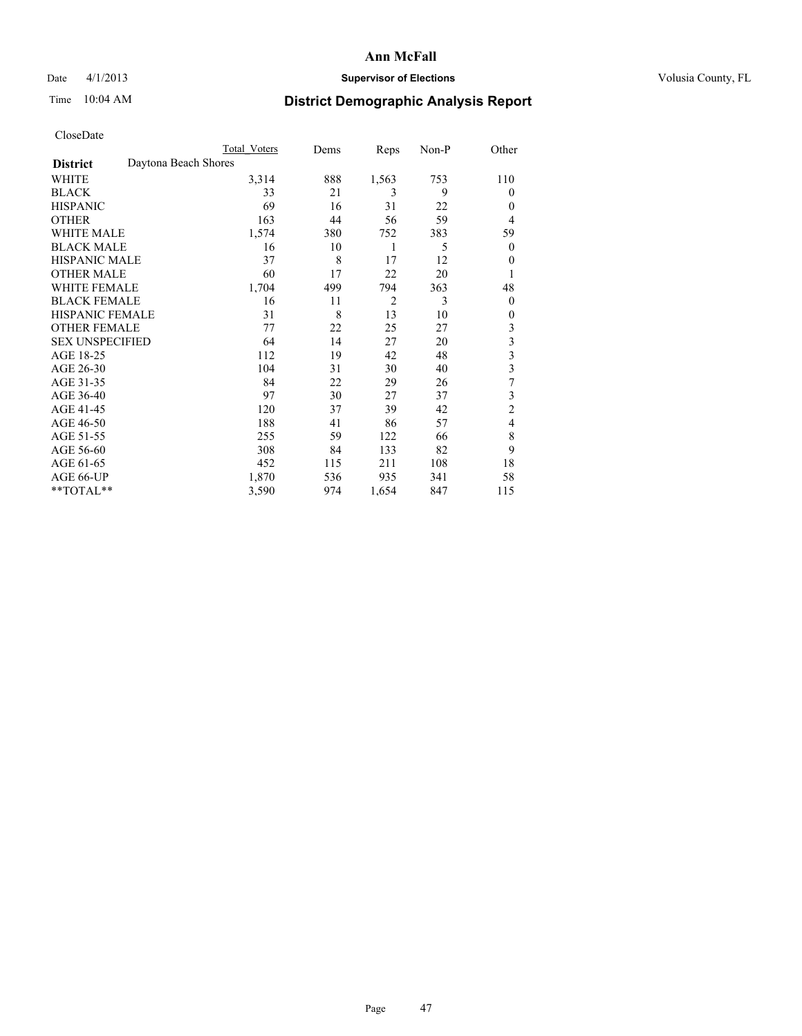### Date 4/1/2013 **Supervisor of Elections Supervisor of Elections** Volusia County, FL

## Time 10:04 AM **District Demographic Analysis Report**

|                        | <b>Total Voters</b>  | Dems | Reps           | Non-P | Other                   |
|------------------------|----------------------|------|----------------|-------|-------------------------|
| <b>District</b>        | Daytona Beach Shores |      |                |       |                         |
| WHITE                  | 3,314                | 888  | 1,563          | 753   | 110                     |
| <b>BLACK</b>           | 33                   | 21   | 3              | 9     | $\Omega$                |
| <b>HISPANIC</b>        | 69                   | 16   | 31             | 22    | $\Omega$                |
| <b>OTHER</b>           | 163                  | 44   | 56             | 59    | $\overline{4}$          |
| WHITE MALE             | 1,574                | 380  | 752            | 383   | 59                      |
| <b>BLACK MALE</b>      | 16                   | 10   | 1              | 5     | $\overline{0}$          |
| <b>HISPANIC MALE</b>   | 37                   | 8    | 17             | 12    | 0                       |
| <b>OTHER MALE</b>      | 60                   | 17   | 22             | 20    | 1                       |
| <b>WHITE FEMALE</b>    | 1,704                | 499  | 794            | 363   | 48                      |
| <b>BLACK FEMALE</b>    | 16                   | 11   | $\overline{2}$ | 3     | $\overline{0}$          |
| <b>HISPANIC FEMALE</b> | 31                   | 8    | 13             | 10    | $\Omega$                |
| <b>OTHER FEMALE</b>    | 77                   | 22   | 25             | 27    | 3                       |
| <b>SEX UNSPECIFIED</b> | 64                   | 14   | 27             | 20    | 3                       |
| AGE 18-25              | 112                  | 19   | 42             | 48    | $\overline{\mathbf{3}}$ |
| AGE 26-30              | 104                  | 31   | 30             | 40    | $\overline{\mathbf{3}}$ |
| AGE 31-35              | 84                   | 22   | 29             | 26    | 7                       |
| AGE 36-40              | 97                   | 30   | 27             | 37    | 3                       |
| AGE 41-45              | 120                  | 37   | 39             | 42    | $\overline{c}$          |
| AGE 46-50              | 188                  | 41   | 86             | 57    | $\overline{4}$          |
| AGE 51-55              | 255                  | 59   | 122            | 66    | 8                       |
| AGE 56-60              | 308                  | 84   | 133            | 82    | 9                       |
| AGE 61-65              | 452                  | 115  | 211            | 108   | 18                      |
| AGE 66-UP              | 1,870                | 536  | 935            | 341   | 58                      |
| **TOTAL**              | 3,590                | 974  | 1,654          | 847   | 115                     |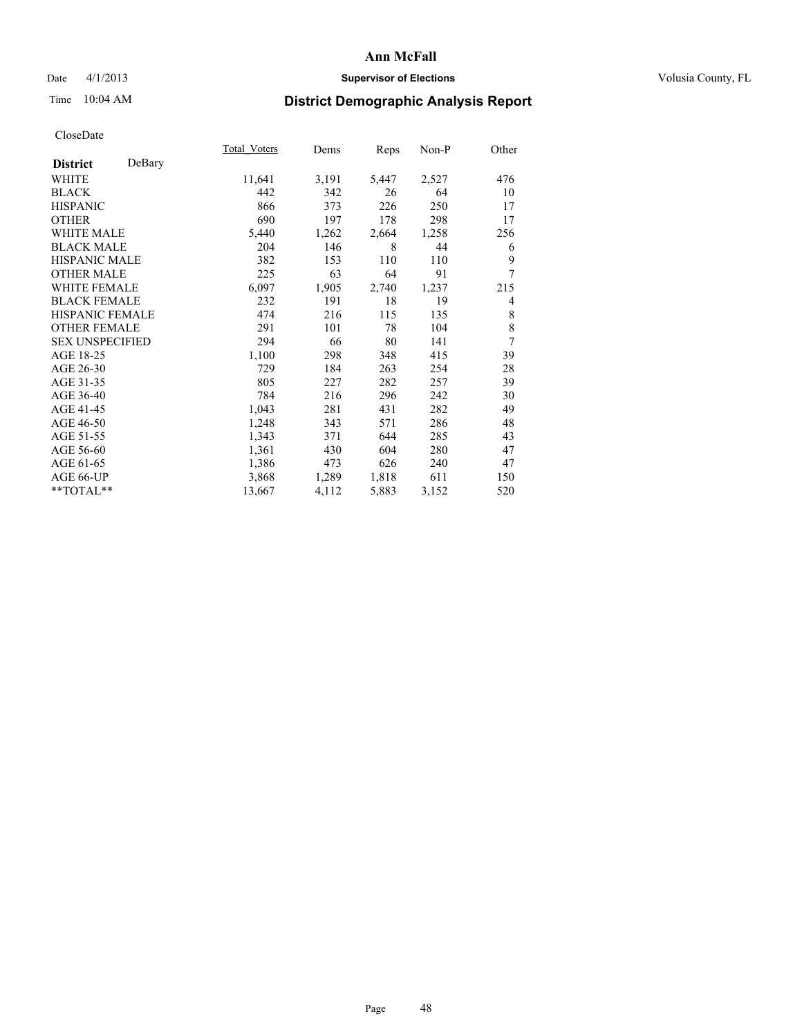### Date 4/1/2013 **Supervisor of Elections Supervisor of Elections** Volusia County, FL

# Time 10:04 AM **District Demographic Analysis Report**

|                        |        | Total Voters | Dems  | Reps  | Non-P | Other          |
|------------------------|--------|--------------|-------|-------|-------|----------------|
| <b>District</b>        | DeBary |              |       |       |       |                |
| WHITE                  |        | 11,641       | 3,191 | 5,447 | 2,527 | 476            |
| <b>BLACK</b>           |        | 442          | 342   | 26    | 64    | 10             |
| <b>HISPANIC</b>        |        | 866          | 373   | 226   | 250   | 17             |
| <b>OTHER</b>           |        | 690          | 197   | 178   | 298   | 17             |
| <b>WHITE MALE</b>      |        | 5,440        | 1,262 | 2,664 | 1,258 | 256            |
| <b>BLACK MALE</b>      |        | 204          | 146   | 8     | 44    | 6              |
| <b>HISPANIC MALE</b>   |        | 382          | 153   | 110   | 110   | 9              |
| <b>OTHER MALE</b>      |        | 225          | 63    | 64    | 91    | 7              |
| <b>WHITE FEMALE</b>    |        | 6,097        | 1,905 | 2,740 | 1,237 | 215            |
| <b>BLACK FEMALE</b>    |        | 232          | 191   | 18    | 19    | 4              |
| <b>HISPANIC FEMALE</b> |        | 474          | 216   | 115   | 135   | 8              |
| <b>OTHER FEMALE</b>    |        | 291          | 101   | 78    | 104   | 8              |
| <b>SEX UNSPECIFIED</b> |        | 294          | 66    | 80    | 141   | $\overline{7}$ |
| AGE 18-25              |        | 1,100        | 298   | 348   | 415   | 39             |
| AGE 26-30              |        | 729          | 184   | 263   | 254   | 28             |
| AGE 31-35              |        | 805          | 227   | 282   | 257   | 39             |
| AGE 36-40              |        | 784          | 216   | 296   | 242   | 30             |
| AGE 41-45              |        | 1,043        | 281   | 431   | 282   | 49             |
| AGE 46-50              |        | 1,248        | 343   | 571   | 286   | 48             |
| AGE 51-55              |        | 1,343        | 371   | 644   | 285   | 43             |
| AGE 56-60              |        | 1,361        | 430   | 604   | 280   | 47             |
| AGE 61-65              |        | 1,386        | 473   | 626   | 240   | 47             |
| AGE 66-UP              |        | 3,868        | 1,289 | 1,818 | 611   | 150            |
| **TOTAL**              |        | 13,667       | 4,112 | 5,883 | 3,152 | 520            |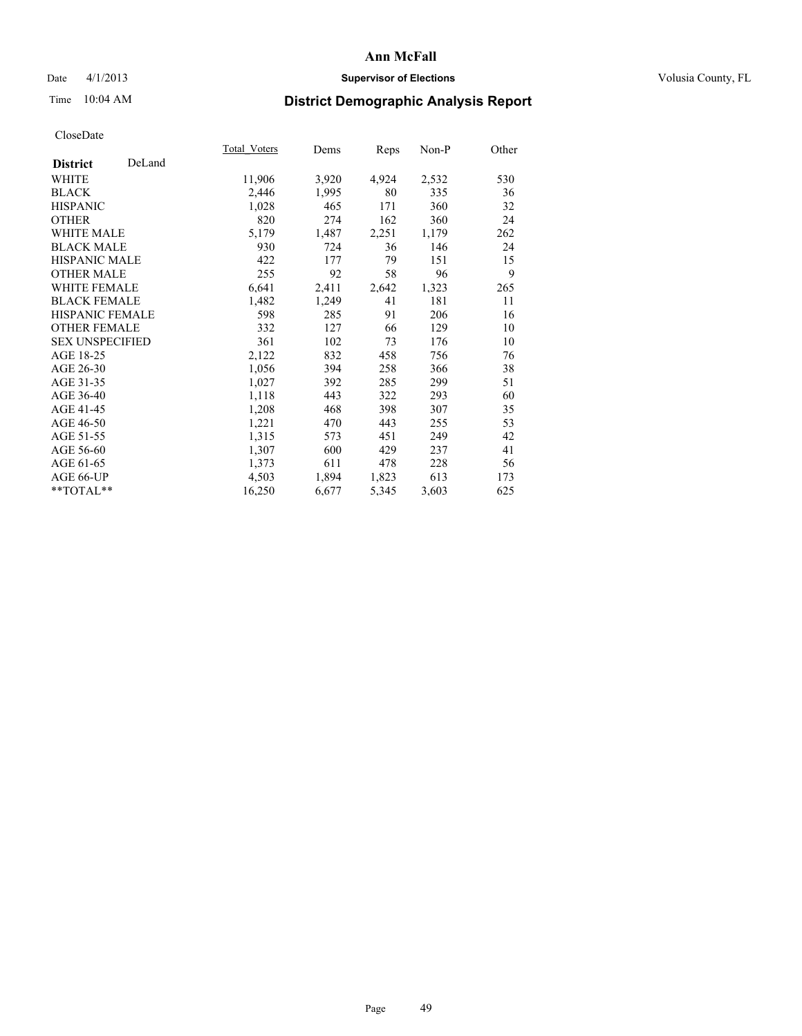### Date 4/1/2013 **Supervisor of Elections Supervisor of Elections** Volusia County, FL

# Time 10:04 AM **District Demographic Analysis Report**

|                        |        | Total Voters | Dems  | Reps  | Non-P | Other |
|------------------------|--------|--------------|-------|-------|-------|-------|
| <b>District</b>        | DeLand |              |       |       |       |       |
| WHITE                  |        | 11,906       | 3,920 | 4,924 | 2,532 | 530   |
| <b>BLACK</b>           |        | 2,446        | 1,995 | 80    | 335   | 36    |
| <b>HISPANIC</b>        |        | 1,028        | 465   | 171   | 360   | 32    |
| <b>OTHER</b>           |        | 820          | 274   | 162   | 360   | 24    |
| <b>WHITE MALE</b>      |        | 5,179        | 1,487 | 2,251 | 1,179 | 262   |
| <b>BLACK MALE</b>      |        | 930          | 724   | 36    | 146   | 24    |
| <b>HISPANIC MALE</b>   |        | 422          | 177   | 79    | 151   | 15    |
| <b>OTHER MALE</b>      |        | 255          | 92    | 58    | 96    | 9     |
| <b>WHITE FEMALE</b>    |        | 6,641        | 2,411 | 2,642 | 1,323 | 265   |
| <b>BLACK FEMALE</b>    |        | 1,482        | 1,249 | 41    | 181   | 11    |
| <b>HISPANIC FEMALE</b> |        | 598          | 285   | 91    | 206   | 16    |
| <b>OTHER FEMALE</b>    |        | 332          | 127   | 66    | 129   | 10    |
| <b>SEX UNSPECIFIED</b> |        | 361          | 102   | 73    | 176   | 10    |
| AGE 18-25              |        | 2,122        | 832   | 458   | 756   | 76    |
| AGE 26-30              |        | 1,056        | 394   | 258   | 366   | 38    |
| AGE 31-35              |        | 1,027        | 392   | 285   | 299   | 51    |
| AGE 36-40              |        | 1,118        | 443   | 322   | 293   | 60    |
| AGE 41-45              |        | 1,208        | 468   | 398   | 307   | 35    |
| AGE 46-50              |        | 1,221        | 470   | 443   | 255   | 53    |
| AGE 51-55              |        | 1,315        | 573   | 451   | 249   | 42    |
| AGE 56-60              |        | 1,307        | 600   | 429   | 237   | 41    |
| AGE 61-65              |        | 1,373        | 611   | 478   | 228   | 56    |
| AGE 66-UP              |        | 4,503        | 1,894 | 1,823 | 613   | 173   |
| **TOTAL**              |        | 16,250       | 6,677 | 5,345 | 3,603 | 625   |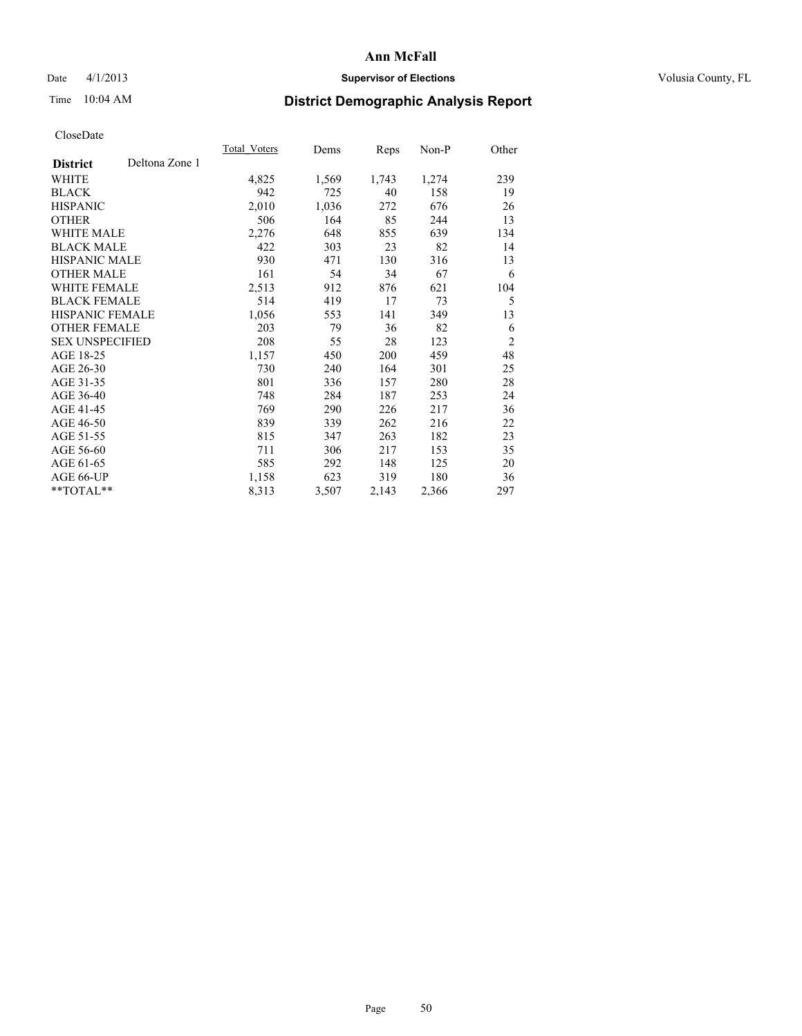### Date 4/1/2013 **Supervisor of Elections Supervisor of Elections** Volusia County, FL

# Time 10:04 AM **District Demographic Analysis Report**

|                                   | Total Voters | Dems  | <b>Reps</b> | Non-P | Other          |
|-----------------------------------|--------------|-------|-------------|-------|----------------|
| Deltona Zone 1<br><b>District</b> |              |       |             |       |                |
| WHITE                             | 4,825        | 1,569 | 1,743       | 1,274 | 239            |
| <b>BLACK</b>                      | 942          | 725   | 40          | 158   | 19             |
| <b>HISPANIC</b>                   | 2,010        | 1,036 | 272         | 676   | 26             |
| <b>OTHER</b>                      | 506          | 164   | 85          | 244   | 13             |
| <b>WHITE MALE</b>                 | 2,276        | 648   | 855         | 639   | 134            |
| <b>BLACK MALE</b>                 | 422          | 303   | 23          | 82    | 14             |
| <b>HISPANIC MALE</b>              | 930          | 471   | 130         | 316   | 13             |
| <b>OTHER MALE</b>                 | 161          | 54    | 34          | 67    | 6              |
| <b>WHITE FEMALE</b>               | 2,513        | 912   | 876         | 621   | 104            |
| <b>BLACK FEMALE</b>               | 514          | 419   | 17          | 73    | 5              |
| HISPANIC FEMALE                   | 1,056        | 553   | 141         | 349   | 13             |
| <b>OTHER FEMALE</b>               | 203          | 79    | 36          | 82    | 6              |
| <b>SEX UNSPECIFIED</b>            | 208          | 55    | 28          | 123   | $\overline{2}$ |
| AGE 18-25                         | 1,157        | 450   | 200         | 459   | 48             |
| AGE 26-30                         | 730          | 240   | 164         | 301   | 25             |
| AGE 31-35                         | 801          | 336   | 157         | 280   | 28             |
| AGE 36-40                         | 748          | 284   | 187         | 253   | 24             |
| AGE 41-45                         | 769          | 290   | 226         | 217   | 36             |
| AGE 46-50                         | 839          | 339   | 262         | 216   | 22             |
| AGE 51-55                         | 815          | 347   | 263         | 182   | 23             |
| AGE 56-60                         | 711          | 306   | 217         | 153   | 35             |
| AGE 61-65                         | 585          | 292   | 148         | 125   | 20             |
| AGE 66-UP                         | 1,158        | 623   | 319         | 180   | 36             |
| **TOTAL**                         | 8,313        | 3,507 | 2,143       | 2,366 | 297            |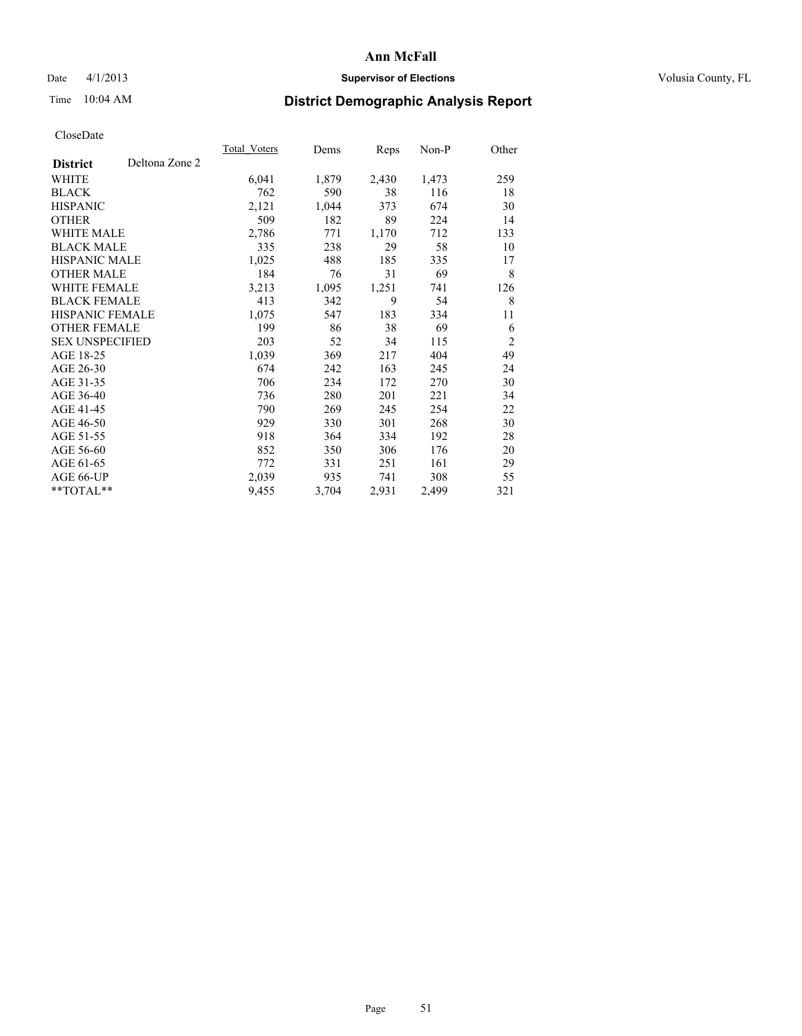### Date 4/1/2013 **Supervisor of Elections Supervisor of Elections** Volusia County, FL

# Time 10:04 AM **District Demographic Analysis Report**

|                        |                | Total Voters | Dems  | <b>Reps</b> | Non-P | Other          |
|------------------------|----------------|--------------|-------|-------------|-------|----------------|
| <b>District</b>        | Deltona Zone 2 |              |       |             |       |                |
| WHITE                  |                | 6,041        | 1,879 | 2,430       | 1,473 | 259            |
| <b>BLACK</b>           |                | 762          | 590   | 38          | 116   | 18             |
| <b>HISPANIC</b>        |                | 2,121        | 1,044 | 373         | 674   | 30             |
| <b>OTHER</b>           |                | 509          | 182   | 89          | 224   | 14             |
| <b>WHITE MALE</b>      |                | 2,786        | 771   | 1,170       | 712   | 133            |
| <b>BLACK MALE</b>      |                | 335          | 238   | 29          | 58    | 10             |
| HISPANIC MALE          |                | 1,025        | 488   | 185         | 335   | 17             |
| <b>OTHER MALE</b>      |                | 184          | 76    | 31          | 69    | 8              |
| <b>WHITE FEMALE</b>    |                | 3,213        | 1,095 | 1,251       | 741   | 126            |
| <b>BLACK FEMALE</b>    |                | 413          | 342   | 9           | 54    | 8              |
| <b>HISPANIC FEMALE</b> |                | 1,075        | 547   | 183         | 334   | 11             |
| <b>OTHER FEMALE</b>    |                | 199          | 86    | 38          | 69    | 6              |
| <b>SEX UNSPECIFIED</b> |                | 203          | 52    | 34          | 115   | $\overline{2}$ |
| AGE 18-25              |                | 1,039        | 369   | 217         | 404   | 49             |
| AGE 26-30              |                | 674          | 242   | 163         | 245   | 24             |
| AGE 31-35              |                | 706          | 234   | 172         | 270   | 30             |
| AGE 36-40              |                | 736          | 280   | 201         | 221   | 34             |
| AGE 41-45              |                | 790          | 269   | 245         | 254   | 22             |
| AGE 46-50              |                | 929          | 330   | 301         | 268   | 30             |
| AGE 51-55              |                | 918          | 364   | 334         | 192   | 28             |
| AGE 56-60              |                | 852          | 350   | 306         | 176   | 20             |
| AGE 61-65              |                | 772          | 331   | 251         | 161   | 29             |
| AGE 66-UP              |                | 2,039        | 935   | 741         | 308   | 55             |
| **TOTAL**              |                | 9,455        | 3,704 | 2,931       | 2,499 | 321            |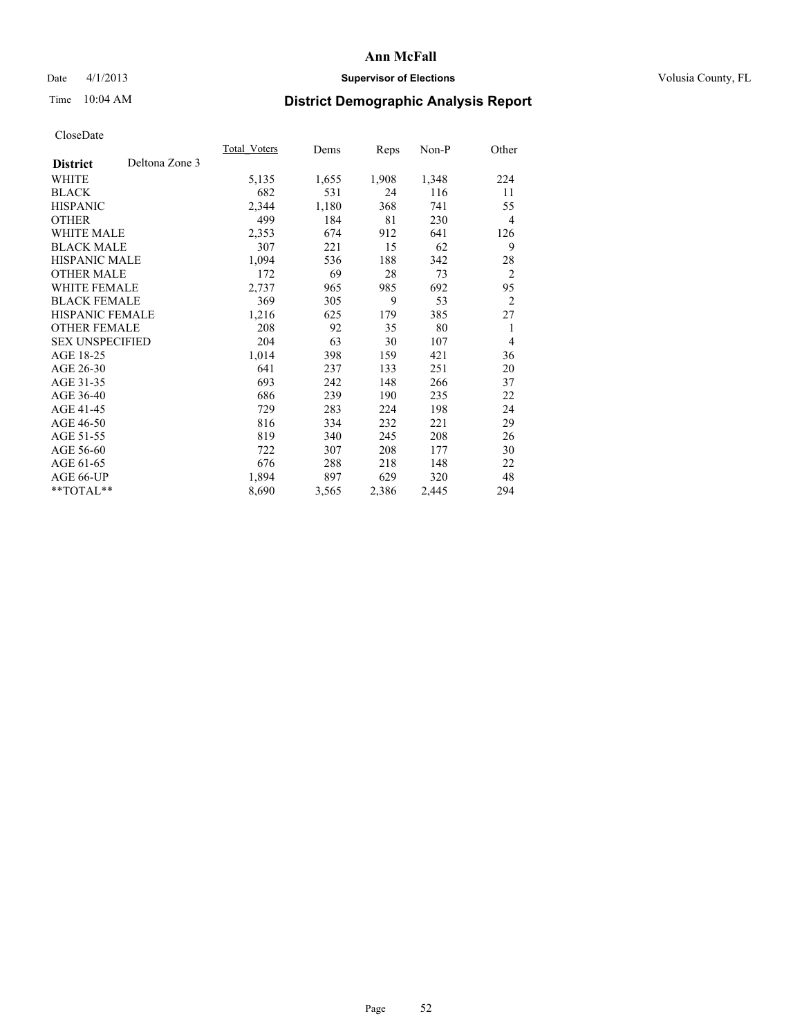### Date 4/1/2013 **Supervisor of Elections Supervisor of Elections** Volusia County, FL

# Time 10:04 AM **District Demographic Analysis Report**

|                        |                | Total Voters | Dems  | <b>Reps</b> | Non-P | Other          |
|------------------------|----------------|--------------|-------|-------------|-------|----------------|
| <b>District</b>        | Deltona Zone 3 |              |       |             |       |                |
| WHITE                  |                | 5,135        | 1,655 | 1,908       | 1,348 | 224            |
| <b>BLACK</b>           |                | 682          | 531   | 24          | 116   | 11             |
| <b>HISPANIC</b>        |                | 2,344        | 1,180 | 368         | 741   | 55             |
| <b>OTHER</b>           |                | 499          | 184   | 81          | 230   | $\overline{4}$ |
| <b>WHITE MALE</b>      |                | 2,353        | 674   | 912         | 641   | 126            |
| <b>BLACK MALE</b>      |                | 307          | 221   | 15          | 62    | 9              |
| <b>HISPANIC MALE</b>   |                | 1,094        | 536   | 188         | 342   | 28             |
| <b>OTHER MALE</b>      |                | 172          | 69    | 28          | 73    | $\overline{2}$ |
| <b>WHITE FEMALE</b>    |                | 2,737        | 965   | 985         | 692   | 95             |
| <b>BLACK FEMALE</b>    |                | 369          | 305   | 9           | 53    | $\overline{2}$ |
| <b>HISPANIC FEMALE</b> |                | 1,216        | 625   | 179         | 385   | 27             |
| <b>OTHER FEMALE</b>    |                | 208          | 92    | 35          | 80    | 1              |
| <b>SEX UNSPECIFIED</b> |                | 204          | 63    | 30          | 107   | $\overline{4}$ |
| AGE 18-25              |                | 1,014        | 398   | 159         | 421   | 36             |
| AGE 26-30              |                | 641          | 237   | 133         | 251   | 20             |
| AGE 31-35              |                | 693          | 242   | 148         | 266   | 37             |
| AGE 36-40              |                | 686          | 239   | 190         | 235   | 22             |
| AGE 41-45              |                | 729          | 283   | 224         | 198   | 24             |
| AGE 46-50              |                | 816          | 334   | 232         | 221   | 29             |
| AGE 51-55              |                | 819          | 340   | 245         | 208   | 26             |
| AGE 56-60              |                | 722          | 307   | 208         | 177   | 30             |
| AGE 61-65              |                | 676          | 288   | 218         | 148   | 22             |
| AGE 66-UP              |                | 1,894        | 897   | 629         | 320   | 48             |
| **TOTAL**              |                | 8,690        | 3,565 | 2,386       | 2,445 | 294            |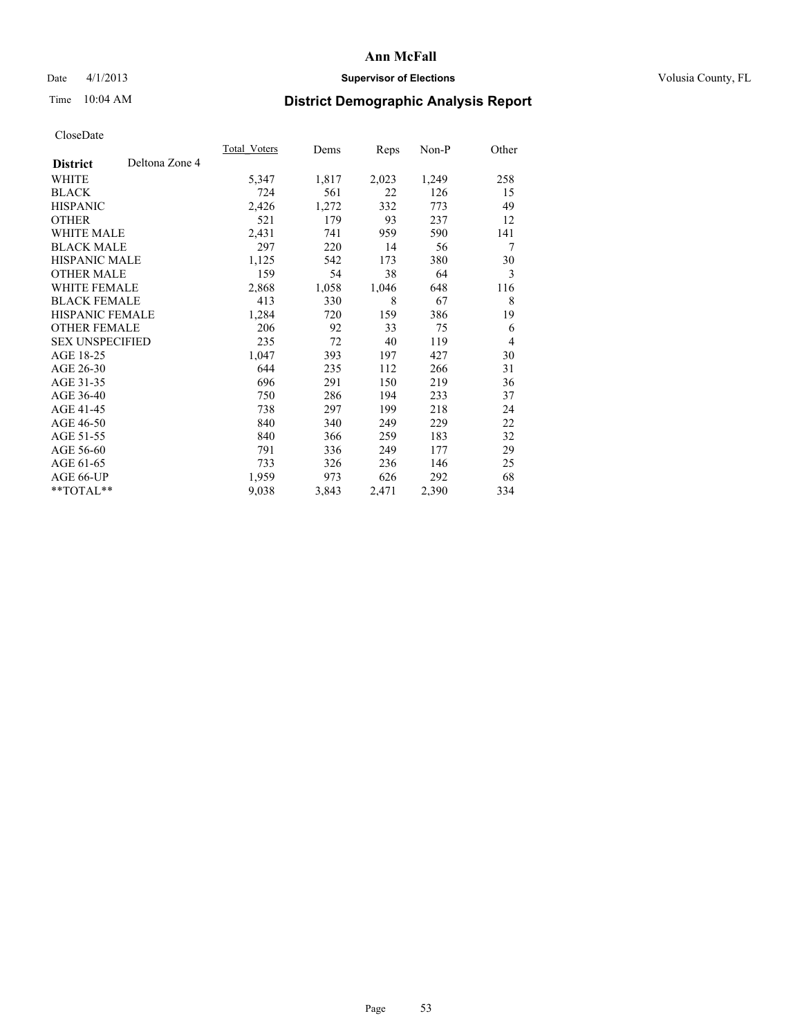### Date 4/1/2013 **Supervisor of Elections Supervisor of Elections** Volusia County, FL

# Time 10:04 AM **District Demographic Analysis Report**

|                        |                | Total Voters | Dems  | <b>Reps</b> | Non-P | Other          |
|------------------------|----------------|--------------|-------|-------------|-------|----------------|
| <b>District</b>        | Deltona Zone 4 |              |       |             |       |                |
| WHITE                  |                | 5,347        | 1,817 | 2,023       | 1,249 | 258            |
| <b>BLACK</b>           |                | 724          | 561   | 22          | 126   | 15             |
| <b>HISPANIC</b>        |                | 2,426        | 1,272 | 332         | 773   | 49             |
| <b>OTHER</b>           |                | 521          | 179   | 93          | 237   | 12             |
| <b>WHITE MALE</b>      |                | 2,431        | 741   | 959         | 590   | 141            |
| <b>BLACK MALE</b>      |                | 297          | 220   | 14          | 56    | 7              |
| <b>HISPANIC MALE</b>   |                | 1,125        | 542   | 173         | 380   | 30             |
| <b>OTHER MALE</b>      |                | 159          | 54    | 38          | 64    | 3              |
| <b>WHITE FEMALE</b>    |                | 2,868        | 1,058 | 1,046       | 648   | 116            |
| <b>BLACK FEMALE</b>    |                | 413          | 330   | 8           | 67    | 8              |
| <b>HISPANIC FEMALE</b> |                | 1,284        | 720   | 159         | 386   | 19             |
| <b>OTHER FEMALE</b>    |                | 206          | 92    | 33          | 75    | 6              |
| <b>SEX UNSPECIFIED</b> |                | 235          | 72    | 40          | 119   | $\overline{4}$ |
| AGE 18-25              |                | 1,047        | 393   | 197         | 427   | 30             |
| AGE 26-30              |                | 644          | 235   | 112         | 266   | 31             |
| AGE 31-35              |                | 696          | 291   | 150         | 219   | 36             |
| AGE 36-40              |                | 750          | 286   | 194         | 233   | 37             |
| AGE 41-45              |                | 738          | 297   | 199         | 218   | 24             |
| AGE 46-50              |                | 840          | 340   | 249         | 229   | 22             |
| AGE 51-55              |                | 840          | 366   | 259         | 183   | 32             |
| AGE 56-60              |                | 791          | 336   | 249         | 177   | 29             |
| AGE 61-65              |                | 733          | 326   | 236         | 146   | 25             |
| AGE 66-UP              |                | 1,959        | 973   | 626         | 292   | 68             |
| $*$ TOTAL $*$          |                | 9,038        | 3,843 | 2,471       | 2,390 | 334            |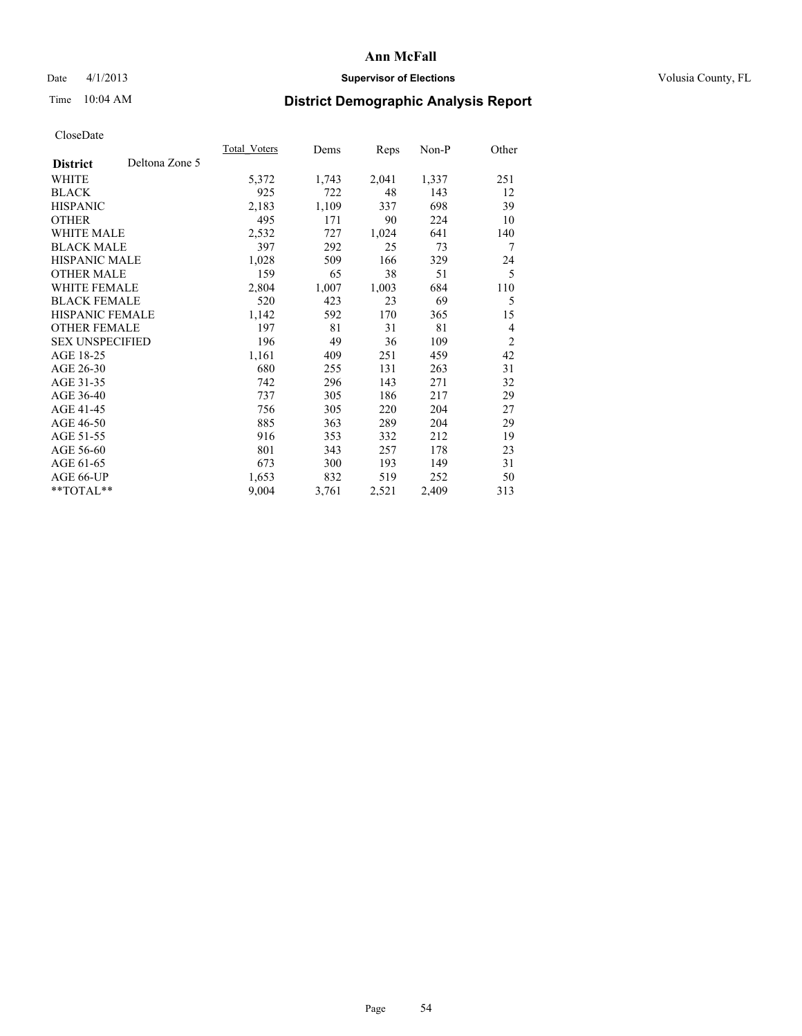### Date 4/1/2013 **Supervisor of Elections Supervisor of Elections** Volusia County, FL

# Time 10:04 AM **District Demographic Analysis Report**

|                        |                | Total Voters | Dems  | <b>Reps</b> | Non-P | Other          |
|------------------------|----------------|--------------|-------|-------------|-------|----------------|
| <b>District</b>        | Deltona Zone 5 |              |       |             |       |                |
| WHITE                  |                | 5,372        | 1,743 | 2,041       | 1,337 | 251            |
| <b>BLACK</b>           |                | 925          | 722   | 48          | 143   | 12             |
| <b>HISPANIC</b>        |                | 2,183        | 1,109 | 337         | 698   | 39             |
| <b>OTHER</b>           |                | 495          | 171   | 90          | 224   | 10             |
| <b>WHITE MALE</b>      |                | 2,532        | 727   | 1,024       | 641   | 140            |
| <b>BLACK MALE</b>      |                | 397          | 292   | 25          | 73    | 7              |
| <b>HISPANIC MALE</b>   |                | 1,028        | 509   | 166         | 329   | 24             |
| <b>OTHER MALE</b>      |                | 159          | 65    | 38          | 51    | 5              |
| <b>WHITE FEMALE</b>    |                | 2,804        | 1,007 | 1,003       | 684   | 110            |
| <b>BLACK FEMALE</b>    |                | 520          | 423   | 23          | 69    | 5              |
| HISPANIC FEMALE        |                | 1,142        | 592   | 170         | 365   | 15             |
| <b>OTHER FEMALE</b>    |                | 197          | 81    | 31          | 81    | $\overline{4}$ |
| <b>SEX UNSPECIFIED</b> |                | 196          | 49    | 36          | 109   | $\overline{2}$ |
| AGE 18-25              |                | 1,161        | 409   | 251         | 459   | 42             |
| AGE 26-30              |                | 680          | 255   | 131         | 263   | 31             |
| AGE 31-35              |                | 742          | 296   | 143         | 271   | 32             |
| AGE 36-40              |                | 737          | 305   | 186         | 217   | 29             |
| AGE 41-45              |                | 756          | 305   | 220         | 204   | 27             |
| AGE 46-50              |                | 885          | 363   | 289         | 204   | 29             |
| AGE 51-55              |                | 916          | 353   | 332         | 212   | 19             |
| AGE 56-60              |                | 801          | 343   | 257         | 178   | 23             |
| AGE 61-65              |                | 673          | 300   | 193         | 149   | 31             |
| AGE 66-UP              |                | 1,653        | 832   | 519         | 252   | 50             |
| **TOTAL**              |                | 9,004        | 3,761 | 2,521       | 2,409 | 313            |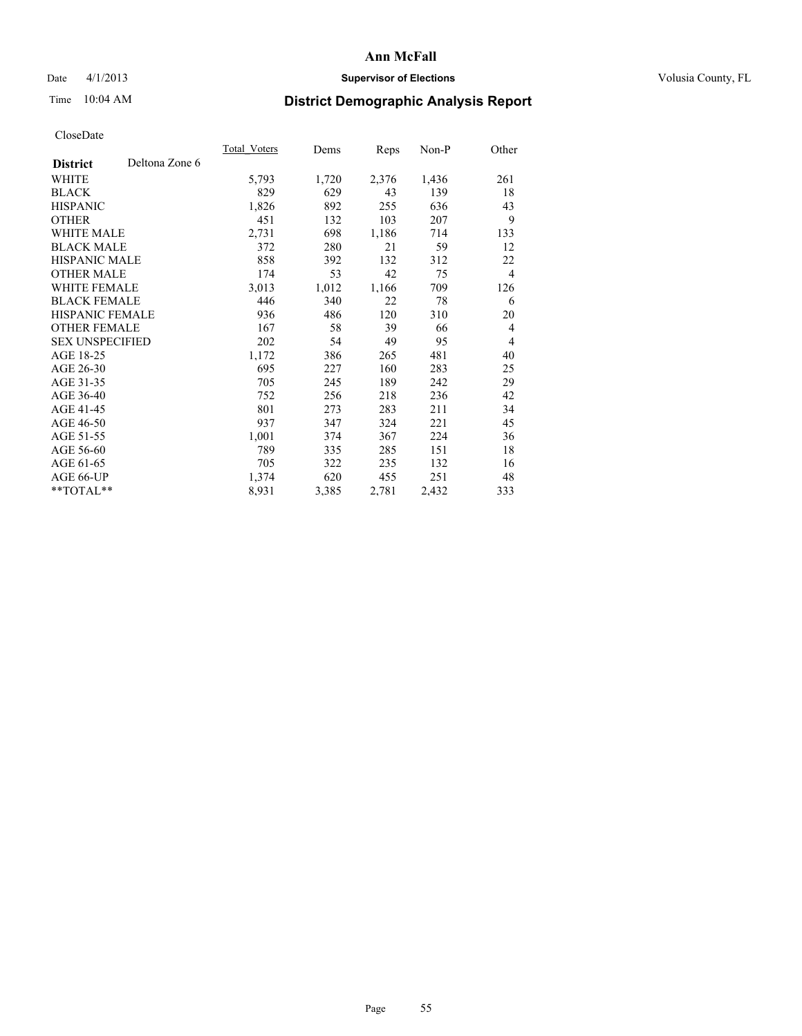### Date 4/1/2013 **Supervisor of Elections Supervisor of Elections** Volusia County, FL

# Time 10:04 AM **District Demographic Analysis Report**

|                                   | Total Voters | Dems  | <b>Reps</b> | Non-P | Other          |
|-----------------------------------|--------------|-------|-------------|-------|----------------|
| Deltona Zone 6<br><b>District</b> |              |       |             |       |                |
| WHITE                             | 5,793        | 1,720 | 2,376       | 1,436 | 261            |
| <b>BLACK</b>                      | 829          | 629   | 43          | 139   | 18             |
| <b>HISPANIC</b>                   | 1,826        | 892   | 255         | 636   | 43             |
| <b>OTHER</b>                      | 451          | 132   | 103         | 207   | 9              |
| <b>WHITE MALE</b>                 | 2,731        | 698   | 1,186       | 714   | 133            |
| <b>BLACK MALE</b>                 | 372          | 280   | 21          | 59    | 12             |
| <b>HISPANIC MALE</b>              | 858          | 392   | 132         | 312   | 22             |
| <b>OTHER MALE</b>                 | 174          | 53    | 42          | 75    | $\overline{4}$ |
| <b>WHITE FEMALE</b>               | 3,013        | 1,012 | 1,166       | 709   | 126            |
| <b>BLACK FEMALE</b>               | 446          | 340   | 22          | 78    | 6              |
| HISPANIC FEMALE                   | 936          | 486   | 120         | 310   | 20             |
| <b>OTHER FEMALE</b>               | 167          | 58    | 39          | 66    | $\overline{4}$ |
| <b>SEX UNSPECIFIED</b>            | 202          | 54    | 49          | 95    | $\overline{4}$ |
| AGE 18-25                         | 1,172        | 386   | 265         | 481   | 40             |
| AGE 26-30                         | 695          | 227   | 160         | 283   | 25             |
| AGE 31-35                         | 705          | 245   | 189         | 242   | 29             |
| AGE 36-40                         | 752          | 256   | 218         | 236   | 42             |
| AGE 41-45                         | 801          | 273   | 283         | 211   | 34             |
| AGE 46-50                         | 937          | 347   | 324         | 221   | 45             |
| AGE 51-55                         | 1,001        | 374   | 367         | 224   | 36             |
| AGE 56-60                         | 789          | 335   | 285         | 151   | 18             |
| AGE 61-65                         | 705          | 322   | 235         | 132   | 16             |
| AGE 66-UP                         | 1,374        | 620   | 455         | 251   | 48             |
| **TOTAL**                         | 8,931        | 3,385 | 2,781       | 2,432 | 333            |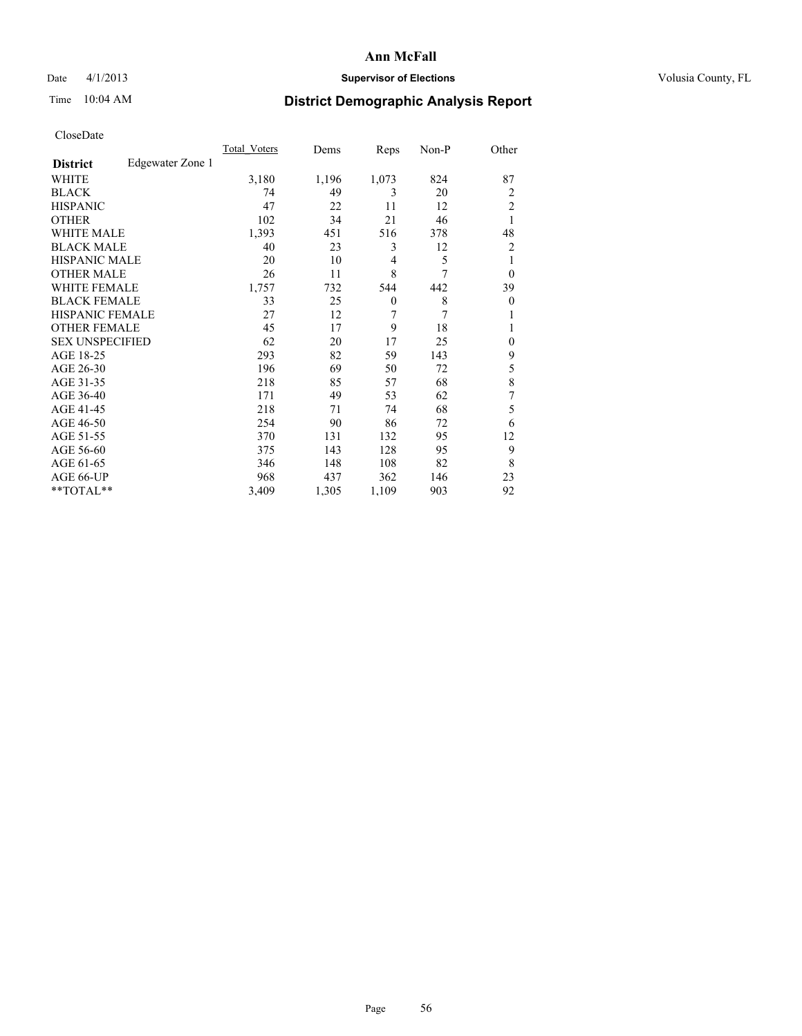### Date 4/1/2013 **Supervisor of Elections Supervisor of Elections** Volusia County, FL

## Time 10:04 AM **District Demographic Analysis Report**

|                        |                  | <b>Total Voters</b> | Dems  | Reps     | Non-P | Other          |
|------------------------|------------------|---------------------|-------|----------|-------|----------------|
| <b>District</b>        | Edgewater Zone 1 |                     |       |          |       |                |
| WHITE                  |                  | 3,180               | 1,196 | 1,073    | 824   | 87             |
| <b>BLACK</b>           |                  | 74                  | 49    | 3        | 20    | 2              |
| <b>HISPANIC</b>        |                  | 47                  | 22    | 11       | 12    | $\overline{c}$ |
| <b>OTHER</b>           |                  | 102                 | 34    | 21       | 46    | 1              |
| WHITE MALE             |                  | 1,393               | 451   | 516      | 378   | 48             |
| <b>BLACK MALE</b>      |                  | 40                  | 23    | 3        | 12    | 2              |
| <b>HISPANIC MALE</b>   |                  | 20                  | 10    | 4        | 5     | 1              |
| <b>OTHER MALE</b>      |                  | 26                  | 11    | 8        | 7     | $\theta$       |
| WHITE FEMALE           |                  | 1,757               | 732   | 544      | 442   | 39             |
| <b>BLACK FEMALE</b>    |                  | 33                  | 25    | $\theta$ | 8     | $\mathbf{0}$   |
| <b>HISPANIC FEMALE</b> |                  | 27                  | 12    | 7        | 7     | 1              |
| <b>OTHER FEMALE</b>    |                  | 45                  | 17    | 9        | 18    | 1              |
| <b>SEX UNSPECIFIED</b> |                  | 62                  | 20    | 17       | 25    | $\mathbf{0}$   |
| AGE 18-25              |                  | 293                 | 82    | 59       | 143   | 9              |
| AGE 26-30              |                  | 196                 | 69    | 50       | 72    | 5              |
| AGE 31-35              |                  | 218                 | 85    | 57       | 68    | 8              |
| AGE 36-40              |                  | 171                 | 49    | 53       | 62    | 7              |
| AGE 41-45              |                  | 218                 | 71    | 74       | 68    | 5              |
| AGE 46-50              |                  | 254                 | 90    | 86       | 72    | 6              |
| AGE 51-55              |                  | 370                 | 131   | 132      | 95    | 12             |
| AGE 56-60              |                  | 375                 | 143   | 128      | 95    | 9              |
| AGE 61-65              |                  | 346                 | 148   | 108      | 82    | 8              |
| AGE 66-UP              |                  | 968                 | 437   | 362      | 146   | 23             |
| **TOTAL**              |                  | 3,409               | 1,305 | 1,109    | 903   | 92             |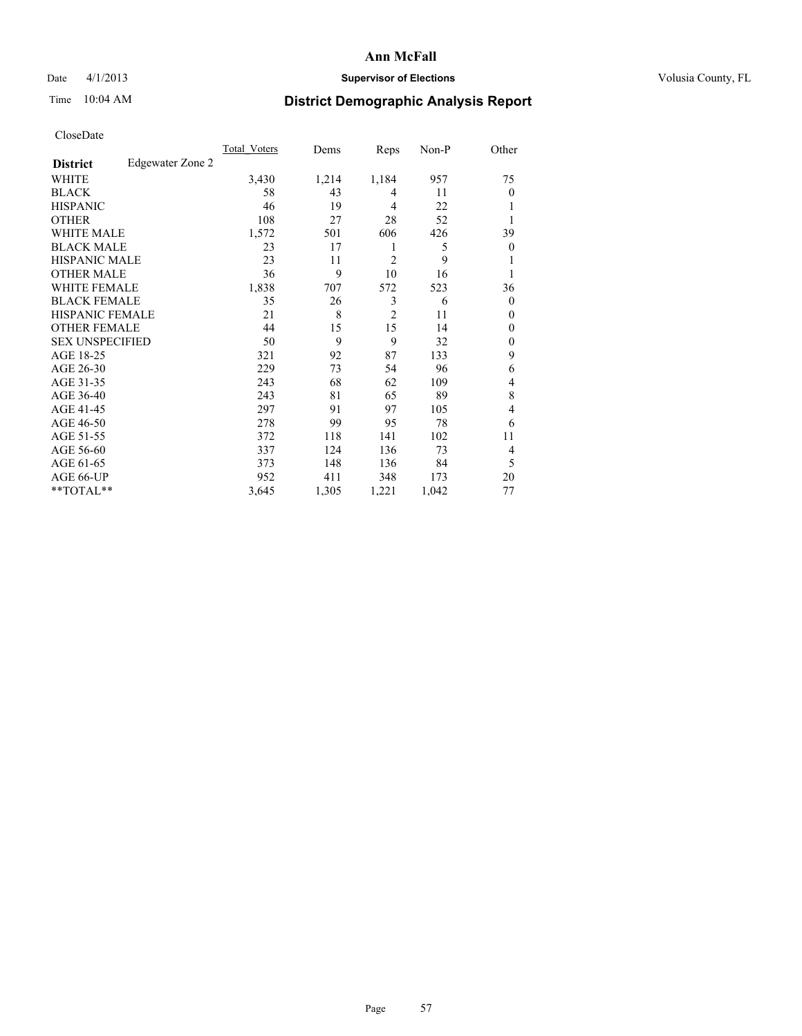### Date 4/1/2013 **Supervisor of Elections Supervisor of Elections** Volusia County, FL

## Time 10:04 AM **District Demographic Analysis Report**

|                        |                  | <b>Total Voters</b> | Dems  | Reps           | Non-P | Other          |
|------------------------|------------------|---------------------|-------|----------------|-------|----------------|
| <b>District</b>        | Edgewater Zone 2 |                     |       |                |       |                |
| WHITE                  |                  | 3,430               | 1,214 | 1,184          | 957   | 75             |
| <b>BLACK</b>           |                  | 58                  | 43    | 4              | 11    | $\Omega$       |
| <b>HISPANIC</b>        |                  | 46                  | 19    | $\overline{4}$ | 22    |                |
| <b>OTHER</b>           |                  | 108                 | 27    | 28             | 52    |                |
| WHITE MALE             |                  | 1,572               | 501   | 606            | 426   | 39             |
| <b>BLACK MALE</b>      |                  | 23                  | 17    | 1              | 5     | $\overline{0}$ |
| <b>HISPANIC MALE</b>   |                  | 23                  | 11    | $\overline{2}$ | 9     |                |
| <b>OTHER MALE</b>      |                  | 36                  | 9     | 10             | 16    | 1              |
| <b>WHITE FEMALE</b>    |                  | 1,838               | 707   | 572            | 523   | 36             |
| <b>BLACK FEMALE</b>    |                  | 35                  | 26    | 3              | 6     | $\overline{0}$ |
| <b>HISPANIC FEMALE</b> |                  | 21                  | 8     | $\overline{2}$ | 11    | $\Omega$       |
| <b>OTHER FEMALE</b>    |                  | 44                  | 15    | 15             | 14    | $\theta$       |
| <b>SEX UNSPECIFIED</b> |                  | 50                  | 9     | 9              | 32    | $\overline{0}$ |
| AGE 18-25              |                  | 321                 | 92    | 87             | 133   | 9              |
| AGE 26-30              |                  | 229                 | 73    | 54             | 96    | 6              |
| AGE 31-35              |                  | 243                 | 68    | 62             | 109   | 4              |
| AGE 36-40              |                  | 243                 | 81    | 65             | 89    | 8              |
| AGE 41-45              |                  | 297                 | 91    | 97             | 105   | $\overline{4}$ |
| AGE 46-50              |                  | 278                 | 99    | 95             | 78    | 6              |
| AGE 51-55              |                  | 372                 | 118   | 141            | 102   | 11             |
| AGE 56-60              |                  | 337                 | 124   | 136            | 73    | 4              |
| AGE 61-65              |                  | 373                 | 148   | 136            | 84    | 5              |
| AGE 66-UP              |                  | 952                 | 411   | 348            | 173   | 20             |
| **TOTAL**              |                  | 3,645               | 1,305 | 1,221          | 1,042 | 77             |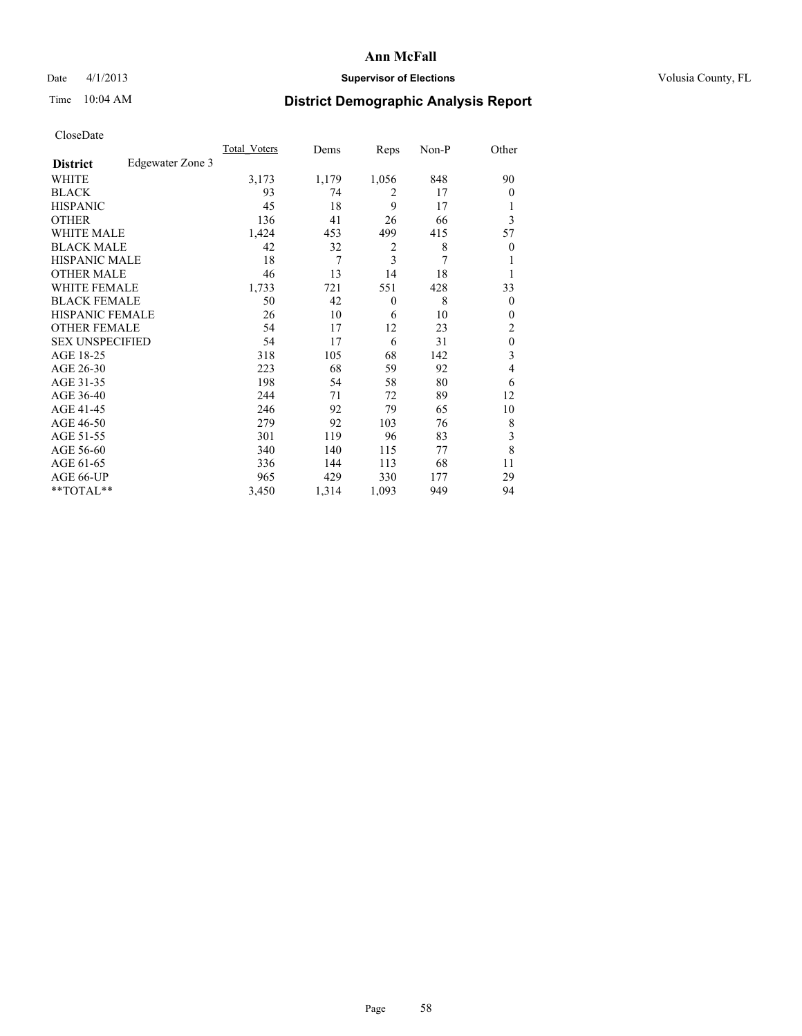### Date 4/1/2013 **Supervisor of Elections Supervisor of Elections** Volusia County, FL

## Time 10:04 AM **District Demographic Analysis Report**

|                        |                  | <b>Total Voters</b> | Dems  | Reps           | Non-P | Other            |
|------------------------|------------------|---------------------|-------|----------------|-------|------------------|
| <b>District</b>        | Edgewater Zone 3 |                     |       |                |       |                  |
| WHITE                  |                  | 3,173               | 1,179 | 1,056          | 848   | 90               |
| <b>BLACK</b>           |                  | 93                  | 74    | 2              | 17    | $\theta$         |
| <b>HISPANIC</b>        |                  | 45                  | 18    | 9              | 17    | 1                |
| <b>OTHER</b>           |                  | 136                 | 41    | 26             | 66    | 3                |
| WHITE MALE             |                  | 1,424               | 453   | 499            | 415   | 57               |
| <b>BLACK MALE</b>      |                  | 42                  | 32    | $\overline{c}$ | 8     | $\boldsymbol{0}$ |
| <b>HISPANIC MALE</b>   |                  | 18                  | 7     | 3              | 7     | 1                |
| <b>OTHER MALE</b>      |                  | 46                  | 13    | 14             | 18    | 1                |
| <b>WHITE FEMALE</b>    |                  | 1,733               | 721   | 551            | 428   | 33               |
| <b>BLACK FEMALE</b>    |                  | 50                  | 42    | $\mathbf{0}$   | 8     | $\overline{0}$   |
| <b>HISPANIC FEMALE</b> |                  | 26                  | 10    | 6              | 10    | $\theta$         |
| <b>OTHER FEMALE</b>    |                  | 54                  | 17    | 12             | 23    | 2                |
| <b>SEX UNSPECIFIED</b> |                  | 54                  | 17    | 6              | 31    | $\mathbf{0}$     |
| AGE 18-25              |                  | 318                 | 105   | 68             | 142   | 3                |
| AGE 26-30              |                  | 223                 | 68    | 59             | 92    | 4                |
| AGE 31-35              |                  | 198                 | 54    | 58             | 80    | 6                |
| AGE 36-40              |                  | 244                 | 71    | 72             | 89    | 12               |
| AGE 41-45              |                  | 246                 | 92    | 79             | 65    | 10               |
| AGE 46-50              |                  | 279                 | 92    | 103            | 76    | 8                |
| AGE 51-55              |                  | 301                 | 119   | 96             | 83    | 3                |
| AGE 56-60              |                  | 340                 | 140   | 115            | 77    | 8                |
| AGE 61-65              |                  | 336                 | 144   | 113            | 68    | 11               |
| AGE 66-UP              |                  | 965                 | 429   | 330            | 177   | 29               |
| **TOTAL**              |                  | 3,450               | 1,314 | 1,093          | 949   | 94               |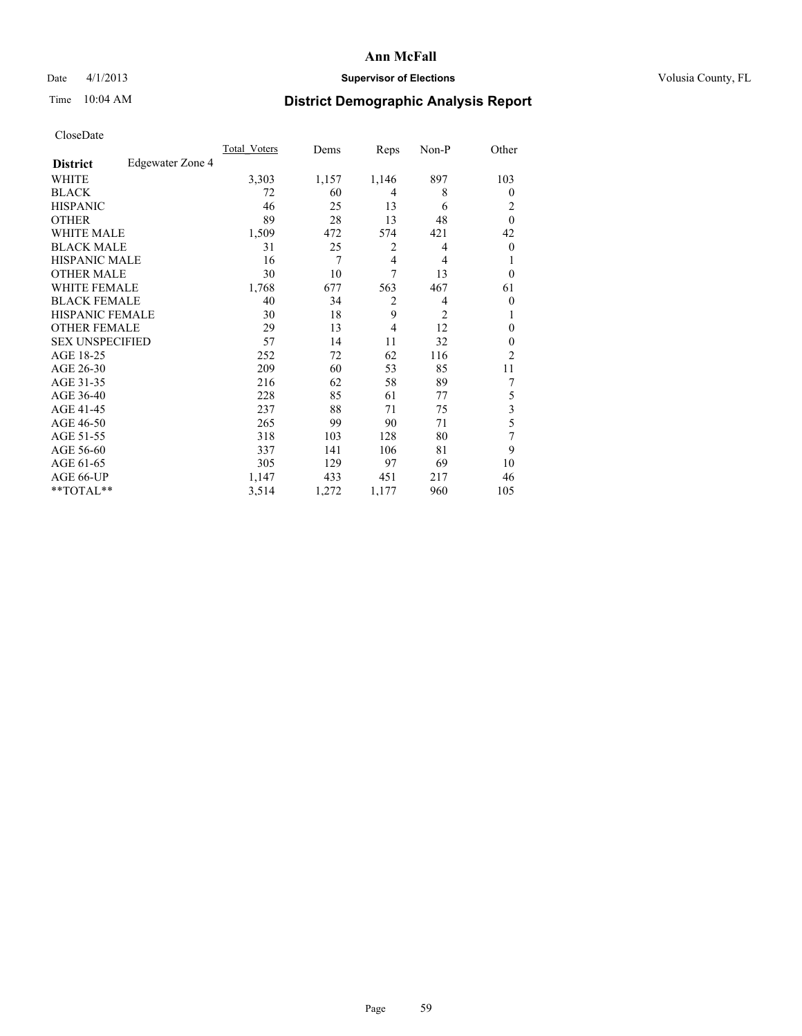### Date 4/1/2013 **Supervisor of Elections Supervisor of Elections** Volusia County, FL

## Time 10:04 AM **District Demographic Analysis Report**

|                        |                  | Total Voters | Dems  | Reps           | Non-P          | Other          |
|------------------------|------------------|--------------|-------|----------------|----------------|----------------|
| <b>District</b>        | Edgewater Zone 4 |              |       |                |                |                |
| WHITE                  |                  | 3,303        | 1,157 | 1,146          | 897            | 103            |
| <b>BLACK</b>           |                  | 72           | 60    | 4              | 8              | $\Omega$       |
| <b>HISPANIC</b>        |                  | 46           | 25    | 13             | 6              | 2              |
| <b>OTHER</b>           |                  | 89           | 28    | 13             | 48             | $\theta$       |
| WHITE MALE             |                  | 1,509        | 472   | 574            | 421            | 42             |
| <b>BLACK MALE</b>      |                  | 31           | 25    | 2              | 4              | $\overline{0}$ |
| <b>HISPANIC MALE</b>   |                  | 16           | 7     | $\overline{4}$ | 4              |                |
| <b>OTHER MALE</b>      |                  | 30           | 10    | 7              | 13             | $\Omega$       |
| <b>WHITE FEMALE</b>    |                  | 1,768        | 677   | 563            | 467            | 61             |
| <b>BLACK FEMALE</b>    |                  | 40           | 34    | $\overline{2}$ | 4              | $\overline{0}$ |
| <b>HISPANIC FEMALE</b> |                  | 30           | 18    | 9              | $\overline{2}$ |                |
| <b>OTHER FEMALE</b>    |                  | 29           | 13    | $\overline{4}$ | 12             | $\Omega$       |
| <b>SEX UNSPECIFIED</b> |                  | 57           | 14    | 11             | 32             | $\overline{0}$ |
| AGE 18-25              |                  | 252          | 72    | 62             | 116            | $\overline{2}$ |
| AGE 26-30              |                  | 209          | 60    | 53             | 85             | 11             |
| AGE 31-35              |                  | 216          | 62    | 58             | 89             | 7              |
| AGE 36-40              |                  | 228          | 85    | 61             | 77             | 5              |
| AGE 41-45              |                  | 237          | 88    | 71             | 75             | 3              |
| AGE 46-50              |                  | 265          | 99    | 90             | 71             | 5              |
| AGE 51-55              |                  | 318          | 103   | 128            | 80             | 7              |
| AGE 56-60              |                  | 337          | 141   | 106            | 81             | 9              |
| AGE 61-65              |                  | 305          | 129   | 97             | 69             | 10             |
| AGE 66-UP              |                  | 1,147        | 433   | 451            | 217            | 46             |
| **TOTAL**              |                  | 3,514        | 1,272 | 1,177          | 960            | 105            |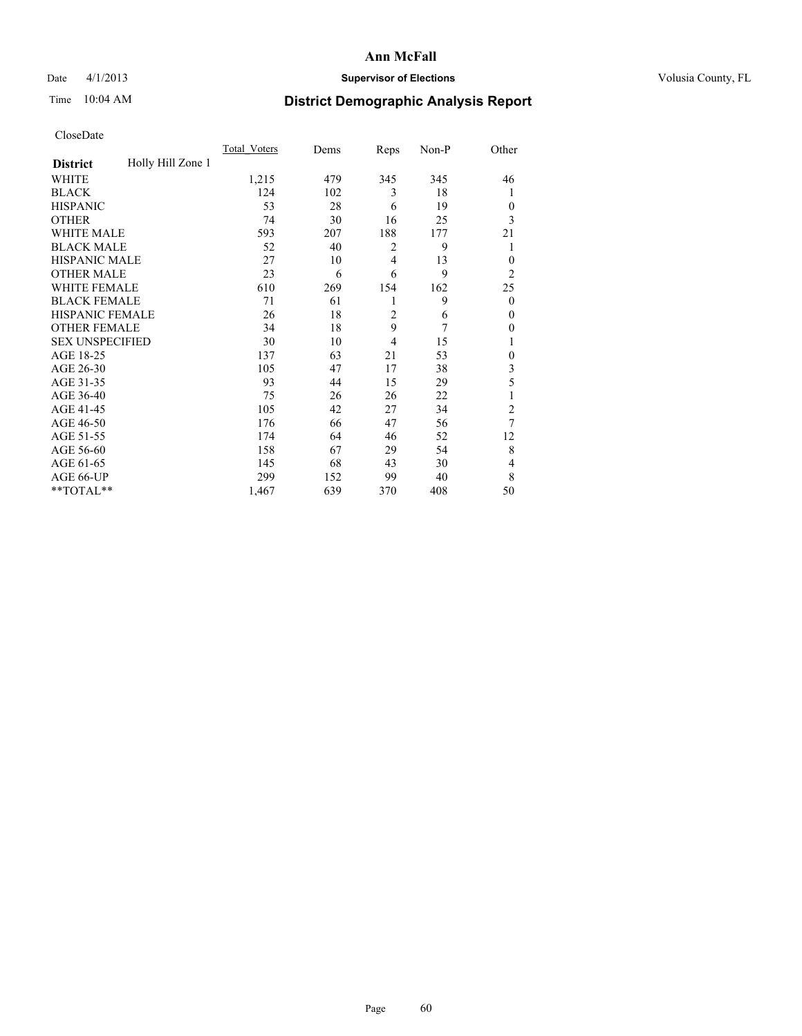### Date 4/1/2013 **Supervisor of Elections Supervisor of Elections** Volusia County, FL

## Time 10:04 AM **District Demographic Analysis Report**

|                        |                   | <b>Total Voters</b> | Dems | Reps           | Non-P | Other          |
|------------------------|-------------------|---------------------|------|----------------|-------|----------------|
| <b>District</b>        | Holly Hill Zone 1 |                     |      |                |       |                |
| WHITE                  |                   | 1,215               | 479  | 345            | 345   | 46             |
| <b>BLACK</b>           |                   | 124                 | 102  | 3              | 18    | 1              |
| <b>HISPANIC</b>        |                   | 53                  | 28   | 6              | 19    | $\Omega$       |
| <b>OTHER</b>           |                   | 74                  | 30   | 16             | 25    | 3              |
| WHITE MALE             |                   | 593                 | 207  | 188            | 177   | 21             |
| <b>BLACK MALE</b>      |                   | 52                  | 40   | 2              | 9     | 1              |
| <b>HISPANIC MALE</b>   |                   | 27                  | 10   | 4              | 13    | $\overline{0}$ |
| <b>OTHER MALE</b>      |                   | 23                  | 6    | 6              | 9     | $\overline{2}$ |
| WHITE FEMALE           |                   | 610                 | 269  | 154            | 162   | 25             |
| <b>BLACK FEMALE</b>    |                   | 71                  | 61   | 1              | 9     | $\overline{0}$ |
| <b>HISPANIC FEMALE</b> |                   | 26                  | 18   | $\overline{2}$ | 6     | $\Omega$       |
| <b>OTHER FEMALE</b>    |                   | 34                  | 18   | 9              | 7     | $\Omega$       |
| <b>SEX UNSPECIFIED</b> |                   | 30                  | 10   | $\overline{4}$ | 15    | 1              |
| AGE 18-25              |                   | 137                 | 63   | 21             | 53    | $\theta$       |
| AGE 26-30              |                   | 105                 | 47   | 17             | 38    | 3              |
| AGE 31-35              |                   | 93                  | 44   | 15             | 29    | 5              |
| AGE 36-40              |                   | 75                  | 26   | 26             | 22    | 1              |
| AGE 41-45              |                   | 105                 | 42   | 27             | 34    | $\overline{c}$ |
| AGE 46-50              |                   | 176                 | 66   | 47             | 56    | 7              |
| AGE 51-55              |                   | 174                 | 64   | 46             | 52    | 12             |
| AGE 56-60              |                   | 158                 | 67   | 29             | 54    | 8              |
| AGE 61-65              |                   | 145                 | 68   | 43             | 30    | 4              |
| AGE 66-UP              |                   | 299                 | 152  | 99             | 40    | 8              |
| **TOTAL**              |                   | 1,467               | 639  | 370            | 408   | 50             |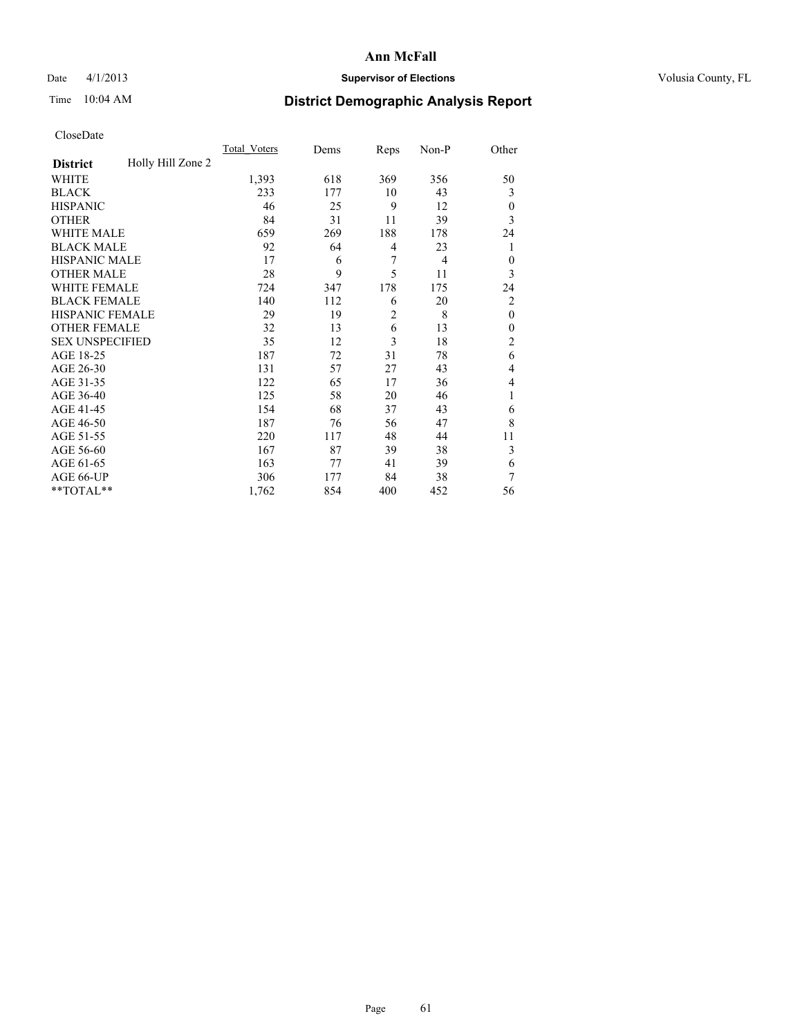### Date 4/1/2013 **Supervisor of Elections Supervisor of Elections** Volusia County, FL

## Time 10:04 AM **District Demographic Analysis Report**

|                        |                   | <b>Total Voters</b> | Dems | Reps           | Non-P          | Other          |
|------------------------|-------------------|---------------------|------|----------------|----------------|----------------|
| <b>District</b>        | Holly Hill Zone 2 |                     |      |                |                |                |
| WHITE                  |                   | 1,393               | 618  | 369            | 356            | 50             |
| <b>BLACK</b>           |                   | 233                 | 177  | 10             | 43             | 3              |
| <b>HISPANIC</b>        |                   | 46                  | 25   | 9              | 12             | $\overline{0}$ |
| <b>OTHER</b>           |                   | 84                  | 31   | 11             | 39             | 3              |
| WHITE MALE             |                   | 659                 | 269  | 188            | 178            | 24             |
| <b>BLACK MALE</b>      |                   | 92                  | 64   | 4              | 23             | 1              |
| <b>HISPANIC MALE</b>   |                   | 17                  | 6    | 7              | $\overline{4}$ | $\theta$       |
| <b>OTHER MALE</b>      |                   | 28                  | 9    | 5              | 11             | 3              |
| WHITE FEMALE           |                   | 724                 | 347  | 178            | 175            | 24             |
| <b>BLACK FEMALE</b>    |                   | 140                 | 112  | 6              | 20             | $\overline{2}$ |
| <b>HISPANIC FEMALE</b> |                   | 29                  | 19   | $\overline{2}$ | 8              | $\theta$       |
| <b>OTHER FEMALE</b>    |                   | 32                  | 13   | 6              | 13             | $\Omega$       |
| <b>SEX UNSPECIFIED</b> |                   | 35                  | 12   | 3              | 18             | $\overline{2}$ |
| AGE 18-25              |                   | 187                 | 72   | 31             | 78             | 6              |
| AGE 26-30              |                   | 131                 | 57   | 27             | 43             | 4              |
| AGE 31-35              |                   | 122                 | 65   | 17             | 36             | 4              |
| AGE 36-40              |                   | 125                 | 58   | 20             | 46             | 1              |
| AGE 41-45              |                   | 154                 | 68   | 37             | 43             | 6              |
| AGE 46-50              |                   | 187                 | 76   | 56             | 47             | 8              |
| AGE 51-55              |                   | 220                 | 117  | 48             | 44             | 11             |
| AGE 56-60              |                   | 167                 | 87   | 39             | 38             | 3              |
| AGE 61-65              |                   | 163                 | 77   | 41             | 39             | 6              |
| AGE 66-UP              |                   | 306                 | 177  | 84             | 38             | 7              |
| **TOTAL**              |                   | 1,762               | 854  | 400            | 452            | 56             |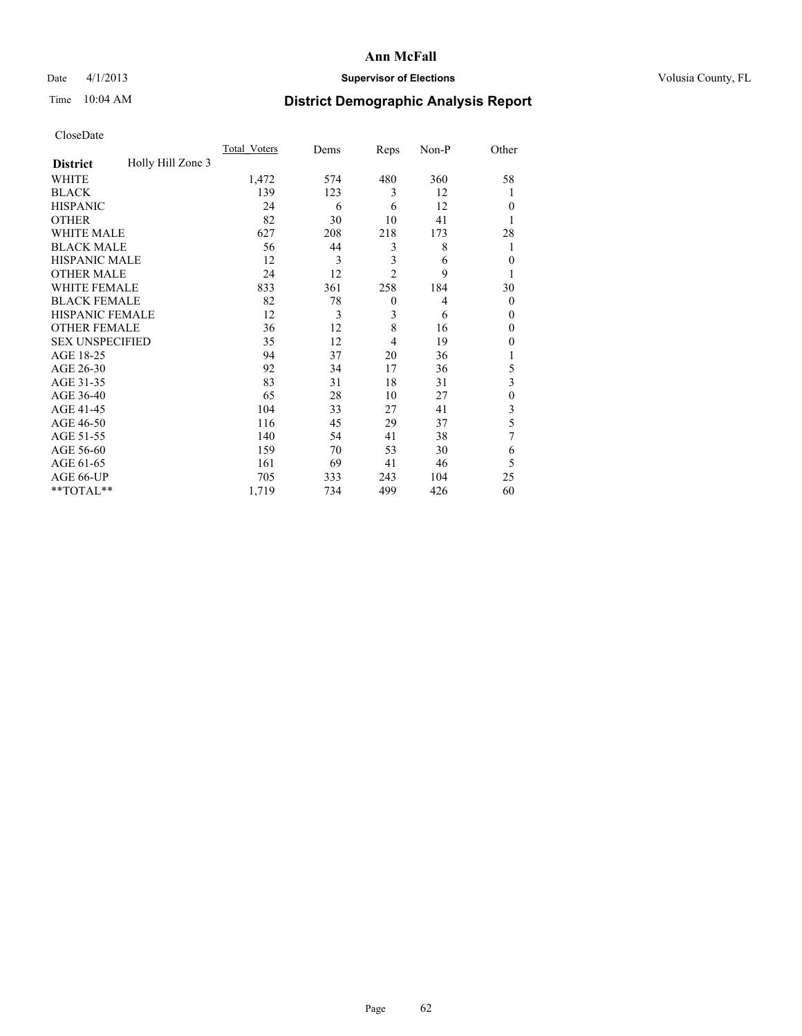### Date 4/1/2013 **Supervisor of Elections Supervisor of Elections** Volusia County, FL

## Time 10:04 AM **District Demographic Analysis Report**

|                        |                   | <b>Total Voters</b> | Dems | Reps           | Non-P          | Other          |
|------------------------|-------------------|---------------------|------|----------------|----------------|----------------|
| <b>District</b>        | Holly Hill Zone 3 |                     |      |                |                |                |
| WHITE                  |                   | 1,472               | 574  | 480            | 360            | 58             |
| <b>BLACK</b>           |                   | 139                 | 123  | 3              | 12             | 1              |
| <b>HISPANIC</b>        |                   | 24                  | 6    | 6              | 12             | $\Omega$       |
| <b>OTHER</b>           |                   | 82                  | 30   | 10             | 41             |                |
| WHITE MALE             |                   | 627                 | 208  | 218            | 173            | 28             |
| <b>BLACK MALE</b>      |                   | 56                  | 44   | 3              | 8              | 1              |
| <b>HISPANIC MALE</b>   |                   | 12                  | 3    | 3              | 6              | $\overline{0}$ |
| <b>OTHER MALE</b>      |                   | 24                  | 12   | $\overline{2}$ | 9              | 1              |
| <b>WHITE FEMALE</b>    |                   | 833                 | 361  | 258            | 184            | 30             |
| <b>BLACK FEMALE</b>    |                   | 82                  | 78   | $\mathbf{0}$   | $\overline{4}$ | $\overline{0}$ |
| <b>HISPANIC FEMALE</b> |                   | 12                  | 3    | 3              | 6              | $\Omega$       |
| <b>OTHER FEMALE</b>    |                   | 36                  | 12   | 8              | 16             | $\Omega$       |
| <b>SEX UNSPECIFIED</b> |                   | 35                  | 12   | 4              | 19             | $\Omega$       |
| AGE 18-25              |                   | 94                  | 37   | 20             | 36             |                |
| AGE 26-30              |                   | 92                  | 34   | 17             | 36             | 5              |
| AGE 31-35              |                   | 83                  | 31   | 18             | 31             | 3              |
| AGE 36-40              |                   | 65                  | 28   | 10             | 27             | $\theta$       |
| AGE 41-45              |                   | 104                 | 33   | 27             | 41             | 3              |
| AGE 46-50              |                   | 116                 | 45   | 29             | 37             | 5              |
| AGE 51-55              |                   | 140                 | 54   | 41             | 38             | 7              |
| AGE 56-60              |                   | 159                 | 70   | 53             | 30             | 6              |
| AGE 61-65              |                   | 161                 | 69   | 41             | 46             | 5              |
| AGE 66-UP              |                   | 705                 | 333  | 243            | 104            | 25             |
| **TOTAL**              |                   | 1,719               | 734  | 499            | 426            | 60             |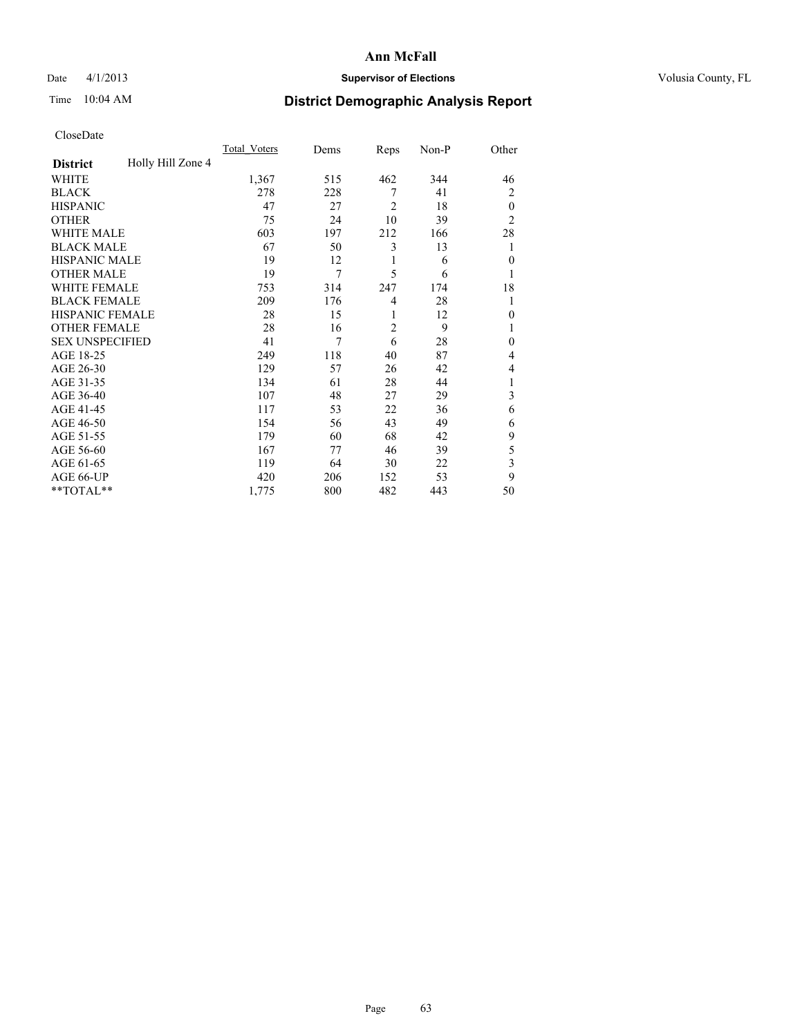### Date 4/1/2013 **Supervisor of Elections Supervisor of Elections** Volusia County, FL

## Time 10:04 AM **District Demographic Analysis Report**

|                        |                   | <b>Total Voters</b> | Dems | Reps           | Non-P | Other          |
|------------------------|-------------------|---------------------|------|----------------|-------|----------------|
| <b>District</b>        | Holly Hill Zone 4 |                     |      |                |       |                |
| WHITE                  |                   | 1,367               | 515  | 462            | 344   | 46             |
| <b>BLACK</b>           |                   | 278                 | 228  | 7              | 41    | $\overline{2}$ |
| <b>HISPANIC</b>        |                   | 47                  | 27   | $\overline{2}$ | 18    | $\theta$       |
| <b>OTHER</b>           |                   | 75                  | 24   | 10             | 39    | $\overline{2}$ |
| WHITE MALE             |                   | 603                 | 197  | 212            | 166   | 28             |
| <b>BLACK MALE</b>      |                   | 67                  | 50   | 3              | 13    | 1              |
| <b>HISPANIC MALE</b>   |                   | 19                  | 12   | 1              | 6     | $\overline{0}$ |
| <b>OTHER MALE</b>      |                   | 19                  | 7    | 5              | 6     | 1              |
| WHITE FEMALE           |                   | 753                 | 314  | 247            | 174   | 18             |
| <b>BLACK FEMALE</b>    |                   | 209                 | 176  | $\overline{4}$ | 28    | 1              |
| <b>HISPANIC FEMALE</b> |                   | 28                  | 15   | 1              | 12    | $\Omega$       |
| <b>OTHER FEMALE</b>    |                   | 28                  | 16   | $\overline{2}$ | 9     |                |
| <b>SEX UNSPECIFIED</b> |                   | 41                  | 7    | 6              | 28    | $\theta$       |
| AGE 18-25              |                   | 249                 | 118  | 40             | 87    | 4              |
| AGE 26-30              |                   | 129                 | 57   | 26             | 42    | 4              |
| AGE 31-35              |                   | 134                 | 61   | 28             | 44    |                |
| AGE 36-40              |                   | 107                 | 48   | 27             | 29    | 3              |
| AGE 41-45              |                   | 117                 | 53   | 22             | 36    | 6              |
| AGE 46-50              |                   | 154                 | 56   | 43             | 49    | 6              |
| AGE 51-55              |                   | 179                 | 60   | 68             | 42    | 9              |
| AGE 56-60              |                   | 167                 | 77   | 46             | 39    | 5              |
| AGE 61-65              |                   | 119                 | 64   | 30             | 22    | 3              |
| AGE 66-UP              |                   | 420                 | 206  | 152            | 53    | 9              |
| **TOTAL**              |                   | 1,775               | 800  | 482            | 443   | 50             |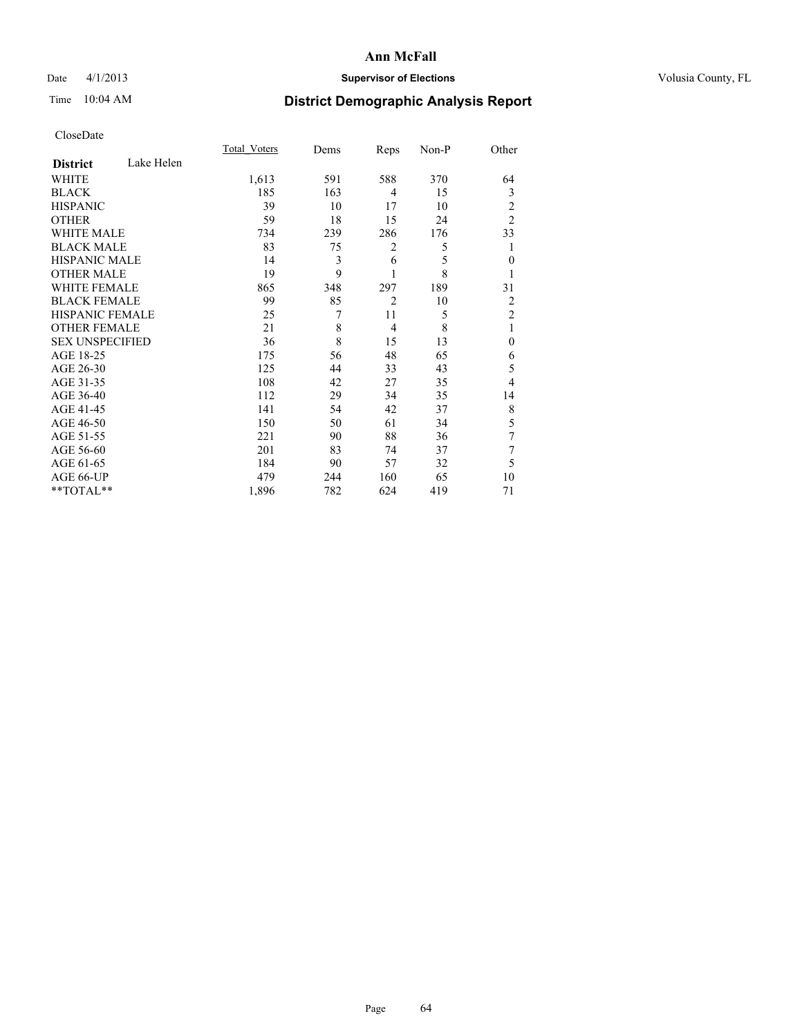### Date 4/1/2013 **Supervisor of Elections Supervisor of Elections** Volusia County, FL

## Time 10:04 AM **District Demographic Analysis Report**

|                        |            | Total Voters | Dems | Reps           | Non-P | Other          |
|------------------------|------------|--------------|------|----------------|-------|----------------|
| <b>District</b>        | Lake Helen |              |      |                |       |                |
| WHITE                  |            | 1,613        | 591  | 588            | 370   | 64             |
| <b>BLACK</b>           |            | 185          | 163  | 4              | 15    | 3              |
| <b>HISPANIC</b>        |            | 39           | 10   | 17             | 10    | 2              |
| <b>OTHER</b>           |            | 59           | 18   | 15             | 24    | $\overline{2}$ |
| <b>WHITE MALE</b>      |            | 734          | 239  | 286            | 176   | 33             |
| <b>BLACK MALE</b>      |            | 83           | 75   | $\overline{c}$ | 5     | 1              |
| <b>HISPANIC MALE</b>   |            | 14           | 3    | 6              | 5     | $\mathbf{0}$   |
| <b>OTHER MALE</b>      |            | 19           | 9    | 1              | 8     |                |
| WHITE FEMALE           |            | 865          | 348  | 297            | 189   | 31             |
| <b>BLACK FEMALE</b>    |            | 99           | 85   | $\overline{2}$ | 10    | 2              |
| HISPANIC FEMALE        |            | 25           | 7    | 11             | 5     | $\overline{2}$ |
| <b>OTHER FEMALE</b>    |            | 21           | 8    | $\overline{4}$ | 8     | 1              |
| <b>SEX UNSPECIFIED</b> |            | 36           | 8    | 15             | 13    | $\theta$       |
| AGE 18-25              |            | 175          | 56   | 48             | 65    | 6              |
| AGE 26-30              |            | 125          | 44   | 33             | 43    | 5              |
| AGE 31-35              |            | 108          | 42   | 27             | 35    | 4              |
| AGE 36-40              |            | 112          | 29   | 34             | 35    | 14             |
| AGE 41-45              |            | 141          | 54   | 42             | 37    | 8              |
| AGE 46-50              |            | 150          | 50   | 61             | 34    | 5              |
| AGE 51-55              |            | 221          | 90   | 88             | 36    | 7              |
| AGE 56-60              |            | 201          | 83   | 74             | 37    | 7              |
| AGE 61-65              |            | 184          | 90   | 57             | 32    | 5              |
| AGE 66-UP              |            | 479          | 244  | 160            | 65    | 10             |
| **TOTAL**              |            | 1,896        | 782  | 624            | 419   | 71             |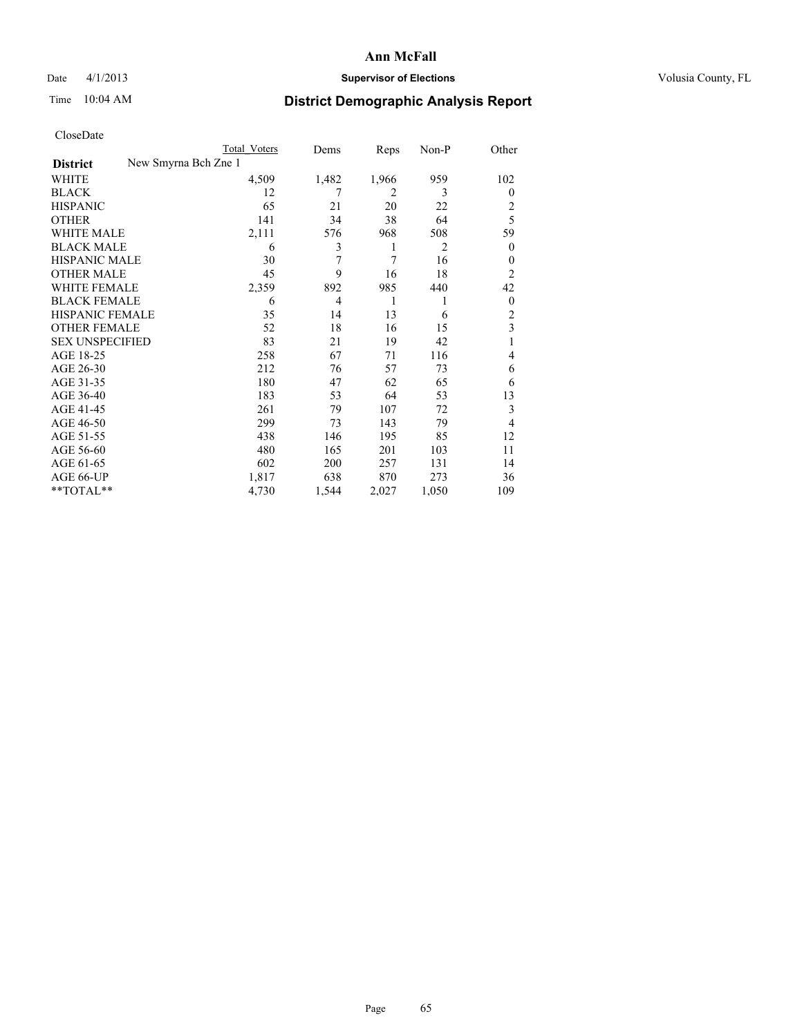### Date 4/1/2013 **Supervisor of Elections Supervisor of Elections** Volusia County, FL

|                        | Total Voters         | Dems           | Reps  | Non-P | Other          |
|------------------------|----------------------|----------------|-------|-------|----------------|
| <b>District</b>        | New Smyrna Bch Zne 1 |                |       |       |                |
| WHITE                  | 4,509                | 1,482          | 1,966 | 959   | 102            |
| <b>BLACK</b>           | 12                   | 7              | 2     | 3     | $\overline{0}$ |
| <b>HISPANIC</b>        | 65                   | 21             | 20    | 22    | 2              |
| <b>OTHER</b>           | 141                  | 34             | 38    | 64    | 5              |
| <b>WHITE MALE</b>      | 2,111                | 576            | 968   | 508   | 59             |
| <b>BLACK MALE</b>      | 6                    | 3              | 1     | 2     | $\mathbf{0}$   |
| <b>HISPANIC MALE</b>   | 30                   | 7              | 7     | 16    | 0              |
| <b>OTHER MALE</b>      | 45                   | 9              | 16    | 18    | $\overline{2}$ |
| <b>WHITE FEMALE</b>    | 2,359                | 892            | 985   | 440   | 42             |
| <b>BLACK FEMALE</b>    | 6                    | $\overline{4}$ | 1     | 1     | $\overline{0}$ |
| HISPANIC FEMALE        | 35                   | 14             | 13    | 6     | $\overline{2}$ |
| <b>OTHER FEMALE</b>    | 52                   | 18             | 16    | 15    | 3              |
| <b>SEX UNSPECIFIED</b> | 83                   | 21             | 19    | 42    | 1              |
| AGE 18-25              | 258                  | 67             | 71    | 116   | 4              |
| AGE 26-30              | 212                  | 76             | 57    | 73    | 6              |
| AGE 31-35              | 180                  | 47             | 62    | 65    | 6              |
| AGE 36-40              | 183                  | 53             | 64    | 53    | 13             |
| AGE 41-45              | 261                  | 79             | 107   | 72    | 3              |
| AGE 46-50              | 299                  | 73             | 143   | 79    | $\overline{4}$ |
| AGE 51-55              | 438                  | 146            | 195   | 85    | 12             |
| AGE 56-60              | 480                  | 165            | 201   | 103   | 11             |
| AGE 61-65              | 602                  | 200            | 257   | 131   | 14             |
| AGE 66-UP              | 1,817                | 638            | 870   | 273   | 36             |
| **TOTAL**              | 4,730                | 1,544          | 2,027 | 1,050 | 109            |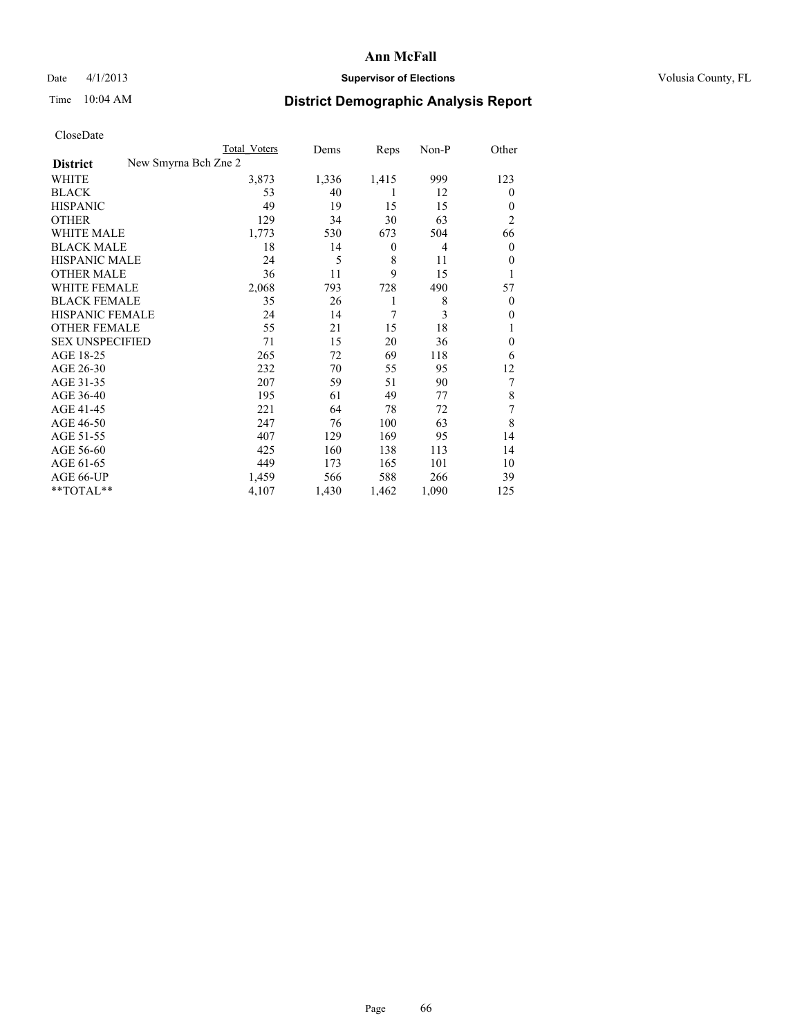### Date 4/1/2013 **Supervisor of Elections Supervisor of Elections** Volusia County, FL

|                        |                      | Total Voters | Dems  | Reps             | Non-P | Other            |
|------------------------|----------------------|--------------|-------|------------------|-------|------------------|
| <b>District</b>        | New Smyrna Bch Zne 2 |              |       |                  |       |                  |
| WHITE                  |                      | 3,873        | 1,336 | 1,415            | 999   | 123              |
| <b>BLACK</b>           |                      | 53           | 40    | 1                | 12    | 0                |
| <b>HISPANIC</b>        |                      | 49           | 19    | 15               | 15    | $\theta$         |
| <b>OTHER</b>           |                      | 129          | 34    | 30               | 63    | $\overline{2}$   |
| <b>WHITE MALE</b>      |                      | 1,773        | 530   | 673              | 504   | 66               |
| <b>BLACK MALE</b>      |                      | 18           | 14    | $\boldsymbol{0}$ | 4     | $\boldsymbol{0}$ |
| <b>HISPANIC MALE</b>   |                      | 24           | 5     | 8                | 11    | $\theta$         |
| <b>OTHER MALE</b>      |                      | 36           | 11    | 9                | 15    | 1                |
| <b>WHITE FEMALE</b>    |                      | 2,068        | 793   | 728              | 490   | 57               |
| <b>BLACK FEMALE</b>    |                      | 35           | 26    | 1                | 8     | $\theta$         |
| HISPANIC FEMALE        |                      | 24           | 14    | 7                | 3     | $\theta$         |
| <b>OTHER FEMALE</b>    |                      | 55           | 21    | 15               | 18    | l                |
| <b>SEX UNSPECIFIED</b> |                      | 71           | 15    | 20               | 36    | $\theta$         |
| AGE 18-25              |                      | 265          | 72    | 69               | 118   | 6                |
| AGE 26-30              |                      | 232          | 70    | 55               | 95    | 12               |
| AGE 31-35              |                      | 207          | 59    | 51               | 90    | 7                |
| AGE 36-40              |                      | 195          | 61    | 49               | 77    | 8                |
| AGE 41-45              |                      | 221          | 64    | 78               | 72    | 7                |
| AGE 46-50              |                      | 247          | 76    | 100              | 63    | 8                |
| AGE 51-55              |                      | 407          | 129   | 169              | 95    | 14               |
| AGE 56-60              |                      | 425          | 160   | 138              | 113   | 14               |
| AGE 61-65              |                      | 449          | 173   | 165              | 101   | 10               |
| AGE 66-UP              |                      | 1,459        | 566   | 588              | 266   | 39               |
| **TOTAL**              |                      | 4,107        | 1,430 | 1,462            | 1,090 | 125              |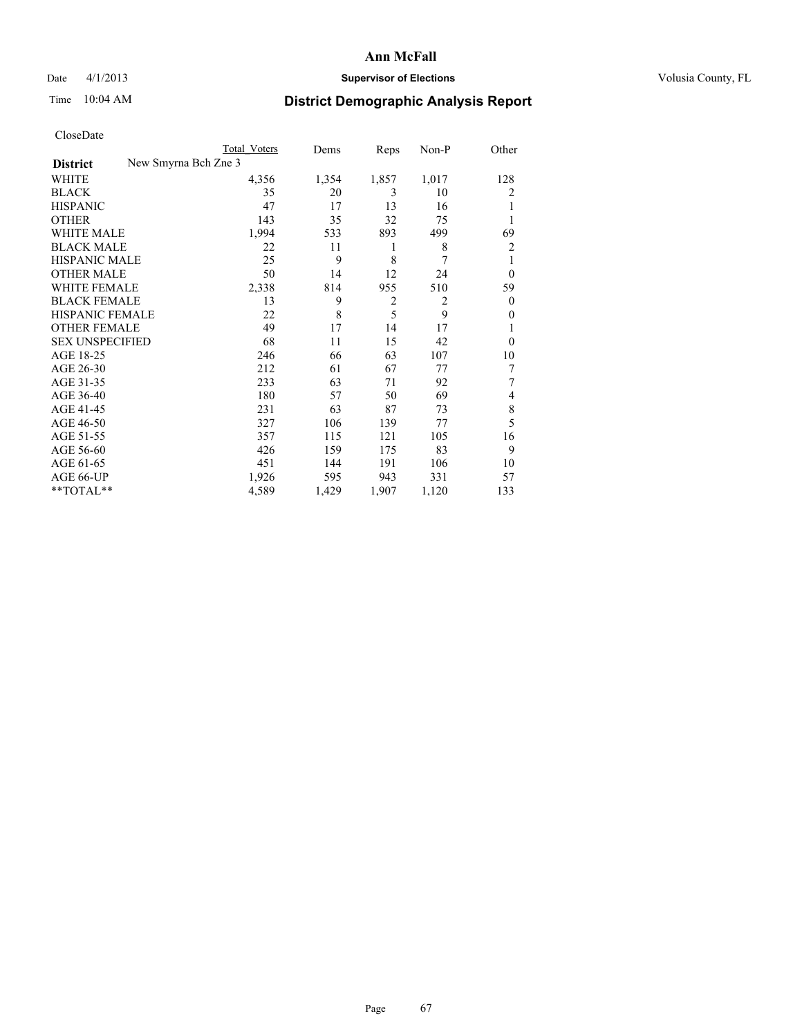### Date 4/1/2013 **Supervisor of Elections Supervisor of Elections** Volusia County, FL

|                        |                      | <b>Total Voters</b> | Dems  | Reps           | Non-P          | Other          |
|------------------------|----------------------|---------------------|-------|----------------|----------------|----------------|
| <b>District</b>        | New Smyrna Bch Zne 3 |                     |       |                |                |                |
| WHITE                  |                      | 4,356               | 1,354 | 1,857          | 1,017          | 128            |
| <b>BLACK</b>           |                      | 35                  | 20    | 3              | 10             | 2              |
| <b>HISPANIC</b>        |                      | 47                  | 17    | 13             | 16             |                |
| <b>OTHER</b>           |                      | 143                 | 35    | 32             | 75             |                |
| WHITE MALE             |                      | 1,994               | 533   | 893            | 499            | 69             |
| <b>BLACK MALE</b>      |                      | 22                  | 11    | 1              | 8              | 2              |
| <b>HISPANIC MALE</b>   |                      | 25                  | 9     | 8              | 7              | 1              |
| <b>OTHER MALE</b>      |                      | 50                  | 14    | 12             | 24             | $\overline{0}$ |
| WHITE FEMALE           |                      | 2,338               | 814   | 955            | 510            | 59             |
| <b>BLACK FEMALE</b>    |                      | 13                  | 9     | $\overline{2}$ | $\overline{2}$ | $\theta$       |
| <b>HISPANIC FEMALE</b> |                      | 22                  | 8     | 5              | 9              | $\theta$       |
| <b>OTHER FEMALE</b>    |                      | 49                  | 17    | 14             | 17             |                |
| <b>SEX UNSPECIFIED</b> |                      | 68                  | 11    | 15             | 42             | $\theta$       |
| AGE 18-25              |                      | 246                 | 66    | 63             | 107            | 10             |
| AGE 26-30              |                      | 212                 | 61    | 67             | 77             | 7              |
| AGE 31-35              |                      | 233                 | 63    | 71             | 92             | 7              |
| AGE 36-40              |                      | 180                 | 57    | 50             | 69             | 4              |
| AGE 41-45              |                      | 231                 | 63    | 87             | 73             | 8              |
| AGE 46-50              |                      | 327                 | 106   | 139            | 77             | 5              |
| AGE 51-55              |                      | 357                 | 115   | 121            | 105            | 16             |
| AGE 56-60              |                      | 426                 | 159   | 175            | 83             | 9              |
| AGE 61-65              |                      | 451                 | 144   | 191            | 106            | 10             |
| AGE 66-UP              |                      | 1,926               | 595   | 943            | 331            | 57             |
| **TOTAL**              |                      | 4,589               | 1,429 | 1,907          | 1,120          | 133            |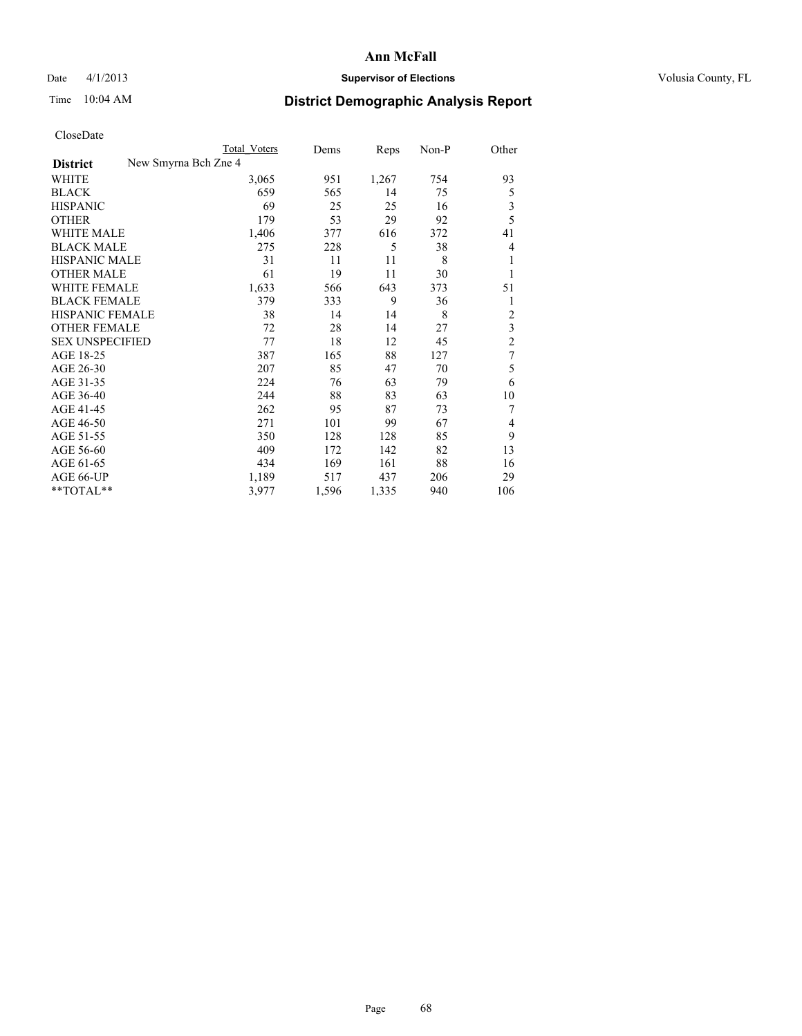### Date 4/1/2013 **Supervisor of Elections Supervisor of Elections** Volusia County, FL

|                        | <b>Total Voters</b>  | Dems  | Reps  | Non-P | Other          |
|------------------------|----------------------|-------|-------|-------|----------------|
| <b>District</b>        | New Smyrna Bch Zne 4 |       |       |       |                |
| WHITE                  | 3,065                | 951   | 1,267 | 754   | 93             |
| <b>BLACK</b>           | 659                  | 565   | 14    | 75    | 5              |
| <b>HISPANIC</b>        | 69                   | 25    | 25    | 16    | 3              |
| <b>OTHER</b>           | 179                  | 53    | 29    | 92    | 5              |
| <b>WHITE MALE</b>      | 1,406                | 377   | 616   | 372   | 41             |
| <b>BLACK MALE</b>      | 275                  | 228   | 5     | 38    | 4              |
| <b>HISPANIC MALE</b>   | 31                   | 11    | 11    | 8     | 1              |
| <b>OTHER MALE</b>      | 61                   | 19    | 11    | 30    | 1              |
| <b>WHITE FEMALE</b>    | 1,633                | 566   | 643   | 373   | 51             |
| <b>BLACK FEMALE</b>    | 379                  | 333   | 9     | 36    | 1              |
| <b>HISPANIC FEMALE</b> | 38                   | 14    | 14    | 8     | $\overline{2}$ |
| <b>OTHER FEMALE</b>    | 72                   | 28    | 14    | 27    | 3              |
| <b>SEX UNSPECIFIED</b> | 77                   | 18    | 12    | 45    | $\overline{c}$ |
| AGE 18-25              | 387                  | 165   | 88    | 127   | $\overline{7}$ |
| AGE 26-30              | 207                  | 85    | 47    | 70    | 5              |
| AGE 31-35              | 224                  | 76    | 63    | 79    | 6              |
| AGE 36-40              | 244                  | 88    | 83    | 63    | 10             |
| AGE 41-45              | 262                  | 95    | 87    | 73    | 7              |
| AGE 46-50              | 271                  | 101   | 99    | 67    | $\overline{4}$ |
| AGE 51-55              | 350                  | 128   | 128   | 85    | 9              |
| AGE 56-60              | 409                  | 172   | 142   | 82    | 13             |
| AGE 61-65              | 434                  | 169   | 161   | 88    | 16             |
| AGE 66-UP              | 1,189                | 517   | 437   | 206   | 29             |
| $*$ TOTAL $*$          | 3,977                | 1,596 | 1,335 | 940   | 106            |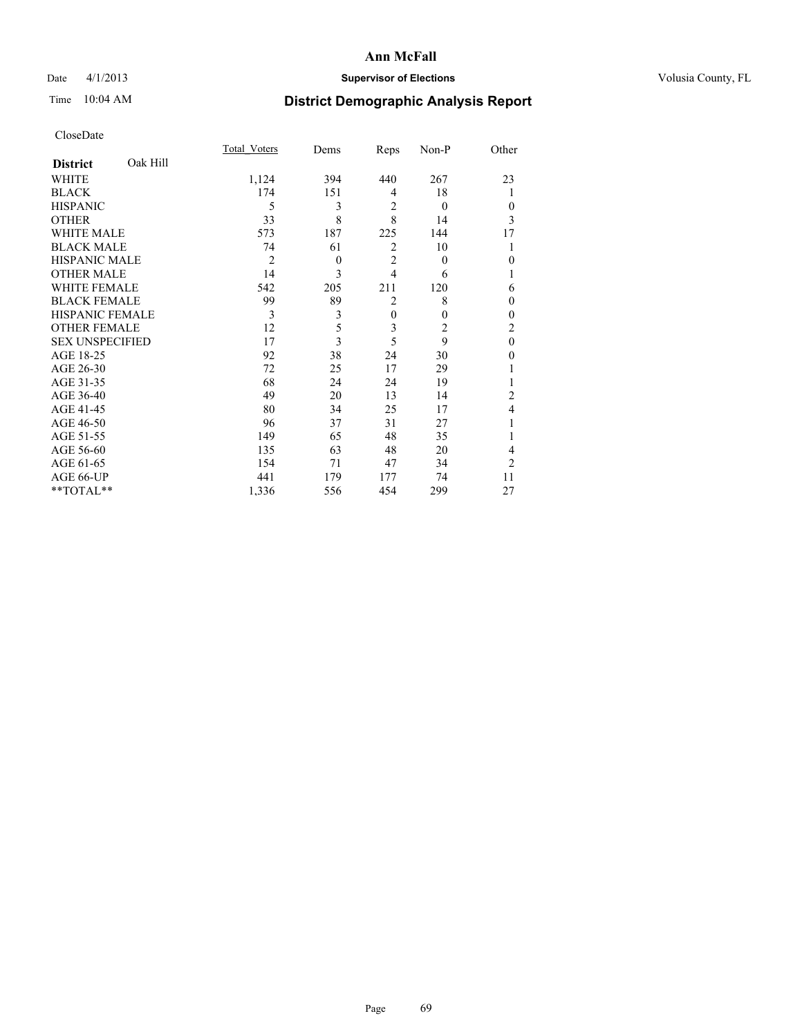### Date 4/1/2013 **Supervisor of Elections Supervisor of Elections** Volusia County, FL

## Time 10:04 AM **District Demographic Analysis Report**

|                        |          | <b>Total Voters</b> | Dems         | Reps           | Non-P    | Other            |
|------------------------|----------|---------------------|--------------|----------------|----------|------------------|
| <b>District</b>        | Oak Hill |                     |              |                |          |                  |
| WHITE                  |          | 1,124               | 394          | 440            | 267      | 23               |
| <b>BLACK</b>           |          | 174                 | 151          | 4              | 18       |                  |
| <b>HISPANIC</b>        |          | 5                   | 3            | $\overline{2}$ | $\theta$ | $\theta$         |
| <b>OTHER</b>           |          | 33                  | 8            | 8              | 14       | 3                |
| WHITE MALE             |          | 573                 | 187          | 225            | 144      | 17               |
| <b>BLACK MALE</b>      |          | 74                  | 61           | $\overline{2}$ | 10       |                  |
| <b>HISPANIC MALE</b>   |          | $\overline{2}$      | $\mathbf{0}$ | $\overline{2}$ | $\theta$ | $\boldsymbol{0}$ |
| <b>OTHER MALE</b>      |          | 14                  | 3            | $\overline{4}$ | 6        | 1                |
| <b>WHITE FEMALE</b>    |          | 542                 | 205          | 211            | 120      | 6                |
| <b>BLACK FEMALE</b>    |          | 99                  | 89           | $\overline{2}$ | 8        | $\theta$         |
| <b>HISPANIC FEMALE</b> |          | 3                   | 3            | $\mathbf{0}$   | $\theta$ | $\theta$         |
| <b>OTHER FEMALE</b>    |          | 12                  | 5            | 3              | 2        | $\overline{c}$   |
| <b>SEX UNSPECIFIED</b> |          | 17                  | 3            | 5              | 9        | $\mathbf{0}$     |
| AGE 18-25              |          | 92                  | 38           | 24             | 30       | $\theta$         |
| AGE 26-30              |          | 72                  | 25           | 17             | 29       |                  |
| AGE 31-35              |          | 68                  | 24           | 24             | 19       |                  |
| AGE 36-40              |          | 49                  | 20           | 13             | 14       | 2                |
| AGE 41-45              |          | 80                  | 34           | 25             | 17       | 4                |
| AGE 46-50              |          | 96                  | 37           | 31             | 27       | 1                |
| AGE 51-55              |          | 149                 | 65           | 48             | 35       |                  |
| AGE 56-60              |          | 135                 | 63           | 48             | 20       | 4                |
| AGE 61-65              |          | 154                 | 71           | 47             | 34       | $\overline{2}$   |
| AGE 66-UP              |          | 441                 | 179          | 177            | 74       | 11               |
| **TOTAL**              |          | 1,336               | 556          | 454            | 299      | 27               |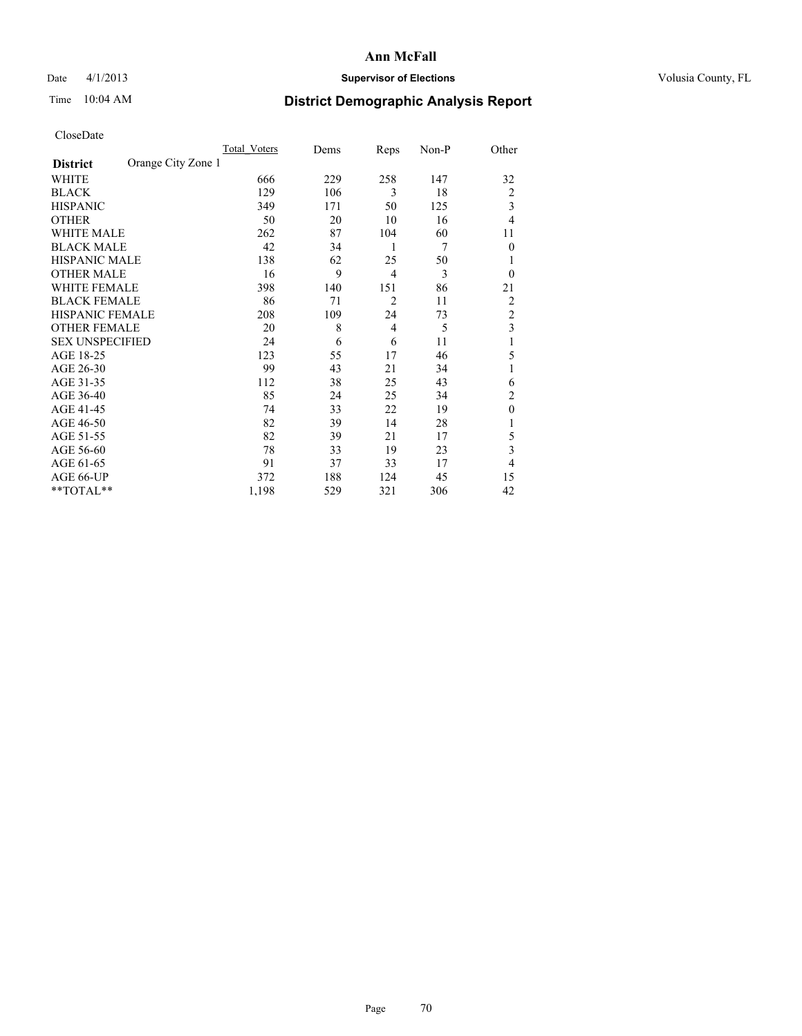### Date 4/1/2013 **Supervisor of Elections Supervisor of Elections** Volusia County, FL

## Time 10:04 AM **District Demographic Analysis Report**

|                        |                    | <b>Total Voters</b> | Dems | Reps           | Non-P | Other          |
|------------------------|--------------------|---------------------|------|----------------|-------|----------------|
| <b>District</b>        | Orange City Zone 1 |                     |      |                |       |                |
| WHITE                  |                    | 666                 | 229  | 258            | 147   | 32             |
| <b>BLACK</b>           |                    | 129                 | 106  | 3              | 18    | $\overline{c}$ |
| <b>HISPANIC</b>        |                    | 349                 | 171  | 50             | 125   | 3              |
| <b>OTHER</b>           |                    | 50                  | 20   | 10             | 16    | 4              |
| WHITE MALE             |                    | 262                 | 87   | 104            | 60    | 11             |
| <b>BLACK MALE</b>      |                    | 42                  | 34   | 1              | 7     | $\theta$       |
| <b>HISPANIC MALE</b>   |                    | 138                 | 62   | 25             | 50    | 1              |
| <b>OTHER MALE</b>      |                    | 16                  | 9    | $\overline{4}$ | 3     | $\Omega$       |
| WHITE FEMALE           |                    | 398                 | 140  | 151            | 86    | 21             |
| <b>BLACK FEMALE</b>    |                    | 86                  | 71   | $\overline{2}$ | 11    | $\overline{c}$ |
| <b>HISPANIC FEMALE</b> |                    | 208                 | 109  | 24             | 73    | $\overline{c}$ |
| <b>OTHER FEMALE</b>    |                    | 20                  | 8    | $\overline{4}$ | 5     | 3              |
| <b>SEX UNSPECIFIED</b> |                    | 24                  | 6    | 6              | 11    | 1              |
| AGE 18-25              |                    | 123                 | 55   | 17             | 46    | 5              |
| AGE 26-30              |                    | 99                  | 43   | 21             | 34    | 1              |
| AGE 31-35              |                    | 112                 | 38   | 25             | 43    | 6              |
| AGE 36-40              |                    | 85                  | 24   | 25             | 34    | $\overline{c}$ |
| AGE 41-45              |                    | 74                  | 33   | 22             | 19    | $\theta$       |
| AGE 46-50              |                    | 82                  | 39   | 14             | 28    | 1              |
| AGE 51-55              |                    | 82                  | 39   | 21             | 17    | 5              |
| AGE 56-60              |                    | 78                  | 33   | 19             | 23    | 3              |
| AGE 61-65              |                    | 91                  | 37   | 33             | 17    | 4              |
| AGE 66-UP              |                    | 372                 | 188  | 124            | 45    | 15             |
| **TOTAL**              |                    | 1,198               | 529  | 321            | 306   | 42             |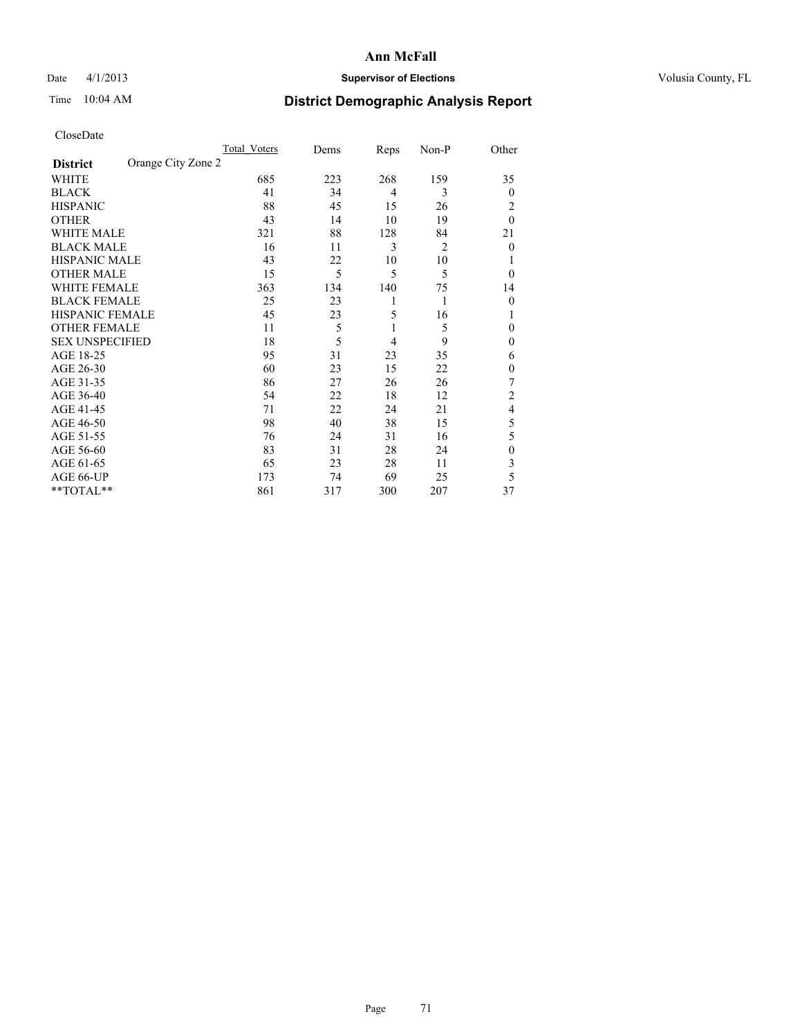### Date 4/1/2013 **Supervisor of Elections Supervisor of Elections** Volusia County, FL

## Time 10:04 AM **District Demographic Analysis Report**

|                        |                    | Total Voters | Dems | Reps           | Non-P | Other          |
|------------------------|--------------------|--------------|------|----------------|-------|----------------|
| <b>District</b>        | Orange City Zone 2 |              |      |                |       |                |
| WHITE                  |                    | 685          | 223  | 268            | 159   | 35             |
| <b>BLACK</b>           |                    | 41           | 34   | $\overline{4}$ | 3     | $\theta$       |
| <b>HISPANIC</b>        |                    | 88           | 45   | 15             | 26    | 2              |
| <b>OTHER</b>           |                    | 43           | 14   | 10             | 19    | $\theta$       |
| WHITE MALE             |                    | 321          | 88   | 128            | 84    | 21             |
| <b>BLACK MALE</b>      |                    | 16           | 11   | 3              | 2     | $\overline{0}$ |
| <b>HISPANIC MALE</b>   |                    | 43           | 22   | 10             | 10    |                |
| <b>OTHER MALE</b>      |                    | 15           | 5    | 5              | 5     | $\theta$       |
| WHITE FEMALE           |                    | 363          | 134  | 140            | 75    | 14             |
| <b>BLACK FEMALE</b>    |                    | 25           | 23   | 1              | 1     | $\theta$       |
| <b>HISPANIC FEMALE</b> |                    | 45           | 23   | 5              | 16    | 1              |
| <b>OTHER FEMALE</b>    |                    | 11           | 5    | 1              | 5     | $\theta$       |
| <b>SEX UNSPECIFIED</b> |                    | 18           | 5    | 4              | 9     | $\mathbf{0}$   |
| AGE 18-25              |                    | 95           | 31   | 23             | 35    | 6              |
| AGE 26-30              |                    | 60           | 23   | 15             | 22    | $\mathbf{0}$   |
| AGE 31-35              |                    | 86           | 27   | 26             | 26    | 7              |
| AGE 36-40              |                    | 54           | 22   | 18             | 12    | $\overline{c}$ |
| AGE 41-45              |                    | 71           | 22   | 24             | 21    | 4              |
| AGE 46-50              |                    | 98           | 40   | 38             | 15    | 5              |
| AGE 51-55              |                    | 76           | 24   | 31             | 16    | 5              |
| AGE 56-60              |                    | 83           | 31   | 28             | 24    | $\mathbf{0}$   |
| AGE 61-65              |                    | 65           | 23   | 28             | 11    | 3              |
| AGE 66-UP              |                    | 173          | 74   | 69             | 25    | 5              |
| **TOTAL**              |                    | 861          | 317  | 300            | 207   | 37             |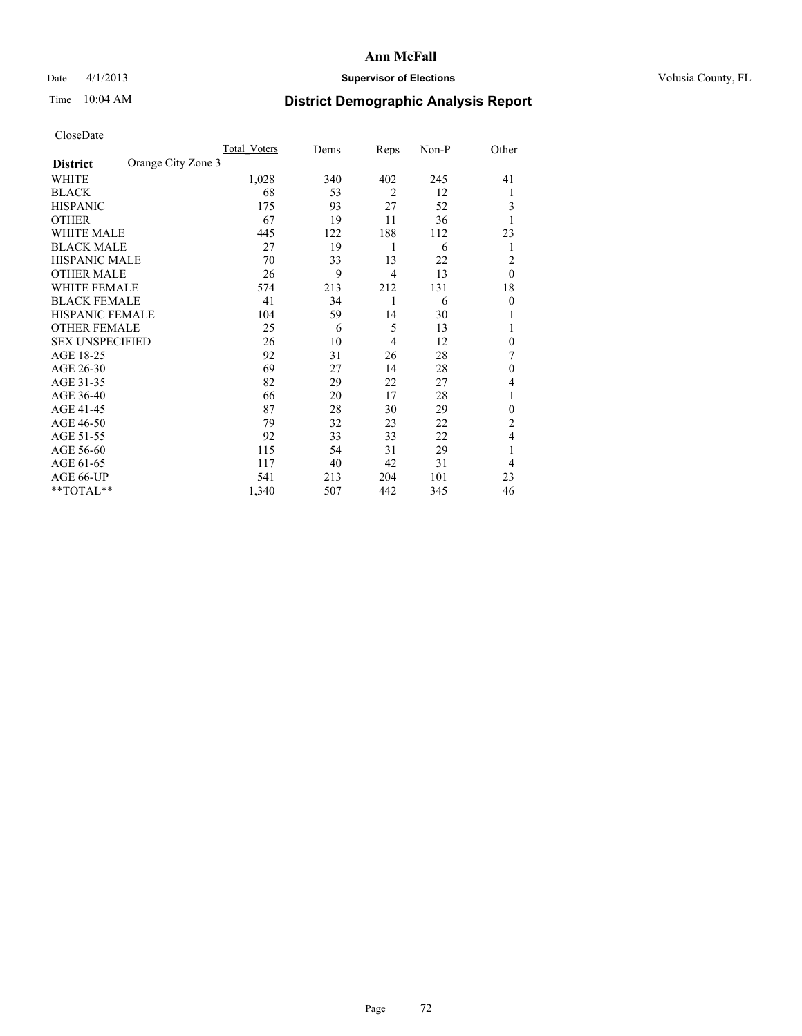### Date 4/1/2013 **Supervisor of Elections Supervisor of Elections** Volusia County, FL

## Time 10:04 AM **District Demographic Analysis Report**

|                        |                    | <b>Total Voters</b> | Dems | Reps           | Non-P | Other          |
|------------------------|--------------------|---------------------|------|----------------|-------|----------------|
| <b>District</b>        | Orange City Zone 3 |                     |      |                |       |                |
| WHITE                  |                    | 1,028               | 340  | 402            | 245   | 41             |
| <b>BLACK</b>           |                    | 68                  | 53   | $\overline{2}$ | 12    | 1              |
| <b>HISPANIC</b>        |                    | 175                 | 93   | 27             | 52    | 3              |
| <b>OTHER</b>           |                    | 67                  | 19   | 11             | 36    |                |
| WHITE MALE             |                    | 445                 | 122  | 188            | 112   | 23             |
| <b>BLACK MALE</b>      |                    | 27                  | 19   | 1              | 6     | 1              |
| <b>HISPANIC MALE</b>   |                    | 70                  | 33   | 13             | 22    | $\overline{2}$ |
| <b>OTHER MALE</b>      |                    | 26                  | 9    | $\overline{4}$ | 13    | $\theta$       |
| <b>WHITE FEMALE</b>    |                    | 574                 | 213  | 212            | 131   | 18             |
| <b>BLACK FEMALE</b>    |                    | 41                  | 34   | 1              | 6     | $\overline{0}$ |
| <b>HISPANIC FEMALE</b> |                    | 104                 | 59   | 14             | 30    |                |
| <b>OTHER FEMALE</b>    |                    | 25                  | 6    | 5              | 13    |                |
| <b>SEX UNSPECIFIED</b> |                    | 26                  | 10   | $\overline{4}$ | 12    | $\theta$       |
| AGE 18-25              |                    | 92                  | 31   | 26             | 28    | 7              |
| AGE 26-30              |                    | 69                  | 27   | 14             | 28    | $\mathbf{0}$   |
| AGE 31-35              |                    | 82                  | 29   | 22             | 27    | 4              |
| AGE 36-40              |                    | 66                  | 20   | 17             | 28    | 1              |
| AGE 41-45              |                    | 87                  | 28   | 30             | 29    | $\theta$       |
| AGE 46-50              |                    | 79                  | 32   | 23             | 22    | 2              |
| AGE 51-55              |                    | 92                  | 33   | 33             | 22    | $\overline{4}$ |
| AGE 56-60              |                    | 115                 | 54   | 31             | 29    |                |
| AGE 61-65              |                    | 117                 | 40   | 42             | 31    | $\overline{4}$ |
| AGE 66-UP              |                    | 541                 | 213  | 204            | 101   | 23             |
| **TOTAL**              |                    | 1,340               | 507  | 442            | 345   | 46             |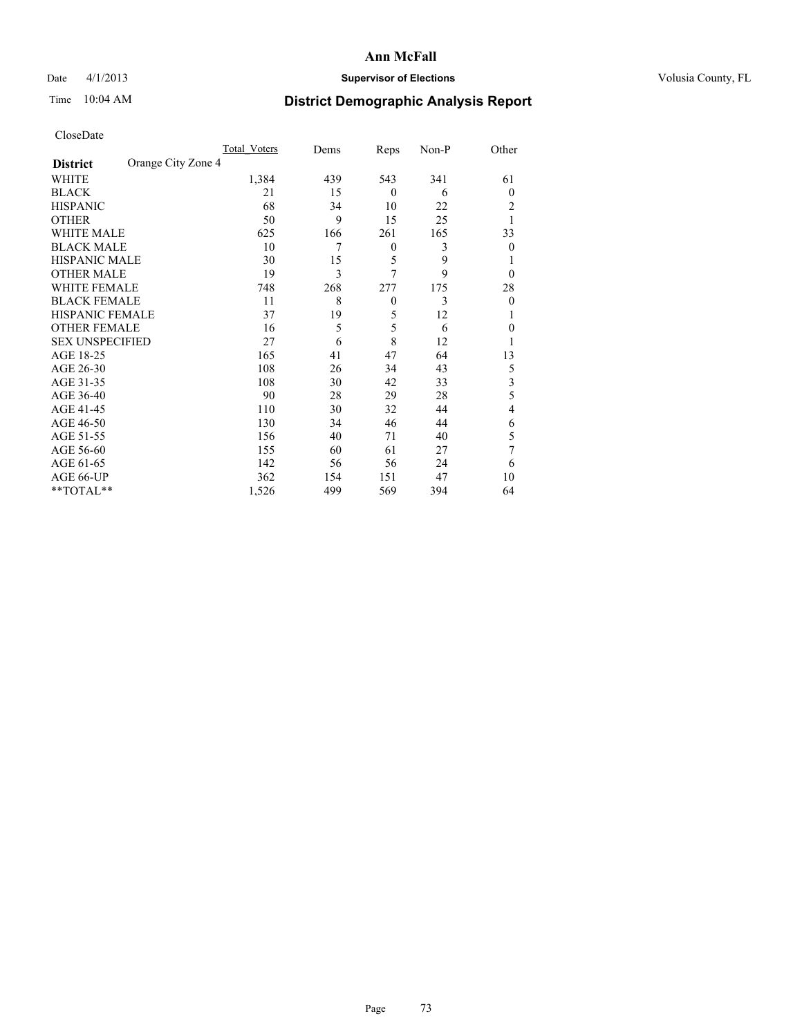## Date 4/1/2013 **Supervisor of Elections Supervisor of Elections** Volusia County, FL

# Time 10:04 AM **District Demographic Analysis Report**

|                        |                    | <b>Total Voters</b> | Dems | Reps             | Non-P | Other                   |
|------------------------|--------------------|---------------------|------|------------------|-------|-------------------------|
| <b>District</b>        | Orange City Zone 4 |                     |      |                  |       |                         |
| WHITE                  |                    | 1,384               | 439  | 543              | 341   | 61                      |
| <b>BLACK</b>           |                    | 21                  | 15   | $\theta$         | 6     | $\theta$                |
| <b>HISPANIC</b>        |                    | 68                  | 34   | 10               | 22    | 2                       |
| <b>OTHER</b>           |                    | 50                  | 9    | 15               | 25    | 1                       |
| WHITE MALE             |                    | 625                 | 166  | 261              | 165   | 33                      |
| <b>BLACK MALE</b>      |                    | 10                  | 7    | $\boldsymbol{0}$ | 3     | $\theta$                |
| <b>HISPANIC MALE</b>   |                    | 30                  | 15   | 5                | 9     | l                       |
| <b>OTHER MALE</b>      |                    | 19                  | 3    | 7                | 9     | $\theta$                |
| WHITE FEMALE           |                    | 748                 | 268  | 277              | 175   | 28                      |
| <b>BLACK FEMALE</b>    |                    | 11                  | 8    | $\theta$         | 3     | $\theta$                |
| <b>HISPANIC FEMALE</b> |                    | 37                  | 19   | 5                | 12    | 1                       |
| <b>OTHER FEMALE</b>    |                    | 16                  | 5    | 5                | 6     | $\theta$                |
| <b>SEX UNSPECIFIED</b> |                    | 27                  | 6    | 8                | 12    |                         |
| AGE 18-25              |                    | 165                 | 41   | 47               | 64    | 13                      |
| AGE 26-30              |                    | 108                 | 26   | 34               | 43    | 5                       |
| AGE 31-35              |                    | 108                 | 30   | 42               | 33    | $\overline{\mathbf{3}}$ |
| AGE 36-40              |                    | 90                  | 28   | 29               | 28    | 5                       |
| AGE 41-45              |                    | 110                 | 30   | 32               | 44    | 4                       |
| AGE 46-50              |                    | 130                 | 34   | 46               | 44    | 6                       |
| AGE 51-55              |                    | 156                 | 40   | 71               | 40    | 5                       |
| AGE 56-60              |                    | 155                 | 60   | 61               | 27    | 7                       |
| AGE 61-65              |                    | 142                 | 56   | 56               | 24    | 6                       |
| AGE 66-UP              |                    | 362                 | 154  | 151              | 47    | 10                      |
| **TOTAL**              |                    | 1,526               | 499  | 569              | 394   | 64                      |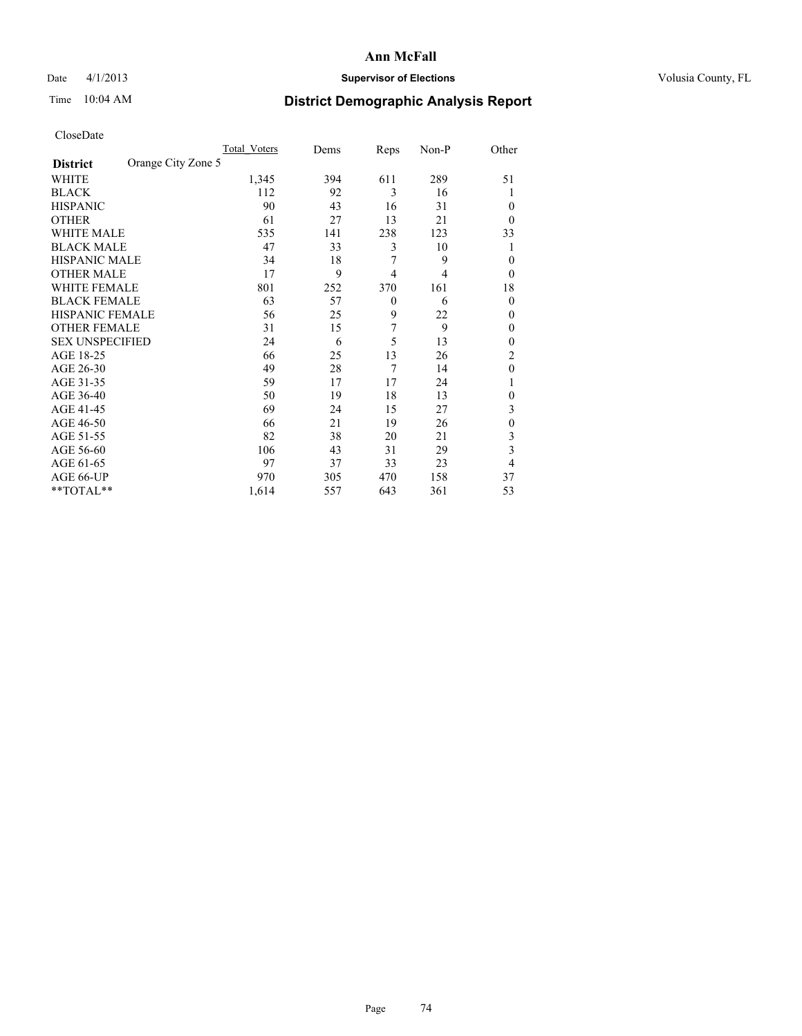## Date 4/1/2013 **Supervisor of Elections Supervisor of Elections** Volusia County, FL

# Time 10:04 AM **District Demographic Analysis Report**

|                        |                    | <b>Total Voters</b> | Dems | Reps           | Non-P | Other        |
|------------------------|--------------------|---------------------|------|----------------|-------|--------------|
| <b>District</b>        | Orange City Zone 5 |                     |      |                |       |              |
| WHITE                  |                    | 1,345               | 394  | 611            | 289   | 51           |
| <b>BLACK</b>           |                    | 112                 | 92   | 3              | 16    |              |
| <b>HISPANIC</b>        |                    | 90                  | 43   | 16             | 31    | $\theta$     |
| <b>OTHER</b>           |                    | 61                  | 27   | 13             | 21    | $\theta$     |
| WHITE MALE             |                    | 535                 | 141  | 238            | 123   | 33           |
| <b>BLACK MALE</b>      |                    | 47                  | 33   | 3              | 10    | 1            |
| <b>HISPANIC MALE</b>   |                    | 34                  | 18   | 7              | 9     | $\theta$     |
| <b>OTHER MALE</b>      |                    | 17                  | 9    | $\overline{4}$ | 4     | $\theta$     |
| <b>WHITE FEMALE</b>    |                    | 801                 | 252  | 370            | 161   | 18           |
| <b>BLACK FEMALE</b>    |                    | 63                  | 57   | $\theta$       | 6     | $\theta$     |
| <b>HISPANIC FEMALE</b> |                    | 56                  | 25   | 9              | 22    | $\theta$     |
| <b>OTHER FEMALE</b>    |                    | 31                  | 15   | 7              | 9     | $\theta$     |
| <b>SEX UNSPECIFIED</b> |                    | 24                  | 6    | 5              | 13    | $\mathbf{0}$ |
| AGE 18-25              |                    | 66                  | 25   | 13             | 26    | 2            |
| AGE 26-30              |                    | 49                  | 28   | 7              | 14    | $\mathbf{0}$ |
| AGE 31-35              |                    | 59                  | 17   | 17             | 24    |              |
| AGE 36-40              |                    | 50                  | 19   | 18             | 13    | 0            |
| AGE 41-45              |                    | 69                  | 24   | 15             | 27    | 3            |
| AGE 46-50              |                    | 66                  | 21   | 19             | 26    | $\mathbf{0}$ |
| AGE 51-55              |                    | 82                  | 38   | 20             | 21    | 3            |
| AGE 56-60              |                    | 106                 | 43   | 31             | 29    | 3            |
| AGE 61-65              |                    | 97                  | 37   | 33             | 23    | 4            |
| AGE 66-UP              |                    | 970                 | 305  | 470            | 158   | 37           |
| **TOTAL**              |                    | 1,614               | 557  | 643            | 361   | 53           |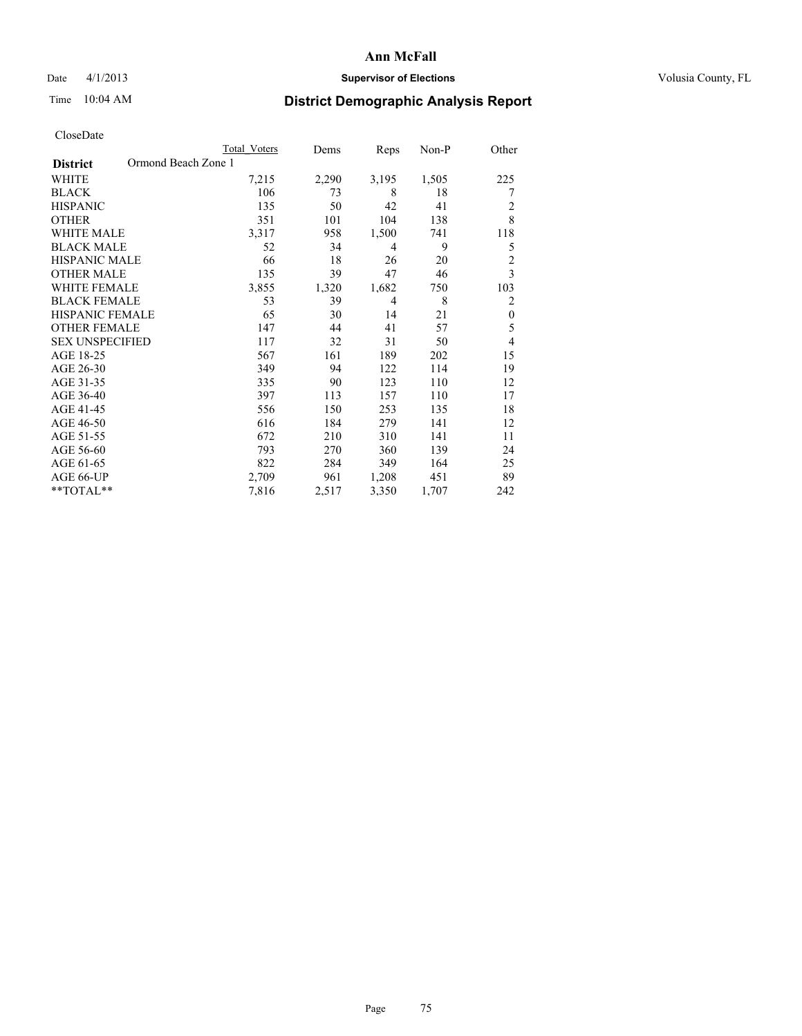## Date 4/1/2013 **Supervisor of Elections Supervisor of Elections** Volusia County, FL

# Time 10:04 AM **District Demographic Analysis Report**

|                        | <b>Total Voters</b> | Dems  | Reps           | Non-P | Other          |
|------------------------|---------------------|-------|----------------|-------|----------------|
| <b>District</b>        | Ormond Beach Zone 1 |       |                |       |                |
| WHITE                  | 7,215               | 2,290 | 3,195          | 1,505 | 225            |
| <b>BLACK</b>           | 106                 | 73    | 8              | 18    | 7              |
| <b>HISPANIC</b>        | 135                 | 50    | 42             | 41    | 2              |
| <b>OTHER</b>           | 351                 | 101   | 104            | 138   | 8              |
| WHITE MALE             | 3,317               | 958   | 1,500          | 741   | 118            |
| <b>BLACK MALE</b>      | 52                  | 34    | $\overline{4}$ | 9     | 5              |
| <b>HISPANIC MALE</b>   | 66                  | 18    | 26             | 20    | $\overline{2}$ |
| <b>OTHER MALE</b>      | 135                 | 39    | 47             | 46    | 3              |
| <b>WHITE FEMALE</b>    | 3,855               | 1,320 | 1,682          | 750   | 103            |
| <b>BLACK FEMALE</b>    | 53                  | 39    | $\overline{4}$ | 8     | 2              |
| <b>HISPANIC FEMALE</b> | 65                  | 30    | 14             | 21    | $\theta$       |
| <b>OTHER FEMALE</b>    | 147                 | 44    | 41             | 57    | 5              |
| <b>SEX UNSPECIFIED</b> | 117                 | 32    | 31             | 50    | 4              |
| AGE 18-25              | 567                 | 161   | 189            | 202   | 15             |
| AGE 26-30              | 349                 | 94    | 122            | 114   | 19             |
| AGE 31-35              | 335                 | 90    | 123            | 110   | 12             |
| AGE 36-40              | 397                 | 113   | 157            | 110   | 17             |
| AGE 41-45              | 556                 | 150   | 253            | 135   | 18             |
| AGE 46-50              | 616                 | 184   | 279            | 141   | 12             |
| AGE 51-55              | 672                 | 210   | 310            | 141   | 11             |
| AGE 56-60              | 793                 | 270   | 360            | 139   | 24             |
| AGE 61-65              | 822                 | 284   | 349            | 164   | 25             |
| AGE 66-UP              | 2,709               | 961   | 1,208          | 451   | 89             |
| **TOTAL**              | 7,816               | 2,517 | 3,350          | 1,707 | 242            |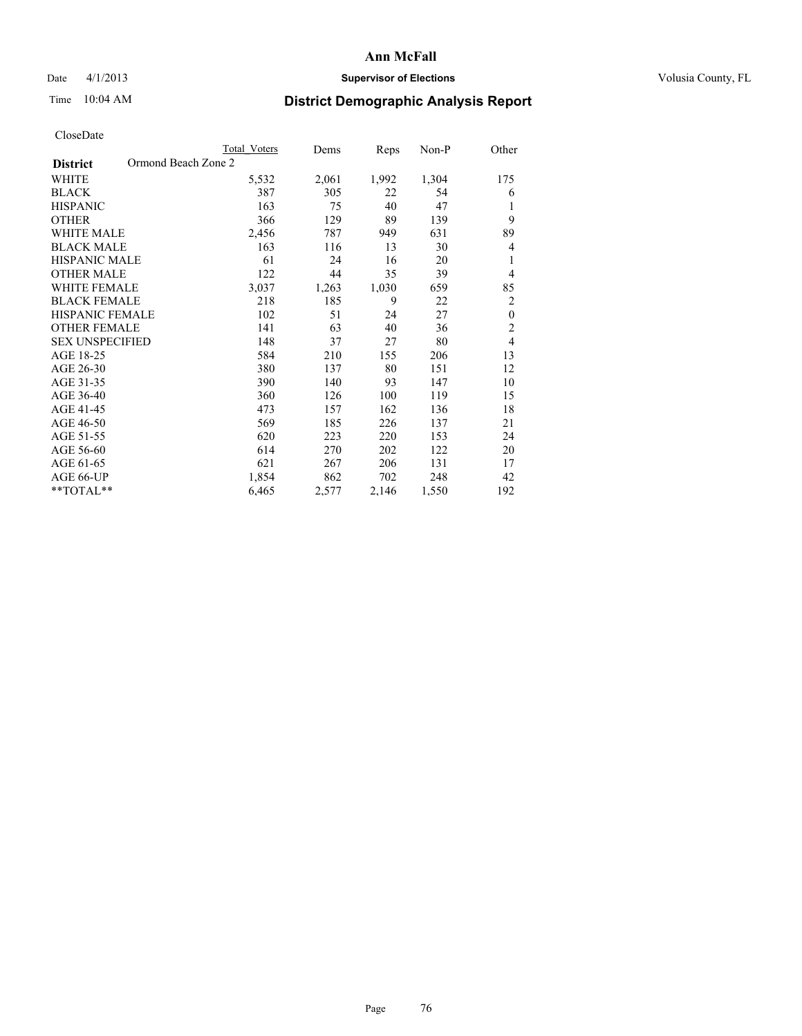## Date 4/1/2013 **Supervisor of Elections Supervisor of Elections** Volusia County, FL

# Time 10:04 AM **District Demographic Analysis Report**

|                                        | <b>Total Voters</b> | Dems  | Reps  | Non-P | Other            |
|----------------------------------------|---------------------|-------|-------|-------|------------------|
| Ormond Beach Zone 2<br><b>District</b> |                     |       |       |       |                  |
| WHITE                                  | 5,532               | 2,061 | 1,992 | 1,304 | 175              |
| <b>BLACK</b>                           | 387                 | 305   | 22    | 54    | 6                |
| <b>HISPANIC</b>                        | 163                 | 75    | 40    | 47    | 1                |
| <b>OTHER</b>                           | 366                 | 129   | 89    | 139   | 9                |
| <b>WHITE MALE</b>                      | 2,456               | 787   | 949   | 631   | 89               |
| <b>BLACK MALE</b>                      | 163                 | 116   | 13    | 30    | $\overline{4}$   |
| HISPANIC MALE                          | 61                  | 24    | 16    | 20    | 1                |
| <b>OTHER MALE</b>                      | 122                 | 44    | 35    | 39    | $\overline{4}$   |
| <b>WHITE FEMALE</b>                    | 3,037               | 1,263 | 1,030 | 659   | 85               |
| <b>BLACK FEMALE</b>                    | 218                 | 185   | 9     | 22    | $\overline{2}$   |
| <b>HISPANIC FEMALE</b>                 | 102                 | 51    | 24    | 27    | $\boldsymbol{0}$ |
| <b>OTHER FEMALE</b>                    | 141                 | 63    | 40    | 36    | $\overline{c}$   |
| <b>SEX UNSPECIFIED</b>                 | 148                 | 37    | 27    | 80    | $\overline{4}$   |
| AGE 18-25                              | 584                 | 210   | 155   | 206   | 13               |
| AGE 26-30                              | 380                 | 137   | 80    | 151   | 12               |
| AGE 31-35                              | 390                 | 140   | 93    | 147   | 10               |
| AGE 36-40                              | 360                 | 126   | 100   | 119   | 15               |
| AGE 41-45                              | 473                 | 157   | 162   | 136   | 18               |
| AGE 46-50                              | 569                 | 185   | 226   | 137   | 21               |
| AGE 51-55                              | 620                 | 223   | 220   | 153   | 24               |
| AGE 56-60                              | 614                 | 270   | 202   | 122   | 20               |
| AGE 61-65                              | 621                 | 267   | 206   | 131   | 17               |
| AGE 66-UP                              | 1,854               | 862   | 702   | 248   | 42               |
| **TOTAL**                              | 6,465               | 2,577 | 2,146 | 1,550 | 192              |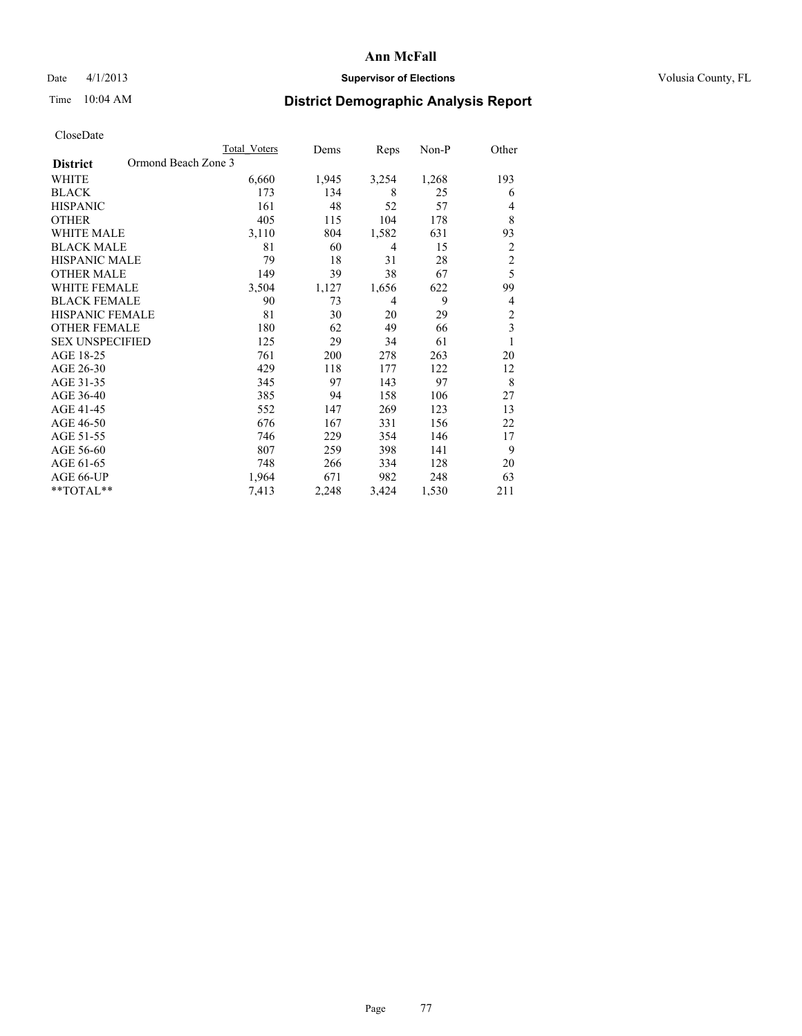## Date 4/1/2013 **Supervisor of Elections Supervisor of Elections** Volusia County, FL

# Time 10:04 AM **District Demographic Analysis Report**

|                                        | Total Voters | Dems  | Reps           | Non-P | Other          |
|----------------------------------------|--------------|-------|----------------|-------|----------------|
| Ormond Beach Zone 3<br><b>District</b> |              |       |                |       |                |
| WHITE                                  | 6,660        | 1,945 | 3,254          | 1,268 | 193            |
| <b>BLACK</b>                           | 173          | 134   | 8              | 25    | 6              |
| <b>HISPANIC</b>                        | 161          | 48    | 52             | 57    | 4              |
| <b>OTHER</b>                           | 405          | 115   | 104            | 178   | 8              |
| WHITE MALE                             | 3,110        | 804   | 1,582          | 631   | 93             |
| <b>BLACK MALE</b>                      | 81           | 60    | $\overline{4}$ | 15    | $\overline{2}$ |
| <b>HISPANIC MALE</b>                   | 79           | 18    | 31             | 28    | $\overline{c}$ |
| <b>OTHER MALE</b>                      | 149          | 39    | 38             | 67    | 5              |
| WHITE FEMALE                           | 3,504        | 1,127 | 1,656          | 622   | 99             |
| <b>BLACK FEMALE</b>                    | 90           | 73    | $\overline{4}$ | 9     | 4              |
| <b>HISPANIC FEMALE</b>                 | 81           | 30    | 20             | 29    | $\overline{c}$ |
| <b>OTHER FEMALE</b>                    | 180          | 62    | 49             | 66    | 3              |
| <b>SEX UNSPECIFIED</b>                 | 125          | 29    | 34             | 61    | 1              |
| AGE 18-25                              | 761          | 200   | 278            | 263   | 20             |
| AGE 26-30                              | 429          | 118   | 177            | 122   | 12             |
| AGE 31-35                              | 345          | 97    | 143            | 97    | 8              |
| AGE 36-40                              | 385          | 94    | 158            | 106   | 27             |
| AGE 41-45                              | 552          | 147   | 269            | 123   | 13             |
| AGE 46-50                              | 676          | 167   | 331            | 156   | 22             |
| AGE 51-55                              | 746          | 229   | 354            | 146   | 17             |
| AGE 56-60                              | 807          | 259   | 398            | 141   | 9              |
| AGE 61-65                              | 748          | 266   | 334            | 128   | 20             |
| AGE 66-UP                              | 1,964        | 671   | 982            | 248   | 63             |
| **TOTAL**                              | 7,413        | 2,248 | 3,424          | 1,530 | 211            |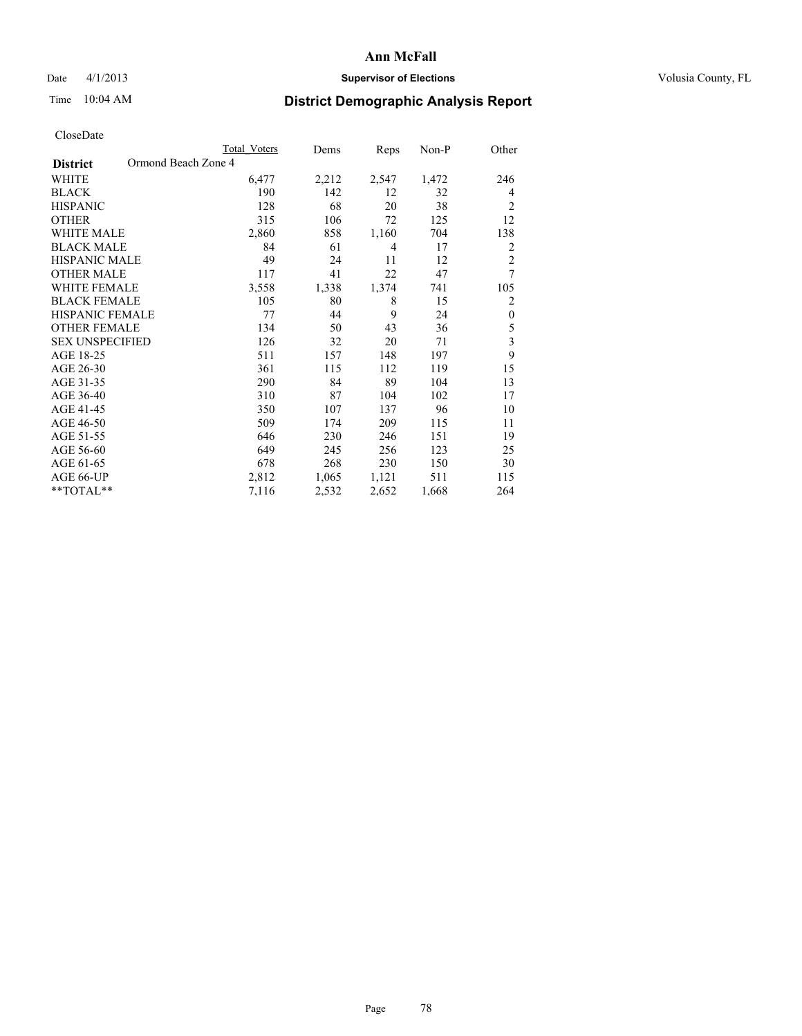## Date 4/1/2013 **Supervisor of Elections Supervisor of Elections** Volusia County, FL

# Time 10:04 AM **District Demographic Analysis Report**

|                                        | <b>Total Voters</b> | Dems  | Reps  | Non-P | Other                   |
|----------------------------------------|---------------------|-------|-------|-------|-------------------------|
| Ormond Beach Zone 4<br><b>District</b> |                     |       |       |       |                         |
| WHITE                                  | 6,477               | 2,212 | 2,547 | 1,472 | 246                     |
| <b>BLACK</b>                           | 190                 | 142   | 12    | 32    | $\overline{4}$          |
| <b>HISPANIC</b>                        | 128                 | 68    | 20    | 38    | $\overline{2}$          |
| <b>OTHER</b>                           | 315                 | 106   | 72    | 125   | 12                      |
| <b>WHITE MALE</b>                      | 2,860               | 858   | 1,160 | 704   | 138                     |
| <b>BLACK MALE</b>                      | 84                  | 61    | 4     | 17    | 2                       |
| <b>HISPANIC MALE</b>                   | 49                  | 24    | 11    | 12    | $\overline{c}$          |
| <b>OTHER MALE</b>                      | 117                 | 41    | 22    | 47    | 7                       |
| <b>WHITE FEMALE</b>                    | 3,558               | 1,338 | 1,374 | 741   | 105                     |
| <b>BLACK FEMALE</b>                    | 105                 | 80    | 8     | 15    | $\overline{c}$          |
| <b>HISPANIC FEMALE</b>                 | 77                  | 44    | 9     | 24    | $\boldsymbol{0}$        |
| <b>OTHER FEMALE</b>                    | 134                 | 50    | 43    | 36    | 5                       |
| <b>SEX UNSPECIFIED</b>                 | 126                 | 32    | 20    | 71    | $\overline{\mathbf{3}}$ |
| AGE 18-25                              | 511                 | 157   | 148   | 197   | 9                       |
| AGE 26-30                              | 361                 | 115   | 112   | 119   | 15                      |
| AGE 31-35                              | 290                 | 84    | 89    | 104   | 13                      |
| AGE 36-40                              | 310                 | 87    | 104   | 102   | 17                      |
| AGE 41-45                              | 350                 | 107   | 137   | 96    | 10                      |
| AGE 46-50                              | 509                 | 174   | 209   | 115   | 11                      |
| AGE 51-55                              | 646                 | 230   | 246   | 151   | 19                      |
| AGE 56-60                              | 649                 | 245   | 256   | 123   | 25                      |
| AGE 61-65                              | 678                 | 268   | 230   | 150   | 30                      |
| AGE 66-UP                              | 2,812               | 1,065 | 1,121 | 511   | 115                     |
| **TOTAL**                              | 7,116               | 2,532 | 2,652 | 1,668 | 264                     |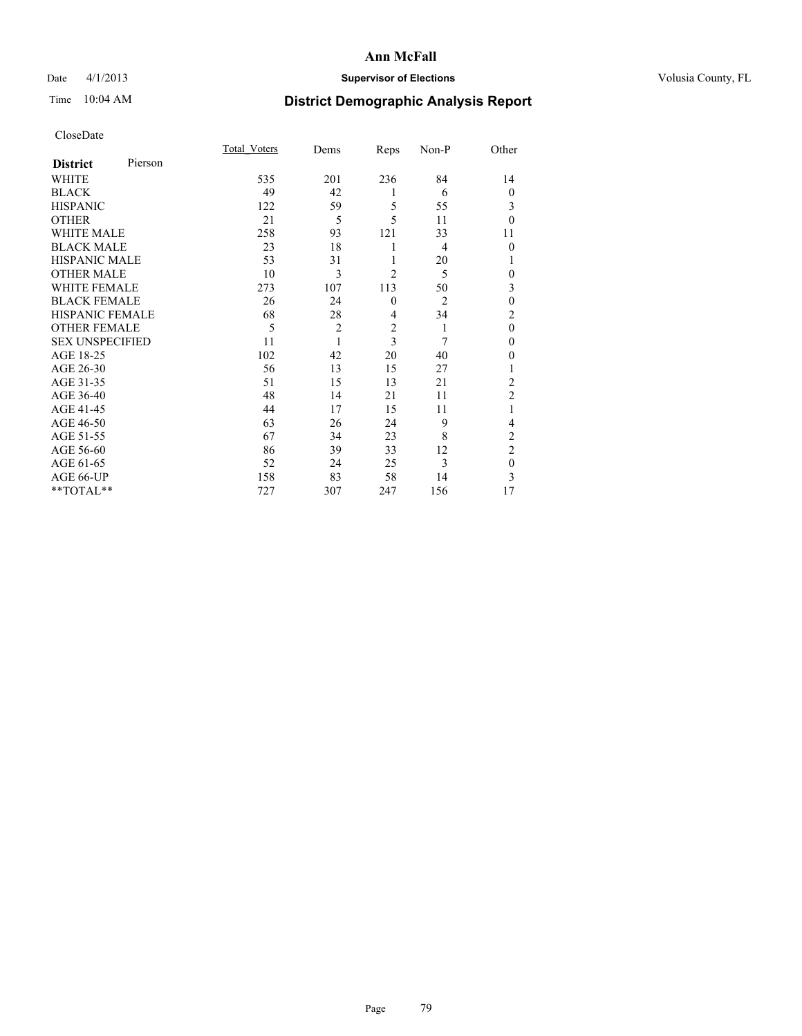## Date 4/1/2013 **Supervisor of Elections Supervisor of Elections** Volusia County, FL

# Time 10:04 AM **District Demographic Analysis Report**

|                        |         | <b>Total Voters</b> | Dems           | Reps                    | Non-P          | Other          |
|------------------------|---------|---------------------|----------------|-------------------------|----------------|----------------|
| <b>District</b>        | Pierson |                     |                |                         |                |                |
| <b>WHITE</b>           |         | 535                 | 201            | 236                     | 84             | 14             |
| <b>BLACK</b>           |         | 49                  | 42             | 1                       | 6              | $\overline{0}$ |
| <b>HISPANIC</b>        |         | 122                 | 59             | 5                       | 55             | 3              |
| <b>OTHER</b>           |         | 21                  | 5              | 5                       | 11             | $\theta$       |
| WHITE MALE             |         | 258                 | 93             | 121                     | 33             | 11             |
| <b>BLACK MALE</b>      |         | 23                  | 18             | 1                       | 4              | $\theta$       |
| <b>HISPANIC MALE</b>   |         | 53                  | 31             | 1                       | 20             | 1              |
| <b>OTHER MALE</b>      |         | 10                  | 3              | $\overline{2}$          | 5              | 0              |
| WHITE FEMALE           |         | 273                 | 107            | 113                     | 50             | 3              |
| <b>BLACK FEMALE</b>    |         | 26                  | 24             | $\mathbf{0}$            | $\overline{2}$ | $\mathbf{0}$   |
| <b>HISPANIC FEMALE</b> |         | 68                  | 28             | $\overline{4}$          | 34             | $\overline{c}$ |
| <b>OTHER FEMALE</b>    |         | 5                   | $\overline{c}$ | $\overline{\mathbf{c}}$ | 1              | $\theta$       |
| <b>SEX UNSPECIFIED</b> |         | 11                  | 1              | 3                       | 7              | $\mathbf{0}$   |
| AGE 18-25              |         | 102                 | 42             | 20                      | 40             | $\theta$       |
| AGE 26-30              |         | 56                  | 13             | 15                      | 27             | 1              |
| AGE 31-35              |         | 51                  | 15             | 13                      | 21             | $\overline{c}$ |
| AGE 36-40              |         | 48                  | 14             | 21                      | 11             | $\overline{2}$ |
| AGE 41-45              |         | 44                  | 17             | 15                      | 11             |                |
| AGE 46-50              |         | 63                  | 26             | 24                      | 9              | 4              |
| AGE 51-55              |         | 67                  | 34             | 23                      | 8              | $\overline{c}$ |
| AGE 56-60              |         | 86                  | 39             | 33                      | 12             | $\overline{c}$ |
| AGE 61-65              |         | 52                  | 24             | 25                      | 3              | $\mathbf{0}$   |
| AGE 66-UP              |         | 158                 | 83             | 58                      | 14             | 3              |
| **TOTAL**              |         | 727                 | 307            | 247                     | 156            | 17             |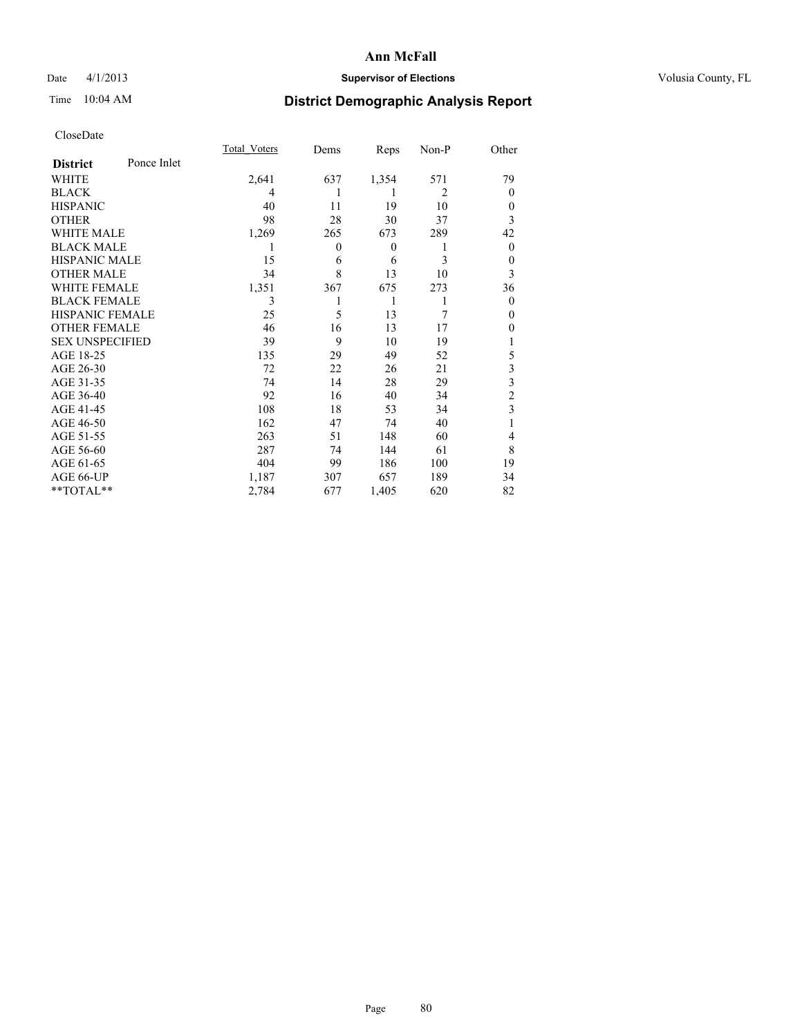## Date 4/1/2013 **Supervisor of Elections Supervisor of Elections** Volusia County, FL

# Time 10:04 AM **District Demographic Analysis Report**

|                        |             | <b>Total Voters</b> | Dems           | Reps     | Non-P          | Other                   |
|------------------------|-------------|---------------------|----------------|----------|----------------|-------------------------|
| <b>District</b>        | Ponce Inlet |                     |                |          |                |                         |
| WHITE                  |             | 2,641               | 637            | 1,354    | 571            | 79                      |
| <b>BLACK</b>           |             | 4                   |                | 1        | $\overline{2}$ | $\Omega$                |
| <b>HISPANIC</b>        |             | 40                  | 11             | 19       | 10             | $\Omega$                |
| <b>OTHER</b>           |             | 98                  | 28             | 30       | 37             | 3                       |
| WHITE MALE             |             | 1,269               | 265            | 673      | 289            | 42                      |
| <b>BLACK MALE</b>      |             | 1                   | $\overline{0}$ | $\theta$ | 1              | $\overline{0}$          |
| <b>HISPANIC MALE</b>   |             | 15                  | 6              | 6        | 3              | $\overline{0}$          |
| <b>OTHER MALE</b>      |             | 34                  | 8              | 13       | 10             | 3                       |
| <b>WHITE FEMALE</b>    |             | 1,351               | 367            | 675      | 273            | 36                      |
| <b>BLACK FEMALE</b>    |             | 3                   |                | 1        | 1              | $\overline{0}$          |
| <b>HISPANIC FEMALE</b> |             | 25                  | 5              | 13       | 7              | $\Omega$                |
| <b>OTHER FEMALE</b>    |             | 46                  | 16             | 13       | 17             | $\theta$                |
| <b>SEX UNSPECIFIED</b> |             | 39                  | 9              | 10       | 19             |                         |
| AGE 18-25              |             | 135                 | 29             | 49       | 52             | 5                       |
| AGE 26-30              |             | 72                  | 22             | 26       | 21             | $\overline{\mathbf{3}}$ |
| AGE 31-35              |             | 74                  | 14             | 28       | 29             | $\overline{\mathbf{3}}$ |
| AGE 36-40              |             | 92                  | 16             | 40       | 34             | $\overline{c}$          |
| AGE 41-45              |             | 108                 | 18             | 53       | 34             | 3                       |
| AGE 46-50              |             | 162                 | 47             | 74       | 40             | 1                       |
| AGE 51-55              |             | 263                 | 51             | 148      | 60             | $\overline{4}$          |
| AGE 56-60              |             | 287                 | 74             | 144      | 61             | 8                       |
| AGE 61-65              |             | 404                 | 99             | 186      | 100            | 19                      |
| AGE 66-UP              |             | 1,187               | 307            | 657      | 189            | 34                      |
| **TOTAL**              |             | 2,784               | 677            | 1,405    | 620            | 82                      |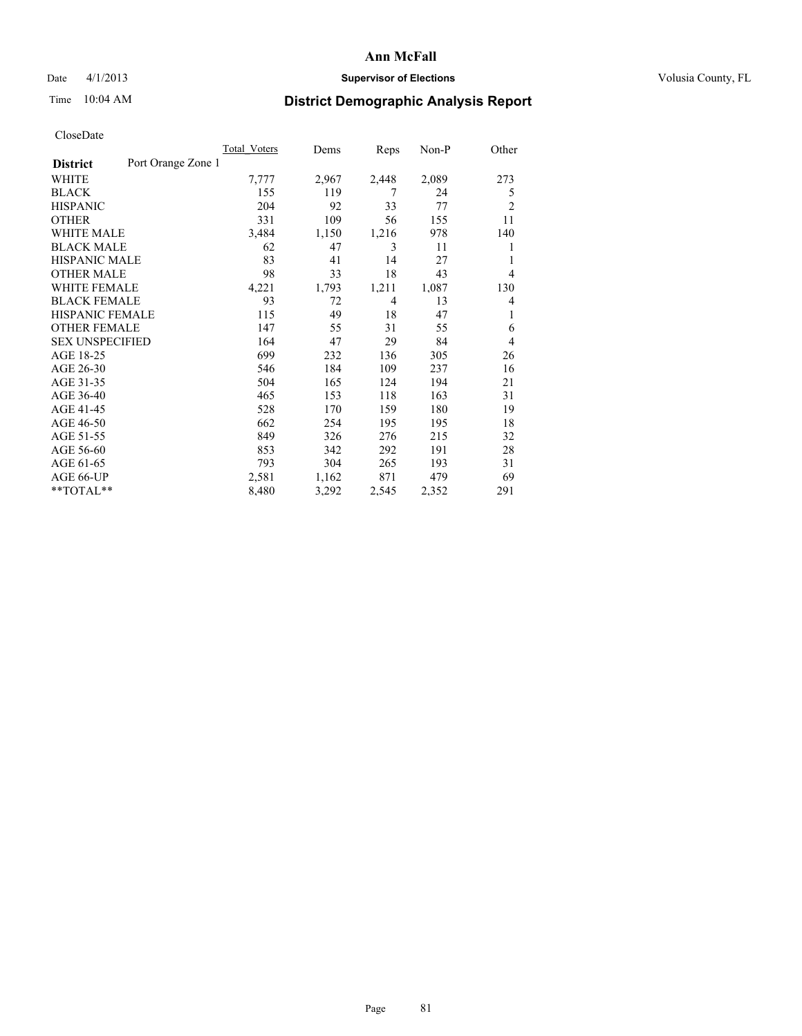## Date 4/1/2013 **Supervisor of Elections Supervisor of Elections** Volusia County, FL

# Time 10:04 AM **District Demographic Analysis Report**

|                        |                    | <b>Total Voters</b> | Dems  | Reps  | $Non-P$ | Other          |
|------------------------|--------------------|---------------------|-------|-------|---------|----------------|
| <b>District</b>        | Port Orange Zone 1 |                     |       |       |         |                |
| WHITE                  |                    | 7,777               | 2,967 | 2,448 | 2,089   | 273            |
| <b>BLACK</b>           |                    | 155                 | 119   | 7     | 24      | 5              |
| <b>HISPANIC</b>        |                    | 204                 | 92    | 33    | 77      | $\overline{2}$ |
| <b>OTHER</b>           |                    | 331                 | 109   | 56    | 155     | 11             |
| WHITE MALE             |                    | 3,484               | 1,150 | 1,216 | 978     | 140            |
| <b>BLACK MALE</b>      |                    | 62                  | 47    | 3     | 11      | 1              |
| <b>HISPANIC MALE</b>   |                    | 83                  | 41    | 14    | 27      | 1              |
| <b>OTHER MALE</b>      |                    | 98                  | 33    | 18    | 43      | $\overline{4}$ |
| <b>WHITE FEMALE</b>    |                    | 4,221               | 1,793 | 1,211 | 1,087   | 130            |
| <b>BLACK FEMALE</b>    |                    | 93                  | 72    | 4     | 13      | $\overline{4}$ |
| <b>HISPANIC FEMALE</b> |                    | 115                 | 49    | 18    | 47      | 1              |
| <b>OTHER FEMALE</b>    |                    | 147                 | 55    | 31    | 55      | 6              |
| <b>SEX UNSPECIFIED</b> |                    | 164                 | 47    | 29    | 84      | $\overline{4}$ |
| AGE 18-25              |                    | 699                 | 232   | 136   | 305     | 26             |
| AGE 26-30              |                    | 546                 | 184   | 109   | 237     | 16             |
| AGE 31-35              |                    | 504                 | 165   | 124   | 194     | 21             |
| AGE 36-40              |                    | 465                 | 153   | 118   | 163     | 31             |
| AGE 41-45              |                    | 528                 | 170   | 159   | 180     | 19             |
| AGE 46-50              |                    | 662                 | 254   | 195   | 195     | 18             |
| AGE 51-55              |                    | 849                 | 326   | 276   | 215     | 32             |
| AGE 56-60              |                    | 853                 | 342   | 292   | 191     | 28             |
| AGE 61-65              |                    | 793                 | 304   | 265   | 193     | 31             |
| AGE 66-UP              |                    | 2,581               | 1,162 | 871   | 479     | 69             |
| **TOTAL**              |                    | 8,480               | 3,292 | 2,545 | 2,352   | 291            |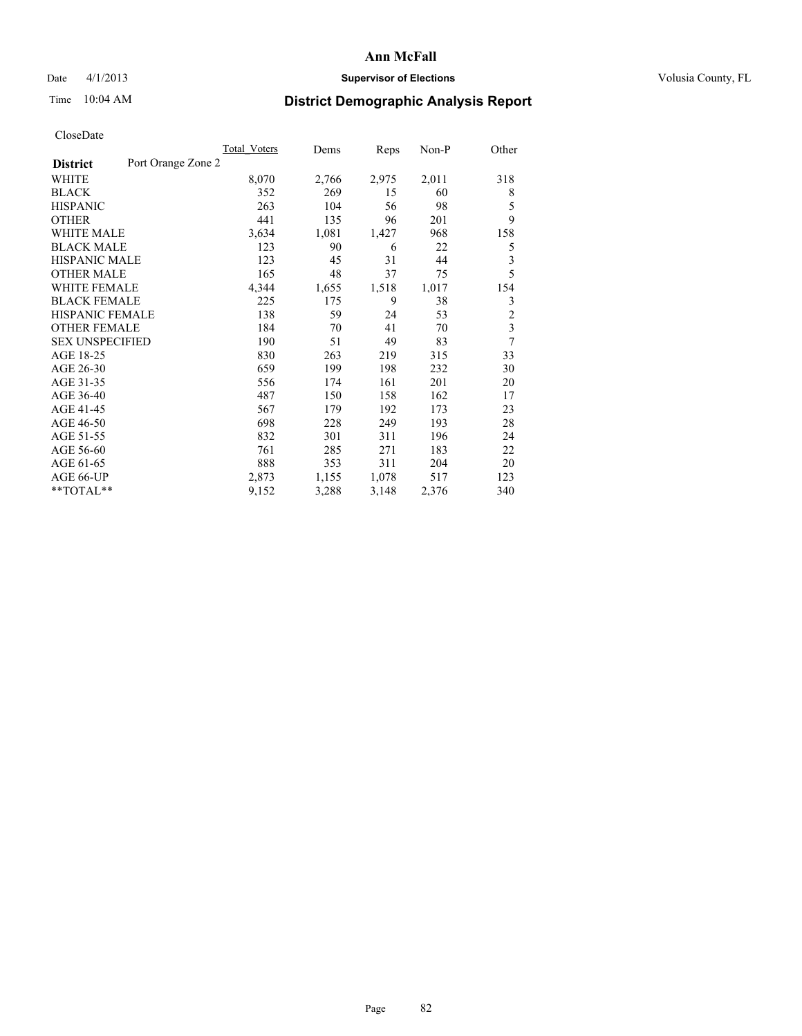## Date 4/1/2013 **Supervisor of Elections Supervisor of Elections** Volusia County, FL

# Time 10:04 AM **District Demographic Analysis Report**

|                                       | <b>Total Voters</b> | Dems  | Reps  | Non-P | Other                   |
|---------------------------------------|---------------------|-------|-------|-------|-------------------------|
| Port Orange Zone 2<br><b>District</b> |                     |       |       |       |                         |
| WHITE                                 | 8,070               | 2,766 | 2,975 | 2,011 | 318                     |
| <b>BLACK</b>                          | 352                 | 269   | 15    | 60    | 8                       |
| <b>HISPANIC</b>                       | 263                 | 104   | 56    | 98    | 5                       |
| <b>OTHER</b>                          | 441                 | 135   | 96    | 201   | 9                       |
| <b>WHITE MALE</b>                     | 3,634               | 1,081 | 1,427 | 968   | 158                     |
| <b>BLACK MALE</b>                     | 123                 | 90    | 6     | 22    | 5                       |
| <b>HISPANIC MALE</b>                  | 123                 | 45    | 31    | 44    | 3                       |
| <b>OTHER MALE</b>                     | 165                 | 48    | 37    | 75    | 5                       |
| <b>WHITE FEMALE</b>                   | 4,344               | 1,655 | 1,518 | 1,017 | 154                     |
| <b>BLACK FEMALE</b>                   | 225                 | 175   | 9     | 38    | 3                       |
| HISPANIC FEMALE                       | 138                 | 59    | 24    | 53    | $\overline{c}$          |
| <b>OTHER FEMALE</b>                   | 184                 | 70    | 41    | 70    | $\overline{\mathbf{3}}$ |
| <b>SEX UNSPECIFIED</b>                | 190                 | 51    | 49    | 83    | 7                       |
| AGE 18-25                             | 830                 | 263   | 219   | 315   | 33                      |
| AGE 26-30                             | 659                 | 199   | 198   | 232   | 30                      |
| AGE 31-35                             | 556                 | 174   | 161   | 201   | 20                      |
| AGE 36-40                             | 487                 | 150   | 158   | 162   | 17                      |
| AGE 41-45                             | 567                 | 179   | 192   | 173   | 23                      |
| AGE 46-50                             | 698                 | 228   | 249   | 193   | 28                      |
| AGE 51-55                             | 832                 | 301   | 311   | 196   | 24                      |
| AGE 56-60                             | 761                 | 285   | 271   | 183   | 22                      |
| AGE 61-65                             | 888                 | 353   | 311   | 204   | 20                      |
| AGE 66-UP                             | 2,873               | 1,155 | 1,078 | 517   | 123                     |
| **TOTAL**                             | 9,152               | 3,288 | 3,148 | 2,376 | 340                     |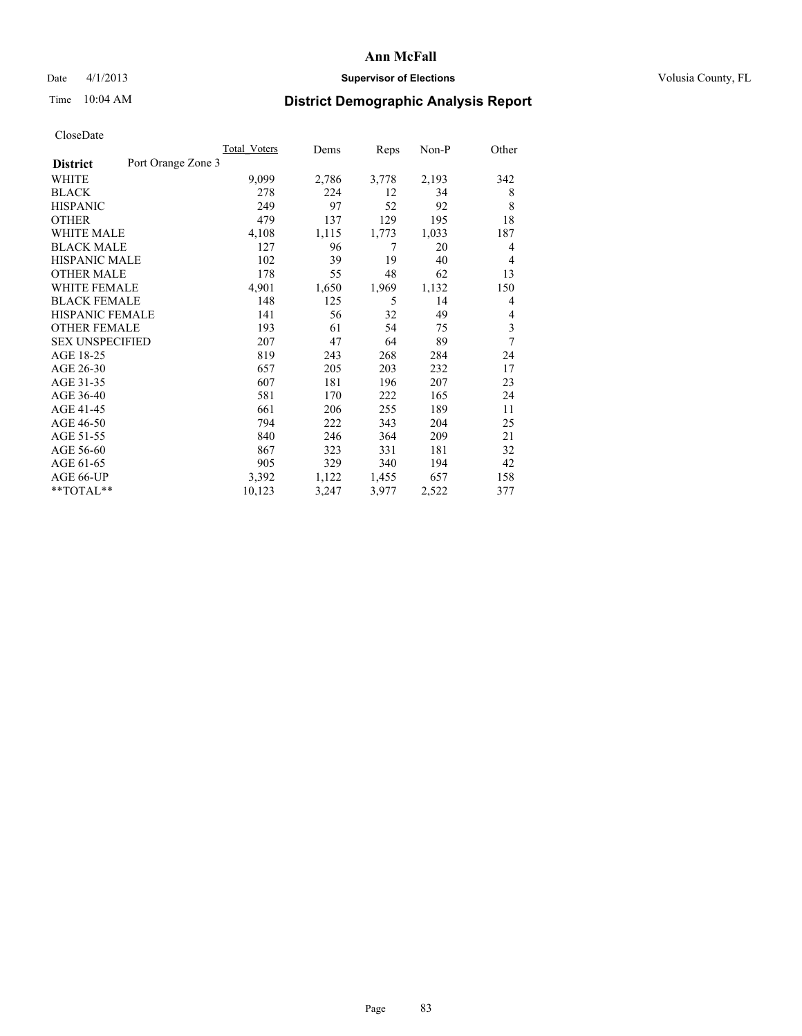## Date 4/1/2013 **Supervisor of Elections Supervisor of Elections** Volusia County, FL

# Time 10:04 AM **District Demographic Analysis Report**

| <b>Total Voters</b> | Dems               | Reps  | Non-P | Other |
|---------------------|--------------------|-------|-------|-------|
|                     |                    |       |       |       |
| 9,099               | 2,786              | 3,778 | 2,193 | 342   |
| 278                 | 224                | 12    | 34    | 8     |
| 249                 | 97                 | 52    | 92    | 8     |
| 479                 | 137                | 129   | 195   | 18    |
| 4,108               | 1,115              | 1,773 | 1,033 | 187   |
| 127                 | 96                 | 7     | 20    | 4     |
| 102                 | 39                 | 19    | 40    | 4     |
| 178                 | 55                 | 48    | 62    | 13    |
| 4,901               | 1,650              | 1,969 | 1,132 | 150   |
| 148                 | 125                | 5     | 14    | 4     |
| 141                 | 56                 | 32    | 49    | 4     |
| 193                 | 61                 | 54    | 75    | 3     |
| 207                 | 47                 | 64    | 89    | 7     |
| 819                 | 243                | 268   | 284   | 24    |
| 657                 | 205                | 203   | 232   | 17    |
| 607                 | 181                | 196   | 207   | 23    |
| 581                 | 170                | 222   | 165   | 24    |
| 661                 | 206                | 255   | 189   | 11    |
| 794                 | 222                | 343   | 204   | 25    |
| 840                 | 246                | 364   | 209   | 21    |
| 867                 | 323                | 331   | 181   | 32    |
| 905                 | 329                | 340   | 194   | 42    |
| 3,392               | 1,122              | 1,455 | 657   | 158   |
| 10,123              | 3,247              | 3,977 | 2,522 | 377   |
|                     | Port Orange Zone 3 |       |       |       |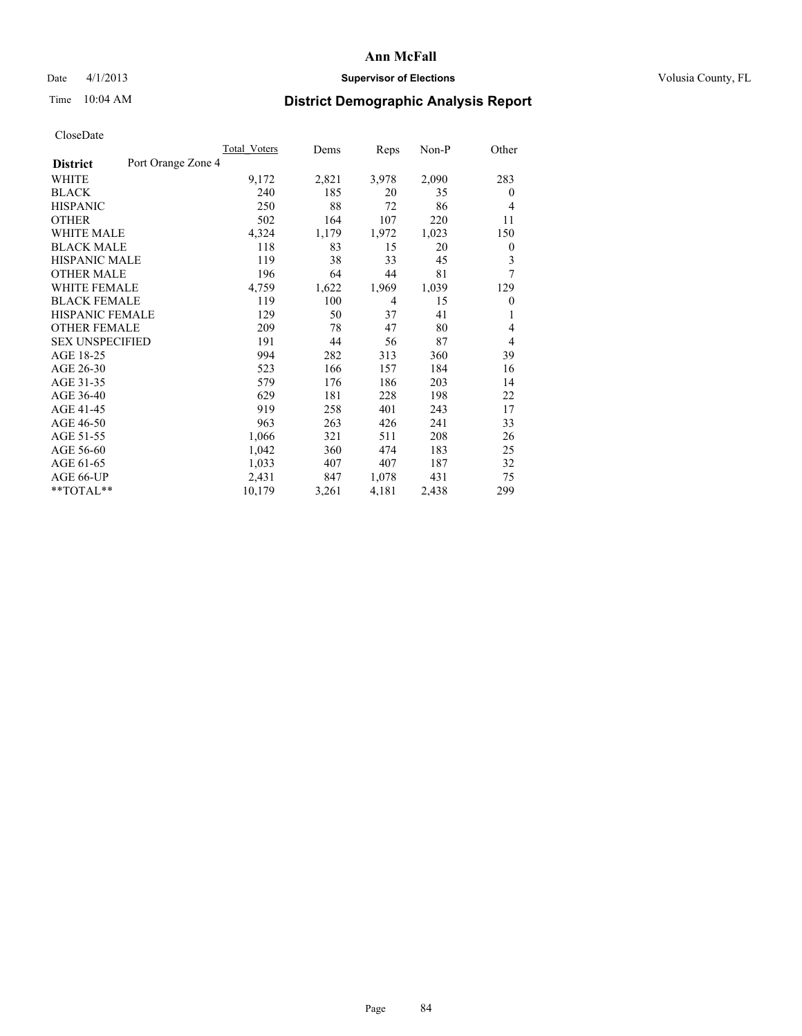## Date 4/1/2013 **Supervisor of Elections Supervisor of Elections** Volusia County, FL

# Time 10:04 AM **District Demographic Analysis Report**

|                                       | <b>Total Voters</b> | Dems  | Reps           | Non-P | Other            |
|---------------------------------------|---------------------|-------|----------------|-------|------------------|
| Port Orange Zone 4<br><b>District</b> |                     |       |                |       |                  |
| WHITE                                 | 9,172               | 2,821 | 3,978          | 2,090 | 283              |
| <b>BLACK</b>                          | 240                 | 185   | 20             | 35    | $\overline{0}$   |
| <b>HISPANIC</b>                       | 250                 | 88    | 72             | 86    | $\overline{4}$   |
| <b>OTHER</b>                          | 502                 | 164   | 107            | 220   | 11               |
| <b>WHITE MALE</b>                     | 4,324               | 1,179 | 1,972          | 1,023 | 150              |
| <b>BLACK MALE</b>                     | 118                 | 83    | 15             | 20    | $\boldsymbol{0}$ |
| <b>HISPANIC MALE</b>                  | 119                 | 38    | 33             | 45    | 3                |
| <b>OTHER MALE</b>                     | 196                 | 64    | 44             | 81    | 7                |
| <b>WHITE FEMALE</b>                   | 4,759               | 1,622 | 1,969          | 1,039 | 129              |
| <b>BLACK FEMALE</b>                   | 119                 | 100   | $\overline{4}$ | 15    | $\mathbf{0}$     |
| <b>HISPANIC FEMALE</b>                | 129                 | 50    | 37             | 41    | 1                |
| <b>OTHER FEMALE</b>                   | 209                 | 78    | 47             | 80    | 4                |
| <b>SEX UNSPECIFIED</b>                | 191                 | 44    | 56             | 87    | $\overline{4}$   |
| AGE 18-25                             | 994                 | 282   | 313            | 360   | 39               |
| AGE 26-30                             | 523                 | 166   | 157            | 184   | 16               |
| AGE 31-35                             | 579                 | 176   | 186            | 203   | 14               |
| AGE 36-40                             | 629                 | 181   | 228            | 198   | 22               |
| AGE 41-45                             | 919                 | 258   | 401            | 243   | 17               |
| AGE 46-50                             | 963                 | 263   | 426            | 241   | 33               |
| AGE 51-55                             | 1,066               | 321   | 511            | 208   | 26               |
| AGE 56-60                             | 1,042               | 360   | 474            | 183   | 25               |
| AGE 61-65                             | 1,033               | 407   | 407            | 187   | 32               |
| AGE 66-UP                             | 2,431               | 847   | 1,078          | 431   | 75               |
| **TOTAL**                             | 10,179              | 3,261 | 4,181          | 2,438 | 299              |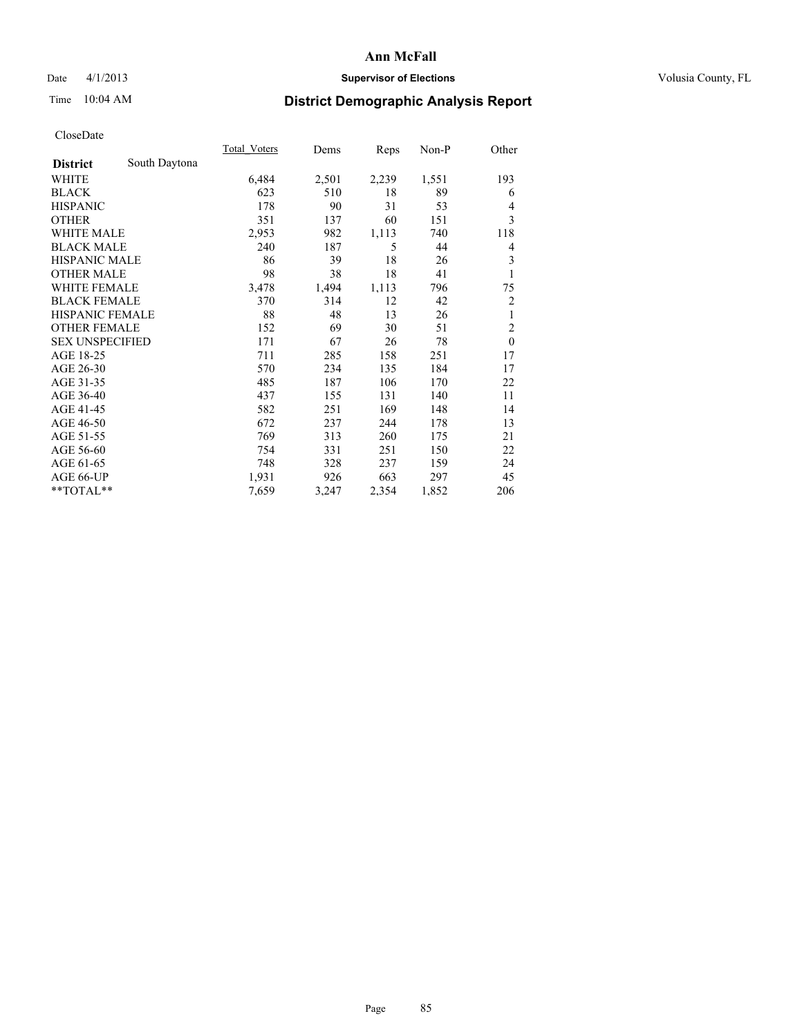## Date 4/1/2013 **Supervisor of Elections Supervisor of Elections** Volusia County, FL

# Time 10:04 AM **District Demographic Analysis Report**

|                        |               | <b>Total Voters</b> | Dems  | Reps  | $Non-P$ | Other          |
|------------------------|---------------|---------------------|-------|-------|---------|----------------|
| <b>District</b>        | South Daytona |                     |       |       |         |                |
| WHITE                  |               | 6,484               | 2,501 | 2,239 | 1,551   | 193            |
| <b>BLACK</b>           |               | 623                 | 510   | 18    | 89      | 6              |
| <b>HISPANIC</b>        |               | 178                 | 90    | 31    | 53      | $\overline{4}$ |
| <b>OTHER</b>           |               | 351                 | 137   | 60    | 151     | 3              |
| <b>WHITE MALE</b>      |               | 2,953               | 982   | 1,113 | 740     | 118            |
| <b>BLACK MALE</b>      |               | 240                 | 187   | 5     | 44      | 4              |
| <b>HISPANIC MALE</b>   |               | 86                  | 39    | 18    | 26      | 3              |
| <b>OTHER MALE</b>      |               | 98                  | 38    | 18    | 41      | 1              |
| WHITE FEMALE           |               | 3,478               | 1,494 | 1,113 | 796     | 75             |
| <b>BLACK FEMALE</b>    |               | 370                 | 314   | 12    | 42      | $\overline{2}$ |
| <b>HISPANIC FEMALE</b> |               | 88                  | 48    | 13    | 26      | 1              |
| <b>OTHER FEMALE</b>    |               | 152                 | 69    | 30    | 51      | $\overline{2}$ |
| <b>SEX UNSPECIFIED</b> |               | 171                 | 67    | 26    | 78      | $\mathbf{0}$   |
| AGE 18-25              |               | 711                 | 285   | 158   | 251     | 17             |
| AGE 26-30              |               | 570                 | 234   | 135   | 184     | 17             |
| AGE 31-35              |               | 485                 | 187   | 106   | 170     | 22             |
| AGE 36-40              |               | 437                 | 155   | 131   | 140     | 11             |
| AGE 41-45              |               | 582                 | 251   | 169   | 148     | 14             |
| AGE 46-50              |               | 672                 | 237   | 244   | 178     | 13             |
| AGE 51-55              |               | 769                 | 313   | 260   | 175     | 21             |
| AGE 56-60              |               | 754                 | 331   | 251   | 150     | 22             |
| AGE 61-65              |               | 748                 | 328   | 237   | 159     | 24             |
| AGE 66-UP              |               | 1,931               | 926   | 663   | 297     | 45             |
| **TOTAL**              |               | 7,659               | 3,247 | 2,354 | 1,852   | 206            |